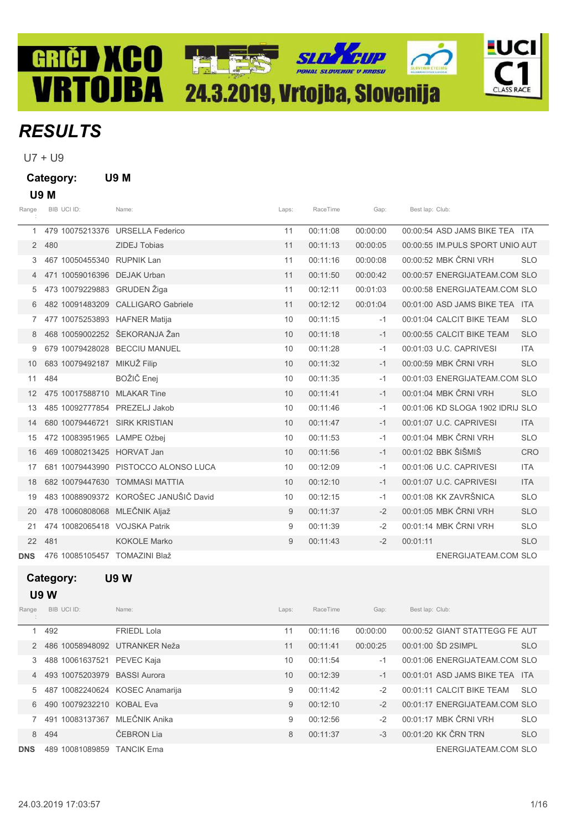# **SLT FUP** GRIČI XCO TALES **VRTOJBA** 24.3.2019, Vrtojba, Slovenija

## **RESULTS**

U7 + U9

Category: U9 M

### U9 M

| Range      | BIB UCI ID:                   | Name:                                 | Laps: | RaceTime | Gap:     | Best lap: Club:                  |            |
|------------|-------------------------------|---------------------------------------|-------|----------|----------|----------------------------------|------------|
| 1          |                               | 479 10075213376 URSELLA Federico      | 11    | 00:11:08 | 00:00:00 | 00:00:54 ASD JAMS BIKE TEA ITA   |            |
| 2          | 480                           | ZIDEJ Tobias                          | 11    | 00:11:13 | 00:00:05 | 00:00:55 IM PULS SPORT UNIO AUT  |            |
| 3          | 467 10050455340 RUPNIK Lan    |                                       | 11    | 00:11:16 | 00:00:08 | 00:00:52 MBK ČRNI VRH            | <b>SLO</b> |
| 4          | 471 10059016396               | <b>DEJAK Urban</b>                    | 11    | 00:11:50 | 00:00:42 | 00:00:57 ENERGIJATEAM.COM SLO    |            |
| 5.         | 473 10079229883 GRUDEN Žiga   |                                       | 11    | 00:12:11 | 00:01:03 | 00:00:58 ENERGIJATEAM.COM SLO    |            |
| 6          |                               | 482 10091483209 CALLIGARO Gabriele    | 11    | 00:12:12 | 00:01:04 | 00:01:00 ASD JAMS BIKE TEA ITA   |            |
| 7.         | 477 10075253893 HAFNER Matija |                                       | 10    | 00:11:15 | $-1$     | 00:01:04 CALCIT BIKE TEAM        | <b>SLO</b> |
| 8          | 468 10059002252 ŠEKORANJA Žan |                                       | 10    | 00:11:18 | $-1$     | 00:00:55 CALCIT BIKE TEAM        | <b>SLO</b> |
| 9          |                               | 679 10079428028 BECCIU MANUEL         | 10    | 00:11:28 | $-1$     | 00:01:03 U.C. CAPRIVESI          | <b>ITA</b> |
| 10         | 683 10079492187 MIKUŽ Filip   |                                       | 10    | 00:11:32 | $-1$     | 00:00:59 MBK ČRNI VRH            | <b>SLO</b> |
| 11         | 484                           | BOŽIČ Enej                            | 10    | 00:11:35 | $-1$     | 00:01:03 ENERGIJATEAM.COM SLO    |            |
| 12         | 475 10017588710 MLAKAR Tine   |                                       | 10    | 00:11:41 | $-1$     | 00:01:04 MBK ČRNI VRH            | <b>SLO</b> |
| 13         | 485 10092777854 PREZELJ Jakob |                                       | 10    | 00:11:46 | $-1$     | 00:01:06 KD SLOGA 1902 IDRIJ SLO |            |
| 14         | 680 10079446721               | <b>SIRK KRISTIAN</b>                  | 10    | 00:11:47 | $-1$     | 00:01:07 U.C. CAPRIVESI          | <b>ITA</b> |
| 15         | 472 10083951965 LAMPE Ožbej   |                                       | 10    | 00:11:53 | $-1$     | 00:01:04 MBK ČRNI VRH            | <b>SLO</b> |
| 16         | 469 10080213425 HORVAT Jan    |                                       | 10    | 00:11:56 | $-1$     | 00:01:02 BBK ŠIŠMIŠ              | <b>CRO</b> |
| 17         |                               | 681 10079443990 PISTOCCO ALONSO LUCA  | 10    | 00:12:09 | $-1$     | 00:01:06 U.C. CAPRIVESI          | <b>ITA</b> |
| 18         |                               | 682 10079447630 TOMMASI MATTIA        | 10    | 00:12:10 | $-1$     | 00:01:07 U.C. CAPRIVESI          | <b>ITA</b> |
| 19         |                               | 483 10088909372 KOROŠEC JANUŠIČ David | 10    | 00:12:15 | $-1$     | 00:01:08 KK ZAVRŠNICA            | <b>SLO</b> |
| 20         | 478 10060808068 MLEČNIK Aljaž |                                       | 9     | 00:11:37 | $-2$     | 00:01:05 MBK ČRNI VRH            | <b>SLO</b> |
| 21         | 474 10082065418 VOJSKA Patrik |                                       | 9     | 00:11:39 | $-2$     | 00:01:14 MBK ČRNI VRH            | <b>SLO</b> |
| 22         | 481                           | <b>KOKOLE Marko</b>                   | 9     | 00:11:43 | $-2$     | 00:01:11                         | <b>SLO</b> |
| <b>DNS</b> | 476 10085105457 TOMAZINI Blaž |                                       |       |          |          | <b>ENERGIJATEAM.COM SLO</b>      |            |

READ

**FUCI** 

**CLASS RACE** 

## Category: U9 W

## U9 W

| Range      | BIB UCI ID:        | Name:                  | Laps: | RaceTime | Gap:     | Best lap: Club:                |            |
|------------|--------------------|------------------------|-------|----------|----------|--------------------------------|------------|
|            | 492                | <b>FRIEDL Lola</b>     | 11    | 00:11:16 | 00:00:00 | 00:00:52 GIANT STATTEGG FE AUT |            |
|            | 486 10058948092    | UTRANKER Neža          | 11    | 00:11:41 | 00:00:25 | 00:01:00 SD 2SIMPL             | <b>SLO</b> |
| 3          | 488 10061637521    | PEVEC Kaja             | 10    | 00:11:54 | $-1$     | 00:01:06 ENERGIJATEAM.COM SLO  |            |
|            | 493 10075203979    | <b>BASSI Aurora</b>    | 10    | 00:12:39 | $-1$     | 00:01:01 ASD JAMS BIKE TEA ITA |            |
| 5          | 487 10082240624    | <b>KOSEC Anamarija</b> | 9     | 00:11:42 | $-2$     | 00:01:11 CALCIT BIKE TEAM      | <b>SLO</b> |
| 6          | 490 10079232210    | <b>KOBAL Eva</b>       | 9     | 00:12:10 | $-2$     | 00:01:17 ENERGIJATEAM.COM SLO  |            |
|            | 10083137367<br>491 | MLEČNIK Anika          | 9     | 00:12:56 | $-2$     | $00.01.17$ MBK CRNI VRH        | <b>SLO</b> |
| 8          | 494                | ČEBRON Lia             | 8     | 00:11:37 | $-3$     | 00:01:20 KK ČRN TRN            | <b>SLO</b> |
| <b>DNS</b> | 10081089859<br>489 | <b>TANCIK Ema</b>      |       |          |          | ENERGIJATEAM.COM SLO           |            |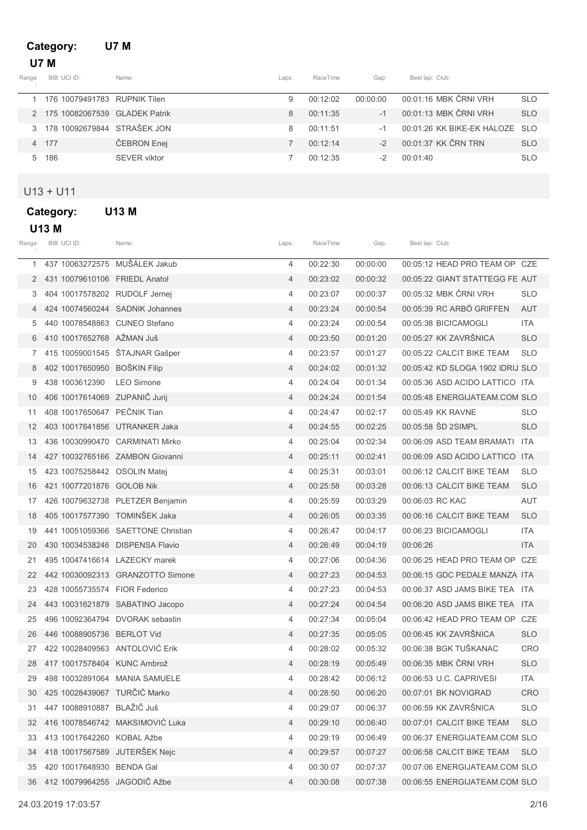## Category: U7 M U7 M

| Range | BIB UCI ID:                   | Name:        | Laps: | RaceTime | Gap:     | Best lap: Club:                |            |
|-------|-------------------------------|--------------|-------|----------|----------|--------------------------------|------------|
|       | 176 10079491783 RUPNIK Tilen  |              | 9     | 00:12:02 | 00:00:00 | 00:01:16 MBK ČRNI VRH          | <b>SLO</b> |
|       | 175 10082067539 GLADEK Patrik |              | 8     | 00:11:35 | $-1$     | 00:01:13 MBK ČRNI VRH          | <b>SLO</b> |
|       | 178 10092679844 STRAŠEK JON   |              | 8     | 00:11:51 | -1       | 00:01:26 KK BIKE-EK HALOZE SLO |            |
|       | 4 177                         | ČEBRON Enej  |       | 00.12.14 | $-2$     | 00:01:37 KK ČRN TRN            | <b>SLO</b> |
| 5     | 186                           | SEVER viktor |       | 00.12.35 | -2       | 00:01:40                       | <b>SLO</b> |

## U13 + U11

| Category: | <b>U13 M</b> |  |
|-----------|--------------|--|
|-----------|--------------|--|

|  |  | Μ |
|--|--|---|
|--|--|---|

| Range | BIB UCI ID:                     | Name:                              | Laps:          | RaceTime | Gap:     | Best lap: Club: |                                  |            |
|-------|---------------------------------|------------------------------------|----------------|----------|----------|-----------------|----------------------------------|------------|
| 1     | 437 10063272575 MUŠÁLEK Jakub   |                                    | 4              | 00:22:30 | 00:00:00 |                 | 00:05:12 HEAD PRO TEAM OP CZE    |            |
| 2     | 431 10079610106 FRIEDL Anatol   |                                    | 4              | 00:23:02 | 00:00:32 |                 | 00:05:22 GIANT STATTEGG FE AUT   |            |
|       | 404 10017578202 RUDOLF Jernej   |                                    | 4              | 00:23:07 | 00:00:37 |                 | 00:05:32 MBK ČRNI VRH            | <b>SLO</b> |
| 4     |                                 | 424 10074560244 SADNIK Johannes    | $\overline{4}$ | 00:23:24 | 00:00:54 |                 | 00:05:39 RC ARBO GRIFFEN         | AUT        |
| 5     | 440 10078548863 CUNEO Stefano   |                                    | 4              | 00:23:24 | 00:00:54 |                 | 00:05:38 BICICAMOGLI             | <b>ITA</b> |
| 6     | 410 10017652768 AŽMAN Juš       |                                    | 4              | 00:23:50 | 00:01:20 |                 | 00:05:27 KK ZAVRŠNICA            | <b>SLO</b> |
|       | 415 10059001545 ŠTAJNAR Gašper  |                                    | 4              | 00:23:57 | 00:01:27 |                 | 00:05:22 CALCIT BIKE TEAM        | <b>SLO</b> |
| 8     | 402 10017650950 BOŠKIN Filip    |                                    | $\overline{4}$ | 00:24:02 | 00:01:32 |                 | 00:05:42 KD SLOGA 1902 IDRIJ SLO |            |
| 9     | 438 1003612390                  | <b>LEO Simone</b>                  | 4              | 00:24:04 | 00:01:34 |                 | 00:05:36 ASD ACIDO LATTICO ITA   |            |
| 10    | 406 10017614069 ZUPANIČ Jurij   |                                    | 4              | 00:24:24 | 00:01:54 |                 | 00:05:48 ENERGIJATEAM.COM SLO    |            |
| 11    | 408 10017650647 PEČNIK Tian     |                                    | 4              | 00:24:47 | 00:02:17 |                 | 00:05:49 KK RAVNE                | <b>SLO</b> |
| 12    | 403 10017641856 UTRANKER Jaka   |                                    | $\overline{4}$ | 00:24:55 | 00:02:25 |                 | 00:05:58 SD 2SIMPL               | <b>SLO</b> |
| 13    |                                 | 436 10030990470 CARMINATI Mirko    | 4              | 00:25:04 | 00:02:34 |                 | 00:06:09 ASD TEAM BRAMATI ITA    |            |
| 14    |                                 | 427 10032765166 ZAMBON Giovanni    | 4              | 00:25:11 | 00:02:41 |                 | 00:06:09 ASD ACIDO LATTICO ITA   |            |
| 15    | 423 10075258442 OSOLIN Matej    |                                    | 4              | 00:25:31 | 00:03:01 |                 | 00:06:12 CALCIT BIKE TEAM        | <b>SLO</b> |
| 16    | 421 10077201876 GOLOB Nik       |                                    | $\overline{4}$ | 00:25:58 | 00:03:28 |                 | 00:06:13 CALCIT BIKE TEAM        | <b>SLO</b> |
| 17    |                                 | 426 10079632738 PLETZER Benjamin   | 4              | 00:25:59 | 00:03:29 |                 | 00:06:03 RC KAC                  | AUT        |
| 18    | 405 10017577390 TOMINŠEK Jaka   |                                    | 4              | 00:26:05 | 00:03:35 |                 | 00:06:16 CALCIT BIKE TEAM        | <b>SLO</b> |
| 19    |                                 | 441 10051059366 SAETTONE Christian | 4              | 00:26:47 | 00:04:17 |                 | 00:06:23 BICICAMOGLI             | <b>ITA</b> |
| 20    | 430 10034538246 DISPENSA Flavio |                                    | $\overline{4}$ | 00:26:49 | 00:04:19 | 00:06:26        |                                  | <b>ITA</b> |
| 21    | 495 10047416614 LAZECKY marek   |                                    | 4              | 00:27:06 | 00:04:36 |                 | 00:06:25 HEAD PRO TEAM OP CZE    |            |
| 22    |                                 | 442 10030092313 GRANZOTTO Simone   | 4              | 00:27:23 | 00:04:53 |                 | 00:06:15 GDC PEDALE MANZA ITA    |            |
| 23    | 428 10055735574 FIOR Federico   |                                    | 4              | 00:27:23 | 00:04:53 |                 | 00:06:37 ASD JAMS BIKE TEA ITA   |            |
| 24    |                                 | 443 10031621879 SABATINO Jacopo    | 4              | 00:27:24 | 00:04:54 |                 | 00:06:20 ASD JAMS BIKE TEA ITA   |            |
| 25    |                                 | 496 10092364794 DVORAK sebastin    | 4              | 00:27:34 | 00:05:04 |                 | 00:06:42 HEAD PRO TEAM OP CZE    |            |
| 26    | 446 10088905736 BERLOT Vid      |                                    | 4              | 00:27:35 | 00:05:05 |                 | 00:06:45 KK ZAVRŠNICA            | <b>SLO</b> |
| 27    | 422 10028409563 ANTOLOVIC Erik  |                                    | 4              | 00:28:02 | 00:05:32 |                 | 00:06:38 BGK TUŠKANAC            | <b>CRO</b> |
| 28    | 417 10017578404 KUNC Ambrož     |                                    | $\overline{4}$ | 00:28:19 | 00:05:49 |                 | 00:06:35 MBK ČRNI VRH            | <b>SLO</b> |
| 29.   |                                 | 498 10032891064 MANIA SAMUELE      | 4              | 00:28:42 | 00:06:12 |                 | 00:06:53 U.C. CAPRIVESI          | ITA        |
| 30    | 425 10028439067 TURČIĆ Marko    |                                    | 4              | 00:28:50 | 00:06:20 |                 | 00:07:01 BK NOVIGRAD             | <b>CRO</b> |
| 31    | 447 10088910887 BLAŽIČ Juš      |                                    | 4              | 00:29:07 | 00:06:37 |                 | 00:06:59 KK ZAVRŠNICA            | <b>SLO</b> |
| 32    |                                 | 416 10078546742 MAKSIMOVIĆ Luka    | 4              | 00:29:10 | 00:06:40 |                 | 00:07:01 CALCIT BIKE TEAM        | <b>SLO</b> |
| 33    | 413 10017642260 KOBAL Ažbe      |                                    | 4              | 00:29:19 | 00:06:49 |                 | 00:06:37 ENERGIJATEAM.COM SLO    |            |
| 34    | 418 10017567589 JUTERŠEK Nejc   |                                    | 4              | 00:29:57 | 00:07:27 |                 | 00:06:58 CALCIT BIKE TEAM        | <b>SLO</b> |
| 35    | 420 10017648930 BENDA Gal       |                                    | 4              | 00:30:07 | 00:07:37 |                 | 00:07:06 ENERGIJATEAM.COM SLO    |            |
|       | 36 412 10079964255 JAGODIČ Ažbe |                                    | 4              | 00:30:08 | 00:07:38 |                 | 00:06:55 ENERGIJATEAM.COM SLO    |            |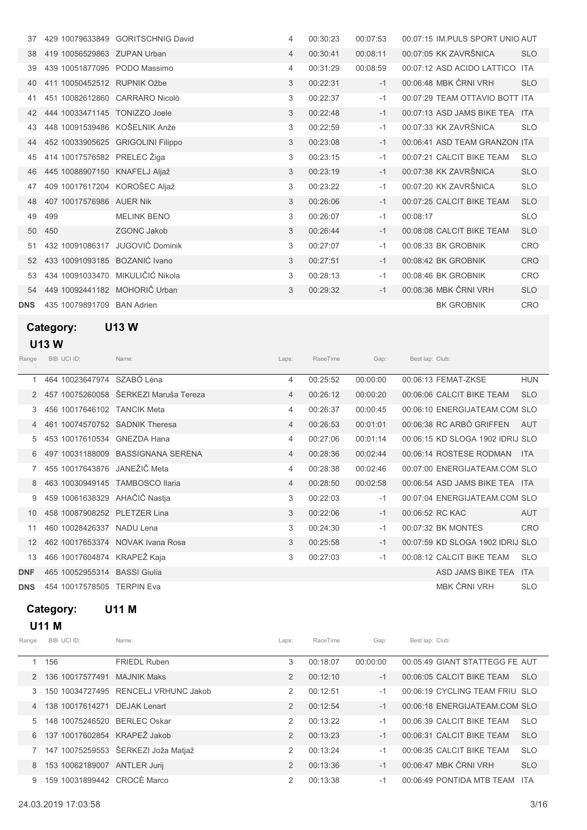|            |                                | 429 10079633849 GORITSCHNIG David | 4 | 00:30:23 | 00:07:53 |          | 00:07:15 IM PULS SPORT UNIO AUT |            |
|------------|--------------------------------|-----------------------------------|---|----------|----------|----------|---------------------------------|------------|
| 38         | 419 10056529863 ZUPAN Urban    |                                   | 4 | 00:30:41 | 00:08:11 |          | 00:07:05 KK ZAVRŠNICA           | <b>SLO</b> |
| 39         | 439 10051877095 PODO Massimo   |                                   | 4 | 00:31:29 | 00:08:59 |          | 00:07:12 ASD ACIDO LATTICO      | <b>ITA</b> |
|            | 411 10050452512 RUPNIK Ožbe    |                                   | 3 | 00:22:31 | $-1$     |          | 00:06:48 MBK ČRNI VRH           | <b>SLO</b> |
|            | 451 10082612860 CARRARO Nicolò |                                   | 3 | 00:22:37 | $-1$     |          | 00:07:29 TEAM OTTAVIO BOTT ITA  |            |
|            | 444 10033471145 TONIZZO Joele  |                                   | 3 | 00:22:48 | $-1$     |          | 00:07:13 ASD JAMS BIKE TEA ITA  |            |
|            | 448 10091539486 KOŠELNIK Anže  |                                   | 3 | 00:22:59 | $-1$     |          | 00:07:33 KK ZAVRŠNICA           | <b>SLO</b> |
|            |                                | 452 10033905625 GRIGOLINI Filippo | 3 | 00:23:08 | $-1$     |          | 00:06:41 ASD TEAM GRANZON ITA   |            |
| 45         | 414 10017576582 PRELEC Žiga    |                                   | 3 | 00:23:15 | $-1$     |          | 00:07:21 CALCIT BIKE TEAM       | <b>SLO</b> |
| 46         | 445 10088907150 KNAFELJ Aljaž  |                                   | 3 | 00:23:19 | $-1$     |          | 00:07:38 KK ZAVRŠNICA           | <b>SLO</b> |
|            | 409 10017617204 KOROŠEC Aljaž  |                                   | 3 | 00:23:22 | $-1$     |          | 00:07:20 KK ZAVRŠNICA           | <b>SLO</b> |
| 48         | 407 10017576986 AUER Nik       |                                   | 3 | 00:26:06 | $-1$     |          | 00:07:25 CALCIT BIKE TEAM       | <b>SLO</b> |
| 49         | 499                            | <b>MELINK BENO</b>                | 3 | 00:26:07 | $-1$     | 00:08:17 |                                 | <b>SLO</b> |
| 50         | 450                            | <b>ZGONC Jakob</b>                | 3 | 00:26:44 | $-1$     |          | 00:08:08 CALCIT BIKE TEAM       | <b>SLO</b> |
| 51         |                                | 432 10091086317 JUGOVIĆ Dominik   | 3 | 00:27:07 | $-1$     |          | 00:08:33 BK GROBNIK             | <b>CRO</b> |
| 52         | 433 10091093185 BOZANIĆ Ivano  |                                   | 3 | 00:27:51 | $-1$     |          | 00:08:42 BK GROBNIK             | CRO        |
| 53         |                                | 434 10091033470 MIKULIČIĆ Nikola  | 3 | 00:28:13 | $-1$     |          | 00:08:46 BK GROBNIK             | <b>CRO</b> |
| 54         | 449 10092441182 MOHORIČ Urban  |                                   | 3 | 00:29:32 | $-1$     |          | 00:08:36 MBK ČRNI VRH           | <b>SLO</b> |
| <b>DNS</b> | 435 10079891709 BAN Adrien     |                                   |   |          |          |          | <b>BK GROBNIK</b>               | CRO        |

## Category: U13 W U13 W

| Range      | BIB UCI ID:                    | Name:                                 | Laps:          | RaceTime | Gap:     | Best lap: Club: |                                  |            |
|------------|--------------------------------|---------------------------------------|----------------|----------|----------|-----------------|----------------------------------|------------|
| 1          | 464 10023647974 SZABÓ Léna     |                                       | 4              | 00:25:52 | 00:00:00 |                 | 00:06:13 FEMAT-ZKSE              | <b>HUN</b> |
|            |                                | 457 10075260058 ŠERKEZI Maruša Tereza | $\overline{4}$ | 00:26:12 | 00:00:20 |                 | 00:06:06 CALCIT BIKE TEAM        | <b>SLO</b> |
| 3.         | 456 10017646102 TANCIK Meta    |                                       | 4              | 00:26:37 | 00:00:45 |                 | 00:06:10 ENERGIJATEAM.COM SLO    |            |
|            | 461 10074570752 SADNIK Theresa |                                       | $\overline{4}$ | 00:26:53 | 00:01:01 |                 | 00:06:38 RC ARBO GRIFFEN         | AUT        |
| 5          | 453 10017610534                | <b>GNEZDA Hana</b>                    | 4              | 00:27:06 | 00:01:14 |                 | 00:06:15 KD SLOGA 1902 IDRIJ SLO |            |
| 6.         |                                | 497 10031188009 BASSIGNANA SERENA     | 4              | 00:28:36 | 00:02:44 |                 | 00:06:14 ROSTESE RODMAN          | <b>ITA</b> |
|            | 455 10017643876                | JANEŽIČ Meta                          | 4              | 00:28:38 | 00:02:46 |                 | 00:07:00 ENERGIJATEAM.COM SLO    |            |
| 8          | 463 10030949145                | <b>TAMBOSCO Ilaria</b>                | 4              | 00:28:50 | 00:02:58 |                 | 00:06:54 ASD JAMS BIKE TEA ITA   |            |
| 9          | 459 10061638329                | AHAČIČ Nastja                         | 3              | 00:22:03 | $-1$     |                 | 00:07:04 ENERGIJATEAM.COM SLO    |            |
| 10         | 458 10087908252 PLETZER Lina   |                                       | 3              | 00:22:06 | $-1$     |                 | 00:06:52 RC KAC                  | <b>AUT</b> |
| 11         | 460 10028426337                | NADU Lena                             | 3              | 00:24:30 | $-1$     |                 | 00:07:32 BK MONTES               | <b>CRO</b> |
| 12         |                                | 462 10017653374 NOVAK Ivana Rosa      | 3              | 00:25:58 | $-1$     |                 | 00:07:59 KD SLOGA 1902 IDRIJ SLO |            |
| 13         | 466 10017604874                | KRAPEŽ Kaja                           | 3              | 00:27:03 | $-1$     |                 | 00:08:12 CALCIT BIKE TEAM        | <b>SLO</b> |
| <b>DNF</b> | 465 10052955314                | <b>BASSI</b> Giulia                   |                |          |          |                 | ASD JAMS BIKE TEA ITA            |            |
| <b>DNS</b> | 454 10017578505                | <b>TERPIN Eva</b>                     |                |          |          |                 | MBK ČRNI VRH                     | <b>SLO</b> |

## Category: U11 M

## U11 M

| Range          | BIB UCI ID:                  | Name:                                | Laps:          | RaceTime | Gap:     | Best lap: Club:                |            |
|----------------|------------------------------|--------------------------------------|----------------|----------|----------|--------------------------------|------------|
|                | 156                          | <b>FRIEDL Ruben</b>                  | 3              | 00:18:07 | 00:00:00 | 00:05:49 GIANT STATTEGG FE AUT |            |
| $\mathcal{P}$  | 136 10017577491              | <b>MAJNIK Maks</b>                   | $\overline{2}$ | 00:12:10 | $-1$     | 00:06:05 CALCIT BIKE TEAM      | <b>SLO</b> |
| 3              |                              | 150 10034727495 RENCELJ VRHUNC Jakob | 2              | 00:12:51 | $-1$     | 00:06:19 CYCLING TEAM FRIU SLO |            |
| $\overline{4}$ | 138 10017614271 DEJAK Lenart |                                      | $\overline{2}$ | 00:12:54 | $-1$     | 00:06:18 ENERGIJATEAM.COM SLO  |            |
| 5              | 148 10075246520              | <b>BERLEC Oskar</b>                  | 2              | 00:13:22 | $-1$     | 00:06:39 CALCIT BIKE TEAM      | <b>SLO</b> |
| 6              | 137 10017602854 KRAPEŽ Jakob |                                      | $\mathfrak{D}$ | 00:13:23 | $-1$     | 00:06:31 CALCIT BIKE TEAM      | <b>SLO</b> |
|                |                              | 147 10075259553 ŠERKEZI Joža Matjaž  | $\mathcal{P}$  | 00:13:24 | $-1$     | 00:06:35 CALCIT BIKE TEAM      | <b>SLO</b> |
| 8              | 153 10062189007 ANTLER Jurij |                                      | 2              | 00:13:36 | $-1$     | 00:06:47 MBK ČRNI VRH          | <b>SLO</b> |
| 9              | 159 10031899442 CROCÈ Marco  |                                      | $\mathcal{P}$  | 00:13:38 | $-1$     | 00:06:49 PONTIDA MTB TEAM      | <b>ITA</b> |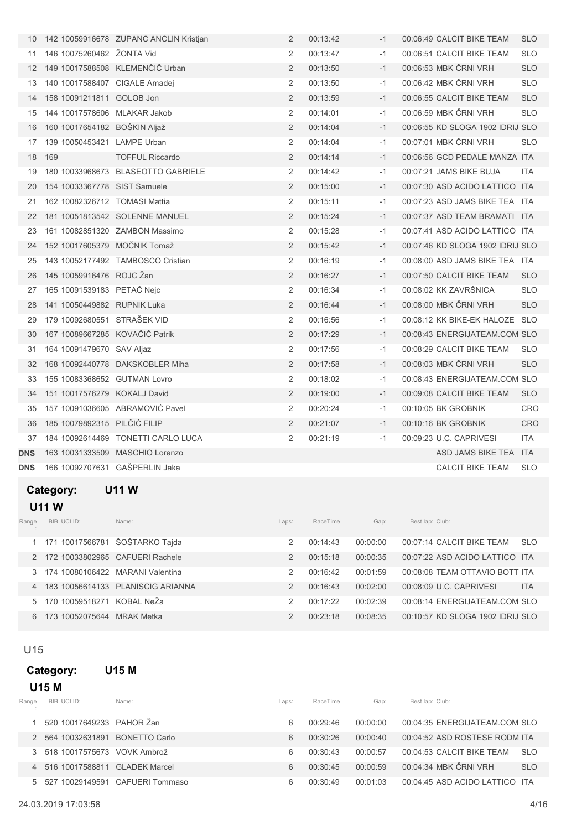| 10         |                                | 142 10059916678 ZUPANC ANCLIN Kristjan | 2              | 00:13:42 | $-1$ | 00:06:49 CALCIT BIKE TEAM        | <b>SLO</b> |
|------------|--------------------------------|----------------------------------------|----------------|----------|------|----------------------------------|------------|
| 11         | 146 10075260462 ŽONTA Vid      |                                        | 2              | 00:13:47 | $-1$ | 00:06:51 CALCIT BIKE TEAM        | <b>SLO</b> |
| 12         |                                | 149 10017588508 KLEMENČIČ Urban        | 2              | 00:13:50 | $-1$ | 00:06:53 MBK ČRNI VRH            | <b>SLO</b> |
| 13         | 140 10017588407 CIGALE Amadej  |                                        | 2              | 00:13:50 | $-1$ | 00:06:42 MBK ČRNI VRH            | <b>SLO</b> |
| 14         | 158 10091211811 GOLOB Jon      |                                        | $\overline{2}$ | 00:13:59 | $-1$ | 00:06:55 CALCIT BIKE TEAM        | <b>SLO</b> |
| 15         | 144 10017578606 MLAKAR Jakob   |                                        | 2              | 00:14:01 | $-1$ | 00:06:59 MBK ČRNI VRH            | <b>SLO</b> |
| 16         | 160 10017654182 BOŠKIN Aljaž   |                                        | $\overline{2}$ | 00:14:04 | $-1$ | 00:06:55 KD SLOGA 1902 IDRIJ SLO |            |
| 17         | 139 10050453421 LAMPE Urban    |                                        | 2              | 00:14:04 | $-1$ | 00:07:01 MBK ČRNI VRH            | <b>SLO</b> |
| 18         | 169                            | <b>TOFFUL Riccardo</b>                 | 2              | 00:14:14 | $-1$ | 00:06:56 GCD PEDALE MANZA ITA    |            |
| 19         |                                | 180 10033968673 BLASEOTTO GABRIELE     | 2              | 00:14:42 | $-1$ | 00:07:21 JAMS BIKE BUJA          | <b>ITA</b> |
| 20         | 154 10033367778 SIST Samuele   |                                        | $\overline{2}$ | 00:15:00 | $-1$ | 00:07:30 ASD ACIDO LATTICO ITA   |            |
| 21         | 162 10082326712 TOMASI Mattia  |                                        | 2              | 00:15:11 | $-1$ | 00:07:23 ASD JAMS BIKE TEA ITA   |            |
| 22         |                                | 181 10051813542 SOLENNE MANUEL         | $\overline{2}$ | 00:15:24 | $-1$ | 00:07:37 ASD TEAM BRAMATI ITA    |            |
| 23         |                                | 161 10082851320 ZAMBON Massimo         | 2              | 00:15:28 | $-1$ | 00:07:41 ASD ACIDO LATTICO ITA   |            |
| 24         | 152 10017605379 MOČNIK Tomaž   |                                        | 2              | 00:15:42 | $-1$ | 00:07:46 KD SLOGA 1902 IDRIJ SLO |            |
| 25         |                                | 143 10052177492 TAMBOSCO Cristian      | 2              | 00:16:19 | $-1$ | 00:08:00 ASD JAMS BIKE TEA ITA   |            |
| 26         | 145 10059916476 ROJC Žan       |                                        | $\overline{2}$ | 00:16:27 | $-1$ | 00:07:50 CALCIT BIKE TEAM        | <b>SLO</b> |
| 27         | 165 10091539183 PETAČ Nejc     |                                        | 2              | 00:16:34 | $-1$ | 00:08:02 KK ZAVRŠNICA            | <b>SLO</b> |
| 28         | 141 10050449882 RUPNIK Luka    |                                        | $\overline{2}$ | 00:16:44 | $-1$ | 00:08:00 MBK ČRNI VRH            | <b>SLO</b> |
| 29         | 179 10092680551 STRAŠEK VID    |                                        | 2              | 00:16:56 | $-1$ | 00:08:12 KK BIKE-EK HALOZE SLO   |            |
| 30         | 167 10089667285 KOVAČIČ Patrik |                                        | $\overline{2}$ | 00:17:29 | $-1$ | 00:08:43 ENERGIJATEAM.COM SLO    |            |
| 31         | 164 10091479670 SAV Aljaz      |                                        | 2              | 00:17:56 | $-1$ | 00:08:29 CALCIT BIKE TEAM        | <b>SLO</b> |
| 32         |                                | 168 10092440778 DAKSKOBLER Miha        | $\overline{2}$ | 00:17:58 | $-1$ | 00:08:03 MBK ČRNI VRH            | <b>SLO</b> |
| 33         | 155 10083368652 GUTMAN Lovro   |                                        | 2              | 00:18:02 | $-1$ | 00:08:43 ENERGIJATEAM.COM SLO    |            |
| 34         | 151 10017576279 KOKALJ David   |                                        | $\overline{2}$ | 00:19:00 | $-1$ | 00:09:08 CALCIT BIKE TEAM        | <b>SLO</b> |
| 35         |                                | 157 10091036605 ABRAMOVIĆ Pavel        | 2              | 00:20:24 | $-1$ | 00:10:05 BK GROBNIK              | <b>CRO</b> |
| 36         | 185 10079892315 PILČIĆ FILIP   |                                        | $\overline{2}$ | 00:21:07 | $-1$ | 00:10:16 BK GROBNIK              | CRO        |
| 37         |                                | 184 10092614469 TONETTI CARLO LUCA     | 2              | 00:21:19 | $-1$ | 00:09:23 U.C. CAPRIVESI          | <b>ITA</b> |
| <b>DNS</b> |                                | 163 10031333509 MASCHIO Lorenzo        |                |          |      | ASD JAMS BIKE TEA                | <b>ITA</b> |
| <b>DNS</b> | 166 10092707631 GAŠPERLIN Jaka |                                        |                |          |      | <b>CALCIT BIKE TEAM</b>          | <b>SLO</b> |

## Category: U11 W

## U11 W

| Range          | BIB UCI ID:                | Name:                             | Laps:         | RaceTime | Gap:     | Best lap: Club:                  |            |
|----------------|----------------------------|-----------------------------------|---------------|----------|----------|----------------------------------|------------|
|                |                            | 1 171 10017566781 ŠOŠTARKO Tajda  | 2             | 00:14:43 | 00:00:00 | 00:07:14 CALCIT BIKE TEAM        | <b>SLO</b> |
|                |                            | 172 10033802965 CAFUERI Rachele   | $\mathcal{P}$ | 00.15.18 | 00:00:35 | 00:07:22 ASD ACIDO LATTICO ITA   |            |
|                |                            | 174 10080106422 MARANI Valentina  | 2             | 00:16:42 | 00:01:59 | 00:08:08 TEAM OTTAVIO BOTT ITA   |            |
| $\overline{4}$ |                            | 183 10056614133 PLANISCIG ARIANNA | 2             | 00.16.43 | 00:02:00 | 00:08:09 U.C. CAPRIVESI          | <b>ITA</b> |
|                | 170 10059518271 KOBAL NeŽa |                                   | 2             | 00:17:22 | 00.02.39 | 00:08:14 ENERGIJATEAM.COM SLO    |            |
| 6              | 173 10052075644 MRAK Metka |                                   | 2             | 00:23:18 | 00.08.35 | 00:10:57 KD SLOGA 1902 IDRIJ SLO |            |

## U15

## Category: U15 M

## U15 M

| Range | BIB UCI ID:                     | Name:                             | Laps: | RaceTime | Gap:     | Best lap: Club:                |            |
|-------|---------------------------------|-----------------------------------|-------|----------|----------|--------------------------------|------------|
|       | 520 10017649233 PAHOR Žan       |                                   | 6     | 00:29:46 | 00:00:00 | 00:04:35 ENERGIJATEAM.COM SLO  |            |
|       | 2 564 10032631891 BONETTO Carlo |                                   | 6     | 00.30.26 | 00:00:40 | 00:04:52 ASD ROSTESE RODM ITA  |            |
|       | 3 518 10017575673 VOVK Ambrož   |                                   | 6     | 00.30.43 | 00.00.57 | 00:04:53 CALCIT BIKE TEAM      | <b>SLO</b> |
|       | 4 516 10017588811 GLADEK Marcel |                                   | 6     | 00:30:45 | 00.00.59 | 00:04:34 MBK ČRNI VRH          | <b>SLO</b> |
|       |                                 | 5 527 10029149591 CAFUERI Tommaso | 6     | 00:30:49 | 00.01.03 | 00:04:45 ASD ACIDO LATTICO ITA |            |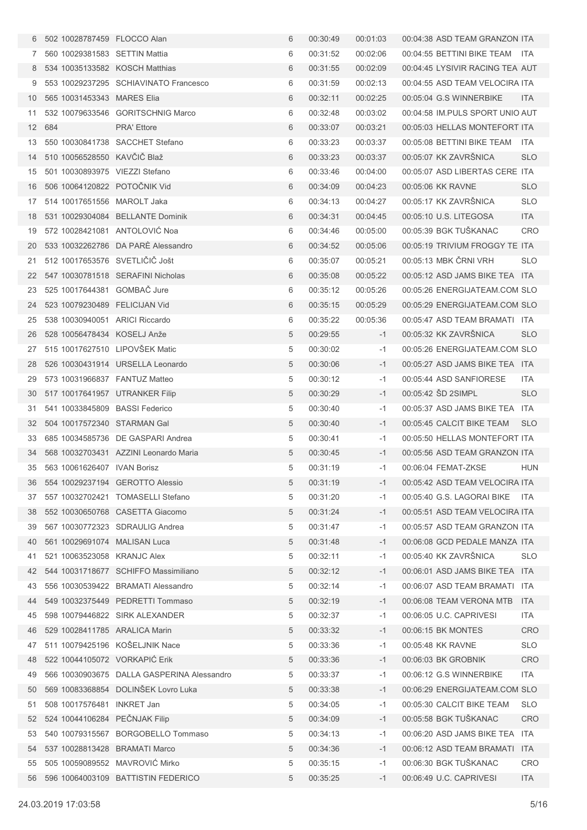| 6              | 502 10028787459 FLOCCO Alan    |                                            | 6 | 00:30:49 | 00:01:03 | 00:04:38 ASD TEAM GRANZON ITA   |            |
|----------------|--------------------------------|--------------------------------------------|---|----------|----------|---------------------------------|------------|
| 7 <sup>1</sup> | 560 10029381583 SETTIN Mattia  |                                            | 6 | 00:31:52 | 00:02:06 | 00:04:55 BETTINI BIKE TEAM ITA  |            |
| 8              | 534 10035133582 KOSCH Matthias |                                            | 6 | 00:31:55 | 00:02:09 | 00:04:45 LYSIVIR RACING TEA AUT |            |
| 9              |                                | 553 10029237295 SCHIAVINATO Francesco      | 6 | 00:31:59 | 00:02:13 | 00:04:55 ASD TEAM VELOCIRA ITA  |            |
| 10             | 565 10031453343 MARES Elia     |                                            | 6 | 00:32:11 | 00:02:25 | 00:05:04 G.S WINNERBIKE         | <b>ITA</b> |
| 11             |                                | 532 10079633546 GORITSCHNIG Marco          | 6 | 00:32:48 | 00:03:02 | 00:04:58 IM.PULS SPORT UNIO AUT |            |
| 12             | 684                            | <b>PRA' Ettore</b>                         | 6 | 00:33:07 | 00:03:21 | 00:05:03 HELLAS MONTEFORT ITA   |            |
| 13             |                                | 550 10030841738 SACCHET Stefano            | 6 | 00:33:23 | 00:03:37 | 00:05:08 BETTINI BIKE TEAM ITA  |            |
| 14             | 510 10056528550 KAVČIČ Blaž    |                                            | 6 | 00:33:23 | 00:03:37 | 00:05:07 KK ZAVRŠNICA           | <b>SLO</b> |
| 15             | 501 10030893975 VIEZZI Stefano |                                            | 6 | 00:33:46 | 00:04:00 | 00:05:07 ASD LIBERTAS CERE ITA  |            |
| 16             | 506 10064120822 POTOCNIK Vid   |                                            | 6 | 00:34:09 | 00:04:23 | 00:05:06 KK RAVNE               | <b>SLO</b> |
| 17             | 514 10017651556 MAROLT Jaka    |                                            | 6 | 00:34:13 | 00:04:27 | 00:05:17 KK ZAVRŠNICA           | <b>SLO</b> |
| 18             |                                | 531 10029304084 BELLANTE Dominik           | 6 | 00:34:31 | 00:04:45 | 00:05:10 U.S. LITEGOSA          | <b>ITA</b> |
| 19             | 572 10028421081 ANTOLOVIC Noa  |                                            | 6 | 00:34:46 | 00:05:00 | 00:05:39 BGK TUŠKANAC           | <b>CRO</b> |
| 20             |                                | 533 10032262786 DA PARE Alessandro         | 6 | 00:34:52 | 00:05:06 | 00:05:19 TRIVIUM FROGGY TE ITA  |            |
| 21             | 512 10017653576 SVETLICIC Jošt |                                            | 6 | 00:35:07 | 00:05:21 | 00:05:13 MBK ČRNI VRH           | <b>SLO</b> |
| 22             |                                | 547 10030781518 SERAFINI Nicholas          | 6 | 00:35:08 | 00:05:22 | 00:05:12 ASD JAMS BIKE TEA ITA  |            |
| 23             | 525 10017644381 GOMBAC Jure    |                                            | 6 | 00:35:12 | 00:05:26 | 00:05:26 ENERGIJATEAM.COM SLO   |            |
| 24             | 523 10079230489 FELICIJAN Vid  |                                            | 6 | 00:35:15 | 00:05:29 | 00:05:29 ENERGIJATEAM.COM SLO   |            |
| 25             | 538 10030940051 ARICI Riccardo |                                            | 6 | 00:35:22 | 00:05:36 | 00:05:47 ASD TEAM BRAMATI ITA   |            |
| 26             | 528 10056478434 KOSELJ Anže    |                                            | 5 | 00:29:55 | $-1$     | 00:05:32 KK ZAVRŠNICA           | <b>SLO</b> |
| 27             | 515 10017627510 LIPOVŠEK Matic |                                            | 5 | 00:30:02 | $-1$     | 00:05:26 ENERGIJATEAM.COM SLO   |            |
| 28             |                                | 526 10030431914 URSELLA Leonardo           | 5 | 00:30:06 | $-1$     | 00:05:27 ASD JAMS BIKE TEA ITA  |            |
| 29             | 573 10031966837 FANTUZ Matteo  |                                            | 5 | 00:30:12 | -1       | 00:05:44 ASD SANFIORESE         | ITA.       |
| 30             | 517 10017641957 UTRANKER Filip |                                            | 5 | 00:30:29 | $-1$     | 00:05:42 SD 2SIMPL              | <b>SLO</b> |
| 31             | 541 10033845809 BASSI Federico |                                            | 5 | 00:30:40 | -1       | 00:05:37 ASD JAMS BIKE TEA ITA  |            |
| 32             | 504 10017572340 STARMAN Gal    |                                            | 5 | 00:30:40 | $-1$     | 00:05:45 CALCIT BIKE TEAM       | <b>SLO</b> |
| 33             |                                | 685 10034585736 DE GASPARI Andrea          | 5 | 00:30:41 | -1       | 00:05:50 HELLAS MONTEFORT ITA   |            |
| 34             |                                | 568 10032703431 AZZINI Leonardo Maria      | 5 | 00:30:45 | $-1$     | 00:05:56 ASD TEAM GRANZON ITA   |            |
|                | 35 563 10061626407 IVAN Borisz |                                            | 5 | 00:31:19 | -1       | 00:06:04 FEMAT-ZKSE             | HUN        |
| 36             |                                | 554 10029237194 GEROTTO Alessio            | 5 | 00:31:19 | $-1$     | 00:05:42 ASD TEAM VELOCIRA ITA  |            |
| 37             |                                | 557 10032702421 TOMASELLI Stefano          | 5 | 00:31:20 | -1       | 00:05:40 G.S. LAGORAI BIKE ITA  |            |
| 38             |                                | 552 10030650768 CASETTA Giacomo            | 5 | 00:31:24 | $-1$     | 00:05:51 ASD TEAM VELOCIRA ITA  |            |
| 39             |                                | 567 10030772323 SDRAULIG Andrea            | 5 | 00:31:47 | -1       | 00:05:57 ASD TEAM GRANZON ITA   |            |
| 40             | 561 10029691074 MALISAN Luca   |                                            | 5 | 00:31:48 | $-1$     | 00:06:08 GCD PEDALE MANZA ITA   |            |
| 41             | 521 10063523058 KRANJC Alex    |                                            | 5 | 00:32:11 | -1       | 00:05:40 KK ZAVRŠNICA           | <b>SLO</b> |
| 42             |                                | 544 10031718677 SCHIFFO Massimiliano       | 5 | 00:32:12 | $-1$     | 00:06:01 ASD JAMS BIKE TEA ITA  |            |
| 43             |                                | 556 10030539422 BRAMATI Alessandro         | 5 | 00:32:14 | -1       | 00:06:07 ASD TEAM BRAMATI ITA   |            |
| 44             |                                | 549 10032375449 PEDRETTI Tommaso           | 5 | 00:32:19 | $-1$     | 00:06:08 TEAM VERONA MTB ITA    |            |
| 45             |                                | 598 10079446822 SIRK ALEXANDER             | 5 | 00:32:37 | -1       | 00:06:05 U.C. CAPRIVESI         | ITA        |
| 46             | 529 10028411785 ARALICA Marin  |                                            | 5 | 00:33:32 | $-1$     | 00:06:15 BK MONTES              | <b>CRO</b> |
| 47             |                                | 511 10079425196 KOŠELJNIK Nace             | 5 | 00:33:36 | -1       | 00:05:48 KK RAVNE               | <b>SLO</b> |
| 48             | 522 10044105072 VORKAPIĆ Erik  |                                            | 5 | 00:33:36 | $-1$     | 00:06:03 BK GROBNIK             | <b>CRO</b> |
| 49             |                                | 566 10030903675 DALLA GASPERINA Alessandro | 5 | 00:33:37 | -1       | 00:06:12 G.S WINNERBIKE         | ITA        |
| 50             |                                | 569 10083368854 DOLINŠEK Lovro Luka        | 5 | 00:33:38 | $-1$     | 00:06:29 ENERGIJATEAM.COM SLO   |            |
| 51             | 508 10017576481 INKRET Jan     |                                            | 5 | 00:34:05 | -1       | 00:05:30 CALCIT BIKE TEAM       | <b>SLO</b> |
| 52             | 524 10044106284 PEČNJAK Filip  |                                            | 5 | 00:34:09 | $-1$     | 00:05:58 BGK TUŠKANAC           | <b>CRO</b> |
| 53             |                                | 540 10079315567 BORGOBELLO Tommaso         | 5 | 00:34:13 | -1       | 00:06:20 ASD JAMS BIKE TEA ITA  |            |
| 54             | 537 10028813428 BRAMATI Marco  |                                            | 5 | 00:34:36 | $-1$     | 00:06:12 ASD TEAM BRAMATI ITA   |            |
| 55             | 505 10059089552 MAVROVIĆ Mirko |                                            | 5 | 00:35:15 | -1       | 00:06:30 BGK TUŠKANAC           | CRO        |
| 56             |                                | 596 10064003109 BATTISTIN FEDERICO         | 5 | 00:35:25 | $-1$     | 00:06:49 U.C. CAPRIVESI         | <b>ITA</b> |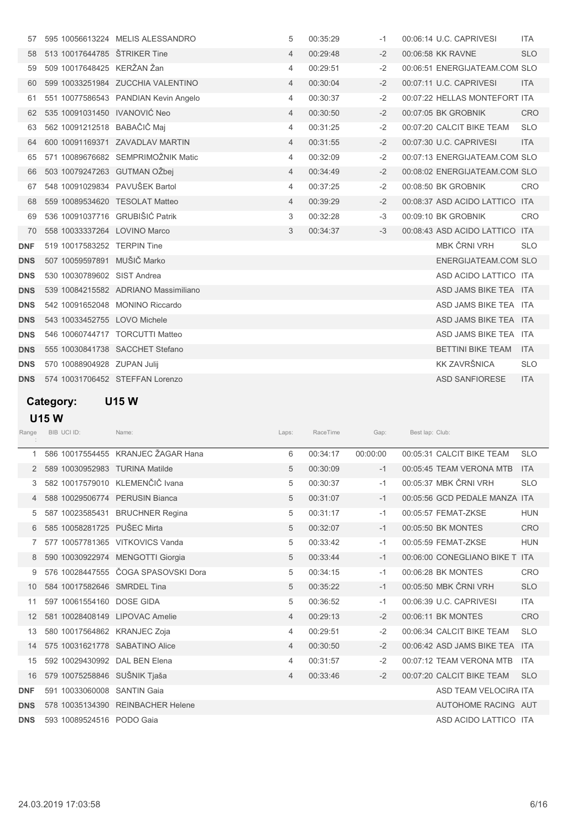| 57         |                             | 595 10056613224 MELIS ALESSANDRO     | 5              | 00:35:29 | $-1$ | 00:06:14 U.C. CAPRIVESI       | <b>ITA</b> |
|------------|-----------------------------|--------------------------------------|----------------|----------|------|-------------------------------|------------|
| 58         |                             | 513 10017644785 ŠTRIKER Tine         | 4              | 00:29:48 | $-2$ | 00:06:58 KK RAVNE             | <b>SLO</b> |
| 59         | 509 10017648425 KERŽAN Žan  |                                      | 4              | 00:29:51 | $-2$ | 00:06:51 ENERGIJATEAM.COM SLO |            |
| 60         |                             | 599 10033251984 ZUCCHIA VALENTINO    | $\overline{4}$ | 00:30:04 | $-2$ | 00:07:11 U.C. CAPRIVESI       | <b>ITA</b> |
| 61         |                             | 551 10077586543 PANDIAN Kevin Angelo | $\overline{4}$ | 00:30:37 | $-2$ | 00:07:22 HELLAS MONTEFORT ITA |            |
| 62         |                             | 535 10091031450 IVANOVIĆ Neo         | $\overline{4}$ | 00:30:50 | $-2$ | 00:07:05 BK GROBNIK           | <b>CRO</b> |
| 63         |                             | 562 10091212518 BABAČIČ Mai          | $\overline{4}$ | 00:31:25 | $-2$ | 00:07:20 CALCIT BIKE TEAM     | <b>SLO</b> |
| 64         |                             | 600 10091169371 ZAVADLAV MARTIN      | $\overline{4}$ | 00:31:55 | $-2$ | 00:07:30 U.C. CAPRIVESI       | <b>ITA</b> |
| 65         |                             | 571 10089676682 SEMPRIMOŽNIK Matic   | $\overline{4}$ | 00:32:09 | $-2$ | 00:07:13 ENERGIJATEAM.COM SLO |            |
| 66         |                             | 503 10079247263 GUTMAN OŽbej         | $\overline{4}$ | 00:34:49 | $-2$ | 00:08:02 ENERGIJATEAM.COM SLO |            |
| 67         |                             | 548 10091029834 PAVUŠEK Bartol       | $\overline{4}$ | 00:37:25 | $-2$ | 00:08:50 BK GROBNIK           | <b>CRO</b> |
| 68         |                             | 559 10089534620 TESOLAT Matteo       | $\overline{4}$ | 00:39:29 | $-2$ | 00:08:37 ASD ACIDO LATTICO    | <b>ITA</b> |
| 69         |                             | 536 10091037716 GRUBIŠIĆ Patrik      | 3              | 00:32:28 | $-3$ | 00:09:10 BK GROBNIK           | CRO        |
| 70         |                             | 558 10033337264 LOVINO Marco         | 3              | 00:34:37 | $-3$ | 00:08:43 ASD ACIDO LATTICO    | <b>ITA</b> |
| <b>DNF</b> | 519 10017583252 TERPIN Tine |                                      |                |          |      | MBK ČRNI VRH                  | <b>SLO</b> |
| <b>DNS</b> |                             | 507 10059597891 MUŠIČ Marko          |                |          |      | ENERGIJATEAM.COM SLO          |            |
| <b>DNS</b> | 530 10030789602 SIST Andrea |                                      |                |          |      | ASD ACIDO LATTICO ITA         |            |
| <b>DNS</b> |                             | 539 10084215582 ADRIANO Massimiliano |                |          |      | ASD JAMS BIKE TEA ITA         |            |
| <b>DNS</b> |                             | 542 10091652048 MONINO Riccardo      |                |          |      | ASD JAMS BIKE TEA ITA         |            |
| <b>DNS</b> |                             | 543 10033452755 LOVO Michele         |                |          |      | ASD JAMS BIKE TEA ITA         |            |
| <b>DNS</b> |                             | 546 10060744717 TORCUTTI Matteo      |                |          |      | ASD JAMS BIKE TEA ITA         |            |
| <b>DNS</b> |                             | 555 10030841738 SACCHET Stefano      |                |          |      | <b>BETTINI BIKE TEAM</b>      | <b>ITA</b> |
| <b>DNS</b> | 570 10088904928 ZUPAN Julij |                                      |                |          |      | KK ZAVRŠNICA                  | <b>SLO</b> |
| <b>DNS</b> |                             | 574 10031706452 STEFFAN Lorenzo      |                |          |      | <b>ASD SANFIORESE</b>         | <b>ITA</b> |

# Category: U15 W

U15 W

| Range      | BIB UCI ID:                    | Name:                               | Laps:          | RaceTime | Gap:     | Best lap: Club: |                                |            |
|------------|--------------------------------|-------------------------------------|----------------|----------|----------|-----------------|--------------------------------|------------|
|            |                                | 586 10017554455 KRANJEC ŽAGAR Hana  | 6              | 00:34:17 | 00:00:00 |                 | 00:05:31 CALCIT BIKE TEAM      | <b>SLO</b> |
| 2          | 589 10030952983 TURINA Matilde |                                     | 5              | 00:30:09 | $-1$     |                 | 00:05:45 TEAM VERONA MTB       | <b>ITA</b> |
| 3          |                                | 582 10017579010 KLEMENČIČ Ivana     | 5              | 00:30:37 | $-1$     |                 | 00:05:37 MBK ČRNI VRH          | <b>SLO</b> |
|            | 588 10029506774 PERUSIN Bianca |                                     | 5              | 00:31:07 | $-1$     |                 | 00:05:56 GCD PEDALE MANZA ITA  |            |
| 5          |                                | 587 10023585431 BRUCHNER Regina     | 5              | 00:31:17 | $-1$     |                 | 00:05:57 FEMAT-ZKSE            | <b>HUN</b> |
| 6          | 585 10058281725 PUŠEC Mirta    |                                     | 5              | 00:32:07 | $-1$     |                 | 00:05:50 BK MONTES             | <b>CRO</b> |
| 7          |                                | 577 10057781365 VITKOVICS Vanda     | 5              | 00:33:42 | $-1$     |                 | 00:05:59 FEMAT-ZKSE            | <b>HUN</b> |
| 8          |                                | 590 10030922974 MENGOTTI Giorgia    | 5              | 00:33:44 | $-1$     |                 | 00:06:00 CONEGLIANO BIKE T ITA |            |
|            |                                | 576 10028447555 ČOGA SPASOVSKI Dora | 5              | 00:34:15 | $-1$     |                 | 00:06:28 BK MONTES             | <b>CRO</b> |
| 10         | 584 10017582646 SMRDEL Tina    |                                     | 5              | 00:35:22 | $-1$     |                 | 00:05:50 MBK ČRNI VRH          | <b>SLO</b> |
| 11         | 597 10061554160 DOSE GIDA      |                                     | 5              | 00:36:52 | $-1$     |                 | 00:06:39 U.C. CAPRIVESI        | <b>ITA</b> |
| 12         | 581 10028408149 LIPOVAC Amelie |                                     | $\overline{4}$ | 00:29:13 | $-2$     |                 | 00:06:11 BK MONTES             | <b>CRO</b> |
| 13         | 580 10017564862 KRANJEC Zoja   |                                     | 4              | 00:29:51 | $-2$     |                 | 00:06:34 CALCIT BIKE TEAM      | <b>SLO</b> |
| 14         | 575 10031621778 SABATINO Alice |                                     | $\overline{4}$ | 00:30:50 | $-2$     |                 | 00:06:42 ASD JAMS BIKE TEA     | <b>ITA</b> |
| 15         | 592 10029430992                | DAL BEN Elena                       | 4              | 00:31:57 | $-2$     |                 | 00:07:12 TEAM VERONA MTB       | <b>ITA</b> |
| 16         | 579 10075258846 SUŠNIK Tjaša   |                                     | 4              | 00:33:46 | $-2$     |                 | 00:07:20 CALCIT BIKE TEAM      | <b>SLO</b> |
| <b>DNF</b> | 591 10033060008 SANTIN Gaia    |                                     |                |          |          |                 | ASD TEAM VELOCIRA ITA          |            |
| <b>DNS</b> |                                | 578 10035134390 REINBACHER Helene   |                |          |          |                 | AUTOHOME RACING AUT            |            |
| <b>DNS</b> | 593 10089524516 PODO Gaia      |                                     |                |          |          |                 | ASD ACIDO LATTICO ITA          |            |
|            |                                |                                     |                |          |          |                 |                                |            |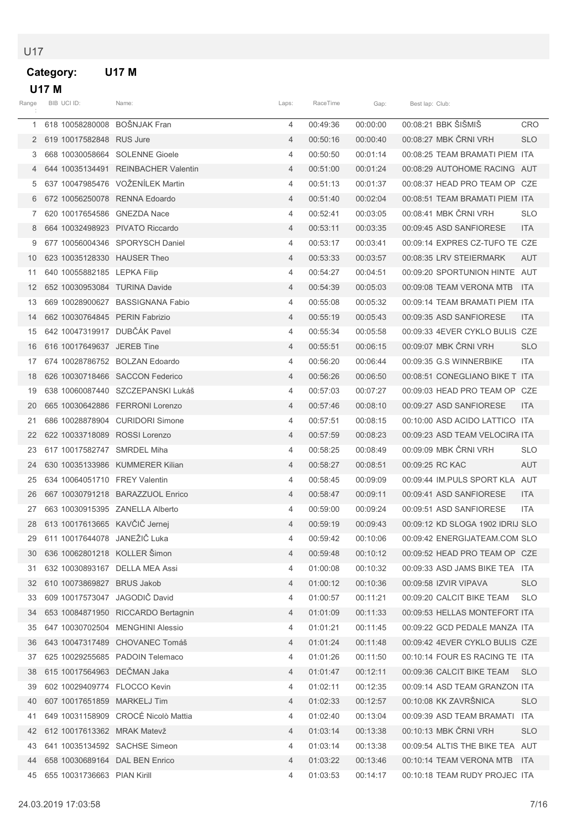### U17

÷

### Category: U17 M  $\overline{1}$   $\overline{1}$   $\overline{2}$   $\overline{1}$   $\overline{2}$   $\overline{1}$   $\overline{2}$   $\overline{1}$   $\overline{2}$   $\overline{3}$   $\overline{4}$   $\overline{2}$   $\overline{3}$   $\overline{4}$   $\overline{2}$   $\overline{3}$   $\overline{4}$   $\overline{2}$   $\overline{3}$   $\overline{4}$   $\overline{3}$   $\overline{4}$   $\overline{2}$   $\overline{4}$   $\overline{$

|                   | <b>U17 M</b>                    |                                                                                     |                |            |          |                                |            |
|-------------------|---------------------------------|-------------------------------------------------------------------------------------|----------------|------------|----------|--------------------------------|------------|
| Range             | BIB UCI ID:                     | Name:                                                                               | Laps:          | RaceTime   | Gap:     | Best lap: Club:                |            |
|                   | 618 10058280008 BOŠNJAK Fran    |                                                                                     | 4              | 00:49:36   | 00:00:00 | 00:08:21 BBK ŠIŠMIŠ            | <b>CRO</b> |
| 2                 | 619 10017582848 RUS Jure        |                                                                                     | $\overline{4}$ | 00:50:16   | 00:00:40 | 00:08:27 MBK ČRNI VRH          | <b>SLO</b> |
| 3                 | 668 10030058664                 | <b>SOLENNE Gioele</b>                                                               | 4              | 00:50:50   | 00:01:14 | 00:08:25 TEAM BRAMATI PIEM ITA |            |
|                   |                                 | 644 10035134491 REINBACHER Valentin                                                 | $\overline{4}$ | 00:51:00   | 00:01:24 | 00:08:29 AUTOHOME RACING AUT   |            |
| 5                 |                                 | 637 10047985476 VOŽENÍLEK Martin                                                    | $\overline{4}$ | 00:51:13   | 00:01:37 | 00:08:37 HEAD PRO TEAM OP CZE  |            |
| 6                 | 672 10056250078 RENNA Edoardo   |                                                                                     | $\overline{4}$ | 00:51:40   | 00:02:04 | 00:08:51 TEAM BRAMATI PIEM ITA |            |
|                   | 620 10017654586 GNEZDA Nace     |                                                                                     | 4              | 00:52:41   | 00:03:05 | 00:08:41 MBK ČRNI VRH          | <b>SLO</b> |
| 8                 | 664 10032498923 PIVATO Riccardo |                                                                                     | $\overline{4}$ | 00:53:11   | 00:03:35 | 00:09:45 ASD SANFIORESE        | <b>ITA</b> |
| 9                 |                                 | 677 10056004346 SPORYSCH Daniel                                                     | $\overline{4}$ | 00:53:17   | 00:03:41 | 00:09:14 EXPRES CZ-TUFO TE CZE |            |
| 10                | 623 10035128330 HAUSER Theo     |                                                                                     | $\overline{4}$ | 00:53:33   | 00:03:57 | 00:08:35 LRV STEIERMARK        | <b>AUT</b> |
| 11                | 640 10055882185 LEPKA Filip     |                                                                                     | $\overline{4}$ | 00:54:27   | 00:04:51 | 00:09:20 SPORTUNION HINTE AUT  |            |
| $12 \overline{ }$ | 652 10030953084 TURINA Davide   |                                                                                     | $\overline{4}$ | 00:54:39   | 00:05:03 | 00:09:08 TEAM VERONA MTB       | <b>ITA</b> |
|                   |                                 | $\overline{10}$ 000 $\overline{10000000000}$ $\overline{0}$ $\overline{1000000000}$ |                | $00F - 00$ | 0000000  |                                |            |

|    |                                | 6 672 10056250078 RENNA Edoardo       | 4              | 00:51:40 | 00:02:04 | 00:08:51 TEAM BRAMATI PIEM ITA   |            |
|----|--------------------------------|---------------------------------------|----------------|----------|----------|----------------------------------|------------|
| 7  | 620 10017654586 GNEZDA Nace    |                                       | 4              | 00:52:41 | 00:03:05 | 00:08:41 MBK ČRNI VRH            | <b>SLO</b> |
| 8  |                                | 664 10032498923 PIVATO Riccardo       | $\overline{4}$ | 00:53:11 | 00:03:35 | 00:09:45 ASD SANFIORESE          | ITA        |
| 9  |                                | 677 10056004346 SPORYSCH Daniel       | 4              | 00:53:17 | 00:03:41 | 00:09:14 EXPRES CZ-TUFO TE CZE   |            |
| 10 | 623 10035128330 HAUSER Theo    |                                       | $\overline{4}$ | 00:53:33 | 00:03:57 | 00:08:35 LRV STEIERMARK          | <b>AUT</b> |
| 11 | 640 10055882185 LEPKA Filip    |                                       | 4              | 00:54:27 | 00:04:51 | 00:09:20 SPORTUNION HINTE AUT    |            |
| 12 | 652 10030953084 TURINA Davide  |                                       | $\overline{4}$ | 00:54:39 | 00:05:03 | 00:09:08 TEAM VERONA MTB ITA     |            |
| 13 |                                | 669 10028900627 BASSIGNANA Fabio      | 4              | 00:55:08 | 00:05:32 | 00:09:14 TEAM BRAMATI PIEM ITA   |            |
| 14 | 662 10030764845 PERIN Fabrizio |                                       | $\overline{4}$ | 00:55:19 | 00:05:43 | 00:09:35 ASD SANFIORESE          | ITA        |
| 15 | 642 10047319917 DUBČÁK Pavel   |                                       | 4              | 00:55:34 | 00:05:58 | 00:09:33 4EVER CYKLO BULIS CZE   |            |
| 16 | 616 10017649637 JEREB Tine     |                                       | $\overline{4}$ | 00:55:51 | 00:06:15 | 00:09:07 MBK CRNI VRH            | <b>SLO</b> |
| 17 |                                | 674 10028786752 BOLZAN Edoardo        | 4              | 00:56:20 | 00:06:44 | 00:09:35 G.S WINNERBIKE          | ITA        |
| 18 |                                | 626 10030718466 SACCON Federico       | $\overline{4}$ | 00:56:26 | 00:06:50 | 00:08:51 CONEGLIANO BIKE T ITA   |            |
| 19 |                                | 638 10060087440 SZCZEPANSKI Lukáš     | 4              | 00:57:03 | 00:07:27 | 00:09:03 HEAD PRO TEAM OP CZE    |            |
| 20 |                                | 665 10030642886 FERRONI Lorenzo       | $\overline{4}$ | 00:57:46 | 00:08:10 | 00:09:27 ASD SANFIORESE          | ITA        |
| 21 |                                | 686 10028878904 CURIDORI Simone       | 4              | 00:57:51 | 00:08:15 | 00:10:00 ASD ACIDO LATTICO ITA   |            |
| 22 | 622 10033718089 ROSSI Lorenzo  |                                       | $\overline{4}$ | 00:57:59 | 00:08:23 | 00:09:23 ASD TEAM VELOCIRA ITA   |            |
| 23 | 617 10017582747 SMRDEL Miha    |                                       | 4              | 00:58:25 | 00:08:49 | 00:09:09 MBK ČRNI VRH            | <b>SLO</b> |
| 24 |                                | 630 10035133986 KUMMERER Kilian       | $\overline{4}$ | 00:58:27 | 00:08:51 | 00:09:25 RC KAC                  | AUT        |
| 25 | 634 10064051710 FREY Valentin  |                                       | 4              | 00:58:45 | 00:09:09 | 00:09:44 IM PULS SPORT KLA AUT   |            |
| 26 |                                | 667 10030791218 BARAZZUOL Enrico      | $\overline{4}$ | 00:58:47 | 00:09:11 | 00:09:41 ASD SANFIORESE          | ITA        |
| 27 |                                | 663 10030915395 ZANELLA Alberto       | 4              | 00:59:00 | 00:09:24 | 00:09:51 ASD SANFIORESE          | ITA.       |
| 28 | 613 10017613665 KAVČIČ Jernej  |                                       | $\overline{4}$ | 00:59:19 | 00:09:43 | 00:09:12 KD SLOGA 1902 IDRIJ SLO |            |
| 29 | 611 10017644078 JANEŽIČ Luka   |                                       | 4              | 00:59:42 | 00:10:06 | 00:09:42 ENERGIJATEAM.COM SLO    |            |
| 30 | 636 10062801218 KOLLER Simon   |                                       | $\overline{4}$ | 00:59:48 | 00:10:12 | 00:09:52 HEAD PRO TEAM OP CZE    |            |
| 31 |                                | 632 10030893167 DELLA MEA Assi        | 4              | 01:00:08 | 00:10:32 | 00:09:33 ASD JAMS BIKE TEA ITA   |            |
|    | 32 610 10073869827 BRUS Jakob  |                                       | $\overline{4}$ | 01:00:12 | 00:10:36 | 00:09:58 IZVIR VIPAVA            | <b>SLO</b> |
| 33 | 609 10017573047 JAGODIC David  |                                       | 4              | 01:00:57 | 00:11:21 | 00:09:20 CALCIT BIKE TEAM        | <b>SLO</b> |
|    |                                | 34 653 10084871950 RICCARDO Bertagnin | $\overline{4}$ | 01:01:09 | 00:11:33 | 00:09:53 HELLAS MONTEFORT ITA    |            |
|    |                                | 35 647 10030702504 MENGHINI Alessio   | 4              | 01:01:21 | 00:11:45 | 00:09:22 GCD PEDALE MANZA ITA    |            |
|    |                                | 36 643 10047317489 CHOVANEC Tomáš     | 4              | 01:01:24 | 00:11:48 | 00:09:42 4EVER CYKLO BULIS CZE   |            |
|    |                                | 37 625 10029255685 PADOIN Telemaco    | 4              | 01:01:26 | 00:11:50 | 00:10:14 FOUR ES RACING TE ITA   |            |
| 38 | 615 10017564963 DEČMAN Jaka    |                                       | 4              | 01:01:47 | 00:12:11 | 00:09:36 CALCIT BIKE TEAM        | <b>SLO</b> |
| 39 | 602 10029409774 FLOCCO Kevin   |                                       | 4              | 01:02:11 | 00:12:35 | 00:09:14 ASD TEAM GRANZON ITA    |            |
| 40 | 607 10017651859 MARKELJ Tim    |                                       | 4              | 01:02:33 | 00:12:57 | 00:10:08 KK ZAVRŠNICA            | <b>SLO</b> |
| 41 |                                | 649 10031158909 CROCÉ Nicolò Mattia   | 4              | 01:02:40 | 00:13:04 | 00:09:39 ASD TEAM BRAMATI ITA    |            |
| 42 | 612 10017613362 MRAK Matevž    |                                       | 4              | 01:03:14 | 00:13:38 | 00:10:13 MBK ČRNI VRH            | <b>SLO</b> |
| 43 |                                | 641 10035134592 SACHSE Simeon         | 4              | 01:03:14 | 00:13:38 | 00:09:54 ALTIS THE BIKE TEA AUT  |            |
| 44 |                                | 658 10030689164 DAL BEN Enrico        | 4              | 01:03:22 | 00:13:46 | 00:10:14 TEAM VERONA MTB ITA     |            |
|    | 45 655 10031736663 PIAN Kirill |                                       | 4              | 01:03:53 | 00:14:17 | 00:10:18 TEAM RUDY PROJEC ITA    |            |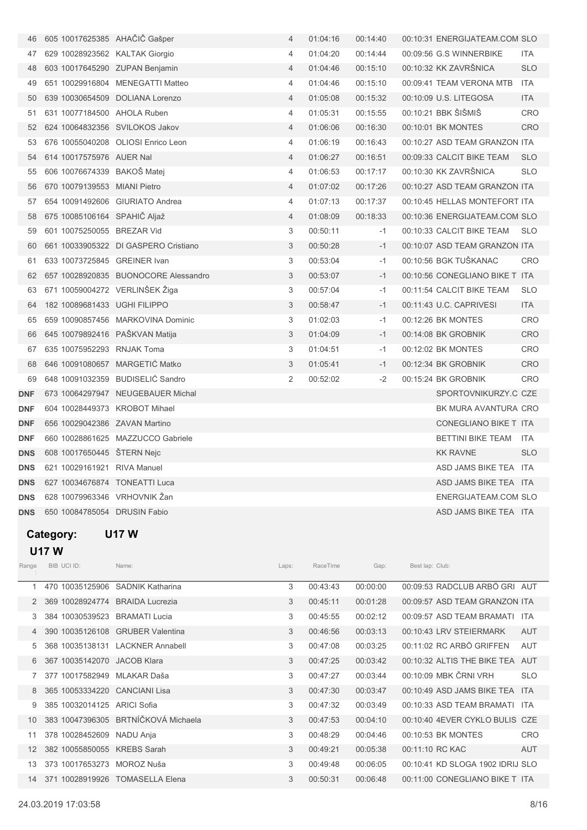| 46         | 605 10017625385 AHACIC Gašper  |                                      | 4              | 01:04:16 | 00:14:40 | 00:10:31 ENERGIJATEAM.COM SLO  |            |
|------------|--------------------------------|--------------------------------------|----------------|----------|----------|--------------------------------|------------|
| 47         | 629 10028923562 KALTAK Giorgio |                                      | 4              | 01:04:20 | 00:14:44 | 00:09:56 G.S WINNERBIKE        | ITA.       |
| 48         | 603 10017645290 ZUPAN Benjamin |                                      | $\overline{4}$ | 01:04:46 | 00:15:10 | 00:10:32 KK ZAVRŠNICA          | <b>SLO</b> |
| 49         |                                | 651 10029916804 MENEGATTI Matteo     | 4              | 01:04:46 | 00:15:10 | 00:09:41 TEAM VERONA MTB       | ITA        |
| 50         |                                | 639 10030654509 DOLIANA Lorenzo      | $\overline{4}$ | 01:05:08 | 00:15:32 | 00:10:09 U.S. LITEGOSA         | <b>ITA</b> |
| 51         | 631 10077184500 AHOLA Ruben    |                                      | 4              | 01:05:31 | 00:15:55 | 00:10:21 BBK ŠIŠMIŠ            | <b>CRO</b> |
| 52         | 624 10064832356 SVILOKOS Jakov |                                      | 4              | 01:06:06 | 00:16:30 | 00:10:01 BK MONTES             | <b>CRO</b> |
| 53         |                                | 676 10055040208 OLIOSI Enrico Leon   | 4              | 01:06:19 | 00:16:43 | 00:10:27 ASD TEAM GRANZON ITA  |            |
| 54         | 614 10017575976 AUER Nal       |                                      | 4              | 01:06:27 | 00:16:51 | 00:09:33 CALCIT BIKE TEAM      | <b>SLO</b> |
| 55         | 606 10076674339 BAKOŠ Matej    |                                      | 4              | 01:06:53 | 00:17:17 | 00:10:30 KK ZAVRŠNICA          | <b>SLO</b> |
| 56         | 670 10079139553 MIANI Pietro   |                                      | $\overline{4}$ | 01:07:02 | 00:17:26 | 00:10:27 ASD TEAM GRANZON ITA  |            |
| 57         |                                | 654 10091492606 GIURIATO Andrea      | 4              | 01:07:13 | 00:17:37 | 00:10:45 HELLAS MONTEFORT ITA  |            |
| 58         | 675 10085106164 SPAHIČ Aljaž   |                                      | $\overline{4}$ | 01:08:09 | 00:18:33 | 00:10:36 ENERGIJATEAM.COM SLO  |            |
| 59         | 601 10075250055 BREZAR Vid     |                                      | 3              | 00:50:11 | -1       | 00:10:33 CALCIT BIKE TEAM      | <b>SLO</b> |
| 60         |                                | 661 10033905322 DI GASPERO Cristiano | 3              | 00:50:28 | $-1$     | 00:10:07 ASD TEAM GRANZON ITA  |            |
| 61         | 633 10073725845 GREINER Ivan   |                                      | 3              | 00:53:04 | -1       | 00:10:56 BGK TUŠKANAC          | <b>CRO</b> |
| 62         |                                | 657 10028920835 BUONOCORE Alessandro | 3              | 00:53:07 | $-1$     | 00:10:56 CONEGLIANO BIKE T ITA |            |
| 63         | 671 10059004272 VERLINŠEK Žiga |                                      | 3              | 00:57:04 | -1       | 00:11:54 CALCIT BIKE TEAM      | <b>SLO</b> |
| 64         | 182 10089681433 UGHI FILIPPO   |                                      | 3              | 00:58:47 | $-1$     | 00:11:43 U.C. CAPRIVESI        | <b>ITA</b> |
| 65         |                                | 659 10090857456 MARKOVINA Dominic    | 3              | 01:02:03 | -1       | 00:12:26 BK MONTES             | <b>CRO</b> |
| 66         | 645 10079892416 PAŠKVAN Matija |                                      | 3              | 01:04:09 | $-1$     | 00:14:08 BK GROBNIK            | <b>CRO</b> |
| 67         | 635 10075952293 RNJAK Toma     |                                      | 3              | 01:04:51 | -1       | 00:12:02 BK MONTES             | <b>CRO</b> |
| 68         |                                | 646 10091080657 MARGETIĆ Matko       | 3              | 01:05:41 | $-1$     | 00:12:34 BK GROBNIK            | <b>CRO</b> |
| 69         |                                | 648 10091032359 BUDISELIĆ Sandro     | 2              | 00:52:02 | -2       | 00:15:24 BK GROBNIK            | CRO        |
| DNF        |                                | 673 10064297947 NEUGEBAUER Michal    |                |          |          | SPORTOVNIKURZY.C CZE           |            |
| DNF        | 604 10028449373 KROBOT Mihael  |                                      |                |          |          | BK MURA AVANTURA CRO           |            |
| DNF        | 656 10029042386 ZAVAN Martino  |                                      |                |          |          | CONEGLIANO BIKE T ITA          |            |
| DNF        |                                | 660 10028861625 MAZZUCCO Gabriele    |                |          |          | BETTINI BIKE TEAM ITA          |            |
| <b>DNS</b> | 608 10017650445 STERN Nejc     |                                      |                |          |          | <b>KK RAVNE</b>                | <b>SLO</b> |
| <b>DNS</b> | 621 10029161921 RIVA Manuel    |                                      |                |          |          | ASD JAMS BIKE TEA ITA          |            |
| DNS        | 627 10034676874 TONEATTI Luca  |                                      |                |          |          | ASD JAMS BIKE TEA ITA          |            |
| DNS        | 628 10079963346 VRHOVNIK Žan   |                                      |                |          |          | ENERGIJATEAM.COM SLO           |            |
| <b>DNS</b> | 650 10084785054 DRUSIN Fabio   |                                      |                |          |          | ASD JAMS BIKE TEA ITA          |            |

## Category: U17 W U17 W

| Range         | BIB UCI ID:                 | Name:                               | Laps: | RaceTime | Gap:     | Best lap: Club:                  |            |
|---------------|-----------------------------|-------------------------------------|-------|----------|----------|----------------------------------|------------|
|               |                             | 470 10035125906 SADNIK Katharina    | 3     | 00:43:43 | 00:00:00 | 00:09:53 RADCLUB ARBÖ GRI AUT    |            |
| $\mathcal{P}$ | 369 10028924774             | <b>BRAIDA Lucrezia</b>              | 3     | 00:45:11 | 00:01:28 | 00:09:57 ASD TEAM GRANZON ITA    |            |
| 3             | 384 10030539523             | <b>BRAMATI Lucia</b>                | 3     | 00:45:55 | 00:02:12 | 00:09:57 ASD TEAM BRAMATI        | <b>ITA</b> |
| 4             | 390 10035126108             | <b>GRUBER Valentina</b>             | 3     | 00:46:56 | 00:03:13 | 00:10:43 LRV STEIERMARK          | <b>AUT</b> |
| 5             |                             | 368 10035138131 LACKNER Annabell    | 3     | 00:47:08 | 00:03:25 | 00:11:02 RC ARBÖ GRIFFEN         | <b>AUT</b> |
| 6             | 367 10035142070 JACOB Klara |                                     | 3     | 00:47:25 | 00:03:42 | 00:10:32 ALTIS THE BIKE TEA      | AUT        |
|               | 377 10017582949             | MLAKAR Daša                         | 3     | 00:47:27 | 00:03:44 | 00:10:09 MBK ČRNI VRH            | <b>SLO</b> |
| 8             | 365 10053334220             | <b>CANCIANI Lisa</b>                | 3     | 00:47:30 | 00:03:47 | 00:10:49 ASD JAMS BIKE TEA       | <b>ITA</b> |
|               | 385 10032014125             | ARICI Sofia                         | 3     | 00:47:32 | 00:03:49 | 00:10:33 ASD TEAM BRAMATI        | <b>ITA</b> |
| 10            |                             | 383 10047396305 BRTNÍČKOVÁ Michaela | 3     | 00:47:53 | 00:04:10 | 00:10:40 4EVER CYKLO BULIS CZE   |            |
| 11            | 378 10028452609             | NADU Anja                           | 3     | 00:48:29 | 00:04:46 | 00:10:53 BK MONTES               | <b>CRC</b> |
| 12            | 382 10055850055             | <b>KREBS Sarah</b>                  | 3     | 00:49:21 | 00:05:38 | 00:11:10 RC KAC                  | <b>AUT</b> |
| 13            | 373 10017653273             | MOROZ Nuša                          | 3     | 00:49:48 | 00:06:05 | 00:10:41 KD SLOGA 1902 IDRIJ SLO |            |
| 14            | 371 10028919926             | <b>TOMASELLA Elena</b>              | 3     | 00:50:31 | 00:06:48 | 00:11:00 CONEGLIANO BIKE T ITA   |            |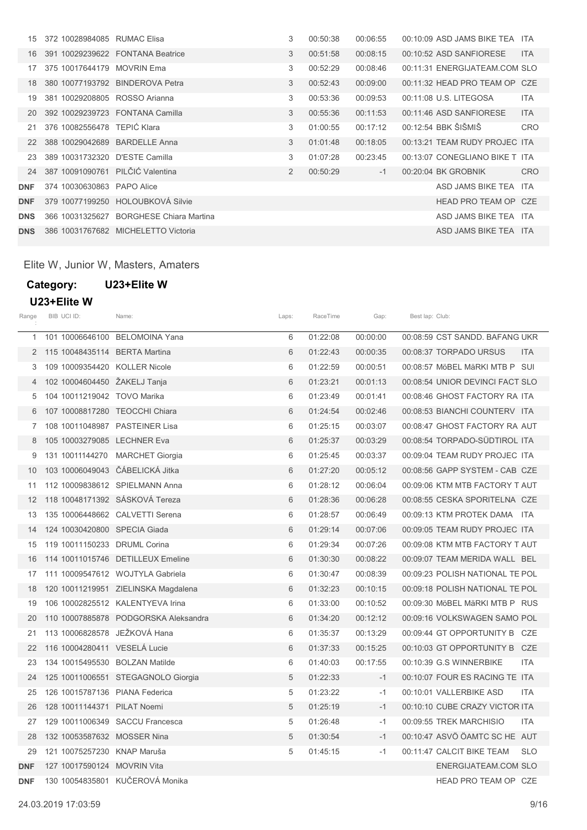| 15         | 372 10028984085 | <b>RUMAC Elisa</b>                  | 3              | 00:50:38 | 00:06:55 | 00:10:09 ASD JAMS BIKE TEA ITA |            |
|------------|-----------------|-------------------------------------|----------------|----------|----------|--------------------------------|------------|
| 16         |                 | 391 10029239622 FONTANA Beatrice    | 3              | 00:51:58 | 00:08:15 | 00:10:52 ASD SANFIORESE        | <b>ITA</b> |
| 17         | 375 10017644179 | <b>MOVRIN Ema</b>                   | 3              | 00:52:29 | 00:08:46 | 00:11:31 ENERGIJATEAM.COM SLO  |            |
| 18         | 380 10077193792 | <b>BINDEROVA Petra</b>              | 3              | 00:52:43 | 00:09:00 | 00:11:32 HEAD PRO TEAM OP CZE  |            |
| 19         |                 | 381 10029208805 ROSSO Arianna       | 3              | 00:53:36 | 00:09:53 | 00:11:08 U.S. LITEGOSA         | <b>ITA</b> |
| 20         | 392 10029239723 | <b>FONTANA Camilla</b>              | 3              | 00:55:36 | 00:11:53 | 00:11:46 ASD SANFIORESE        | <b>ITA</b> |
| 21         | 376 10082556478 | TEPIĆ Klara                         | 3              | 01:00:55 | 00:17:12 | 00:12:54 BBK ŠIŠMIŠ            | <b>CRO</b> |
| 22         | 388 10029042689 | <b>BARDELLE Anna</b>                | 3              | 01:01:48 | 00:18:05 | 00:13:21 TEAM RUDY PROJEC ITA  |            |
| 23         | 389 10031732320 | D'ESTE Camilla                      | 3              | 01:07:28 | 00:23:45 | 00:13:07 CONEGLIANO BIKE T ITA |            |
| 24         |                 | 387 10091090761 PILČIĆ Valentina    | $\overline{2}$ | 00:50:29 | $-1$     | 00:20:04 BK GROBNIK            | <b>CRO</b> |
| <b>DNF</b> | 374 10030630863 | PAPO Alice                          |                |          |          | ASD JAMS BIKE TEA ITA          |            |
| <b>DNF</b> | 379 10077199250 | HOLOUBKOVÁ Silvie                   |                |          |          | HEAD PRO TEAM OP CZE           |            |
| <b>DNS</b> | 366 10031325627 | <b>BORGHESE Chiara Martina</b>      |                |          |          | ASD JAMS BIKE TEA ITA          |            |
| <b>DNS</b> |                 | 386 10031767682 MICHELETTO Victoria |                |          |          | ASD JAMS BIKE TEA ITA          |            |

Elite W, Junior W, Masters, Amaters

## Category: U23+Elite W U23+Elite W

| Range      | BIB UCI ID:                     | Name:                                | Laps: | RaceTime | Gap:     | Best lap: Club:                         |
|------------|---------------------------------|--------------------------------------|-------|----------|----------|-----------------------------------------|
| 1          |                                 | 101 10006646100 BELOMOINA Yana       | 6     | 01:22:08 | 00:00:00 | 00:08:59 CST SANDD, BAFANG UKR          |
| 2          | 115 10048435114 BERTA Martina   |                                      | 6     | 01:22:43 | 00:00:35 | 00:08:37 TORPADO URSUS<br><b>ITA</b>    |
| 3          | 109 10009354420 KOLLER Nicole   |                                      | 6     | 01:22:59 | 00:00:51 | 00:08:57 MöBEL MäRKI MTB P SUI          |
| 4          | 102 10004604450 ŽAKELJ Tanja    |                                      | 6     | 01:23:21 | 00:01:13 | 00:08:54 UNIOR DEVINCI FACT SLO         |
| 5          | 104 10011219042 TOVO Marika     |                                      | 6     | 01:23:49 | 00:01:41 | 00:08:46 GHOST FACTORY RA ITA           |
| 6          | 107 10008817280 TEOCCHI Chiara  |                                      | 6     | 01:24:54 | 00:02:46 | 00:08:53 BIANCHI COUNTERV ITA           |
| 7          | 108 10011048987 PASTEINER Lisa  |                                      | 6     | 01:25:15 | 00:03:07 | 00:08:47 GHOST FACTORY RA AUT           |
| 8          | 105 10003279085 LECHNER Eva     |                                      | 6     | 01:25:37 | 00:03:29 | 00:08:54 TORPADO-SÜDTIROL ITA           |
| 9          |                                 | 131 10011144270 MARCHET Giorgia      | 6     | 01:25:45 | 00:03:37 | 00:09:04 TEAM RUDY PROJEC ITA           |
| 10         | 103 10006049043 ČÁBELICKÁ Jitka |                                      | 6     | 01:27:20 | 00:05:12 | 00:08:56 GAPP SYSTEM - CAB CZE          |
| 11         |                                 | 112 10009838612 SPIELMANN Anna       | 6     | 01:28:12 | 00:06:04 | 00:09:06 KTM MTB FACTORY T AUT          |
| 12         | 118 10048171392 SÁSKOVÁ Tereza  |                                      | 6     | 01:28:36 | 00:06:28 | 00:08:55 CESKA SPORITELNA CZE           |
| 13         |                                 | 135 10006448662 CALVETTI Serena      | 6     | 01:28:57 | 00:06:49 | 00:09:13 KTM PROTEK DAMA ITA            |
| 14         | 124 10030420800 SPECIA Giada    |                                      | 6     | 01:29:14 | 00:07:06 | 00:09:05 TEAM RUDY PROJEC ITA           |
| 15         | 119 10011150233 DRUML Corina    |                                      | 6     | 01:29:34 | 00:07:26 | 00:09:08 KTM MTB FACTORY T AUT          |
| 16         |                                 | 114 10011015746 DETILLEUX Emeline    | 6     | 01:30:30 | 00:08:22 | 00:09:07 TEAM MERIDA WALL BEL           |
| 17         |                                 | 111 10009547612 WOJTYLA Gabriela     | 6     | 01:30:47 | 00:08:39 | 00:09:23 POLISH NATIONAL TE POL         |
| 18         |                                 | 120 10011219951 ZIELINSKA Magdalena  | 6     | 01:32:23 | 00:10:15 | 00:09:18 POLISH NATIONAL TE POL         |
| 19         |                                 | 106 10002825512 KALENTYEVA Irina     | 6     | 01:33:00 | 00:10:52 | 00:09:30 MöBEL MäRKI MTB P RUS          |
| 20         |                                 | 110 10007885878 PODGORSKA Aleksandra | 6     | 01:34:20 | 00:12:12 | 00:09:16 VOLKSWAGEN SAMO POL            |
| 21         | 113 10006828578 JEŽKOVÁ Hana    |                                      | 6     | 01:35:37 | 00:13:29 | 00:09:44 GT OPPORTUNITY B CZE           |
| 22         | 116 10004280411 VESELÁ Lucie    |                                      | 6     | 01:37:33 | 00:15:25 | 00:10:03 GT OPPORTUNITY B CZE           |
| 23         | 134 10015495530 BOLZAN Matilde  |                                      | 6     | 01:40:03 | 00:17:55 | 00:10:39 G.S WINNERBIKE<br><b>ITA</b>   |
| 24         |                                 | 125 10011006551 STEGAGNOLO Giorgia   | 5     | 01:22:33 | $-1$     | 00:10:07 FOUR ES RACING TE ITA          |
| 25         | 126 10015787136 PIANA Federica  |                                      | 5     | 01:23:22 | $-1$     | 00:10:01 VALLERBIKE ASD<br><b>ITA</b>   |
| 26         | 128 10011144371 PILAT Noemi     |                                      | 5     | 01:25:19 | $-1$     | 00:10:10 CUBE CRAZY VICTOR ITA          |
| 27         |                                 | 129 10011006349 SACCU Francesca      | 5     | 01:26:48 | $-1$     | 00:09:55 TREK MARCHISIO<br><b>ITA</b>   |
| 28         | 132 10053587632 MOSSER Nina     |                                      | 5     | 01:30:54 | $-1$     | 00:10:47 ASVÖ ÖAMTC SC HE AUT           |
| 29         | 121 10075257230 KNAP Maruša     |                                      | 5     | 01:45:15 | $-1$     | 00:11:47 CALCIT BIKE TEAM<br><b>SLO</b> |
| <b>DNF</b> | 127 10017590124 MOVRIN Vita     |                                      |       |          |          | ENERGIJATEAM.COM SLO                    |
| <b>DNF</b> |                                 | 130 10054835801 KUČEROVÁ Monika      |       |          |          | HEAD PRO TEAM OP CZE                    |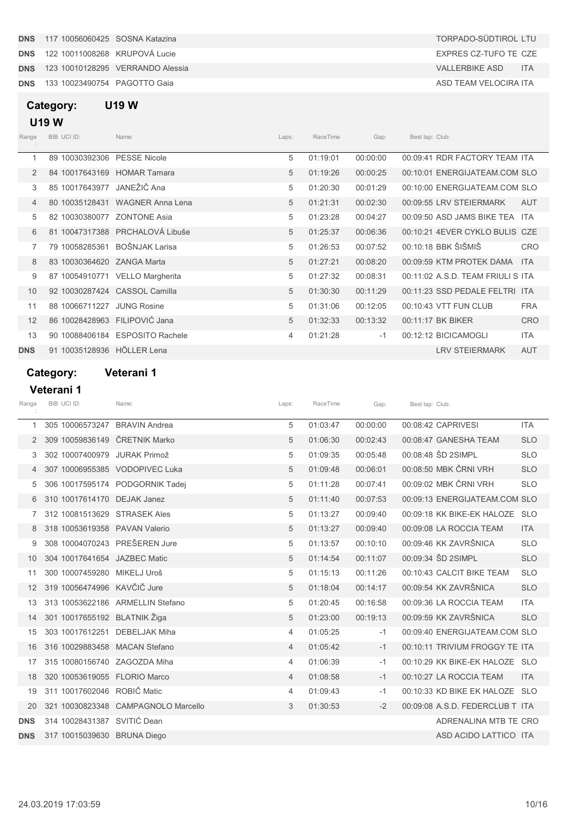**DNS** 133 10023490754 PAGOTTO Gaia ASD TEAM VELOCIRA ITA

## Category: U19 W

## U19 W

| Range          | BIB UCI ID:                   | Name:                           | Laps: | RaceTime | Gap:     | Best lap: Club:                   |            |
|----------------|-------------------------------|---------------------------------|-------|----------|----------|-----------------------------------|------------|
| 1              | 89 10030392306                | <b>PESSE Nicole</b>             | 5     | 01:19:01 | 00:00:00 | 00:09:41 RDR FACTORY TEAM ITA     |            |
| $\overline{2}$ | 84 10017643169                | <b>HOMAR Tamara</b>             | 5     | 01:19:26 | 00:00:25 | 00:10:01 ENERGIJATEAM.COM SLO     |            |
| 3              | 85 10017643977                | JANEŽIČ Ana                     | 5     | 01:20:30 | 00:01:29 | 00:10:00 ENERGIJATEAM.COM SLO     |            |
| 4              |                               | 80 10035128431 WAGNER Anna Lena | 5     | 01:21:31 | 00:02:30 | 00:09:55 LRV STEIERMARK           | AUT        |
| 5              | 82 10030380077                | <b>ZONTONE Asia</b>             | 5     | 01:23:28 | 00:04:27 | 00:09:50 ASD JAMS BIKE TEA ITA    |            |
| 6              |                               | 81 10047317388 PRCHALOVÁ Libuše | 5     | 01:25:37 | 00:06:36 | 00:10:21 4EVER CYKLO BULIS CZE    |            |
| 7              | 79 10058285361                | BOŠNJAK Larisa                  | 5     | 01:26:53 | 00:07:52 | 00:10:18 BBK ŠIŠMIŠ               | <b>CRO</b> |
| 8              | 83 10030364620 ZANGA Marta    |                                 | 5     | 01:27:21 | 00:08:20 | 00:09:59 KTM PROTEK DAMA          | <b>ITA</b> |
| 9              |                               | 87 10054910771 VELLO Margherita | 5     | 01:27:32 | 00:08:31 | 00:11:02 A.S.D. TEAM FRIULI S ITA |            |
| 10             | 92 10030287424 CASSOL Camilla |                                 | 5     | 01:30:30 | 00:11:29 | 00:11:23 SSD PEDALE FELTRI ITA    |            |
| 11             | 88 10066711227                | <b>JUNG Rosine</b>              | 5     | 01:31:06 | 00:12:05 | 00:10:43 VTT FUN CLUB             | <b>FRA</b> |
| 12             | 86 10028428963                | FILIPOVIĆ Jana                  | 5     | 01:32:33 | 00:13:32 | 00:11:17 BK BIKER                 | <b>CRO</b> |
| 13             |                               | 90 10088406184 ESPOSITO Rachele | 4     | 01:21:28 | $-1$     | 00:12:12 BICICAMOGLI              | <b>ITA</b> |
| <b>DNS</b>     | 91 10035128936                | HÖLLER Lena                     |       |          |          | <b>LRV STEIERMARK</b>             | <b>AUT</b> |

### Category: Veterani 1

### Veterani 1

| Range          | BIB UCI ID:                   | Name:                            | Laps:          | RaceTime | Gap:     | Best lap: Club: |                                 |            |
|----------------|-------------------------------|----------------------------------|----------------|----------|----------|-----------------|---------------------------------|------------|
| 1              | 305 10006573247               | <b>BRAVIN Andrea</b>             | 5              | 01:03:47 | 00:00:00 |                 | 00:08:42 CAPRIVESI              | <b>ITA</b> |
| $\overline{2}$ | 309 10059836149               | ČRETNIK Marko                    | 5              | 01:06:30 | 00:02:43 |                 | 00:08:47 GANESHA TEAM           | <b>SLO</b> |
| 3              | 302 10007400979 JURAK Primož  |                                  | 5              | 01:09:35 | 00:05:48 |                 | 00:08:48 SD 2SIMPL              | <b>SLO</b> |
|                |                               | 307 10006955385 VODOPIVEC Luka   | 5              | 01:09:48 | 00:06:01 |                 | 00:08:50 MBK ČRNI VRH           | <b>SLO</b> |
| 5              |                               | 306 10017595174 PODGORNIK Tadej  | 5              | 01:11:28 | 00:07:41 |                 | 00:09:02 MBK ČRNI VRH           | <b>SLO</b> |
| 6              | 310 10017614170               | <b>DEJAK Janez</b>               | 5              | 01:11:40 | 00:07:53 |                 | 00:09:13 ENERGIJATEAM.COM SLO   |            |
| 7              | 312 10081513629               | <b>STRASEK Ales</b>              | 5              | 01:13:27 | 00:09:40 |                 | 00:09:18 KK BIKE-EK HALOZE SLO  |            |
| 8              | 318 10053619358 PAVAN Valerio |                                  | 5              | 01:13:27 | 00:09:40 |                 | 00:09:08 LA ROCCIA TEAM         | <b>ITA</b> |
| 9              | 308 10004070243 PREŠEREN Jure |                                  | 5              | 01:13:57 | 00:10:10 |                 | 00:09:46 KK ZAVRŠNICA           | <b>SLO</b> |
| 10             | 304 10017641654 JAZBEC Matic  |                                  | 5              | 01:14:54 | 00:11:07 |                 | 00:09:34 SD 2SIMPL              | <b>SLO</b> |
| 11             | 300 10007459280               | MIKELJ Uroš                      | 5              | 01:15:13 | 00:11:26 |                 | 00:10:43 CALCIT BIKE TEAM       | <b>SLO</b> |
| 12             | 319 10056474996 KAVČIČ Jure   |                                  | 5              | 01:18:04 | 00:14:17 |                 | 00:09:54 KK ZAVRŠNICA           | <b>SLO</b> |
| 13             |                               | 313 10053622186 ARMELLIN Stefano | 5              | 01:20:45 | 00:16:58 |                 | 00:09:36 LA ROCCIA TEAM         | <b>ITA</b> |
| 14             | 301 10017655192 BLATNIK Žiga  |                                  | 5              | 01:23:00 | 00:19:13 |                 | 00:09:59 KK ZAVRŠNICA           | <b>SLO</b> |
| 15             | 303 10017612251               | <b>DEBELJAK Miha</b>             | 4              | 01:05:25 | $-1$     |                 | 00:09:40 ENERGIJATEAM.COM SLO   |            |
| 16             | 316 10029883458               | <b>MACAN Stefano</b>             | $\overline{4}$ | 01:05:42 | $-1$     |                 | 00:10:11 TRIVIUM FROGGY TE ITA  |            |
| 17             | 315 10080156740 ZAGOZDA Miha  |                                  | 4              | 01:06:39 | $-1$     |                 | 00:10:29 KK BIKE-EK HALOZE SLO  |            |
| 18             | 320 10053619055               | <b>FLORIO Marco</b>              | $\overline{4}$ | 01:08:58 | $-1$     |                 | 00:10:27 LA ROCCIA TEAM         | <b>ITA</b> |
| 19             | 311 10017602046 ROBIČ Matic   |                                  | 4              | 01:09:43 | $-1$     |                 | 00:10:33 KD BIKE EK HALOZE SLO  |            |
| 20             | 321 10030823348               | <b>CAMPAGNOLO Marcello</b>       | 3              | 01:30:53 | $-2$     |                 | 00:09:08 A.S.D. FEDERCLUB T ITA |            |
| <b>DNS</b>     | 314 10028431387 SVITIĆ Dean   |                                  |                |          |          |                 | ADRENALINA MTB TE CRO           |            |
| <b>DNS</b>     | 317 10015039630 BRUNA Diego   |                                  |                |          |          |                 | ASD ACIDO LATTICO ITA           |            |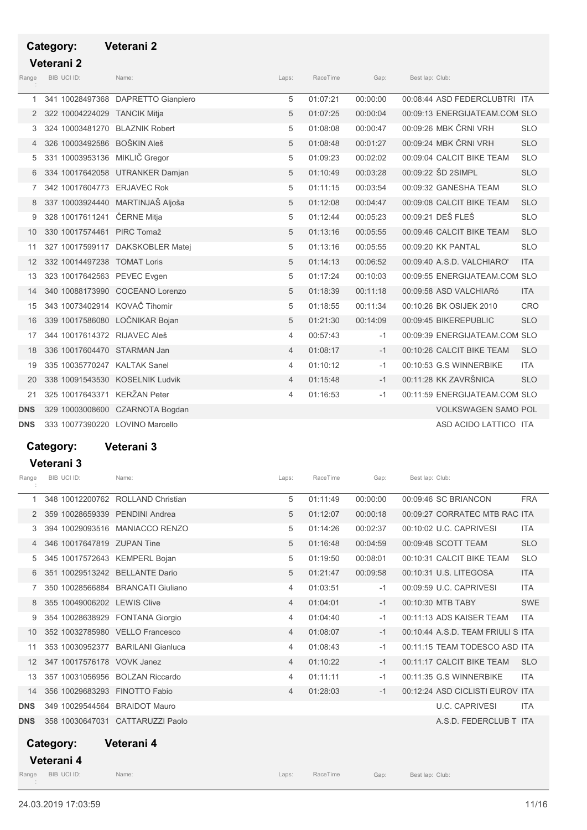## Category: Veterani 2

# Veterani 2

| Range          | BIB UCI ID:                     | Name:                              | Laps:          | RaceTime | Gap:     | Best lap: Club:               |            |
|----------------|---------------------------------|------------------------------------|----------------|----------|----------|-------------------------------|------------|
| 1              |                                 | 341 10028497368 DAPRETTO Gianpiero | 5              | 01:07:21 | 00:00:00 | 00:08:44 ASD FEDERCLUBTRI ITA |            |
| 2              | 322 10004224029                 | <b>TANCIK Mitja</b>                | 5              | 01:07:25 | 00:00:04 | 00:09:13 ENERGIJATEAM.COM SLO |            |
| 3              | 324 10003481270                 | <b>BLAZNIK Robert</b>              | 5              | 01:08:08 | 00:00:47 | 00:09:26 MBK ČRNI VRH         | <b>SLO</b> |
| $\overline{4}$ | 326 10003492586                 | <b>BOŠKIN Aleš</b>                 | 5              | 01:08:48 | 00:01:27 | 00:09:24 MBK ČRNI VRH         | <b>SLO</b> |
| 5              | 331 10003953136 MIKLIČ Gregor   |                                    | 5              | 01:09:23 | 00:02:02 | 00:09:04 CALCIT BIKE TEAM     | <b>SLO</b> |
| 6              |                                 | 334 10017642058 UTRANKER Damjan    | 5              | 01:10:49 | 00:03:28 | 00:09:22 SD 2SIMPL            | <b>SLO</b> |
| 7              | 342 10017604773 ERJAVEC Rok     |                                    | 5              | 01:11:15 | 00:03:54 | 00:09:32 GANESHA TEAM         | <b>SLO</b> |
| 8              |                                 | 337 10003924440 MARTINJAŠ Aljoša   | 5              | 01:12:08 | 00:04:47 | 00:09:08 CALCIT BIKE TEAM     | <b>SLO</b> |
| 9              | 328 10017611241 ČERNE Mitja     |                                    | 5              | 01:12:44 | 00:05:23 | 00:09:21 DEŠ FLEŠ             | <b>SLO</b> |
| 10             | 330 10017574461 PIRC Tomaž      |                                    | 5              | 01:13:16 | 00:05:55 | 00:09:46 CALCIT BIKE TEAM     | <b>SLO</b> |
| 11             |                                 | 327 10017599117 DAKSKOBLER Matej   | 5              | 01:13:16 | 00:05:55 | 00:09:20 KK PANTAL            | <b>SLO</b> |
| 12             | 332 10014497238 TOMAT Loris     |                                    | 5              | 01:14:13 | 00:06:52 | 00:09:40 A.S.D. VALCHIARO'    | <b>ITA</b> |
| 13             | 323 10017642563 PEVEC Evgen     |                                    | 5              | 01:17:24 | 00:10:03 | 00:09:55 ENERGIJATEAM.COM SLO |            |
| 14             |                                 | 340 10088173990 COCEANO Lorenzo    | 5              | 01:18:39 | 00:11:18 | 00:09:58 ASD VALCHIARó        | <b>ITA</b> |
| 15             | 343 10073402914 KOVAČ Tihomir   |                                    | 5              | 01:18:55 | 00:11:34 | 00:10:26 BK OSIJEK 2010       | CRO        |
| 16             | 339 10017586080 LOČNIKAR Bojan  |                                    | 5              | 01:21:30 | 00:14:09 | 00:09:45 BIKEREPUBLIC         | <b>SLO</b> |
| 17             | 344 10017614372 RIJAVEC Aleš    |                                    | 4              | 00:57:43 | $-1$     | 00:09:39 ENERGIJATEAM.COM SLO |            |
| 18             | 336 10017604470 STARMAN Jan     |                                    | $\overline{4}$ | 01:08:17 | $-1$     | 00:10:26 CALCIT BIKE TEAM     | <b>SLO</b> |
| 19             | 335 10035770247 KALTAK Sanel    |                                    | 4              | 01:10:12 | $-1$     | 00:10:53 G.S WINNERBIKE       | <b>ITA</b> |
| 20             |                                 | 338 10091543530 KOSELNIK Ludvik    | 4              | 01:15:48 | $-1$     | 00:11:28 KK ZAVRŠNICA         | <b>SLO</b> |
| 21             | 325 10017643371 KERŽAN Peter    |                                    | 4              | 01:16:53 | $-1$     | 00:11:59 ENERGIJATEAM.COM SLO |            |
| <b>DNS</b>     |                                 | 329 10003008600 CZARNOTA Bogdan    |                |          |          | <b>VOLKSWAGEN SAMO POL</b>    |            |
| <b>DNS</b>     | 333 10077390220 LOVINO Marcello |                                    |                |          |          | ASD ACIDO LATTICO ITA         |            |

## Category: Veterani 3 Veterani 3

| Range             | BIB UCI ID:                     | Name:                             | Laps:          | RaceTime | Gap:     | Best lap: Club:                   |            |
|-------------------|---------------------------------|-----------------------------------|----------------|----------|----------|-----------------------------------|------------|
| 1                 |                                 | 348 10012200762 ROLLAND Christian | 5              | 01:11:49 | 00:00:00 | 00:09:46 SC BRIANCON              | <b>FRA</b> |
| 2                 | 359 10028659339                 | <b>PENDINI Andrea</b>             | 5              | 01:12:07 | 00:00:18 | 00:09:27 CORRATEC MTB RAC ITA     |            |
| 3                 | 394 10029093516                 | MANIACCO RENZO                    | 5              | 01:14:26 | 00:02:37 | 00:10:02 U.C. CAPRIVESI           | <b>ITA</b> |
| 4                 | 346 10017647819 ZUPAN Tine      |                                   | 5              | 01:16:48 | 00:04:59 | 00:09:48 SCOTT TEAM               | <b>SLO</b> |
| 5                 | 345 10017572643 KEMPERL Bojan   |                                   | 5              | 01:19:50 | 00:08:01 | 00:10:31 CALCIT BIKE TEAM         | <b>SLO</b> |
| 6                 | 351 10029513242 BELLANTE Dario  |                                   | 5              | 01:21:47 | 00:09:58 | 00:10:31 U.S. LITEGOSA            | <b>ITA</b> |
| 7                 | 350 10028566884                 | <b>BRANCATI Giuliano</b>          | 4              | 01:03:51 | $-1$     | 00:09:59 U.C. CAPRIVESI           | <b>ITA</b> |
| 8                 | 355 10049006202 LEWIS Clive     |                                   | $\overline{4}$ | 01:04:01 | $-1$     | 00:10:30 MTB TABY                 | <b>SWE</b> |
| 9                 |                                 | 354 10028638929 FONTANA Giorgio   | 4              | 01:04:40 | $-1$     | 00:11:13 ADS KAISER TEAM          | <b>ITA</b> |
| 10                | 352 10032785980 VELLO Francesco |                                   | $\overline{4}$ | 01:08:07 | $-1$     | 00:10:44 A.S.D. TEAM FRIULI S ITA |            |
| 11                | 353 10030952377                 | <b>BARILANI Gianluca</b>          | 4              | 01:08:43 | $-1$     | 00:11:15 TEAM TODESCO ASD ITA     |            |
| $12 \overline{ }$ | 347 10017576178 VOVK Janez      |                                   | $\overline{4}$ | 01:10:22 | $-1$     | 00:11:17 CALCIT BIKE TEAM         | <b>SLO</b> |
| 13                | 357 10031056956 BOLZAN Riccardo |                                   | 4              | 01:11:11 | $-1$     | 00:11:35 G.S WINNERBIKE           | <b>ITA</b> |
| 14                | 356 10029683293                 | <b>FINOTTO Fabio</b>              | $\overline{4}$ | 01:28:03 | $-1$     | 00:12:24 ASD CICLISTI EUROV ITA   |            |
| <b>DNS</b>        | 349 10029544564                 | <b>BRAIDOT Mauro</b>              |                |          |          | <b>U.C. CAPRIVESI</b>             | <b>ITA</b> |
| <b>DNS</b>        | 358 10030647031                 | <b>CATTARUZZI Paolo</b>           |                |          |          | A.S.D. FEDERCLUB T ITA            |            |
|                   | Category:                       | Veterani 4                        |                |          |          |                                   |            |

Veterani 4

end and the Mange BIB UCI ID: Name: Name: Caps: Club: Caps: Club: Club: Club: Club: Club: Club: Club: Club: Club: Club: Club: Club: Club: Club: Club: Club: Club: Club: Club: Club: Club: Club: Club: Club: Club: Club: Club:

RaceTime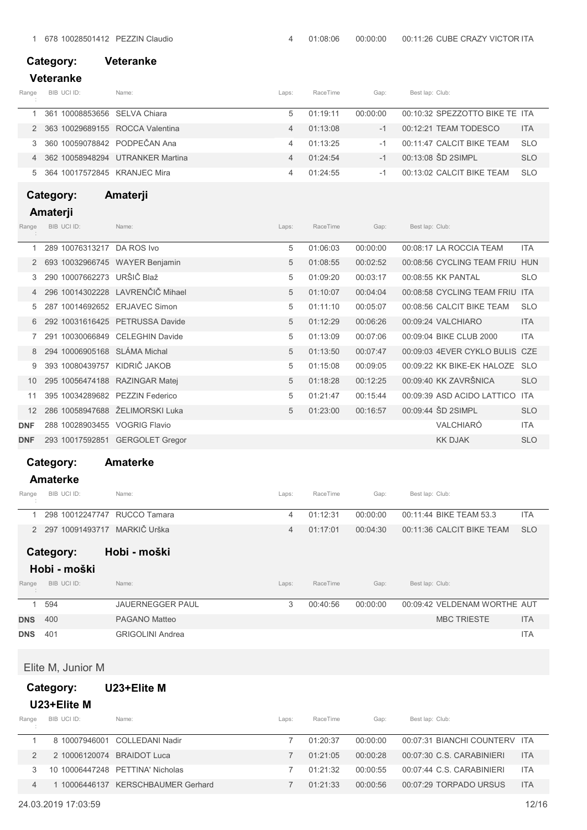| Category: | <b>Veteranke</b> |
|-----------|------------------|
|           |                  |

### Veteranke

| Range | BIB UCI ID:                       | Name:                              | Laps: | RaceTime | Gap:             | Best lap: Club:                |            |
|-------|-----------------------------------|------------------------------------|-------|----------|------------------|--------------------------------|------------|
|       | 361 10008853656 SELVA Chiara      |                                    | 5     | 01.19.11 | $00.00 \cdot 00$ | 00:10:32 SPEZZOTTO BIKE TE ITA |            |
|       | 2 363 10029689155 ROCCA Valentina |                                    |       | 01.13.08 | $-1$             | 00:12:21 TEAM TODESCO          | <b>ITA</b> |
|       | 3 360 10059078842 PODPEČAN Ana    |                                    |       | 01.13.25 |                  | 00:11:47 CALCIT BIKE TEAM      | <b>SLO</b> |
|       |                                   | 4 362 10058948294 UTRANKER Martina |       | 01.24.54 |                  | 00:13:08 SD 2SIMPL             | <b>SLO</b> |
|       | 5 364 10017572845 KRANJEC Mira    |                                    |       | 01:24:55 | $-1$             | 00:13:02 CALCIT BIKE TEAM      | <b>SLO</b> |

## Category: Amaterji

## Amaterji

| Range      | BIB UCI ID: |                            | Name:                            | Laps: | RaceTime | Gap:     | Best lap: Club: |                                |            |
|------------|-------------|----------------------------|----------------------------------|-------|----------|----------|-----------------|--------------------------------|------------|
|            |             | 289 10076313217            | DA ROS Ivo                       | 5     | 01:06:03 | 00:00:00 |                 | 00:08:17 LA ROCCIA TEAM        | <b>ITA</b> |
| 2          |             |                            | 693 10032966745 WAYER Benjamin   | 5     | 01:08:55 | 00:02:52 |                 | 00:08:56 CYCLING TEAM FRIU HUN |            |
| 3.         |             | 290 10007662273 URŠIČ Blaž |                                  | 5     | 01:09:20 | 00:03:17 |                 | 00:08:55 KK PANTAL             | <b>SLO</b> |
|            |             |                            | 296 10014302228 LAVRENČIČ Mihael | 5     | 01:10:07 | 00:04:04 |                 | 00:08:58 CYCLING TEAM FRIU ITA |            |
| 5          |             | 287 10014692652            | <b>ERJAVEC Simon</b>             | 5     | 01:11:10 | 00:05:07 |                 | 00:08:56 CALCIT BIKE TEAM      | <b>SLO</b> |
| 6          |             | 292 10031616425            | <b>PETRUSSA Davide</b>           | 5     | 01:12:29 | 00:06:26 |                 | 00:09:24 VALCHIARO             | <b>ITA</b> |
|            |             | 291 10030066849            | <b>CELEGHIN Davide</b>           | 5     | 01:13:09 | 00:07:06 |                 | 00:09:04 BIKE CLUB 2000        | <b>ITA</b> |
| 8          |             |                            | 294 10006905168 SLÁMA Michal     | 5     | 01:13:50 | 00:07:47 |                 | 00:09:03 4EVER CYKLO BULIS CZE |            |
| 9          |             | 393 10080439757            | KIDRIČ JAKOB                     | 5     | 01:15:08 | 00:09:05 |                 | 00:09:22 KK BIKE-EK HALOZE SLO |            |
| 10         |             | 295 10056474188            | <b>RAZINGAR Matej</b>            | 5     | 01:18:28 | 00:12:25 |                 | 00:09:40 KK ZAVRŠNICA          | <b>SLO</b> |
| 11         |             | 395 10034289682            | <b>PEZZIN Federico</b>           | 5     | 01:21:47 | 00:15:44 |                 | 00:09:39 ASD ACIDO LATTICO     | <b>ITA</b> |
| 12         |             | 286 10058947688            | ŽELIMORSKI Luka                  | 5     | 01:23:00 | 00:16:57 |                 | 00:09:44 SD 2SIMPL             | <b>SLO</b> |
| DNF        |             |                            | 288 10028903455 VOGRIG Flavio    |       |          |          |                 | VALCHIARÓ                      | <b>ITA</b> |
| <b>DNF</b> |             |                            | 293 10017592851 GERGOLET Gregor  |       |          |          |                 | <b>KK DJAK</b>                 | <b>SLO</b> |

## Category: Amaterke

### Amaterke

| Range | BIB UCI ID:                    | Name: | Laps: | RaceTime | Gap:     | Best lap: Club:           |            |
|-------|--------------------------------|-------|-------|----------|----------|---------------------------|------------|
|       | 298 10012247747 RUCCO Tamara   |       |       | 01.12.31 | 00:00:00 | 00:11:44 BIKE TEAM 53.3   | <b>ITA</b> |
|       | 2 297 10091493717 MARKIČ Urška |       |       | 01.17.01 | 00.04.30 | 00:11:36 CALCIT BIKE TEAM | - SLO      |

## Category: Hobi - moški

### Hobi - moški

| Range      | BIB UCI ID: | Name:                   | Laps: | RaceTime | Gap:     | Best lap: Club:              |            |
|------------|-------------|-------------------------|-------|----------|----------|------------------------------|------------|
|            | 594         | <b>JAUERNEGGER PAUL</b> |       | 00:40:56 | 00:00:00 | 00:09:42 VELDENAM WORTHE AUT |            |
| <b>DNS</b> | 400         | PAGANO Matteo           |       |          |          | <b>MBC TRIESTE</b>           | <b>ITA</b> |
| <b>DNS</b> | -401        | <b>GRIGOLINI Andrea</b> |       |          |          |                              | ITA        |

Elite M, Junior M

## Category: U23+Elite M

### U23+Elite M

| Range | BIB UCI ID:                | Name:                            | Laps: | RaceTime | Gap:             | Best lap: Club:               |            |
|-------|----------------------------|----------------------------------|-------|----------|------------------|-------------------------------|------------|
|       |                            | 8 10007946001 COLLEDANI Nadir    |       | 01.20.37 | $00.00 \cdot 00$ | 00:07:31 BIANCHI COUNTERV ITA |            |
|       | 2 10006120074 BRAIDOT Luca |                                  |       | 01.21.05 | 00.00.28         | 00:07:30 C.S. CARABINIERI     | <b>ITA</b> |
|       |                            | 10 10006447248 PETTINA' Nicholas |       | 01.21.32 | 00.00.55         | 00:07:44 C.S. CARABINIERI     | <b>ITA</b> |
|       |                            | 10006446137 KERSCHBAUMER Gerhard |       | 01.21.33 | 00.00.56         | 00:07:29 TORPADO URSUS        | <b>ITA</b> |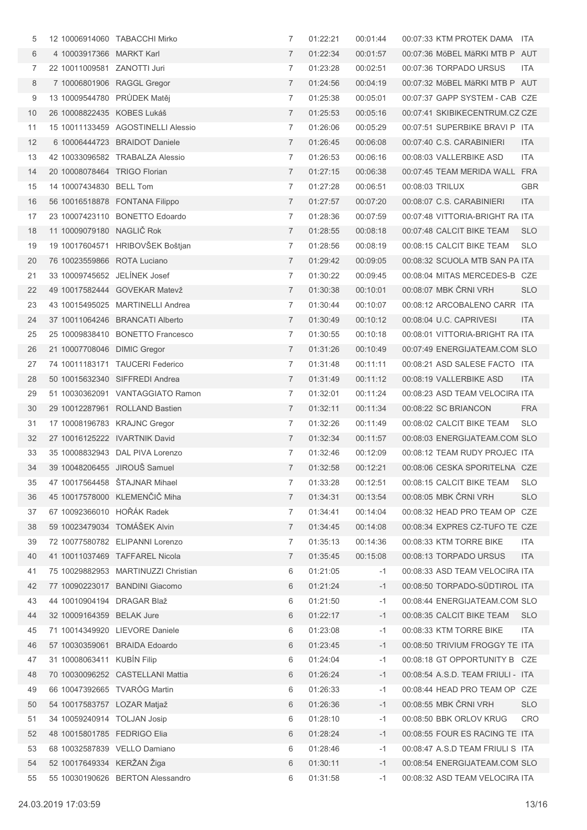| 5  |                               | 12 10006914060 TABACCHI Mirko       | 7              | 01:22:21 | 00:01:44 | 00:07:33 KTM PROTEK DAMA ITA      |            |
|----|-------------------------------|-------------------------------------|----------------|----------|----------|-----------------------------------|------------|
| 6  | 4 10003917366 MARKT Karl      |                                     | $\overline{7}$ | 01:22:34 | 00:01:57 | 00:07:36 MöBEL MäRKI MTB P AUT    |            |
| 7  | 22 10011009581 ZANOTTI Juri   |                                     | 7              | 01:23:28 | 00:02:51 | 00:07:36 TORPADO URSUS            | ITA.       |
| 8  | 7 10006801906 RAGGL Gregor    |                                     | $\overline{7}$ | 01:24:56 | 00:04:19 | 00:07:32 MöBEL MäRKI MTB P AUT    |            |
| 9  | 13 10009544780 PRÜDEK Matěj   |                                     | 7              | 01:25:38 | 00:05:01 | 00:07:37 GAPP SYSTEM - CAB CZE    |            |
| 10 | 26 10008822435 KOBES Lukáš    |                                     | $\overline{7}$ | 01:25:53 | 00:05:16 | 00:07:41 SKIBIKECENTRUM.CZ CZE    |            |
| 11 |                               | 15 10011133459 AGOSTINELLI Alessio  | 7              | 01:26:06 | 00:05:29 | 00:07:51 SUPERBIKE BRAVI P ITA    |            |
| 12 |                               | 6 10006444723 BRAIDOT Daniele       | $\overline{7}$ | 01:26:45 | 00:06:08 | 00:07:40 C.S. CARABINIERI         | ITA        |
| 13 |                               | 42 10033096582 TRABALZA Alessio     | 7              | 01:26:53 | 00:06:16 | 00:08:03 VALLERBIKE ASD           | ITA        |
| 14 | 20 10008078464 TRIGO Florian  |                                     | $\overline{7}$ | 01:27:15 | 00:06:38 | 00:07:45 TEAM MERIDA WALL FRA     |            |
| 15 | 14 10007434830 BELL Tom       |                                     | 7              | 01:27:28 | 00:06:51 | 00:08:03 TRILUX                   | <b>GBR</b> |
| 16 |                               | 56 10016518878 FONTANA Filippo      | $\overline{7}$ | 01:27:57 | 00:07:20 | 00:08:07 C.S. CARABINIERI         | ITA        |
| 17 |                               | 23 10007423110 BONETTO Edoardo      | 7              | 01:28:36 | 00:07:59 | 00:07:48 VITTORIA-BRIGHT RA ITA   |            |
| 18 | 11 10009079180 NAGLIČ Rok     |                                     | $\overline{7}$ | 01:28:55 | 00:08:18 | 00:07:48 CALCIT BIKE TEAM         | <b>SLO</b> |
| 19 |                               | 19 10017604571 HRIBOVŠEK Boštjan    | 7              | 01:28:56 | 00:08:19 | 00:08:15 CALCIT BIKE TEAM         | <b>SLO</b> |
| 20 | 76 10023559866 ROTA Luciano   |                                     | $\overline{7}$ | 01:29:42 | 00:09:05 | 00:08:32 SCUOLA MTB SAN PA ITA    |            |
| 21 | 33 10009745652 JELÍNEK Josef  |                                     | 7              | 01:30:22 | 00:09:45 | 00:08:04 MITAS MERCEDES-B CZE     |            |
| 22 |                               | 49 10017582444 GOVEKAR Matevž       | $\overline{7}$ | 01:30:38 | 00:10:01 | 00:08:07 MBK ČRNI VRH             | <b>SLO</b> |
| 23 |                               | 43 10015495025 MARTINELLI Andrea    | 7              | 01:30:44 | 00:10:07 | 00:08:12 ARCOBALENO CARR ITA      |            |
| 24 |                               | 37 10011064246 BRANCATI Alberto     | $\overline{7}$ | 01:30:49 | 00:10:12 | 00:08:04 U.C. CAPRIVESI           | <b>ITA</b> |
| 25 |                               | 25 10009838410 BONETTO Francesco    | 7              | 01:30:55 | 00:10:18 | 00:08:01 VITTORIA-BRIGHT RA ITA   |            |
| 26 | 21 10007708046 DIMIC Gregor   |                                     | $\overline{7}$ | 01:31:26 | 00:10:49 | 00:07:49 ENERGIJATEAM.COM SLO     |            |
| 27 |                               | 74 10011183171 TAUCERI Federico     | 7              | 01:31:48 | 00:11:11 | 00:08:21 ASD SALESE FACTO ITA     |            |
| 28 |                               | 50 10015632340 SIFFREDI Andrea      | 7              | 01:31:49 | 00:11:12 | 00:08:19 VALLERBIKE ASD           | <b>ITA</b> |
| 29 |                               | 51 10030362091 VANTAGGIATO Ramon    | 7              | 01:32:01 | 00:11:24 | 00:08:23 ASD TEAM VELOCIRA ITA    |            |
| 30 |                               | 29 10012287961 ROLLAND Bastien      | $\overline{7}$ | 01:32:11 | 00:11:34 | 00:08:22 SC BRIANCON              | <b>FRA</b> |
| 31 | 17 10008196783 KRAJNC Gregor  |                                     | 7              | 01:32:26 | 00:11:49 | 00:08:02 CALCIT BIKE TEAM         | <b>SLO</b> |
| 32 | 27 10016125222 IVARTNIK David |                                     | $\overline{7}$ | 01:32:34 | 00:11:57 | 00:08:03 ENERGIJATEAM.COM SLO     |            |
| 33 |                               | 35 10008832943 DAL PIVA Lorenzo     | 7              | 01:32:46 | 00:12:09 | 00:08:12 TEAM RUDY PROJEC ITA     |            |
| 34 | 39 10048206455 JIROUŠ Samuel  |                                     | $\overline{7}$ | 01:32:58 | 00:12:21 | 00:08:06 CESKA SPORITELNA CZE     |            |
| 35 |                               | 47 10017564458 ŠTAJNAR Mihael       | 7              | 01:33:28 | 00:12:51 | 00:08:15 CALCIT BIKE TEAM         | <b>SLO</b> |
| 36 |                               | 45 10017578000 KLEMENČIČ Miha       | 7              | 01:34:31 | 00:13:54 | 00:08:05 MBK ČRNI VRH             | <b>SLO</b> |
| 37 | 67 10092366010 HOŘÁK Radek    |                                     | 7              | 01:34:41 | 00:14:04 | 00:08:32 HEAD PRO TEAM OP CZE     |            |
| 38 | 59 10023479034 TOMÁŠEK Alvin  |                                     | 7              | 01:34:45 | 00:14:08 | 00:08:34 EXPRES CZ-TUFO TE CZE    |            |
| 39 |                               | 72 10077580782 ELIPANNI Lorenzo     | 7              | 01:35:13 | 00:14:36 | 00:08:33 KTM TORRE BIKE           | ITA.       |
| 40 |                               | 41 10011037469 TAFFAREL Nicola      | 7              | 01:35:45 | 00:15:08 | 00:08:13 TORPADO URSUS            | <b>ITA</b> |
| 41 |                               | 75 10029882953 MARTINUZZI Christian | 6              | 01:21:05 | $-1$     | 00:08:33 ASD TEAM VELOCIRA ITA    |            |
| 42 |                               | 77 10090223017 BANDINI Giacomo      | 6              | 01:21:24 | $-1$     | 00:08:50 TORPADO-SÜDTIROL ITA     |            |
| 43 | 44 10010904194 DRAGAR Blaž    |                                     | 6              | 01:21:50 | $-1$     | 00:08:44 ENERGIJATEAM.COM SLO     |            |
| 44 | 32 10009164359 BELAK Jure     |                                     | 6              | 01:22:17 | $-1$     | 00:08:35 CALCIT BIKE TEAM         | <b>SLO</b> |
| 45 |                               | 71 10014349920 LIEVORE Daniele      | 6              | 01:23:08 | $-1$     | 00:08:33 KTM TORRE BIKE           | ITA        |
| 46 |                               | 57 10030359061 BRAIDA Edoardo       | 6              | 01:23:45 | $-1$     | 00:08:50 TRIVIUM FROGGY TE ITA    |            |
| 47 | 31 10008063411 KUBÍN Filip    |                                     | 6              | 01:24:04 | $-1$     | 00:08:18 GT OPPORTUNITY B CZE     |            |
| 48 |                               | 70 10030096252 CASTELLANI Mattia    | 6              | 01:26:24 | $-1$     | 00:08:54 A.S.D. TEAM FRIULI - ITA |            |
| 49 | 66 10047392665 TVARÓG Martin  |                                     | 6              | 01:26:33 | $-1$     | 00:08:44 HEAD PRO TEAM OP CZE     |            |
| 50 | 54 10017583757 LOZAR Matjaž   |                                     | 6              | 01:26:36 | $-1$     | 00:08:55 MBK ČRNI VRH             | <b>SLO</b> |
| 51 | 34 10059240914 TOLJAN Josip   |                                     | 6              | 01:28:10 | $-1$     | 00:08:50 BBK ORLOV KRUG           | <b>CRO</b> |
| 52 | 48 10015801785 FEDRIGO Elia   |                                     | 6              | 01:28:24 | $-1$     | 00:08:55 FOUR ES RACING TE ITA    |            |
| 53 | 68 10032587839 VELLO Damiano  |                                     | 6              | 01:28:46 | $-1$     | 00:08:47 A.S.D TEAM FRIULI S ITA  |            |
| 54 | 52 10017649334 KERŽAN Žiga    |                                     | 6              | 01:30:11 | $-1$     | 00:08:54 ENERGIJATEAM.COM SLO     |            |
| 55 |                               | 55 10030190626 BERTON Alessandro    | 6              | 01:31:58 | $-1$     | 00:08:32 ASD TEAM VELOCIRA ITA    |            |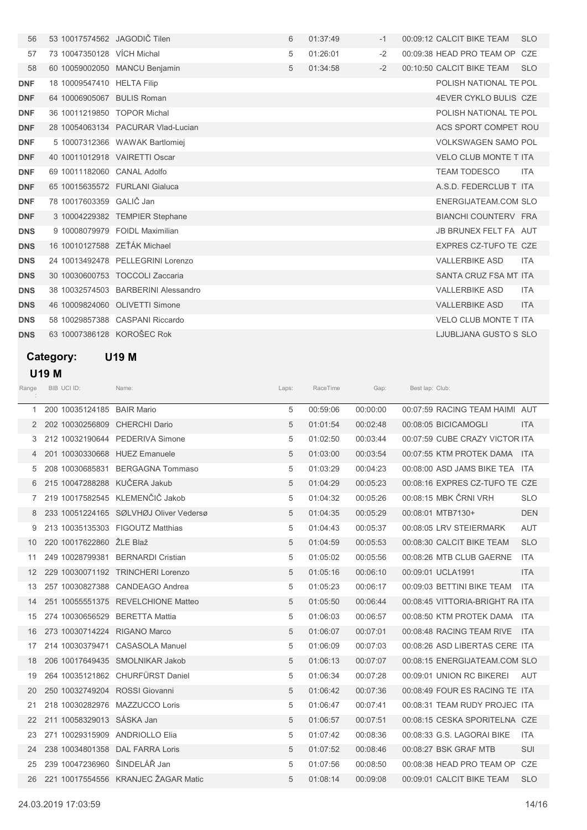| 56         | 53 10017574562 JAGODIČ Tilen  |                                     | 6 | 01:37:49 | $-1$ | 00:09:12 CALCIT BIKE TEAM<br><b>SLO</b> |  |
|------------|-------------------------------|-------------------------------------|---|----------|------|-----------------------------------------|--|
| 57         | 73 10047350128 VÍCH Michal    |                                     | 5 | 01:26:01 | $-2$ | 00:09:38 HEAD PRO TEAM OP CZE           |  |
| 58         |                               | 60 10059002050 MANCU Benjamin       | 5 | 01:34:58 | $-2$ | 00:10:50 CALCIT BIKE TEAM<br><b>SLO</b> |  |
| <b>DNF</b> | 18 10009547410 HELTA Filip    |                                     |   |          |      | POLISH NATIONAL TE POL                  |  |
| <b>DNF</b> | 64 10006905067 BULIS Roman    |                                     |   |          |      | 4EVER CYKLO BULIS CZE                   |  |
| <b>DNF</b> | 36 10011219850 TOPOR Michal   |                                     |   |          |      | POLISH NATIONAL TE POL                  |  |
| <b>DNF</b> |                               | 28 10054063134 PACURAR Vlad-Lucian  |   |          |      | ACS SPORT COMPET ROU                    |  |
| <b>DNF</b> |                               | 5 10007312366 WAWAK Bartlomiej      |   |          |      | <b>VOLKSWAGEN SAMO POL</b>              |  |
| <b>DNF</b> | 40 10011012918 VAIRETTI Oscar |                                     |   |          |      | <b>VELO CLUB MONTE T ITA</b>            |  |
| <b>DNF</b> | 69 10011182060 CANAL Adolfo   |                                     |   |          |      | <b>TEAM TODESCO</b><br><b>ITA</b>       |  |
| <b>DNF</b> |                               | 65 10015635572 FURLANI Gialuca      |   |          |      | A.S.D. FEDERCLUB T ITA                  |  |
| <b>DNF</b> | 78 10017603359 GALIČ Jan      |                                     |   |          |      | <b>ENERGIJATEAM.COM SLO</b>             |  |
| <b>DNF</b> |                               | 3 10004229382 TEMPIER Stephane      |   |          |      | BIANCHI COUNTERV FRA                    |  |
| <b>DNS</b> |                               | 9 10008079979 FOIDL Maximilian      |   |          |      | JB BRUNEX FELT FA AUT                   |  |
| <b>DNS</b> | 16 10010127588 ZEŤÁK Michael  |                                     |   |          |      | <b>EXPRES CZ-TUFO TE CZE</b>            |  |
| <b>DNS</b> |                               | 24 10013492478 PELLEGRINI Lorenzo   |   |          |      | <b>VALLERBIKE ASD</b><br><b>ITA</b>     |  |
| <b>DNS</b> | 30 10030600753                | <b>TOCCOLI Zaccaria</b>             |   |          |      | SANTA CRUZ FSA MT ITA                   |  |
| <b>DNS</b> |                               | 38 10032574503 BARBERINI Alessandro |   |          |      | <b>VALLERBIKE ASD</b><br><b>ITA</b>     |  |
| <b>DNS</b> |                               | 46 10009824060 OLIVETTI Simone      |   |          |      | <b>VALLERBIKE ASD</b><br><b>ITA</b>     |  |
| <b>DNS</b> |                               | 58 10029857388 CASPANI Riccardo     |   |          |      | <b>VELO CLUB MONTE T ITA</b>            |  |
| <b>DNS</b> | 63 10007386128 KOROŠEC Rok    |                                     |   |          |      | LJUBLJANA GUSTO S SLO                   |  |

## Category: U19 M

## U19 M

| Range | BIB UCI ID:                | Name:                                  | Laps: | RaceTime | Gap:     | Best lap: Club:                 |            |
|-------|----------------------------|----------------------------------------|-------|----------|----------|---------------------------------|------------|
| 1     | 200 10035124185 BAIR Mario |                                        | 5     | 00:59:06 | 00:00:00 | 00:07:59 RACING TEAM HAIMI AUT  |            |
|       |                            | 202 10030256809 CHERCHI Dario          | 5     | 01:01:54 | 00:02:48 | 00:08:05 BICICAMOGLI            | <b>ITA</b> |
| 3     |                            | 212 10032190644 PEDERIVA Simone        | 5     | 01:02:50 | 00:03:44 | 00:07:59 CUBE CRAZY VICTOR ITA  |            |
|       |                            | 201 10030330668 HUEZ Emanuele          | 5     | 01:03:00 | 00:03:54 | 00:07:55 KTM PROTEK DAMA ITA    |            |
| 5     |                            | 208 10030685831 BERGAGNA Tommaso       | 5     | 01:03:29 | 00:04:23 | 00:08:00 ASD JAMS BIKE TEA ITA  |            |
|       |                            | 6 215 10047288288 KUČERA Jakub         | 5     | 01:04:29 | 00:05:23 | 00:08:16 EXPRES CZ-TUFO TE CZE  |            |
| 7     |                            | 219 10017582545 KLEMENČIČ Jakob        | 5     | 01:04:32 | 00:05:26 | 00:08:15 MBK ČRNI VRH           | <b>SLO</b> |
|       |                            | 233 10051224165 SØLVHØJ Oliver Vedersø | 5     | 01:04:35 | 00:05:29 | 00:08:01 MTB7130+               | <b>DEN</b> |
| 9     |                            | 213 10035135303 FIGOUTZ Matthias       | 5     | 01:04:43 | 00:05:37 | 00:08:05 LRV STEIERMARK         | <b>AUT</b> |
| 10    | 220 10017622860 ŽLE Blaž   |                                        | 5     | 01:04:59 | 00:05:53 | 00:08:30 CALCIT BIKE TEAM       | <b>SLO</b> |
| 11    |                            | 249 10028799381 BERNARDI Cristian      | 5     | 01:05:02 | 00:05:56 | 00:08:26 MTB CLUB GAERNE        | <b>ITA</b> |
| 12    |                            | 229 10030071192 TRINCHERI Lorenzo      | 5     | 01:05:16 | 00:06:10 | 00:09:01 UCLA1991               | <b>ITA</b> |
| 13    |                            | 257 10030827388 CANDEAGO Andrea        | 5     | 01:05:23 | 00:06:17 | 00:09:03 BETTINI BIKE TEAM      | <b>ITA</b> |
| 14    |                            | 251 10055551375 REVELCHIONE Matteo     | 5     | 01:05:50 | 00:06:44 | 00:08:45 VITTORIA-BRIGHT RA ITA |            |
| 15    |                            | 274 10030656529 BERETTA Mattia         | 5     | 01:06:03 | 00:06:57 | 00:08:50 KTM PROTEK DAMA ITA    |            |
| 16    |                            | 273 10030714224 RIGANO Marco           | 5     | 01:06:07 | 00:07:01 | 00:08:48 RACING TEAM RIVE       | <b>ITA</b> |
| 17    |                            | 214 10030379471 CASASOLA Manuel        | 5     | 01:06:09 | 00:07:03 | 00:08:26 ASD LIBERTAS CERE ITA  |            |
| 18    |                            | 206 10017649435 SMOLNIKAR Jakob        | 5     | 01:06:13 | 00:07:07 | 00:08:15 ENERGIJATEAM.COM SLO   |            |
| 19    |                            | 264 10035121862 CHURFÜRST Daniel       | 5     | 01:06:34 | 00:07:28 | 00:09:01 UNION RC BIKEREI       | AUT        |
| 20    |                            | 250 10032749204 ROSSI Giovanni         | 5     | 01:06:42 | 00:07:36 | 00:08:49 FOUR ES RACING TE ITA  |            |
| 21    |                            | 218 10030282976 MAZZUCCO Loris         | 5     | 01:06:47 | 00:07:41 | 00:08:31 TEAM RUDY PROJEC ITA   |            |
| 22    | 211 10058329013 SÁSKA Jan  |                                        | 5     | 01:06:57 | 00:07:51 | 00:08:15 CESKA SPORITELNA CZE   |            |
| 23    |                            | 271 10029315909 ANDRIOLLO Elia         | 5     | 01:07:42 | 00:08:36 | 00:08:33 G.S. LAGORAI BIKE      | ITA.       |
| 24    |                            | 238 10034801358 DAL FARRA Loris        | 5     | 01:07:52 | 00:08:46 | 00:08:27 BSK GRAF MTB           | SUI        |
| 25    |                            | 239 10047236960 ŠINDELÁŘ Jan           | 5     | 01:07:56 | 00:08:50 | 00:08:38 HEAD PRO TEAM OP CZE   |            |
| 26    |                            | 221 10017554556 KRANJEC ŽAGAR Matic    | 5     | 01:08:14 | 00:09:08 | 00:09:01 CALCIT BIKE TEAM       | <b>SLO</b> |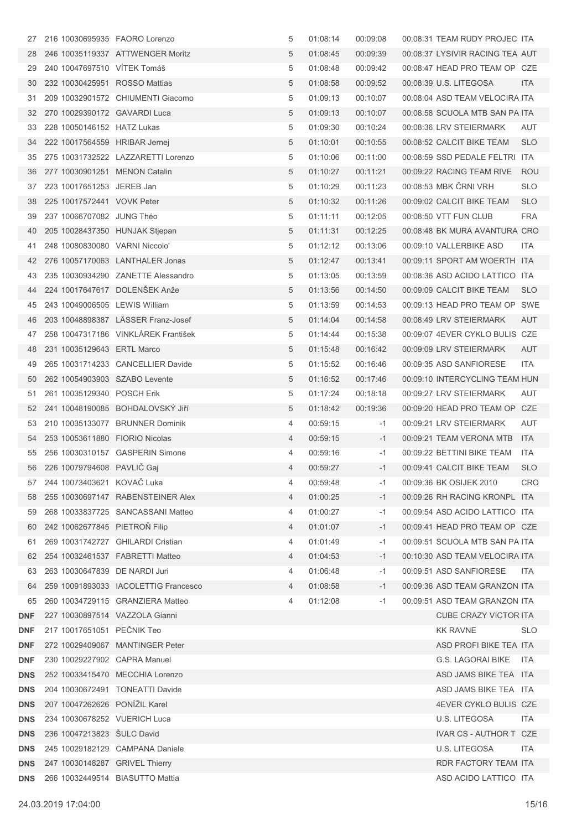| 27  |                               | 216 10030695935 FAORO Lorenzo        | 5 | 01:08:14 | 00:09:08 | 00:08:31 TEAM RUDY PROJEC ITA   |            |
|-----|-------------------------------|--------------------------------------|---|----------|----------|---------------------------------|------------|
| 28  |                               | 246 10035119337 ATTWENGER Moritz     | 5 | 01:08:45 | 00:09:39 | 00:08:37 LYSIVIR RACING TEA AUT |            |
| 29  |                               | 240 10047697510 VITEK Tomáš          | 5 | 01:08:48 | 00:09:42 | 00:08:47 HEAD PRO TEAM OP CZE   |            |
| 30  |                               | 232 10030425951 ROSSO Mattias        | 5 | 01:08:58 | 00:09:52 | 00:08:39 U.S. LITEGOSA          | <b>ITA</b> |
| 31  |                               | 209 10032901572 CHIUMENTI Giacomo    | 5 | 01:09:13 | 00:10:07 | 00:08:04 ASD TEAM VELOCIRA ITA  |            |
| 32  |                               | 270 10029390172 GAVARDI Luca         | 5 | 01:09:13 | 00:10:07 | 00:08:58 SCUOLA MTB SAN PA ITA  |            |
| 33  | 228 10050146152 HATZ Lukas    |                                      | 5 | 01:09:30 | 00:10:24 | 00:08:36 LRV STEIERMARK         | AUT        |
| 34  |                               | 222 10017564559 HRIBAR Jernej        | 5 | 01:10:01 | 00:10:55 | 00:08:52 CALCIT BIKE TEAM       | <b>SLO</b> |
| 35  |                               | 275 10031732522 LAZZARETTI Lorenzo   | 5 | 01:10:06 | 00:11:00 | 00:08:59 SSD PEDALE FELTRI ITA  |            |
| 36  |                               | 277 10030901251 MENON Catalin        | 5 | 01:10:27 | 00:11:21 | 00:09:22 RACING TEAM RIVE       | <b>ROU</b> |
| 37  | 223 10017651253 JEREB Jan     |                                      | 5 | 01:10:29 | 00:11:23 | 00:08:53 MBK ČRNI VRH           | <b>SLO</b> |
| 38  | 225 10017572441 VOVK Peter    |                                      | 5 | 01:10:32 | 00:11:26 | 00:09:02 CALCIT BIKE TEAM       | <b>SLO</b> |
| 39  | 237 10066707082 JUNG Théo     |                                      | 5 | 01:11:11 | 00:12:05 | 00:08:50 VTT FUN CLUB           | <b>FRA</b> |
| 40  |                               | 205 10028437350 HUNJAK Stjepan       | 5 | 01:11:31 | 00:12:25 | 00:08:48 BK MURA AVANTURA CRO   |            |
| 41  |                               | 248 10080830080 VARNI Niccolo'       | 5 | 01:12:12 | 00:13:06 | 00:09:10 VALLERBIKE ASD         | ITA.       |
| 42  |                               | 276 10057170063 LANTHALER Jonas      | 5 | 01:12:47 | 00:13:41 | 00:09:11 SPORT AM WOERTH ITA    |            |
| 43  |                               | 235 10030934290 ZANETTE Alessandro   | 5 | 01:13:05 | 00:13:59 | 00:08:36 ASD ACIDO LATTICO ITA  |            |
| 44  |                               | 224 10017647617 DOLENŠEK Anže        | 5 | 01:13:56 | 00:14:50 | 00:09:09 CALCIT BIKE TEAM       | <b>SLO</b> |
| 45  |                               | 243 10049006505 LEWIS William        | 5 | 01:13:59 | 00:14:53 | 00:09:13 HEAD PRO TEAM OP SWE   |            |
| 46  |                               | 203 10048898387 LÄSSER Franz-Josef   | 5 | 01:14:04 | 00:14:58 | 00:08:49 LRV STEIERMARK         | AUT        |
| 47  |                               | 258 10047317186 VINKLÁREK František  | 5 | 01:14:44 | 00:15:38 | 00:09:07 4EVER CYKLO BULIS CZE  |            |
| 48  | 231 10035129643 ERTL Marco    |                                      | 5 | 01:15:48 | 00:16:42 | 00:09:09 LRV STEIERMARK         | AUT        |
| 49  |                               | 265 10031714233 CANCELLIER Davide    | 5 | 01:15:52 | 00:16:46 | 00:09:35 ASD SANFIORESE         | ITA.       |
| 50  |                               | 262 10054903903 SZABO Levente        | 5 | 01:16:52 | 00:17:46 | 00:09:10 INTERCYCLING TEAM HUN  |            |
| 51  | 261 10035129340 POSCH Erik    |                                      | 5 | 01:17:24 | 00:18:18 | 00:09:27 LRV STEIERMARK         | AUT        |
| 52  |                               | 241 10048190085 BOHDALOVSKÝ JIří     | 5 | 01:18:42 | 00:19:36 | 00:09:20 HEAD PRO TEAM OP CZE   |            |
| 53  |                               | 210 10035133077 BRUNNER Dominik      | 4 | 00:59:15 | $-1$     | 00:09:21 LRV STEIERMARK         | AUT        |
| 54  |                               | 253 10053611880 FIORIO Nicolas       | 4 | 00:59:15 | $-1$     | 00:09:21 TEAM VERONA MTB        | <b>ITA</b> |
| 55  |                               | 256 10030310157 GASPERIN Simone      | 4 | 00:59:16 | $-1$     | 00:09:22 BETTINI BIKE TEAM ITA  |            |
|     | 56 226 10079794608 PAVLIČ Gaj |                                      | 4 | 00:59:27 | $-1$     | 00:09:41 CALCIT BIKE TEAM       | <b>SLO</b> |
| 57  | 244 10073403621 KOVAC Luka    |                                      | 4 | 00:59:48 | -1       | 00:09:36 BK OSIJEK 2010         | CRO        |
| 58  |                               | 255 10030697147 RABENSTEINER Alex    | 4 | 01:00:25 | $-1$     | 00:09:26 RH RACING KRONPL ITA   |            |
| 59  |                               | 268 10033837725 SANCASSANI Matteo    | 4 | 01:00:27 | -1       | 00:09:54 ASD ACIDO LATTICO ITA  |            |
| 60  |                               | 242 10062677845 PIETROŇ Filip        | 4 | 01:01:07 | $-1$     | 00:09:41 HEAD PRO TEAM OP CZE   |            |
| 61  |                               | 269 10031742727 GHILARDI Cristian    | 4 | 01:01:49 | -1       | 00:09:51 SCUOLA MTB SAN PA ITA  |            |
| 62  |                               | 254 10032461537 FABRETTI Matteo      | 4 | 01:04:53 | $-1$     | 00:10:30 ASD TEAM VELOCIRA ITA  |            |
| 63  |                               | 263 10030647839 DE NARDI Juri        | 4 | 01:06:48 | -1       | 00:09:51 ASD SANFIORESE         | - ITA      |
| 64  |                               | 259 10091893033 IACOLETTIG Francesco | 4 | 01:08:58 | $-1$     | 00:09:36 ASD TEAM GRANZON ITA   |            |
| 65  |                               | 260 10034729115 GRANZIERA Matteo     | 4 | 01:12:08 | -1       | 00:09:51 ASD TEAM GRANZON ITA   |            |
| DNF |                               | 227 10030897514 VAZZOLA Gianni       |   |          |          | CUBE CRAZY VICTOR ITA           |            |
| DNF | 217 10017651051 PEČNIK Teo    |                                      |   |          |          | <b>KK RAVNE</b>                 | <b>SLO</b> |
| DNF |                               | 272 10029409067 MANTINGER Peter      |   |          |          | ASD PROFI BIKE TEA ITA          |            |
| DNF |                               | 230 10029227902 CAPRA Manuel         |   |          |          | G.S. LAGORAI BIKE ITA           |            |
| DNS |                               | 252 10033415470 MECCHIA Lorenzo      |   |          |          | ASD JAMS BIKE TEA ITA           |            |
| DNS |                               | 204 10030672491 TONEATTI Davide      |   |          |          | ASD JAMS BIKE TEA ITA           |            |
| DNS |                               | 207 10047262626 PONÍŽIL Karel        |   |          |          | 4EVER CYKLO BULIS CZE           |            |
| DNS |                               | 234 10030678252 VUERICH Luca         |   |          |          | U.S. LITEGOSA                   | ITA.       |
| DNS | 236 10047213823 ŠULC David    |                                      |   |          |          | IVAR CS - AUTHOR T CZE          |            |
| DNS |                               | 245 10029182129 CAMPANA Daniele      |   |          |          | U.S. LITEGOSA                   | ITA.       |
| DNS |                               | 247 10030148287 GRIVEL Thierry       |   |          |          | RDR FACTORY TEAM ITA            |            |
| DNS |                               | 266 10032449514 BIASUTTO Mattia      |   |          |          | ASD ACIDO LATTICO ITA           |            |
|     |                               |                                      |   |          |          |                                 |            |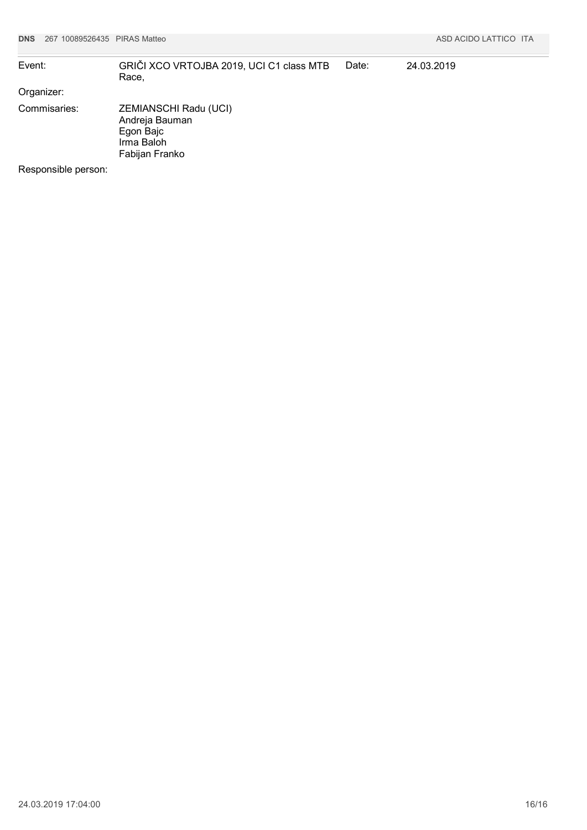| Event:              | GRIČI XCO VRTOJBA 2019, UCI C1 class MTB<br>Race,                                    | Date: | 24.03.2019 |
|---------------------|--------------------------------------------------------------------------------------|-------|------------|
| Organizer:          |                                                                                      |       |            |
| Commisaries:        | ZEMIANSCHI Radu (UCI)<br>Andreja Bauman<br>Egon Bajc<br>Irma Baloh<br>Fabijan Franko |       |            |
| Responsible person: |                                                                                      |       |            |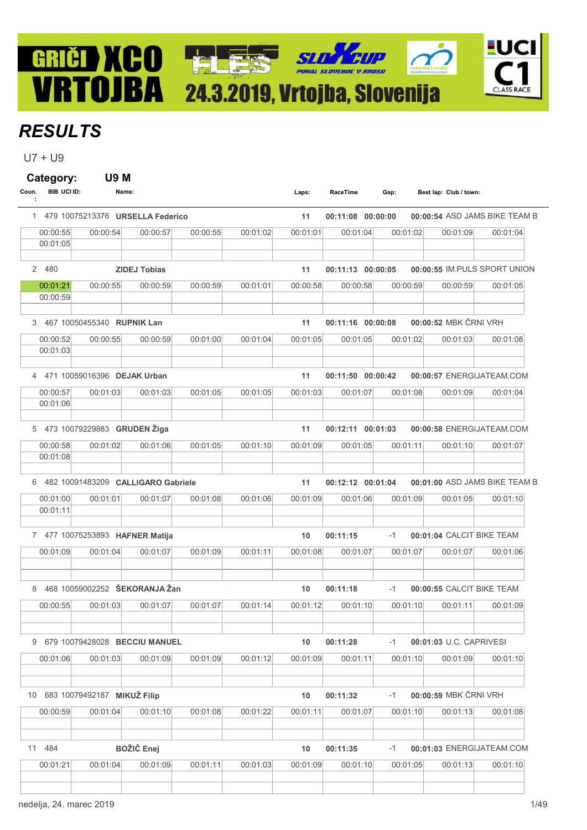# **HLES** 24.3.2019, Vrtojba, Slovenija

## **RESULTS**

GRIČI ) XCO

VRTOJBA

 $U7 + U9$ 

Category: U9 M Coun. BIB UCI ID: Name: Name: Coun. BIB UCI ID: Name: Cap: Coun. BIB UCI ID: : Best lap: Club / town: 1 479 10075213376 URSELLA Federico 11 00:11:08 00:00:00 00:00:54 ASD JAMS BIKE TEAM B  $\ket{00:00:55} \quad \quad 00:00:54 \quad \quad 00:00:57 \quad \quad 00:00:55 \quad \quad 00:01:02 \quad \quad 00:01:04 \quad \quad 00:01:02 \quad \quad 00:01:09 \quad \quad 00:01:04$ 00:01:05 2 480 ZIDEJ Tobias 11 00:11:13 00:00:55 00:00:05 IM.PULS SPORT UNION  $\, 00.01:21 \qquad \, 00:00:55 \qquad \, 00:00:59 \qquad \, 00:00:59 \qquad \, 00:01:01 \qquad \, 00:00:58 \qquad \, 00:00:59 \qquad \, 00:00:59 \qquad \, 00:01:05 \qquad \, 00:00:00 \qquad \, 0.01:05 \qquad \, 0.01:05 \qquad \, 0.01:05 \qquad \, 0.01:05 \qquad \, 0.01:05 \qquad \, 0.01:05 \qquad \,$ 00:00:59 3 467 10050455340 RUPNIK Lan 11 00:11:16 00:00:08 00:00:52 MBK ČRNI VRH 00:00:52 00:00:55 00:00:59 00:01:00 00:01:04 00:01:05 00:01:05 00:01:02 00:01:03 00:01:08 00:01:03 4 471 10059016396 DEJAK Urban 11 00:11:50 00:00:57 00:00:42 ENERGIJATEAM.COM 00:00:57 00:01:03 00:01:03 00:01:05 00:01:05 00:01:03 00:01:07 00:01:08 00:01:09 00:01:04 00:01:06 5 473 10079229883 GRUDEN Žiga 11 00:12:11 00:00:58 00:01:03 ENERGIJATEAM.COM 00:00:58 00:01:02 00:01:06 00:01:05 00:01:10 00:01:09 00:01:05 00:01:11 00:01:10 00:01:07 00:01:08 6 482 10091483209 CALLIGARO Gabriele 11 00:12:12 00:01:00 00:01:04 ASD JAMS BIKE TEAM B 00:01:00 00:01:01 00:01:07 00:01:08 00:01:06 00:01:09 00:01:06 00:01:09 00:01:05 00:01:10 00:01:11 7 477 10075253893 **HAFNER Matija** 10 10 10:11:15 -1 00:01:04 CALCIT BIKE TEAM 00:01:09 00:01:04 00:01:07 00:01:09 00:01:11 00:01:08 00:01:07 00:01:07 00:01:07 00:01:06 8 468 10059002252 ŠEKORANJA Žan 10 10 10:11:18 -1 00:00:55 CALCIT BIKE TEAM 00:00:55 00:01:03 00:01:07 00:01:07 00:01:14 00:01:12 00:01:10 00:01:10 00:01:11 00:01:09 9 679 10079428028 BECCIU MANUEL 10 00:11:28 -1 00:01:03 U.C. CAPRIVESI 00:01:06 00:01:03 00:01:09 00:01:09 00:01:12 00:01:09 00:01:11 00:01:10 00:01:09 00:01:10 10 683 10079492187 MIKUŽ Filip 10 00 00:11:32 -1 00:00:59 MBK ČRNI VRH 00:00:59 00:01:04 00:01:10 00:01:08 00:01:22 00:01:11 00:01:07 00:01:10 00:01:13 00:01:08 11 484 **BOŽIČ Enej 10 10:11:35 -1 00:01:03** ENERGIJATEAM.COM 00:01:21 00:01:04 00:01:09 00:01:11 00:01:03 00:01:09 00:01:10 00:01:05 00:01:13 00:01:10

-UC

**CLASS RACE**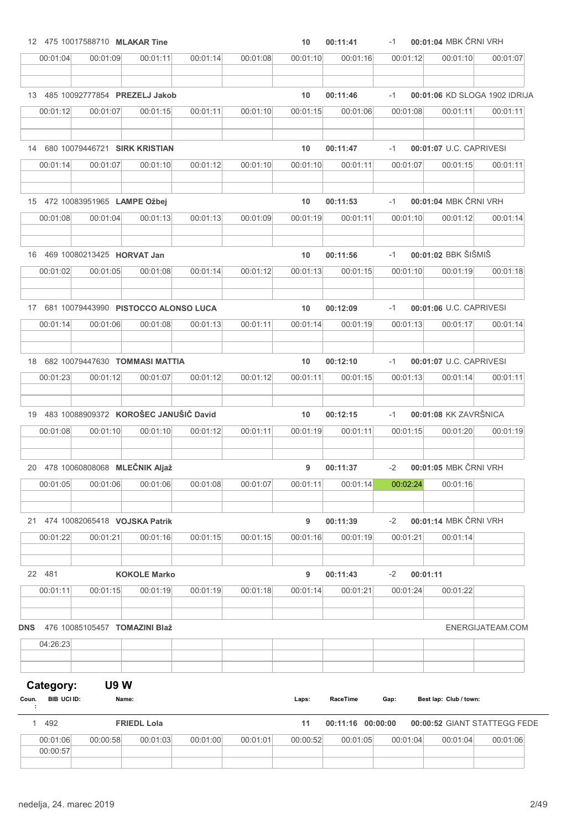|                           | 12 475 10017588710 MLAKAR Tine           |                     |          |          | 10       | 00:11:41          | $-1$     | 00:01:04 MBK ČRNI VRH         |                  |
|---------------------------|------------------------------------------|---------------------|----------|----------|----------|-------------------|----------|-------------------------------|------------------|
| 00:01:04                  | 00:01:09                                 | 00:01:11            | 00:01:14 | 00:01:08 | 00:01:10 | 00:01:16          | 00:01:12 | 00:01:10                      | 00:01:07         |
|                           | 13 485 10092777854 PREZELJ Jakob         |                     |          |          | 10       | 00:11:46          | $-1$     | 00:01:06 KD SLOGA 1902 IDRIJA |                  |
| 00:01:12                  |                                          |                     |          |          |          |                   | 00:01:08 |                               |                  |
|                           | 00:01:07                                 | 00:01:15            | 00:01:11 | 00:01:10 | 00:01:15 | 00:01:06          |          | 00:01:11                      | 00:01:11         |
|                           | 14 680 10079446721 SIRK KRISTIAN         |                     |          |          | 10       | 00:11:47          | $-1$     | 00:01:07 U.C. CAPRIVESI       |                  |
| 00:01:14                  | 00:01:07                                 | 00:01:10            | 00:01:12 | 00:01:10 | 00:01:10 | 00:01:11          | 00:01:07 | 00:01:15                      | 00:01:11         |
|                           | 15 472 10083951965 LAMPE Ožbej           |                     |          |          | 10       | 00:11:53          | $-1$     | 00:01:04 MBK ČRNI VRH         |                  |
| 00:01:08                  | 00:01:04                                 | 00:01:13            | 00:01:13 | 00:01:09 | 00:01:19 | 00:01:11          | 00:01:10 | 00:01:12                      | 00:01:14         |
|                           |                                          |                     |          |          |          |                   |          |                               |                  |
|                           | 16 469 10080213425 <b>HORVAT Jan</b>     |                     |          |          | 10       | 00:11:56          | $-1$     | 00:01:02 BBK ŠIŠMIŠ           |                  |
| 00:01:02                  | 00:01:05                                 | 00:01:08            | 00:01:14 | 00:01:12 | 00:01:13 | 00:01:15          | 00:01:10 | 00:01:19                      | 00:01:18         |
|                           | 17 681 10079443990 PISTOCCO ALONSO LUCA  |                     |          |          | 10       | 00:12:09          | $-1$     | 00:01:06 U.C. CAPRIVESI       |                  |
| 00:01:14                  | 00:01:06                                 | 00:01:08            | 00:01:13 | 00:01:11 | 00:01:14 | 00:01:19          | 00:01:13 | 00:01:17                      | 00:01:14         |
|                           |                                          |                     |          |          |          |                   |          |                               |                  |
|                           | 18 682 10079447630 TOMMASI MATTIA        |                     |          |          | 10       | 00:12:10          | $-1$     | 00:01:07 U.C. CAPRIVESI       |                  |
| 00:01:23                  | 00:01:12                                 | 00:01:07            | 00:01:12 | 00:01:12 | 00:01:11 | 00:01:15          | 00:01:13 | 00:01:14                      | 00:01:11         |
|                           | 19 483 10088909372 KOROŠEC JANUŠIČ David |                     |          |          | 10       | 00:12:15          | $-1$     | 00:01:08 KK ZAVRŠNICA         |                  |
| 00:01:08                  | 00:01:10                                 | 00:01:10            | 00:01:12 | 00:01:11 | 00:01:19 | 00:01:11          | 00:01:15 | 00:01:20                      | 00:01:19         |
|                           |                                          |                     |          |          |          |                   |          |                               |                  |
|                           | 20 478 10060808068 MLEČNIK Aljaž         |                     |          |          | 9        | 00:11:37          | $-2$     | 00:01:05 MBK ČRNI VRH         |                  |
| 00:01:05                  | 00:01:06                                 | 00:01:06            | 00:01:08 | 00:01:07 | 00:01:11 | 00:01:14          | 00:02:24 | 00:01:16                      |                  |
|                           | 21 474 10082065418 VOJSKA Patrik         |                     |          |          | 9        | 00:11:39          | $-2$     | 00:01:14 MBK ČRNI VRH         |                  |
| 00:01:22                  | 00:01:21                                 | 00:01:16            | 00:01:15 | 00:01:15 | 00:01:16 | 00:01:19          | 00:01:21 | 00:01:14                      |                  |
|                           |                                          |                     |          |          |          |                   |          |                               |                  |
| 22 481                    |                                          | <b>KOKOLE Marko</b> |          |          | 9        | 00:11:43          | $-2$     | 00:01:11                      |                  |
| 00:01:11                  | 00:01:15                                 | 00:01:19            | 00:01:19 | 00:01:18 | 00:01:14 | 00:01:21          | 00:01:24 | 00:01:22                      |                  |
| <b>DNS</b>                | 476 10085105457 TOMAZINI Blaž            |                     |          |          |          |                   |          |                               | ENERGIJATEAM.COM |
| 04:26:23                  |                                          |                     |          |          |          |                   |          |                               |                  |
| Category:                 | <b>U9W</b>                               |                     |          |          |          |                   |          |                               |                  |
| BIB UCI ID:<br>Coun.<br>÷ | Name:                                    |                     |          |          | Laps:    | RaceTime          | Gap:     | Best lap: Club / town:        |                  |
| 1 492                     |                                          | <b>FRIEDL Lola</b>  |          |          | 11       | 00:11:16 00:00:00 |          | 00:00:52 GIANT STATTEGG FEDE  |                  |
| 00:01:06                  | 00:00:58                                 | 00:01:03            | 00:01:00 | 00:01:01 | 00:00:52 | 00:01:05          | 00:01:04 | 00:01:04                      | 00:01:06         |
| 00:00:57                  |                                          |                     |          |          |          |                   |          |                               |                  |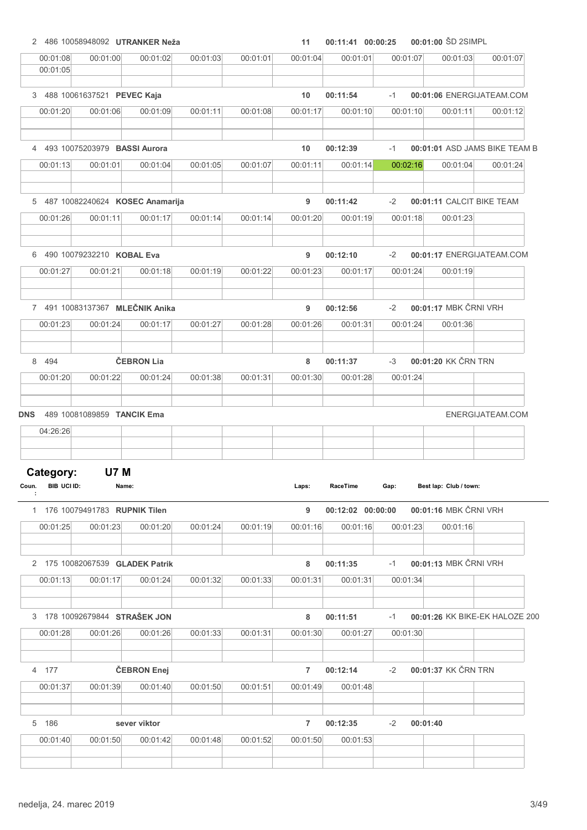|                                 |                                       | 2 486 10058948092 UTRANKER Neža |          |          | 11             | 00:11:41 00:00:25 |          |          | 00:01:00 ŠD 2SIMPL     |                                |
|---------------------------------|---------------------------------------|---------------------------------|----------|----------|----------------|-------------------|----------|----------|------------------------|--------------------------------|
| 00:01:08<br>00:01:05            | 00:01:00                              | 00:01:02                        | 00:01:03 | 00:01:01 | 00:01:04       | 00:01:01          | 00:01:07 |          | 00:01:03               | 00:01:07                       |
|                                 | 3 488 10061637521 PEVEC Kaja          |                                 |          |          | 10             | 00:11:54          | $-1$     |          |                        | 00:01:06 ENERGIJATEAM.COM      |
| 00:01:20                        | 00:01:06                              | 00:01:09                        | 00:01:11 | 00:01:08 | 00:01:17       | 00:01:10          | 00:01:10 |          | 00:01:11               | 00:01:12                       |
|                                 | 4 493 10075203979 <b>BASSI Aurora</b> |                                 |          |          | 10             | 00:12:39          | $-1$     |          |                        | 00:01:01 ASD JAMS BIKE TEAM B  |
| 00:01:13                        | 00:01:01                              | 00:01:04                        | 00:01:05 | 00:01:07 | 00:01:11       | 00:01:14          | 00:02:16 |          | 00:01:04               | 00:01:24                       |
|                                 | 5 487 10082240624 KOSEC Anamarija     |                                 |          |          | 9              | 00:11:42          | $-2$     |          |                        | 00:01:11 CALCIT BIKE TEAM      |
| 00:01:26                        | 00:01:11                              | 00:01:17                        | 00:01:14 | 00:01:14 | 00:01:20       | 00:01:19          | 00:01:18 |          | 00:01:23               |                                |
|                                 | 6 490 10079232210 KOBAL Eva           |                                 |          |          | 9              | 00:12:10          | $-2$     |          |                        | 00:01:17 ENERGIJATEAM.COM      |
| 00:01:27                        | 00:01:21                              | 00:01:18                        | 00:01:19 | 00:01:22 | 00:01:23       | 00:01:17          | 00:01:24 |          | 00:01:19               |                                |
|                                 | 7 491 10083137367 MLEČNIK Anika       |                                 |          |          | 9              | 00:12:56          | $-2$     |          | 00:01:17 MBK ČRNI VRH  |                                |
| 00:01:23                        | 00:01:24                              | 00:01:17                        | 00:01:27 | 00:01:28 | 00:01:26       | 00:01:31          | 00:01:24 |          | 00:01:36               |                                |
| 8 494                           |                                       | ČEBRON Lia                      |          |          | 8              | 00:11:37          | $-3$     |          | 00:01:20 KK ČRN TRN    |                                |
| 00:01:20                        | 00:01:22                              | 00:01:24                        | 00:01:38 | 00:01:31 | 00:01:30       | 00:01:28          | 00:01:24 |          |                        |                                |
|                                 |                                       |                                 |          |          |                |                   |          |          |                        |                                |
|                                 | 489 10081089859 TANCIK Ema            |                                 |          |          |                |                   |          |          |                        | ENERGIJATEAM.COM               |
| 04:26:26                        |                                       |                                 |          |          |                |                   |          |          |                        |                                |
|                                 |                                       |                                 |          |          |                |                   |          |          |                        |                                |
| Category:<br>BIB UCI ID:<br>÷   | <b>U7 M</b><br>Name:                  |                                 |          |          | Laps:          | RaceTime          | Gap:     |          | Best lap: Club / town: |                                |
|                                 | 1 176 10079491783 RUPNIK Tilen        |                                 |          |          | 9              | 00:12:02 00:00:00 |          |          | 00:01:16 MBK ČRNI VRH  |                                |
| <b>DNS</b><br>Coun.<br>00:01:25 | 00:01:23                              | 00:01:20                        | 00:01:24 | 00:01:19 | 00:01:16       | 00:01:16          |          | 00:01:23 | 00:01:16               |                                |
|                                 | 2 175 10082067539 GLADEK Patrik       |                                 |          |          | 8              | 00:11:35          | $-1$     |          | 00:01:13 MBK ČRNI VRH  |                                |
| 00:01:13                        | 00:01:17                              | 00:01:24                        | 00:01:32 | 00:01:33 | 00:01:31       | 00:01:31          | 00:01:34 |          |                        |                                |
|                                 | 3 178 10092679844 STRAŠEK JON         |                                 |          |          | 8              | 00:11:51          | $-1$     |          |                        | 00:01:26 KK BIKE-EK HALOZE 200 |
| 00:01:28                        | 00:01:26                              | 00:01:26                        | 00:01:33 | 00:01:31 | 00:01:30       | 00:01:27          | 00:01:30 |          |                        |                                |
| 4 177                           |                                       | ČEBRON Enej                     |          |          | 7              | 00:12:14          | $-2$     |          | 00:01:37 KK ČRN TRN    |                                |
| 00:01:37                        | 00:01:39                              | 00:01:40                        | 00:01:50 | 00:01:51 | 00:01:49       | 00:01:48          |          |          |                        |                                |
| 5 186                           |                                       | sever viktor                    |          |          | $\overline{7}$ | 00:12:35          | $-2$     | 00:01:40 |                        |                                |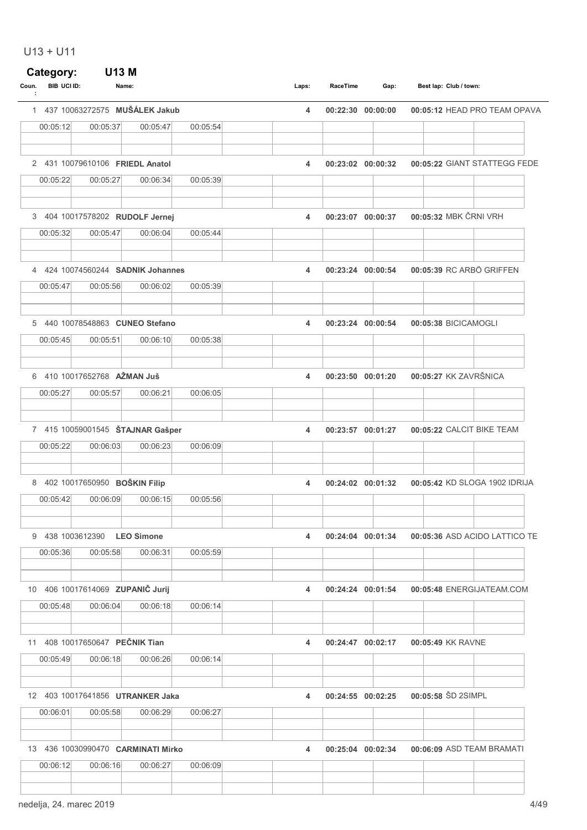## U13 + U11

| BIB UCI ID:<br>Coun. | Name:                              |          |          | Laps: | RaceTime | Gap:              | Best lap: Club / town:        |
|----------------------|------------------------------------|----------|----------|-------|----------|-------------------|-------------------------------|
|                      | 1 437 10063272575 MUŠÁLEK Jakub    |          |          | 4     |          | 00:22:30 00:00:00 | 00:05:12 HEAD PRO TEAM OPAVA  |
| 00:05:12             | 00:05:37                           | 00:05:47 | 00:05:54 |       |          |                   |                               |
|                      | 2 431 10079610106 FRIEDL Anatol    |          |          | 4     |          | 00:23:02 00:00:32 | 00:05:22 GIANT STATTEGG FEDE  |
| 00:05:22             | 00:05:27                           | 00:06:34 | 00:05:39 |       |          |                   |                               |
|                      | 3 404 10017578202 RUDOLF Jernej    |          |          | 4     |          | 00:23:07 00:00:37 | 00:05:32 MBK ČRNI VRH         |
| 00:05:32             | 00:05:47                           | 00:06:04 | 00:05:44 |       |          |                   |                               |
|                      | 4 424 10074560244 SADNIK Johannes  |          |          | 4     |          | 00:23:24 00:00:54 | 00:05:39 RC ARBÖ GRIFFEN      |
| 00:05:47             | 00:05:56                           | 00:06:02 | 00:05:39 |       |          |                   |                               |
|                      | 5 440 10078548863 CUNEO Stefano    |          |          | 4     |          | 00:23:24 00:00:54 | 00:05:38 BICICAMOGLI          |
| 00:05:45             | 00:05:51                           | 00:06:10 | 00:05:38 |       |          |                   |                               |
|                      | 6 410 10017652768 AŽMAN Juš        |          |          | 4     |          | 00:23:50 00:01:20 | 00:05:27 KK ZAVRŠNICA         |
| 00:05:27             | 00:05:57                           | 00:06:21 | 00:06:05 |       |          |                   |                               |
|                      | 7 415 10059001545 ŠTAJNAR Gašper   |          |          | 4     |          | 00:23:57 00:01:27 | 00:05:22 CALCIT BIKE TEAM     |
| 00:05:22             | 00:06:03                           | 00:06:23 | 00:06:09 |       |          |                   |                               |
|                      | 8 402 10017650950 BOŠKIN Filip     |          |          | 4     |          | 00:24:02 00:01:32 | 00:05:42 KD SLOGA 1902 IDRIJA |
| 00:05:42             | 00:06:09                           | 00:06:15 | 00:05:56 |       |          |                   |                               |
|                      | 9 438 1003612390 LEO Simone        |          |          | 4     |          | 00:24:04 00:01:34 | 00:05:36 ASD ACIDO LATTICO TE |
| 00:05:36             | 00:05:58                           | 00:06:31 | 00:05:59 |       |          |                   |                               |
|                      | 10 406 10017614069 ZUPANIČ Jurij   |          |          | 4     |          | 00:24:24 00:01:54 | 00:05:48 ENERGIJATEAM.COM     |
| 00:05:48             | 00:06:04                           | 00:06:18 | 00:06:14 |       |          |                   |                               |
|                      | 11 408 10017650647 PEČNIK Tian     |          |          | 4     |          | 00:24:47 00:02:17 | 00:05:49 KK RAVNE             |
| 00:05:49             | 00:06:18                           | 00:06:26 | 00:06:14 |       |          |                   |                               |
|                      | 12 403 10017641856 UTRANKER Jaka   |          |          | 4     |          | 00:24:55 00:02:25 | 00:05:58 SD 2SIMPL            |
| 00:06:01             | 00:05:58                           | 00:06:29 | 00:06:27 |       |          |                   |                               |
|                      | 13 436 10030990470 CARMINATI Mirko |          |          | 4     |          | 00:25:04 00:02:34 | 00:06:09 ASD TEAM BRAMATI     |
|                      |                                    |          |          |       |          |                   |                               |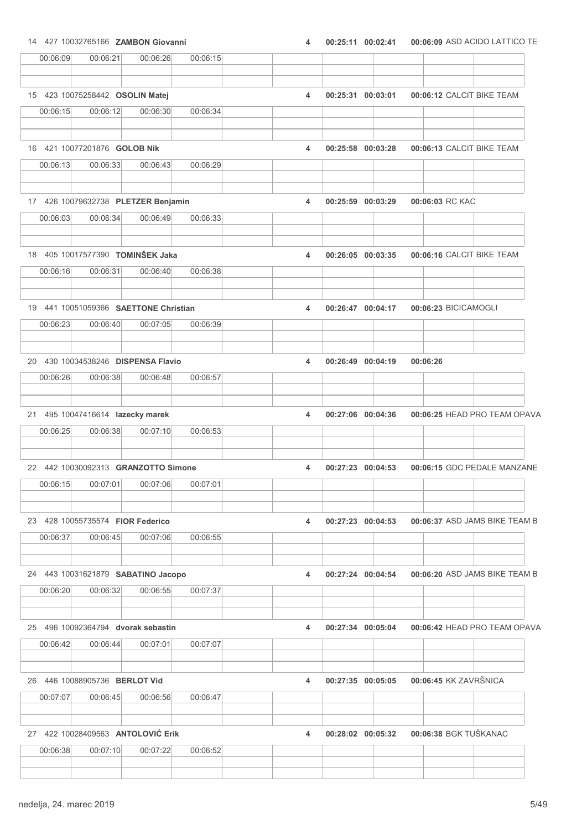14 427 10032765166 ZAMBON Giovanni 4 00:25:11 00:06:09 00:02:41 ASD ACIDO LATTICO TE

| 00:06:09                              | 00:06:21 | 00:06:26 | 00:06:15 |   |                   |                               |  |
|---------------------------------------|----------|----------|----------|---|-------------------|-------------------------------|--|
| 15 423 10075258442 OSOLIN Matej       |          |          |          | 4 | 00:25:31 00:03:01 | 00:06:12 CALCIT BIKE TEAM     |  |
| 00:06:15                              | 00:06:12 | 00:06:30 | 00:06:34 |   |                   |                               |  |
| 16 421 10077201876 GOLOB Nik          |          |          |          | 4 | 00:25:58 00:03:28 | 00:06:13 CALCIT BIKE TEAM     |  |
| 00:06:13                              | 00:06:33 | 00:06:43 | 00:06:29 |   |                   |                               |  |
| 17 426 10079632738 PLETZER Benjamin   |          |          |          | 4 | 00:25:59 00:03:29 | 00:06:03 RC KAC               |  |
| 00:06:03                              | 00:06:34 | 00:06:49 | 00:06:33 |   |                   |                               |  |
| 18 405 10017577390 TOMINŠEK Jaka      |          |          |          | 4 | 00:26:05 00:03:35 | 00:06:16 CALCIT BIKE TEAM     |  |
| 00:06:16                              | 00:06:31 | 00:06:40 | 00:06:38 |   |                   |                               |  |
| 19 441 10051059366 SAETTONE Christian |          |          |          | 4 | 00:26:47 00:04:17 | 00:06:23 BICICAMOGLI          |  |
| 00:06:23                              | 00:06:40 | 00:07:05 | 00:06:39 |   |                   |                               |  |
| 20 430 10034538246 DISPENSA Flavio    |          |          |          | 4 | 00:26:49 00:04:19 | 00:06:26                      |  |
| 00:06:26                              | 00:06:38 | 00:06:48 | 00:06:57 |   |                   |                               |  |
| 21 495 10047416614 lazecky marek      |          |          |          | 4 | 00:27:06 00:04:36 | 00:06:25 HEAD PRO TEAM OPAVA  |  |
| 00:06:25                              | 00:06:38 | 00:07:10 | 00:06:53 |   |                   |                               |  |
| 22 442 10030092313 GRANZOTTO Simone   |          |          |          | 4 | 00:27:23 00:04:53 | 00:06:15 GDC PEDALE MANZANE   |  |
| 00:06:15                              | 00:07:01 | 00:07:06 | 00:07:01 |   |                   |                               |  |
| 23 428 10055735574 FIOR Federico      |          |          |          | 4 | 00:27:23 00:04:53 | 00:06:37 ASD JAMS BIKE TEAM B |  |
| 00:06:37                              | 00:06:45 | 00:07:06 | 00:06:55 |   |                   |                               |  |
| 24 443 10031621879 SABATINO Jacopo    |          |          |          | 4 | 00:27:24 00:04:54 | 00:06:20 ASD JAMS BIKE TEAM B |  |
| 00:06:20                              | 00:06:32 | 00:06:55 | 00:07:37 |   |                   |                               |  |
| 25 496 10092364794 dvorak sebastin    |          |          |          | 4 | 00:27:34 00:05:04 | 00:06:42 HEAD PRO TEAM OPAVA  |  |
| 00:06:42                              | 00:06:44 | 00:07:01 | 00:07:07 |   |                   |                               |  |
| 26 446 10088905736 BERLOT Vid         |          |          |          | 4 | 00:27:35 00:05:05 | 00:06:45 KK ZAVRŠNICA         |  |
| 00:07:07                              | 00:06:45 | 00:06:56 | 00:06:47 |   |                   |                               |  |
| 27 422 10028409563 ANTOLOVIĆ Erik     |          |          |          | 4 | 00:28:02 00:05:32 | 00:06:38 BGK TUŠKANAC         |  |
| 00:06:38                              | 00:07:10 | 00:07:22 | 00:06:52 |   |                   |                               |  |
|                                       |          |          |          |   |                   |                               |  |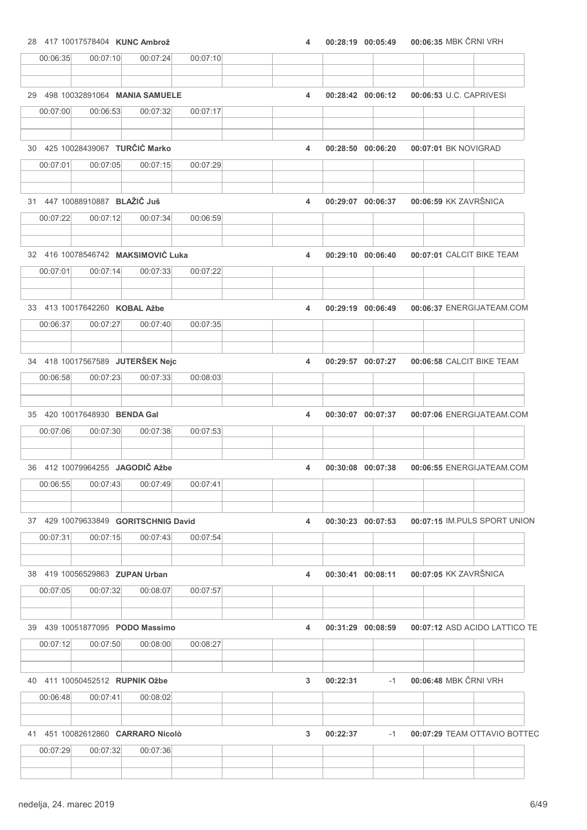28 417 10017578404 KUNC Ambrož **120 aproximation and 120 aproximation** 4 00:28:19 00:05:49 00:06:35 MBK ČRNI VRH

| 498 10032891064 MANIA SAMUELE<br>00:06:53 U.C. CAPRIVESI<br>29<br>4<br>00:28:42 00:06:12<br>00:06:53<br>00:07:17<br>00:07:00<br>00:07:32<br>30 425 10028439067 TURČIĆ Marko<br>00:07:01 BK NOVIGRAD<br>4<br>00:28:50 00:06:20<br>00:07:29<br>00:07:01<br>00:07:05<br>00:07:15<br>31 447 10088910887 BLAŽIČ Juš<br>00:06:59 KK ZAVRŠNICA<br>4<br>00:29:07 00:06:37<br>00:06:59<br>00:07:22<br>00:07:12<br>00:07:34<br>32 416 10078546742 MAKSIMOVIĆ Luka<br>00:07:01 CALCIT BIKE TEAM<br>4<br>00:29:10 00:06:40<br>00:07:22<br>00:07:01<br>00:07:14<br>00:07:33<br>33 413 10017642260 KOBAL Ažbe<br>00:06:37 ENERGIJATEAM.COM<br>4<br>00:29:19 00:06:49<br>00:07:35<br>00:06:37<br>00:07:27<br>00:07:40<br>34 418 10017567589 JUTERŠEK Nejc<br>00:06:58 CALCIT BIKE TEAM<br>4<br>00:29:57 00:07:27<br>00:06:58<br>00:07:23<br>00:07:33<br>00:08:03<br>35 420 10017648930 BENDA Gal<br>00:07:06 ENERGIJATEAM.COM<br>4<br>00:30:07 00:07:37<br>00:07:53<br>00:07:06<br>00:07:30<br>00:07:38<br>36 412 10079964255 JAGODIČ Ažbe<br>00:06:55 ENERGIJATEAM.COM<br>4<br>00:30:08 00:07:38<br>00:06:55<br>00:07:43<br>00:07:49<br>00:07:41<br>37 429 10079633849 <b>GORITSCHNIG David</b><br>$00:30:23$ $00:07:53$<br>00:07:15 IM PULS SPORT UNION<br>4<br>00:07:15<br>00:07:54<br>00:07:31<br>00:07:43<br>00:07:05 KK ZAVRŠNICA<br>38 419 10056529863 ZUPAN Urban<br>00:30:41 00:08:11<br>4<br>00:07:32<br>00:07:05<br>00:08:07<br>00:07:57<br>39 439 10051877095 PODO Massimo<br>00:31:29 00:08:59<br>00:07:12 ASD ACIDO LATTICO TE<br>4 |
|------------------------------------------------------------------------------------------------------------------------------------------------------------------------------------------------------------------------------------------------------------------------------------------------------------------------------------------------------------------------------------------------------------------------------------------------------------------------------------------------------------------------------------------------------------------------------------------------------------------------------------------------------------------------------------------------------------------------------------------------------------------------------------------------------------------------------------------------------------------------------------------------------------------------------------------------------------------------------------------------------------------------------------------------------------------------------------------------------------------------------------------------------------------------------------------------------------------------------------------------------------------------------------------------------------------------------------------------------------------------------------------------------------------------------------------------------------------------------------------------------------------------------------|
|                                                                                                                                                                                                                                                                                                                                                                                                                                                                                                                                                                                                                                                                                                                                                                                                                                                                                                                                                                                                                                                                                                                                                                                                                                                                                                                                                                                                                                                                                                                                    |
|                                                                                                                                                                                                                                                                                                                                                                                                                                                                                                                                                                                                                                                                                                                                                                                                                                                                                                                                                                                                                                                                                                                                                                                                                                                                                                                                                                                                                                                                                                                                    |
|                                                                                                                                                                                                                                                                                                                                                                                                                                                                                                                                                                                                                                                                                                                                                                                                                                                                                                                                                                                                                                                                                                                                                                                                                                                                                                                                                                                                                                                                                                                                    |
|                                                                                                                                                                                                                                                                                                                                                                                                                                                                                                                                                                                                                                                                                                                                                                                                                                                                                                                                                                                                                                                                                                                                                                                                                                                                                                                                                                                                                                                                                                                                    |
|                                                                                                                                                                                                                                                                                                                                                                                                                                                                                                                                                                                                                                                                                                                                                                                                                                                                                                                                                                                                                                                                                                                                                                                                                                                                                                                                                                                                                                                                                                                                    |
|                                                                                                                                                                                                                                                                                                                                                                                                                                                                                                                                                                                                                                                                                                                                                                                                                                                                                                                                                                                                                                                                                                                                                                                                                                                                                                                                                                                                                                                                                                                                    |
|                                                                                                                                                                                                                                                                                                                                                                                                                                                                                                                                                                                                                                                                                                                                                                                                                                                                                                                                                                                                                                                                                                                                                                                                                                                                                                                                                                                                                                                                                                                                    |
|                                                                                                                                                                                                                                                                                                                                                                                                                                                                                                                                                                                                                                                                                                                                                                                                                                                                                                                                                                                                                                                                                                                                                                                                                                                                                                                                                                                                                                                                                                                                    |
|                                                                                                                                                                                                                                                                                                                                                                                                                                                                                                                                                                                                                                                                                                                                                                                                                                                                                                                                                                                                                                                                                                                                                                                                                                                                                                                                                                                                                                                                                                                                    |
|                                                                                                                                                                                                                                                                                                                                                                                                                                                                                                                                                                                                                                                                                                                                                                                                                                                                                                                                                                                                                                                                                                                                                                                                                                                                                                                                                                                                                                                                                                                                    |
|                                                                                                                                                                                                                                                                                                                                                                                                                                                                                                                                                                                                                                                                                                                                                                                                                                                                                                                                                                                                                                                                                                                                                                                                                                                                                                                                                                                                                                                                                                                                    |
|                                                                                                                                                                                                                                                                                                                                                                                                                                                                                                                                                                                                                                                                                                                                                                                                                                                                                                                                                                                                                                                                                                                                                                                                                                                                                                                                                                                                                                                                                                                                    |
|                                                                                                                                                                                                                                                                                                                                                                                                                                                                                                                                                                                                                                                                                                                                                                                                                                                                                                                                                                                                                                                                                                                                                                                                                                                                                                                                                                                                                                                                                                                                    |
|                                                                                                                                                                                                                                                                                                                                                                                                                                                                                                                                                                                                                                                                                                                                                                                                                                                                                                                                                                                                                                                                                                                                                                                                                                                                                                                                                                                                                                                                                                                                    |
|                                                                                                                                                                                                                                                                                                                                                                                                                                                                                                                                                                                                                                                                                                                                                                                                                                                                                                                                                                                                                                                                                                                                                                                                                                                                                                                                                                                                                                                                                                                                    |
|                                                                                                                                                                                                                                                                                                                                                                                                                                                                                                                                                                                                                                                                                                                                                                                                                                                                                                                                                                                                                                                                                                                                                                                                                                                                                                                                                                                                                                                                                                                                    |
|                                                                                                                                                                                                                                                                                                                                                                                                                                                                                                                                                                                                                                                                                                                                                                                                                                                                                                                                                                                                                                                                                                                                                                                                                                                                                                                                                                                                                                                                                                                                    |
|                                                                                                                                                                                                                                                                                                                                                                                                                                                                                                                                                                                                                                                                                                                                                                                                                                                                                                                                                                                                                                                                                                                                                                                                                                                                                                                                                                                                                                                                                                                                    |
|                                                                                                                                                                                                                                                                                                                                                                                                                                                                                                                                                                                                                                                                                                                                                                                                                                                                                                                                                                                                                                                                                                                                                                                                                                                                                                                                                                                                                                                                                                                                    |
|                                                                                                                                                                                                                                                                                                                                                                                                                                                                                                                                                                                                                                                                                                                                                                                                                                                                                                                                                                                                                                                                                                                                                                                                                                                                                                                                                                                                                                                                                                                                    |
|                                                                                                                                                                                                                                                                                                                                                                                                                                                                                                                                                                                                                                                                                                                                                                                                                                                                                                                                                                                                                                                                                                                                                                                                                                                                                                                                                                                                                                                                                                                                    |
|                                                                                                                                                                                                                                                                                                                                                                                                                                                                                                                                                                                                                                                                                                                                                                                                                                                                                                                                                                                                                                                                                                                                                                                                                                                                                                                                                                                                                                                                                                                                    |
| 00:07:50<br>00:07:12<br>00:08:00<br>00:08:27                                                                                                                                                                                                                                                                                                                                                                                                                                                                                                                                                                                                                                                                                                                                                                                                                                                                                                                                                                                                                                                                                                                                                                                                                                                                                                                                                                                                                                                                                       |
| 00:06:48 MBK ČRNI VRH                                                                                                                                                                                                                                                                                                                                                                                                                                                                                                                                                                                                                                                                                                                                                                                                                                                                                                                                                                                                                                                                                                                                                                                                                                                                                                                                                                                                                                                                                                              |
| 40 411 10050452512 RUPNIK Ožbe<br>00:22:31<br>3<br>$-1$<br>00:06:48<br>00:07:41<br>00:08:02                                                                                                                                                                                                                                                                                                                                                                                                                                                                                                                                                                                                                                                                                                                                                                                                                                                                                                                                                                                                                                                                                                                                                                                                                                                                                                                                                                                                                                        |
|                                                                                                                                                                                                                                                                                                                                                                                                                                                                                                                                                                                                                                                                                                                                                                                                                                                                                                                                                                                                                                                                                                                                                                                                                                                                                                                                                                                                                                                                                                                                    |
| 41 451 10082612860 CARRARO Nicolò<br>00:22:37<br>00:07:29 TEAM OTTAVIO BOTTEC<br>3<br>$-1$                                                                                                                                                                                                                                                                                                                                                                                                                                                                                                                                                                                                                                                                                                                                                                                                                                                                                                                                                                                                                                                                                                                                                                                                                                                                                                                                                                                                                                         |
| 00:07:29<br>00:07:32<br>00:07:36                                                                                                                                                                                                                                                                                                                                                                                                                                                                                                                                                                                                                                                                                                                                                                                                                                                                                                                                                                                                                                                                                                                                                                                                                                                                                                                                                                                                                                                                                                   |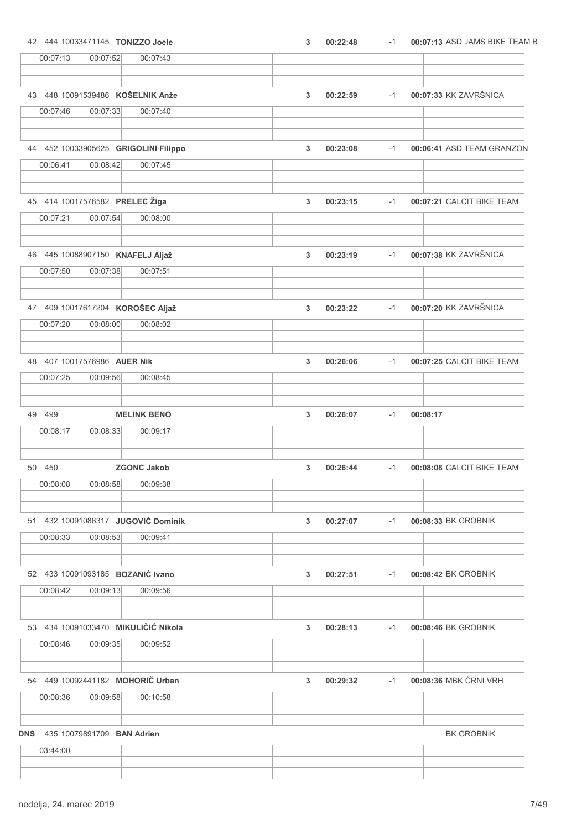| 00:07:13<br>00:07:52<br>00:07:43             |   |          |      |                           |
|----------------------------------------------|---|----------|------|---------------------------|
|                                              |   |          |      |                           |
| 43 448 10091539486 KOŠELNIK Anže             | 3 | 00:22:59 | $-1$ | 00:07:33 KK ZAVRŠNICA     |
| 00:07:46<br>00:07:33<br>00:07:40             |   |          |      |                           |
|                                              |   |          |      |                           |
| 44 452 10033905625 GRIGOLINI Filippo         | 3 | 00:23:08 | $-1$ | 00:06:41 ASD TEAM GRANZON |
| 00:06:41<br>00:08:42<br>00:07:45             |   |          |      |                           |
| 45 414 10017576582 PRELEC Žiga               | 3 | 00:23:15 | $-1$ | 00:07:21 CALCIT BIKE TEAM |
| 00:07:54<br>00:07:21<br>00:08:00             |   |          |      |                           |
| 46 445 10088907150 KNAFELJ Aljaž             | 3 | 00:23:19 | $-1$ | 00:07:38 KK ZAVRŠNICA     |
| 00:07:38<br>00:07:50<br>00:07:51             |   |          |      |                           |
| 47 409 10017617204 KOROŠEC Aljaž             | 3 | 00:23:22 | $-1$ | 00:07:20 KK ZAVRŠNICA     |
| 00:07:20<br>00:08:00<br>00:08:02             |   |          |      |                           |
| 48 407 10017576986 AUER Nik                  | 3 | 00:26:06 | $-1$ | 00:07:25 CALCIT BIKE TEAM |
| 00:07:25<br>00:09:56<br>00:08:45             |   |          |      |                           |
| 49 499<br><b>MELINK BENO</b>                 | 3 | 00:26:07 | $-1$ | 00:08:17                  |
| 00:08:17<br>00:08:33<br>00:09:17             |   |          |      |                           |
| 50 450<br><b>ZGONC Jakob</b>                 | 3 | 00:26:44 | $-1$ | 00:08:08 CALCIT BIKE TEAM |
| 00:08:08<br>00:08:58<br>00:09:38             |   |          |      |                           |
| 51 432 10091086317 JUGOVIĆ Dominik           | 3 | 00:27:07 | $-1$ | 00:08:33 BK GROBNIK       |
| 00:08:33<br>00:08:53<br>00:09:41             |   |          |      |                           |
| 52 433 10091093185 BOZANIĆ Ivano             | 3 | 00:27:51 | $-1$ | 00:08:42 BK GROBNIK       |
| 00:09:13<br>00:08:42<br>00:09:56             |   |          |      |                           |
| 53 434 10091033470 MIKULIČIĆ Nikola          | 3 | 00:28:13 | $-1$ | 00:08:46 BK GROBNIK       |
| 00:08:46<br>00:09:35<br>00:09:52             |   |          |      |                           |
| 54 449 10092441182 MOHORIČ Urban             | 3 | 00:29:32 | $-1$ | 00:08:36 MBK ČRNI VRH     |
| 00:08:36<br>00:09:58<br>00:10:58             |   |          |      |                           |
| <b>DNS</b> 435 10079891709 <b>BAN Adrien</b> |   |          |      | <b>BK GROBNIK</b>         |
| 03:44:00                                     |   |          |      |                           |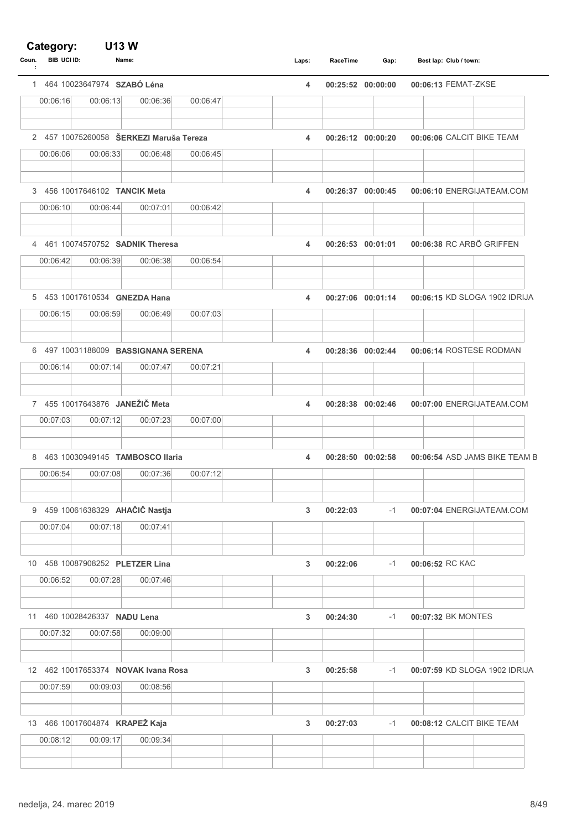### Category:

| <b>BIB UCI ID:</b><br>Coun.<br>÷ | Name:                                   |          |          | Laps: | RaceTime          | Gap:              |                 | Best lap: Club / town:        |
|----------------------------------|-----------------------------------------|----------|----------|-------|-------------------|-------------------|-----------------|-------------------------------|
|                                  | 1 464 10023647974 SZABÓ Léna            |          |          | 4     | 00:25:52 00:00:00 |                   |                 | 00:06:13 FEMAT-ZKSE           |
| 00:06:16                         | 00:06:13                                | 00:06:36 | 00:06:47 |       |                   |                   |                 |                               |
|                                  | 2 457 10075260058 ŠERKEZI Maruša Tereza |          |          | 4     | 00:26:12 00:00:20 |                   |                 | 00:06:06 CALCIT BIKE TEAM     |
| 00:06:06                         | 00:06:33                                | 00:06:48 | 00:06:45 |       |                   |                   |                 |                               |
|                                  | 3 456 10017646102 TANCIK Meta           |          |          | 4     | 00:26:37 00:00:45 |                   |                 | 00:06:10 ENERGIJATEAM.COM     |
| 00:06:10                         | 00:06:44                                | 00:07:01 | 00:06:42 |       |                   |                   |                 |                               |
|                                  | 4 461 10074570752 SADNIK Theresa        |          |          | 4     | 00:26:53 00:01:01 |                   |                 | 00:06:38 RC ARBÖ GRIFFEN      |
| 00:06:42                         | 00:06:39                                | 00:06:38 | 00:06:54 |       |                   |                   |                 |                               |
|                                  | 5 453 10017610534 GNEZDA Hana           |          |          | 4     |                   | 00:27:06 00:01:14 |                 | 00:06:15 KD SLOGA 1902 IDRIJA |
| 00:06:15                         | 00:06:59                                | 00:06:49 | 00:07:03 |       |                   |                   |                 |                               |
|                                  | 6 497 10031188009 BASSIGNANA SERENA     |          |          | 4     | 00:28:36 00:02:44 |                   |                 | 00:06:14 ROSTESE RODMAN       |
| 00:06:14                         | 00:07:14                                | 00:07:47 | 00:07:21 |       |                   |                   |                 |                               |
|                                  | 7 455 10017643876 JANEŽIČ Meta          |          |          | 4     | 00:28:38 00:02:46 |                   |                 | 00:07:00 ENERGIJATEAM.COM     |
| 00:07:03                         | 00:07:12                                | 00:07:23 | 00:07:00 |       |                   |                   |                 |                               |
|                                  | 8 463 10030949145 TAMBOSCO Ilaria       |          |          | 4     | 00:28:50 00:02:58 |                   |                 | 00:06:54 ASD JAMS BIKE TEAM B |
| 00:06:54                         | 00:07:08                                | 00:07:36 | 00:07:12 |       |                   |                   |                 |                               |
|                                  | 9 459 10061638329 AHAČIČ Nastja         |          |          | 3     | 00:22:03          | $-1$              |                 | 00:07:04 ENERGIJATEAM.COM     |
| 00:07:04                         | 00:07:18                                | 00:07:41 |          |       |                   |                   |                 |                               |
|                                  | 10 458 10087908252 PLETZER Lina         |          |          | 3     | 00:22:06          | $-1$              | 00:06:52 RC KAC |                               |
| 00:06:52                         | 00:07:28                                | 00:07:46 |          |       |                   |                   |                 |                               |
| 11                               | 460 10028426337 NADU Lena               |          |          | 3     | 00:24:30          | $-1$              |                 | 00:07:32 BK MONTES            |
| 00:07:32                         | 00:07:58                                | 00:09:00 |          |       |                   |                   |                 |                               |
|                                  | 12 462 10017653374 NOVAK Ivana Rosa     |          |          | 3     | 00:25:58          | $-1$              |                 | 00:07:59 KD SLOGA 1902 IDRIJA |
| 00:07:59                         | 00:09:03                                | 00:08:56 |          |       |                   |                   |                 |                               |
|                                  | 13 466 10017604874 KRAPEŽ Kaja          |          |          | 3     | 00:27:03          | $-1$              |                 | 00:08:12 CALCIT BIKE TEAM     |
| 00:08:12                         | 00:09:17                                | 00:09:34 |          |       |                   |                   |                 |                               |
|                                  |                                         |          |          |       |                   |                   |                 |                               |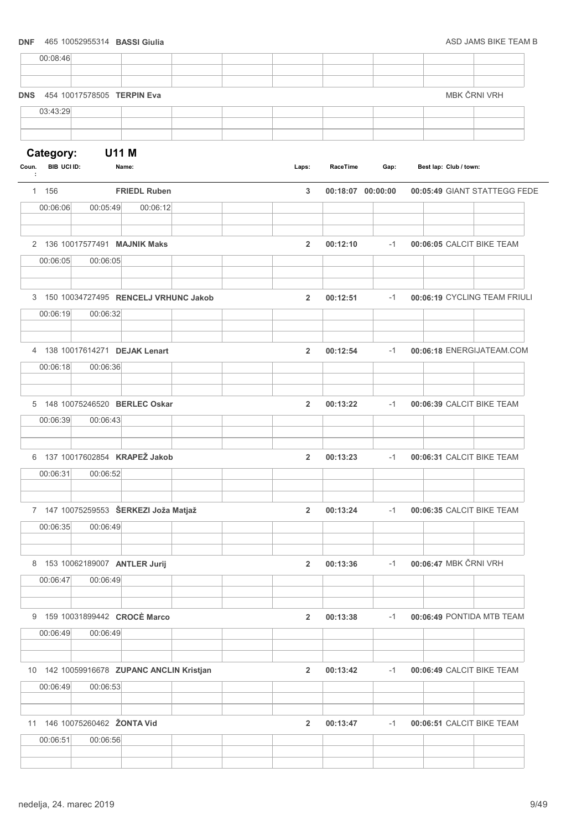# DNF 465 10052955314 BASSI Giulia ASD JAMS BIKE TEAM B 00:08:46 DNS 454 10017578505 TERPIN Eva MBK ČRNI VRH 03:43:29 Category: U11 M Coun. BIB UCI ID: Name: Club / town: Laps: RaceTime Gap: Best lap: : 1 156 FRIEDL Ruben 3 00:18:07 00:05:49 00:00:00 GIANT STATTEGG FEDE 00:06:06 00:05:49 00:06:12 2 136 10017577491 MAJNIK Maks 2 00:12:10 -1 00:06:05 CALCIT BIKE TEAM 00:06:05 00:06:05 3 150 10034727495 RENCELJ VRHUNC Jakob 2 00:12:51 00:06:19 -1 CYCLING TEAM FRIULI 00:06:19 00:06:32 4 138 10017614271 DEJAK Lenart 2 00:12:54 00:06:18 -1 ENERGIJATEAM.COM 00:06:18 00:06:36 5 148 10075246520 BERLEC Oskar 2 00:13:22 00:06:39 -1 CALCIT BIKE TEAM 00:06:39 00:06:43 6 137 10017602854 KRAPEŽ Jakob 2 00:13:23 00:06:31 -1 CALCIT BIKE TEAM 00:06:31 00:06:52 7 147 10075259553 ŠERKEZI Joža Matjaž 2 00:13:24 -1 00:06:35 CALCIT BIKE TEAM 00:06:35 00:06:49 8 153 10062189007 ANTLER Jurij 2 00:13:36 -1 00:06:47 MBK ČRNI VRH 00:06:47 00:06:49 9 159 10031899442 CROCÈ Marco 2 00:13:38 -1 00:06:49 PONTIDA MTB TEAM 00:06:49 00:06:49 10 142 10059916678 ZUPANC ANCLIN Kristjan 2 00:13:42 -1 00:06:49 CALCIT BIKE TEAM 00:06:49 00:06:53 11 146 10075260462 ŽONTA Vid 2 00:13:47 -1 00:06:51 CALCIT BIKE TEAM 00:06:51 00:06:56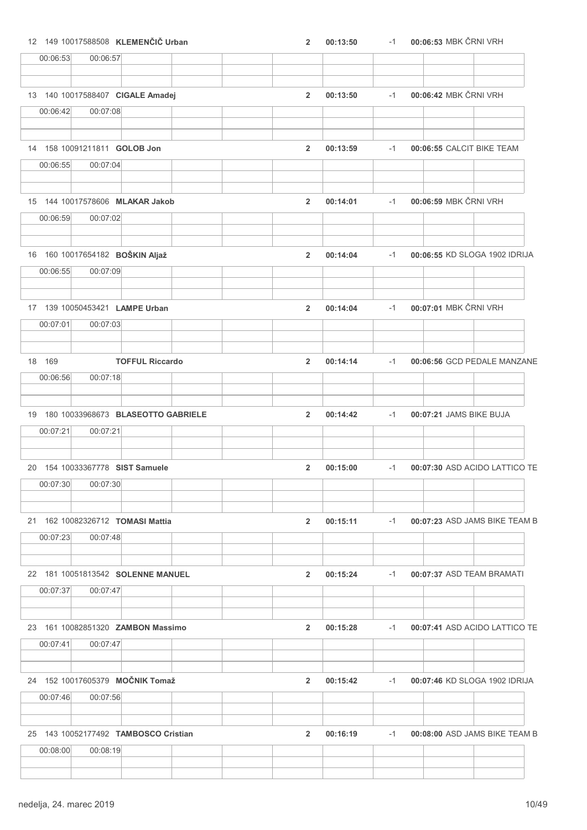|          | 12 149 10017588508 KLEMENČIČ Urban       |                        | $\overline{2}$ | 00:13:50 | $-1$ | 00:06:53 MBK ČRNI VRH         |
|----------|------------------------------------------|------------------------|----------------|----------|------|-------------------------------|
| 00:06:53 | 00:06:57                                 |                        |                |          |      |                               |
|          |                                          |                        |                |          |      |                               |
|          | 13 140 10017588407 CIGALE Amadej         |                        | $\overline{2}$ | 00:13:50 | $-1$ | 00:06:42 MBK ČRNI VRH         |
| 00:06:42 | 00:07:08                                 |                        |                |          |      |                               |
|          |                                          |                        |                |          |      |                               |
| 00:06:55 | 14 158 10091211811 GOLOB Jon<br>00:07:04 |                        | $\overline{2}$ | 00:13:59 | $-1$ | 00:06:55 CALCIT BIKE TEAM     |
|          |                                          |                        |                |          |      |                               |
|          | 15 144 10017578606 MLAKAR Jakob          |                        | $\overline{2}$ | 00:14:01 | $-1$ | 00:06:59 MBK ČRNI VRH         |
| 00:06:59 | 00:07:02                                 |                        |                |          |      |                               |
|          | 16 160 10017654182 BOŠKIN Aljaž          |                        | $\overline{2}$ | 00:14:04 | $-1$ | 00:06:55 KD SLOGA 1902 IDRIJA |
| 00:06:55 | 00:07:09                                 |                        |                |          |      |                               |
|          | 17 139 10050453421 LAMPE Urban           |                        | $\overline{2}$ | 00:14:04 | $-1$ | 00:07:01 MBK ČRNI VRH         |
| 00:07:01 | 00:07:03                                 |                        |                |          |      |                               |
| 18 169   |                                          | <b>TOFFUL Riccardo</b> | $\overline{2}$ | 00:14:14 | $-1$ | 00:06:56 GCD PEDALE MANZANE   |
| 00:06:56 | 00:07:18                                 |                        |                |          |      |                               |
|          | 19 180 10033968673 BLASEOTTO GABRIELE    |                        | $\overline{2}$ | 00:14:42 | $-1$ | 00:07:21 JAMS BIKE BUJA       |
| 00:07:21 | 00:07:21                                 |                        |                |          |      |                               |
|          | 20 154 10033367778 SIST Samuele          |                        | $\overline{2}$ | 00:15:00 | $-1$ | 00:07:30 ASD ACIDO LATTICO TE |
| 00:07:30 | 00:07:30                                 |                        |                |          |      |                               |
|          |                                          |                        |                |          |      |                               |
|          | 21 162 10082326712 TOMASI Mattia         |                        | $\overline{2}$ | 00:15:11 | $-1$ | 00:07:23 ASD JAMS BIKE TEAM B |
| 00:07:23 | 00:07:48                                 |                        |                |          |      |                               |
|          | 22 181 10051813542 SOLENNE MANUEL        |                        | $\overline{2}$ | 00:15:24 | $-1$ | 00:07:37 ASD TEAM BRAMATI     |
| 00:07:37 | 00:07:47                                 |                        |                |          |      |                               |
|          | 23 161 10082851320 ZAMBON Massimo        |                        | $\mathbf{2}$   | 00:15:28 | $-1$ | 00:07:41 ASD ACIDO LATTICO TE |
| 00:07:41 | 00:07:47                                 |                        |                |          |      |                               |
|          | 24 152 10017605379 MOČNIK Tomaž          |                        | $\overline{2}$ | 00:15:42 | $-1$ | 00:07:46 KD SLOGA 1902 IDRIJA |
| 00:07:46 | 00:07:56                                 |                        |                |          |      |                               |
|          | 25 143 10052177492 TAMBOSCO Cristian     |                        | $\overline{2}$ | 00:16:19 | $-1$ | 00:08:00 ASD JAMS BIKE TEAM B |
| 00:08:00 | 00:08:19                                 |                        |                |          |      |                               |
|          |                                          |                        |                |          |      |                               |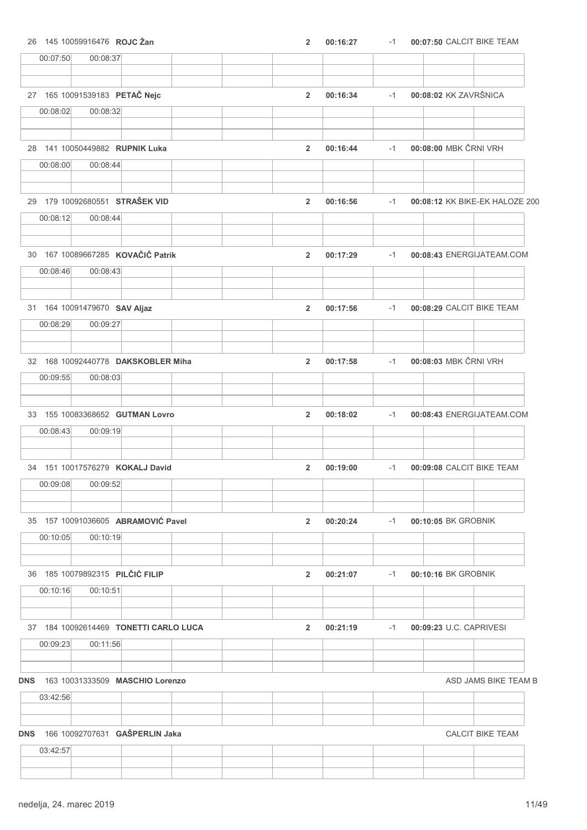| 26 145 10059916476 ROJC Žan                             | $\overline{2}$ | 00:16:27 | $-1$ | 00:07:50 CALCIT BIKE TEAM      |                         |
|---------------------------------------------------------|----------------|----------|------|--------------------------------|-------------------------|
| 00:08:37<br>00:07:50                                    |                |          |      |                                |                         |
| 27 165 10091539183 PETAČ Nejc                           | $\overline{2}$ | 00:16:34 | $-1$ | 00:08:02 KK ZAVRŠNICA          |                         |
| 00:08:02<br>00:08:32                                    |                |          |      |                                |                         |
|                                                         |                |          |      |                                |                         |
| 28 141 10050449882 RUPNIK Luka                          | $\overline{2}$ | 00:16:44 | $-1$ | 00:08:00 MBK ČRNI VRH          |                         |
| 00:08:44<br>00:08:00                                    |                |          |      |                                |                         |
| 29 179 10092680551 STRAŠEK VID                          | $\overline{2}$ | 00:16:56 | $-1$ | 00:08:12 KK BIKE-EK HALOZE 200 |                         |
| 00:08:12<br>00:08:44                                    |                |          |      |                                |                         |
| 30 167 10089667285 KOVAČIČ Patrik                       | $\overline{2}$ | 00:17:29 | $-1$ | 00:08:43 ENERGIJATEAM.COM      |                         |
| 00:08:43<br>00:08:46                                    |                |          |      |                                |                         |
| 31 164 10091479670 SAV Aljaz                            | $\overline{2}$ | 00:17:56 | $-1$ | 00:08:29 CALCIT BIKE TEAM      |                         |
| 00:08:29<br>00:09:27                                    |                |          |      |                                |                         |
| 32 168 10092440778 DAKSKOBLER Miha                      | $\overline{2}$ | 00:17:58 | $-1$ | 00:08:03 MBK ČRNI VRH          |                         |
| 00:08:03<br>00:09:55                                    |                |          |      |                                |                         |
|                                                         |                |          |      |                                |                         |
| 33 155 10083368652 GUTMAN Lovro<br>00:08:43<br>00:09:19 | $\overline{2}$ | 00:18:02 | $-1$ | 00:08:43 ENERGIJATEAM.COM      |                         |
|                                                         |                |          |      |                                |                         |
| 34 151 10017576279 KOKALJ David                         | $\overline{2}$ | 00:19:00 | $-1$ | 00:09:08 CALCIT BIKE TEAM      |                         |
| 00:09:08<br>00:09:52                                    |                |          |      |                                |                         |
| 35 157 10091036605 ABRAMOVIĆ Pavel                      | $\overline{2}$ | 00:20:24 | $-1$ | 00:10:05 BK GROBNIK            |                         |
| 00:10:05<br>00:10:19                                    |                |          |      |                                |                         |
|                                                         |                |          |      |                                |                         |
| 36 185 10079892315 PILČIĆ FILIP                         | $\overline{2}$ | 00:21:07 | $-1$ | 00:10:16 BK GROBNIK            |                         |
| 00:10:16<br>00:10:51                                    |                |          |      |                                |                         |
| 37 184 10092614469 TONETTI CARLO LUCA                   | $\overline{2}$ | 00:21:19 | $-1$ | 00:09:23 U.C. CAPRIVESI        |                         |
| 00:09:23<br>00:11:56                                    |                |          |      |                                |                         |
| 163 10031333509 MASCHIO Lorenzo<br><b>DNS</b>           |                |          |      |                                | ASD JAMS BIKE TEAM B    |
| 03:42:56                                                |                |          |      |                                |                         |
|                                                         |                |          |      |                                |                         |
| 166 10092707631 GAŠPERLIN Jaka<br><b>DNS</b>            |                |          |      |                                | <b>CALCIT BIKE TEAM</b> |
| 03:42:57                                                |                |          |      |                                |                         |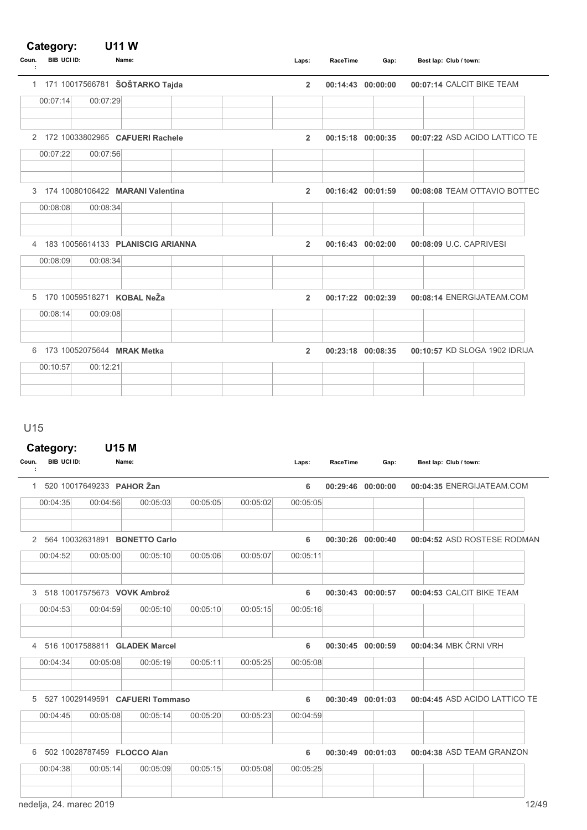### Category: U11 W

| Coun.<br>÷ | <b>BIB UCI ID:</b> |          | Name:                               | Laps:          | RaceTime | Gap:              | Best lap: Club / town:        |
|------------|--------------------|----------|-------------------------------------|----------------|----------|-------------------|-------------------------------|
|            |                    |          | 1 171 10017566781 ŠOŠTARKO Tajda    | $\overline{2}$ |          | 00:14:43 00:00:00 | 00:07:14 CALCIT BIKE TEAM     |
|            | 00:07:14           | 00:07:29 |                                     |                |          |                   |                               |
|            |                    |          |                                     |                |          |                   |                               |
|            |                    |          | 2 172 10033802965 CAFUERI Rachele   | $\overline{2}$ |          | 00:15:18 00:00:35 | 00:07:22 ASD ACIDO LATTICO TE |
|            | 00:07:22           | 00:07:56 |                                     |                |          |                   |                               |
|            |                    |          | 3 174 10080106422 MARANI Valentina  | $\overline{2}$ |          | 00:16:42 00:01:59 | 00:08:08 TEAM OTTAVIO BOTTEC  |
|            | 00:08:08           | 00:08:34 |                                     |                |          |                   |                               |
|            | 00:08:09           | 00:08:34 | 4 183 10056614133 PLANISCIG ARIANNA | $\overline{2}$ |          | 00:16:43 00:02:00 | 00:08:09 U.C. CAPRIVESI       |
|            |                    |          | 5 170 10059518271 KOBAL NeŽa        | $\overline{2}$ |          | 00:17:22 00:02:39 | 00:08:14 ENERGIJATEAM.COM     |
|            | 00:08:14           | 00:09:08 |                                     |                |          |                   |                               |
|            |                    |          | 6 173 10052075644 MRAK Metka        | $\overline{2}$ |          | 00:23:18 00:08:35 | 00:10:57 KD SLOGA 1902 IDRIJA |
|            | 00:10:57           | 00:12:21 |                                     |                |          |                   |                               |
|            |                    |          |                                     |                |          |                   |                               |

U15

## Category: U15 M

| Coun. | <b>BIB UCI ID:</b>      | Name:                           |                                 |          |          | Laps:    | <b>RaceTime</b> | Gap:              | Best lap: Club / town:        |       |
|-------|-------------------------|---------------------------------|---------------------------------|----------|----------|----------|-----------------|-------------------|-------------------------------|-------|
| 1     |                         | 520 10017649233 PAHOR Žan       |                                 |          |          | 6        |                 | 00:29:46 00:00:00 | 00:04:35 ENERGIJATEAM.COM     |       |
|       | 00:04:35                | 00:04:56                        | 00:05:03                        | 00:05:05 | 00:05:02 | 00:05:05 |                 |                   |                               |       |
| 2     |                         | 564 10032631891 BONETTO Carlo   |                                 |          |          | 6        | 00:30:26        | 00:00:40          | 00:04:52 ASD ROSTESE RODMAN   |       |
|       | 00:04:52                | 00:05:00                        | 00:05:10                        | 00:05:06 | 00:05:07 | 00:05:11 |                 |                   |                               |       |
| 3     |                         | 518 10017575673 VOVK Ambrož     |                                 |          |          | 6        | 00:30:43        | 00:00:57          | 00:04:53 CALCIT BIKE TEAM     |       |
|       | 00:04:53                | 00:04:59                        | 00:05:10                        | 00:05:10 | 00:05:15 | 00:05:16 |                 |                   |                               |       |
|       |                         | 4 516 10017588811 GLADEK Marcel |                                 |          |          | 6        |                 | 00:30:45 00:00:59 | 00:04:34 MBK ČRNI VRH         |       |
|       | 00:04:34                | 00:05:08                        | 00:05:19                        | 00:05:11 | 00:05:25 | 00:05:08 |                 |                   |                               |       |
| 5     |                         |                                 | 527 10029149591 CAFUERI Tommaso |          |          | 6        | 00:30:49        | 00:01:03          | 00:04:45 ASD ACIDO LATTICO TE |       |
|       | 00:04:45                | 00:05:08                        | 00:05:14                        | 00:05:20 | 00:05:23 | 00:04:59 |                 |                   |                               |       |
| 6     |                         | 502 10028787459 FLOCCO Alan     |                                 |          |          | 6        | 00:30:49        | 00:01:03          | 00:04:38 ASD TEAM GRANZON     |       |
|       | 00:04:38                | 00:05:14                        | 00:05:09                        | 00:05:15 | 00:05:08 | 00:05:25 |                 |                   |                               |       |
|       | nedelja, 24. marec 2019 |                                 |                                 |          |          |          |                 |                   |                               | 12/49 |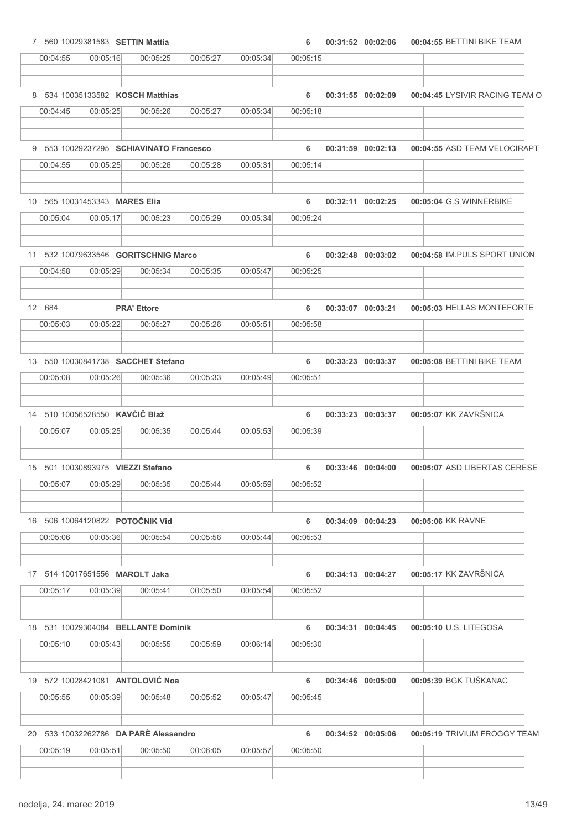|          | 7 560 10029381583 SETTIN Mattia         |                    |          |          | 6        | 00:31:52 00:02:06 |                   | 00:04:55 BETTINI BIKE TEAM     |
|----------|-----------------------------------------|--------------------|----------|----------|----------|-------------------|-------------------|--------------------------------|
| 00:04:55 | 00:05:16                                | 00:05:25           | 00:05:27 | 00:05:34 | 00:05:15 |                   |                   |                                |
|          |                                         |                    |          |          |          |                   |                   |                                |
|          | 8 534 10035133582 KOSCH Matthias        |                    |          |          | 6        | 00:31:55 00:02:09 |                   | 00:04:45 LYSIVIR RACING TEAM O |
| 00:04:45 | 00:05:25                                | 00:05:26           | 00:05:27 | 00:05:34 | 00:05:18 |                   |                   |                                |
|          | 9 553 10029237295 SCHIAVINATO Francesco |                    |          |          | 6        |                   | 00:31:59 00:02:13 | 00:04:55 ASD TEAM VELOCIRAPT   |
| 00:04:55 | 00:05:25                                | 00:05:26           | 00:05:28 | 00:05:31 | 00:05:14 |                   |                   |                                |
|          |                                         |                    |          |          |          |                   |                   |                                |
|          | 10 565 10031453343 MARES Elia           |                    |          |          | 6        |                   | 00:32:11 00:02:25 | 00:05:04 G.S WINNERBIKE        |
| 00:05:04 | 00:05:17                                | 00:05:23           | 00:05:29 | 00:05:34 | 00:05:24 |                   |                   |                                |
|          |                                         |                    |          |          |          |                   |                   |                                |
|          | 11 532 10079633546 GORITSCHNIG Marco    |                    |          |          | 6        |                   | 00:32:48 00:03:02 | 00:04:58 IM.PULS SPORT UNION   |
| 00:04:58 | 00:05:29                                | 00:05:34           | 00:05:35 | 00:05:47 | 00:05:25 |                   |                   |                                |
| 12 684   |                                         | <b>PRA' Ettore</b> |          |          | 6        | 00:33:07 00:03:21 |                   | 00:05:03 HELLAS MONTEFORTE     |
| 00:05:03 | 00:05:22                                | 00:05:27           | 00:05:26 | 00:05:51 | 00:05:58 |                   |                   |                                |
|          |                                         |                    |          |          |          |                   |                   |                                |
|          | 13 550 10030841738 SACCHET Stefano      |                    |          |          | 6        |                   | 00:33:23 00:03:37 | 00:05:08 BETTINI BIKE TEAM     |
| 00:05:08 | 00:05:26                                | 00:05:36           | 00:05:33 | 00:05:49 | 00:05:51 |                   |                   |                                |
|          |                                         |                    |          |          |          |                   |                   |                                |
|          | 14 510 10056528550 KAVČIČ Blaž          |                    |          |          | 6        | 00:33:23 00:03:37 |                   | 00:05:07 KK ZAVRŠNICA          |
| 00:05:07 | 00:05:25                                | 00:05:35           | 00:05:44 | 00:05:53 | 00:05:39 |                   |                   |                                |
|          |                                         |                    |          |          |          |                   |                   |                                |
|          | 15 501 10030893975 VIEZZI Stefano       |                    |          |          | 6        | 00:33:46 00:04:00 |                   | 00:05:07 ASD LIBERTAS CERESE   |
| 00:05:07 | 00:05:29                                | 00:05:35           | 00:05:44 | 00:05:59 | 00:05:52 |                   |                   |                                |
|          |                                         |                    |          |          |          |                   |                   |                                |
|          | 16 506 10064120822 POTOČNIK Vid         |                    |          |          | 6        |                   | 00:34:09 00:04:23 | 00:05:06 KK RAVNE              |
| 00:05:06 | 00:05:36                                | 00:05:54           | 00:05:56 | 00:05:44 | 00:05:53 |                   |                   |                                |
|          |                                         |                    |          |          |          |                   |                   |                                |
|          | 17 514 10017651556 MAROLT Jaka          |                    |          |          | 6        |                   | 00:34:13 00:04:27 | 00:05:17 KK ZAVRŠNICA          |
| 00:05:17 | 00:05:39                                | 00:05:41           | 00:05:50 | 00:05:54 | 00:05:52 |                   |                   |                                |
|          |                                         |                    |          |          |          |                   |                   |                                |
|          | 18 531 10029304084 BELLANTE Dominik     |                    |          |          | 6        |                   | 00:34:31 00:04:45 | 00:05:10 U.S. LITEGOSA         |
|          |                                         | 00:05:55           | 00:05:59 | 00:06:14 | 00:05:30 |                   |                   |                                |
| 00:05:10 | 00:05:43                                |                    |          |          |          |                   |                   |                                |
|          |                                         |                    |          |          |          |                   |                   |                                |
|          | 19 572 10028421081 ANTOLOVIĆ Noa        |                    |          |          | 6        |                   | 00:34:46 00:05:00 | 00:05:39 BGK TUŠKANAC          |
| 00:05:55 | 00:05:39                                | 00:05:48           | 00:05:52 | 00:05:47 | 00:05:45 |                   |                   |                                |
|          |                                         |                    |          |          |          |                   |                   |                                |
|          | 20 533 10032262786 DA PARÈ Alessandro   |                    |          |          | 6        |                   | 00:34:52 00:05:06 | 00:05:19 TRIVIUM FROGGY TEAM   |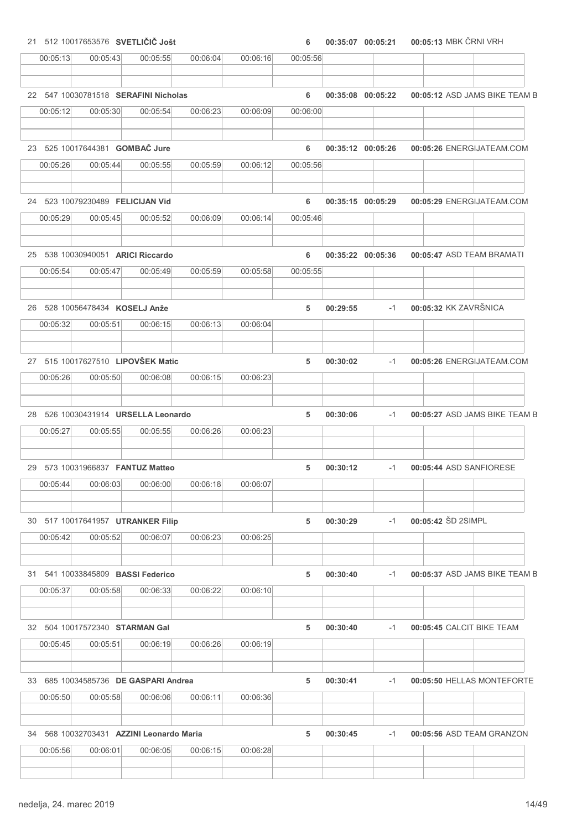21 512 10017653576 SVETLIČIČ Jošt 6 00:35:07 00:05:13 00:05:21 MBK ČRNI VRH

| 00:05:13 | 00:05:43                                             | 00:05:55 | 00:06:04 | 00:06:16 | 00:05:56 |          |                   |                    |                               |
|----------|------------------------------------------------------|----------|----------|----------|----------|----------|-------------------|--------------------|-------------------------------|
|          |                                                      |          |          |          |          |          |                   |                    |                               |
|          | 22 547 10030781518 SERAFINI Nicholas                 |          |          |          | 6        |          | 00:35:08 00:05:22 |                    | 00:05:12 ASD JAMS BIKE TEAM B |
| 00:05:12 | 00:05:30                                             | 00:05:54 | 00:06:23 | 00:06:09 | 00:06:00 |          |                   |                    |                               |
|          |                                                      |          |          |          |          |          |                   |                    |                               |
|          | 23 525 10017644381 GOMBAČ Jure                       |          |          |          | 6        |          | 00:35:12 00:05:26 |                    | 00:05:26 ENERGIJATEAM.COM     |
| 00:05:26 | 00:05:44                                             | 00:05:55 | 00:05:59 | 00:06:12 | 00:05:56 |          |                   |                    |                               |
|          | 24 523 10079230489 FELICIJAN Vid                     |          |          |          | 6        |          | 00:35:15 00:05:29 |                    | 00:05:29 ENERGIJATEAM.COM     |
| 00:05:29 | 00:05:45                                             | 00:05:52 | 00:06:09 | 00:06:14 | 00:05:46 |          |                   |                    |                               |
|          |                                                      |          |          |          |          |          |                   |                    |                               |
|          | 25 538 10030940051 ARICI Riccardo                    |          |          |          | 6        |          | 00:35:22 00:05:36 |                    | 00:05:47 ASD TEAM BRAMATI     |
| 00:05:54 | 00:05:47                                             | 00:05:49 | 00:05:59 | 00:05:58 | 00:05:55 |          |                   |                    |                               |
|          | 26 528 10056478434 KOSELJ Anže                       |          |          |          | 5        | 00:29:55 | $-1$              |                    | 00:05:32 KK ZAVRŠNICA         |
| 00:05:32 | 00:05:51                                             | 00:06:15 | 00:06:13 | 00:06:04 |          |          |                   |                    |                               |
|          |                                                      |          |          |          |          |          |                   |                    |                               |
|          | 27 515 10017627510 LIPOVŠEK Matic                    |          |          |          | 5        | 00:30:02 | $-1$              |                    | 00:05:26 ENERGIJATEAM.COM     |
| 00:05:26 | 00:05:50                                             | 00:06:08 | 00:06:15 | 00:06:23 |          |          |                   |                    |                               |
|          |                                                      |          |          |          |          |          |                   |                    |                               |
|          | 28 526 10030431914 URSELLA Leonardo                  |          |          |          | 5        | 00:30:06 | $-1$              |                    | 00:05:27 ASD JAMS BIKE TEAM B |
| 00:05:27 | 00:05:55                                             | 00:05:55 | 00:06:26 | 00:06:23 |          |          |                   |                    |                               |
|          |                                                      |          |          |          |          |          |                   |                    |                               |
|          | 29 573 10031966837 FANTUZ Matteo                     |          |          |          | 5        | 00:30:12 | $-1$              |                    | 00:05:44 ASD SANFIORESE       |
| 00:05:44 | 00:06:03                                             | 00:06:00 | 00:06:18 | 00:06:07 |          |          |                   |                    |                               |
|          | 30 517 10017641957 UTRANKER Filip                    |          |          |          | 5        | 00:30:29 | $-1$              | 00:05:42 SD 2SIMPL |                               |
| 00:05:42 | 00:05:52                                             | 00:06:07 | 00:06:23 | 00:06:25 |          |          |                   |                    |                               |
|          |                                                      |          |          |          |          |          |                   |                    |                               |
|          | 31 541 10033845809 BASSI Federico                    |          |          |          | 5        | 00:30:40 | $-1$              |                    | 00:05:37 ASD JAMS BIKE TEAM B |
| 00:05:37 | 00:05:58                                             | 00:06:33 | 00:06:22 | 00:06:10 |          |          |                   |                    |                               |
|          |                                                      |          |          |          |          |          |                   |                    |                               |
|          | 32 504 10017572340 STARMAN Gal                       |          |          |          | 5        | 00:30:40 | $-1$              |                    | 00:05:45 CALCIT BIKE TEAM     |
| 00:05:45 | 00:05:51                                             | 00:06:19 | 00:06:26 | 00:06:19 |          |          |                   |                    |                               |
|          | 33 685 10034585736 DE GASPARI Andrea                 |          |          |          | 5        | 00:30:41 | $-1$              |                    | 00:05:50 HELLAS MONTEFORTE    |
| 00:05:50 | 00:05:58                                             | 00:06:06 | 00:06:11 | 00:06:36 |          |          |                   |                    |                               |
|          |                                                      |          |          |          |          |          |                   |                    |                               |
| 00:05:56 | 34 568 10032703431 AZZINI Leonardo Maria<br>00:06:01 | 00:06:05 | 00:06:15 | 00:06:28 | 5        | 00:30:45 | $-1$              |                    | 00:05:56 ASD TEAM GRANZON     |
|          |                                                      |          |          |          |          |          |                   |                    |                               |
|          |                                                      |          |          |          |          |          |                   |                    |                               |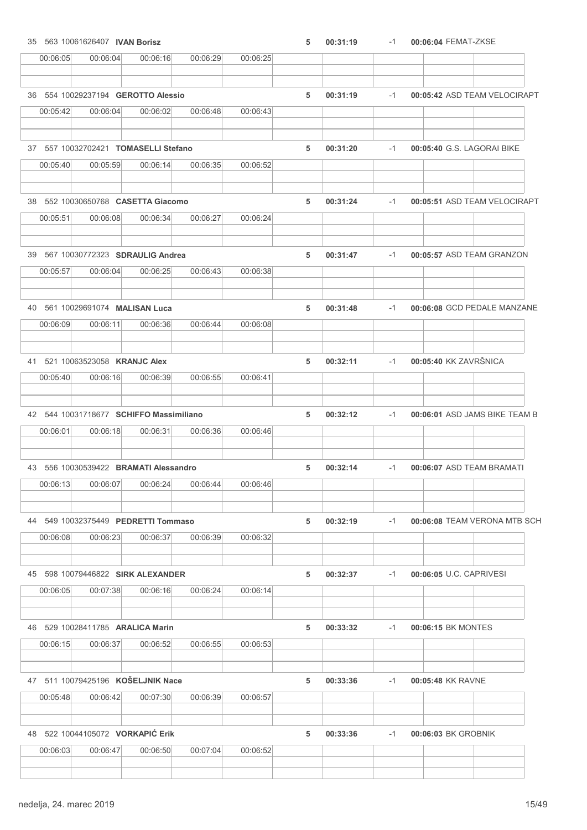| 35 563 10061626407 IVAN Borisz               |          |                                    |          |          | 5 | 00:31:19 | $-1$ | 00:06:04 FEMAT-ZKSE           |
|----------------------------------------------|----------|------------------------------------|----------|----------|---|----------|------|-------------------------------|
| 00:06:05                                     | 00:06:04 | 00:06:16                           | 00:06:29 | 00:06:25 |   |          |      |                               |
|                                              |          | 36 554 10029237194 GEROTTO Alessio |          |          | 5 | 00:31:19 | $-1$ | 00:05:42 ASD TEAM VELOCIRAPT  |
| 00:05:42                                     | 00:06:04 | 00:06:02                           | 00:06:48 | 00:06:43 |   |          |      |                               |
|                                              |          |                                    |          |          |   |          |      |                               |
| 37 557 10032702421 TOMASELLI Stefano         |          |                                    |          |          | 5 | 00:31:20 | $-1$ | 00:05:40 G.S. LAGORAI BIKE    |
| 00:05:40                                     | 00:05:59 | 00:06:14                           | 00:06:35 | 00:06:52 |   |          |      |                               |
| 38 552 10030650768 CASETTA Giacomo           |          |                                    |          |          | 5 | 00:31:24 | $-1$ | 00:05:51 ASD TEAM VELOCIRAPT  |
| 00:05:51                                     | 00:06:08 | 00:06:34                           | 00:06:27 | 00:06:24 |   |          |      |                               |
| 39 567 10030772323 SDRAULIG Andrea           |          |                                    |          |          | 5 | 00:31:47 | $-1$ | 00:05:57 ASD TEAM GRANZON     |
| 00:05:57                                     | 00:06:04 | 00:06:25                           | 00:06:43 | 00:06:38 |   |          |      |                               |
| 40 561 10029691074 MALISAN Luca              |          |                                    |          |          | 5 | 00:31:48 | $-1$ | 00:06:08 GCD PEDALE MANZANE   |
| 00:06:09                                     | 00:06:11 | 00:06:36                           | 00:06:44 | 00:06:08 |   |          |      |                               |
|                                              |          |                                    |          |          |   |          |      |                               |
| 41 521 10063523058 KRANJC Alex               |          |                                    |          |          | 5 | 00:32:11 | $-1$ | 00:05:40 KK ZAVRŠNICA         |
| 00:05:40                                     | 00:06:16 | 00:06:39                           | 00:06:55 | 00:06:41 |   |          |      |                               |
| 42 544 10031718677 SCHIFFO Massimiliano      |          |                                    |          |          | 5 | 00:32:12 | $-1$ | 00:06:01 ASD JAMS BIKE TEAM B |
| 00:06:01                                     | 00:06:18 | 00:06:31                           | 00:06:36 | 00:06:46 |   |          |      |                               |
| 43 556 10030539422 BRAMATI Alessandro        |          |                                    |          |          | 5 | 00:32:14 | $-1$ | 00:06:07 ASD TEAM BRAMATI     |
| 00:06:13                                     | 00:06:07 | 00:06:24                           | 00:06:44 | 00:06:46 |   |          |      |                               |
|                                              |          |                                    |          |          |   |          |      |                               |
| 44 549 10032375449 PEDRETTI Tommaso          |          |                                    |          |          | 5 | 00:32:19 | -1   | 00:06:08 TEAM VERONA MTB SCH  |
| 00:06:08                                     | 00:06:23 | 00:06:37                           | 00:06:39 | 00:06:32 |   |          |      |                               |
| 45 598 10079446822 SIRK ALEXANDER            |          |                                    |          |          | 5 | 00:32:37 | $-1$ | 00:06:05 U.C. CAPRIVESI       |
| 00:06:05                                     | 00:07:38 | 00:06:16                           | 00:06:24 | 00:06:14 |   |          |      |                               |
| 46 529 10028411785 ARALICA Marin             |          |                                    |          |          | 5 | 00:33:32 | $-1$ | 00:06:15 BK MONTES            |
| 00:06:15                                     | 00:06:37 | 00:06:52                           | 00:06:55 | 00:06:53 |   |          |      |                               |
| 47 511 10079425196 KOŠELJNIK Nace            |          |                                    |          |          | 5 | 00:33:36 | $-1$ | 00:05:48 KK RAVNE             |
| 00:05:48                                     | 00:06:42 | 00:07:30                           | 00:06:39 | 00:06:57 |   |          |      |                               |
|                                              |          |                                    |          |          |   |          |      |                               |
| 48 522 10044105072 VORKAPIĆ Erik<br>00:06:03 | 00:06:47 | 00:06:50                           | 00:07:04 | 00:06:52 | 5 | 00:33:36 | $-1$ | 00:06:03 BK GROBNIK           |
|                                              |          |                                    |          |          |   |          |      |                               |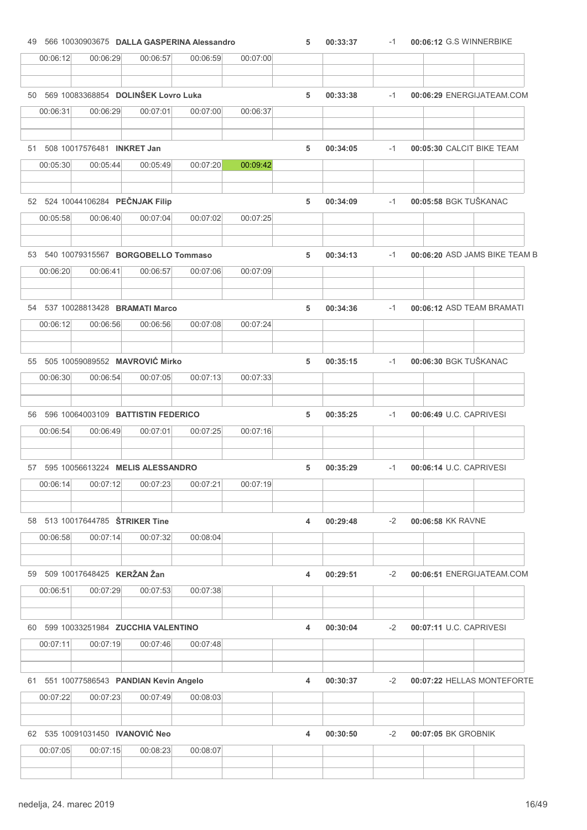|          |                                              |                                                 | 49 566 10030903675 DALLA GASPERINA Alessandro |          | 5 | 00:33:37 | $-1$ | 00:06:12 G.S WINNERBIKE       |
|----------|----------------------------------------------|-------------------------------------------------|-----------------------------------------------|----------|---|----------|------|-------------------------------|
| 00:06:12 | 00:06:29                                     | 00:06:57                                        | 00:06:59                                      | 00:07:00 |   |          |      |                               |
|          |                                              | 50 569 10083368854 DOLINŠEK Lovro Luka          |                                               |          | 5 | 00:33:38 | $-1$ | 00:06:29 ENERGIJATEAM.COM     |
| 00:06:31 | 00:06:29                                     | 00:07:01                                        | 00:07:00                                      | 00:06:37 |   |          |      |                               |
|          | 51 508 10017576481 INKRET Jan                |                                                 |                                               |          | 5 | 00:34:05 | $-1$ | 00:05:30 CALCIT BIKE TEAM     |
| 00:05:30 | 00:05:44                                     | 00:05:49                                        | 00:07:20                                      | 00:09:42 |   |          |      |                               |
|          |                                              |                                                 |                                               |          |   |          |      |                               |
| 00:05:58 | 52 524 10044106284 PEČNJAK Filip<br>00:06:40 | 00:07:04                                        | 00:07:02                                      | 00:07:25 | 5 | 00:34:09 | $-1$ | 00:05:58 BGK TUŠKANAC         |
|          |                                              | 53 540 10079315567 BORGOBELLO Tommaso           |                                               |          | 5 | 00:34:13 | $-1$ | 00:06:20 ASD JAMS BIKE TEAM B |
| 00:06:20 | 00:06:41                                     | 00:06:57                                        | 00:07:06                                      | 00:07:09 |   |          |      |                               |
|          | 54 537 10028813428 BRAMATI Marco             |                                                 |                                               |          | 5 | 00:34:36 | $-1$ | 00:06:12 ASD TEAM BRAMATI     |
| 00:06:12 | 00:06:56                                     | 00:06:56                                        | 00:07:08                                      | 00:07:24 |   |          |      |                               |
|          |                                              | 55 505 10059089552 MAVROVIĆ Mirko               |                                               |          | 5 | 00:35:15 | $-1$ | 00:06:30 BGK TUŠKANAC         |
| 00:06:30 | 00:06:54                                     | 00:07:05                                        | 00:07:13                                      | 00:07:33 |   |          |      |                               |
|          |                                              | 56 596 10064003109 BATTISTIN FEDERICO           |                                               |          | 5 | 00:35:25 | $-1$ | 00:06:49 U.C. CAPRIVESI       |
| 00:06:54 | 00:06:49                                     | 00:07:01                                        | 00:07:25                                      | 00:07:16 |   |          |      |                               |
|          |                                              |                                                 |                                               |          |   |          |      |                               |
|          |                                              |                                                 |                                               |          | 5 | 00:35:29 | $-1$ | 00:06:14 U.C. CAPRIVESI       |
| 00:06:14 | 00:07:12                                     | 57 595 10056613224 MELIS ALESSANDRO<br>00:07:23 | 00:07:21                                      | 00:07:19 |   |          |      |                               |
|          | 58 513 10017644785 <b>ŠTRIKER Tine</b>       |                                                 |                                               |          | 4 | 00:29:48 | $-2$ | 00:06:58 KK RAVNE             |
| 00:06:58 | 00:07:14                                     | 00:07:32                                        | 00:08:04                                      |          |   |          |      |                               |
|          | 59 509 10017648425 KERŽAN Žan                |                                                 |                                               |          | 4 | 00:29:51 | $-2$ | 00:06:51 ENERGIJATEAM.COM     |
| 00:06:51 | 00:07:29                                     | 00:07:53                                        | 00:07:38                                      |          |   |          |      |                               |
|          |                                              | 60 599 10033251984 ZUCCHIA VALENTINO            |                                               |          | 4 | 00:30:04 | $-2$ | 00:07:11 U.C. CAPRIVESI       |
| 00:07:11 | 00:07:19                                     | 00:07:46                                        | 00:07:48                                      |          |   |          |      |                               |
|          |                                              | 61 551 10077586543 PANDIAN Kevin Angelo         |                                               |          | 4 | 00:30:37 | $-2$ | 00:07:22 HELLAS MONTEFORTE    |
| 00:07:22 | 00:07:23                                     | 00:07:49                                        | 00:08:03                                      |          |   |          |      |                               |
|          | 62 535 10091031450 IVANOVIĆ Neo              |                                                 |                                               |          | 4 | 00:30:50 | $-2$ | 00:07:05 BK GROBNIK           |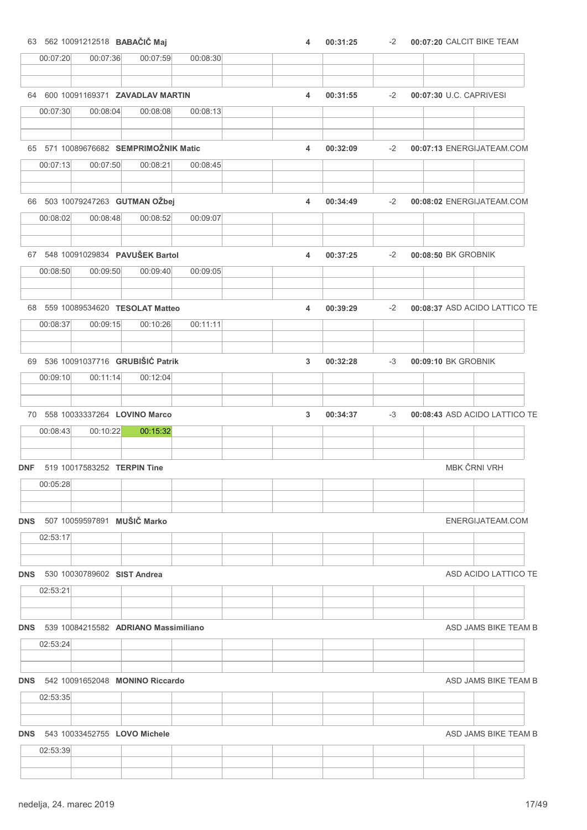| 63 562 10091212518 BABAČIČ Maj                                | 4 | 00:31:25 | $-2$ | 00:07:20 CALCIT BIKE TEAM     |
|---------------------------------------------------------------|---|----------|------|-------------------------------|
| 00:07:59<br>00:07:20<br>00:07:36<br>00:08:30                  |   |          |      |                               |
| 64 600 10091169371 ZAVADLAV MARTIN                            |   |          |      |                               |
| 00:07:30<br>00:08:04<br>00:08:08<br>00:08:13                  | 4 | 00:31:55 | $-2$ | 00:07:30 U.C. CAPRIVESI       |
|                                                               |   |          |      |                               |
| 65 571 10089676682 SEMPRIMOŽNIK Matic                         | 4 | 00:32:09 | $-2$ | 00:07:13 ENERGIJATEAM.COM     |
| 00:07:13<br>00:07:50<br>00:08:21<br>00:08:45                  |   |          |      |                               |
| 66 503 10079247263 GUTMAN OŽbej                               | 4 | 00:34:49 | $-2$ | 00:08:02 ENERGIJATEAM.COM     |
| 00:08:52<br>00:08:02<br>00:08:48<br>00:09:07                  |   |          |      |                               |
| 67 548 10091029834 PAVUŠEK Bartol                             | 4 | 00:37:25 | $-2$ | 00:08:50 BK GROBNIK           |
| 00:08:50<br>00:09:50<br>00:09:40<br>00:09:05                  |   |          |      |                               |
| 68 559 10089534620 TESOLAT Matteo                             | 4 |          | $-2$ | 00:08:37 ASD ACIDO LATTICO TE |
| 00:08:37<br>00:09:15<br>00:10:26<br>00:11:11                  |   | 00:39:29 |      |                               |
|                                                               |   |          |      |                               |
| 69 536 10091037716 GRUBIŠIĆ Patrik                            | 3 | 00:32:28 | $-3$ | 00:09:10 BK GROBNIK           |
| 00:09:10<br>00:11:14<br>00:12:04                              |   |          |      |                               |
| 70 558 10033337264 LOVINO Marco                               | 3 | 00:34:37 | $-3$ | 00:08:43 ASD ACIDO LATTICO TE |
| 00:08:43<br>00:10:22<br>00:15:32                              |   |          |      |                               |
| DNF 519 10017583252 TERPIN Tine                               |   |          |      | MBK ČRNI VRH                  |
| 00:05:28                                                      |   |          |      |                               |
|                                                               |   |          |      |                               |
| DNS 507 10059597891 MUŠIČ Marko<br>02:53:17                   |   |          |      | ENERGIJATEAM.COM              |
|                                                               |   |          |      |                               |
| <b>DNS</b> 530 10030789602 SIST Andrea                        |   |          |      | ASD ACIDO LATTICO TE          |
| 02:53:21                                                      |   |          |      |                               |
| DNS 539 10084215582 ADRIANO Massimiliano                      |   |          |      | ASD JAMS BIKE TEAM B          |
| 02:53:24                                                      |   |          |      |                               |
|                                                               |   |          |      |                               |
| <b>DNS</b> 542 10091652048 <b>MONINO Riccardo</b><br>02:53:35 |   |          |      | ASD JAMS BIKE TEAM B          |
|                                                               |   |          |      |                               |
| <b>DNS</b> 543 10033452755 LOVO Michele                       |   |          |      | ASD JAMS BIKE TEAM B          |
| 02:53:39                                                      |   |          |      |                               |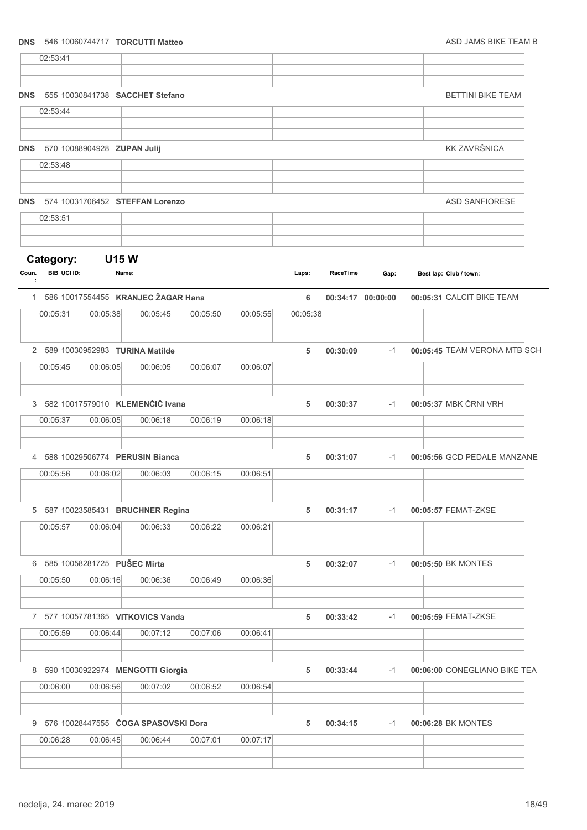### **DNS** 546 10060744717 **TORCUTTI Matteo** ASD JAMS BIKE TEAM B

|                    | 02:53:41    |          |                                       |          |          |          |          |                   |                              |  |
|--------------------|-------------|----------|---------------------------------------|----------|----------|----------|----------|-------------------|------------------------------|--|
|                    |             |          |                                       |          |          |          |          |                   |                              |  |
| <b>DNS</b>         |             |          | 555 10030841738 SACCHET Stefano       |          |          |          |          |                   | <b>BETTINI BIKE TEAM</b>     |  |
|                    | 02:53:44    |          |                                       |          |          |          |          |                   |                              |  |
|                    |             |          |                                       |          |          |          |          |                   |                              |  |
| <b>DNS</b>         |             |          | 570 10088904928 ZUPAN Julij           |          |          |          |          |                   | <b>KK ZAVRŠNICA</b>          |  |
|                    | 02:53:48    |          |                                       |          |          |          |          |                   |                              |  |
|                    |             |          |                                       |          |          |          |          |                   |                              |  |
| <b>DNS</b>         |             |          | 574 10031706452 STEFFAN Lorenzo       |          |          |          |          |                   | <b>ASD SANFIORESE</b>        |  |
|                    | 02:53:51    |          |                                       |          |          |          |          |                   |                              |  |
|                    |             |          |                                       |          |          |          |          |                   |                              |  |
| Category:<br>Coun. | BIB UCI ID: |          | <b>U15W</b><br>Name:                  |          |          | Laps:    | RaceTime | Gap:              | Best lap: Club / town:       |  |
| ÷                  |             |          |                                       |          |          |          |          |                   |                              |  |
|                    |             |          | 1 586 10017554455 KRANJEC ŽAGAR Hana  |          |          | 6        |          | 00:34:17 00:00:00 | 00:05:31 CALCIT BIKE TEAM    |  |
|                    | 00:05:31    | 00:05:38 | 00:05:45                              | 00:05:50 | 00:05:55 | 00:05:38 |          |                   |                              |  |
|                    |             |          | 2 589 10030952983 TURINA Matilde      |          |          | 5        | 00:30:09 | $-1$              | 00:05:45 TEAM VERONA MTB SCH |  |
|                    | 00:05:45    | 00:06:05 | 00:06:05                              | 00:06:07 | 00:06:07 |          |          |                   |                              |  |
|                    |             |          |                                       |          |          |          |          |                   |                              |  |
|                    |             |          | 3 582 10017579010 KLEMENČIČ Ivana     |          |          | 5        | 00:30:37 | -1                | 00:05:37 MBK ČRNI VRH        |  |
|                    | 00:05:37    | 00:06:05 | 00:06:18                              | 00:06:19 | 00:06:18 |          |          |                   |                              |  |
|                    |             |          |                                       |          |          |          |          |                   |                              |  |
|                    |             |          | 4 588 10029506774 PERUSIN Bianca      |          |          | 5        | 00:31:07 | $-1$              | 00:05:56 GCD PEDALE MANZANE  |  |
|                    | 00:05:56    | 00:06:02 | 00:06:03                              | 00:06:15 | 00:06:51 |          |          |                   |                              |  |
|                    |             |          |                                       |          |          |          |          |                   |                              |  |
|                    |             |          | 5 587 10023585431 BRUCHNER Regina     |          |          | 5        | 00:31:17 | $-1$              | 00:05:57 FEMAT-ZKSE          |  |
|                    | 00:05:57    | 00:06:04 | 00:06:33                              | 00:06:22 | 00:06:21 |          |          |                   |                              |  |
|                    |             |          | 6 585 10058281725 PUŠEC Mirta         |          |          | 5        | 00:32:07 | -1                | 00:05:50 BK MONTES           |  |
|                    | 00:05:50    | 00:06:16 | 00:06:36                              | 00:06:49 | 00:06:36 |          |          |                   |                              |  |
|                    |             |          |                                       |          |          |          |          |                   |                              |  |
|                    |             |          | 7 577 10057781365 VITKOVICS Vanda     |          |          | 5        | 00:33:42 | -1                | 00:05:59 FEMAT-ZKSE          |  |
|                    | 00:05:59    | 00:06:44 | 00:07:12                              | 00:07:06 | 00:06:41 |          |          |                   |                              |  |
|                    |             |          |                                       |          |          |          |          |                   |                              |  |
|                    |             |          | 8 590 10030922974 MENGOTTI Giorgia    |          |          | 5        | 00:33:44 | -1                | 00:06:00 CONEGLIANO BIKE TEA |  |
|                    | 00:06:00    | 00:06:56 | 00:07:02                              | 00:06:52 | 00:06:54 |          |          |                   |                              |  |
|                    |             |          | 9 576 10028447555 ČOGA SPASOVSKI Dora |          |          | 5        | 00:34:15 | $-1$              | 00:06:28 BK MONTES           |  |
|                    | 00:06:28    | 00:06:45 | 00:06:44                              | 00:07:01 | 00:07:17 |          |          |                   |                              |  |
|                    |             |          |                                       |          |          |          |          |                   |                              |  |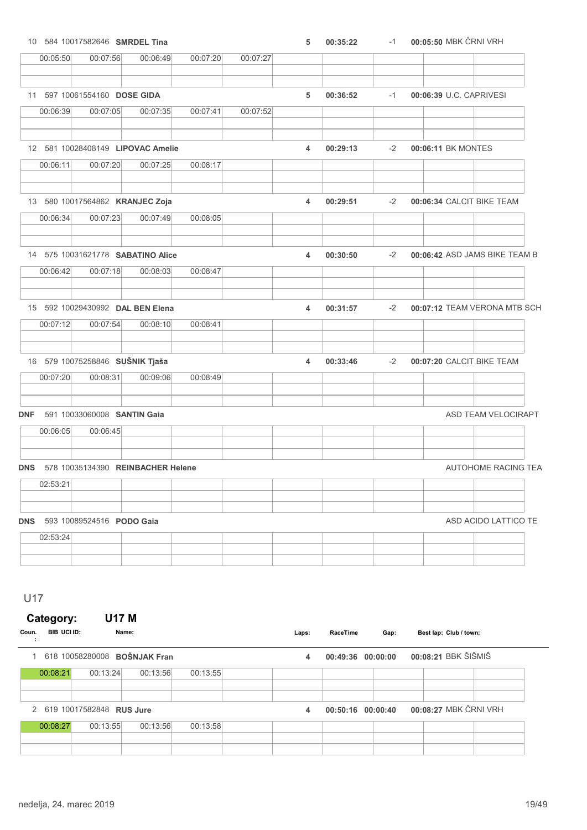|                  |          |                              | 10 584 10017582646 SMRDEL Tina    |          |          | 5 | 00:35:22 | $-1$ | 00:05:50 MBK ČRNI VRH         |                            |
|------------------|----------|------------------------------|-----------------------------------|----------|----------|---|----------|------|-------------------------------|----------------------------|
|                  | 00:05:50 | 00:07:56                     | 00:06:49                          | 00:07:20 | 00:07:27 |   |          |      |                               |                            |
|                  |          |                              |                                   |          |          |   |          |      |                               |                            |
|                  |          | 11 597 10061554160 DOSE GIDA |                                   |          |          | 5 | 00:36:52 | $-1$ | 00:06:39 U.C. CAPRIVESI       |                            |
|                  | 00:06:39 | 00:07:05                     | 00:07:35                          | 00:07:41 | 00:07:52 |   |          |      |                               |                            |
|                  |          |                              | 12 581 10028408149 LIPOVAC Amelie |          |          | 4 | 00:29:13 | $-2$ | 00:06:11 BK MONTES            |                            |
|                  | 00:06:11 | 00:07:20                     | 00:07:25                          | 00:08:17 |          |   |          |      |                               |                            |
|                  |          |                              | 13 580 10017564862 KRANJEC Zoja   |          |          | 4 | 00:29:51 | $-2$ | 00:06:34 CALCIT BIKE TEAM     |                            |
|                  | 00:06:34 | 00:07:23                     | 00:07:49                          | 00:08:05 |          |   |          |      |                               |                            |
|                  |          |                              | 14 575 10031621778 SABATINO Alice |          |          | 4 | 00:30:50 | $-2$ | 00:06:42 ASD JAMS BIKE TEAM B |                            |
|                  | 00:06:42 | 00:07:18                     | 00:08:03                          | 00:08:47 |          |   |          |      |                               |                            |
|                  |          |                              | 15 592 10029430992 DAL BEN Elena  |          |          | 4 | 00:31:57 | $-2$ | 00:07:12 TEAM VERONA MTB SCH  |                            |
|                  | 00:07:12 | 00:07:54                     | 00:08:10                          | 00:08:41 |          |   |          |      |                               |                            |
|                  |          |                              | 16 579 10075258846 SUŠNIK Tjaša   |          |          | 4 | 00:33:46 | $-2$ | 00:07:20 CALCIT BIKE TEAM     |                            |
|                  | 00:07:20 | 00:08:31                     | 00:09:06                          | 00:08:49 |          |   |          |      |                               |                            |
| <b>DNF</b>       |          |                              | 591 10033060008 SANTIN Gaia       |          |          |   |          |      |                               | ASD TEAM VELOCIRAPT        |
|                  | 00:06:05 | 00:06:45                     |                                   |          |          |   |          |      |                               |                            |
| <b>DNS</b>       |          |                              | 578 10035134390 REINBACHER Helene |          |          |   |          |      |                               | <b>AUTOHOME RACING TEA</b> |
|                  | 02:53:21 |                              |                                   |          |          |   |          |      |                               |                            |
| <b>DNS</b>       |          | 593 10089524516 PODO Gaia    |                                   |          |          |   |          |      |                               | ASD ACIDO LATTICO TE       |
|                  | 02:53:24 |                              |                                   |          |          |   |          |      |                               |                            |
|                  |          |                              |                                   |          |          |   |          |      |                               |                            |
|                  |          |                              |                                   |          |          |   |          |      |                               |                            |
|                  |          |                              |                                   |          |          |   |          |      |                               |                            |
| U17<br>Category: |          | <b>U17 M</b>                 |                                   |          |          |   |          |      |                               |                            |

## 2 619 10017582848 RUS Jure 12 00:50:16 00:50:16 00:00:40 00:08:27 MBK ČRNI VRH 00:08:27 00:13:55 00:13:56 00:13:58

00:08:21 00:13:24 00:13:56 00:13:55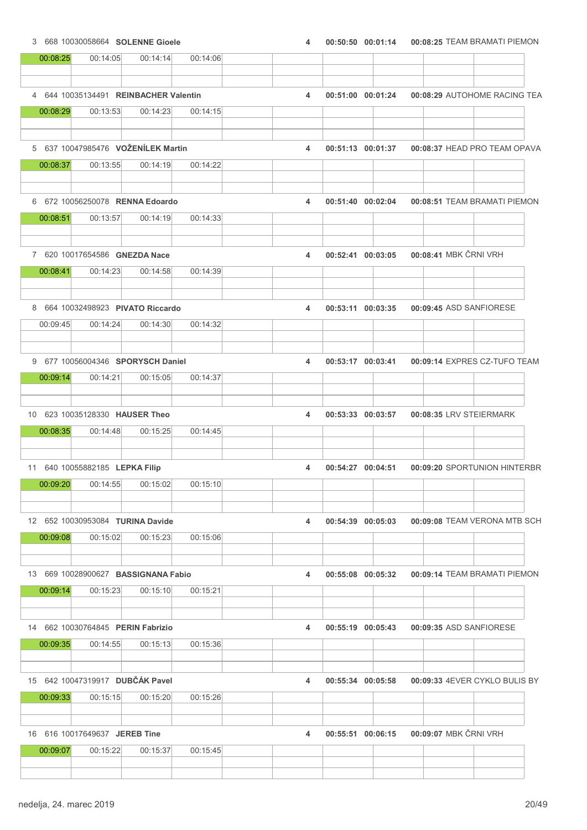|          | 3 668 10030058664 SOLENNE Gioele             |          |          | 4 | 00:50:50 00:01:14     | 00:08:25 TEAM BRAMATI PIEMON  |
|----------|----------------------------------------------|----------|----------|---|-----------------------|-------------------------------|
| 00:08:25 | 00:14:05                                     | 00:14:14 | 00:14:06 |   |                       |                               |
|          | 4 644 10035134491 REINBACHER Valentin        |          |          | 4 | 00:51:00 00:01:24     | 00:08:29 AUTOHOME RACING TEA  |
| 00:08:29 | 00:13:53                                     | 00:14:23 | 00:14:15 |   |                       |                               |
|          |                                              |          |          |   |                       |                               |
|          | 5 637 10047985476 VOŽENÍLEK Martin           |          |          | 4 | 00:51:13 00:01:37     | 00:08:37 HEAD PRO TEAM OPAVA  |
| 00:08:37 | 00:13:55                                     | 00:14:19 | 00:14:22 |   |                       |                               |
|          | 6 672 10056250078 RENNA Edoardo              |          |          | 4 | 00:51:40 00:02:04     | 00:08:51 TEAM BRAMATI PIEMON  |
| 00:08:51 | 00:13:57                                     | 00:14:19 | 00:14:33 |   |                       |                               |
|          | 7 620 10017654586 GNEZDA Nace                |          |          | 4 | 00:52:41 00:03:05     | 00:08:41 MBK ČRNI VRH         |
| 00:08:41 | 00:14:23                                     | 00:14:58 | 00:14:39 |   |                       |                               |
|          |                                              |          |          |   |                       |                               |
|          | 8 664 10032498923 PIVATO Riccardo            |          |          | 4 | 00:53:11 00:03:35     | 00:09:45 ASD SANFIORESE       |
| 00:09:45 | 00:14:24                                     | 00:14:30 | 00:14:32 |   |                       |                               |
|          | 9 677 10056004346 SPORYSCH Daniel            |          |          | 4 | 00:53:17 00:03:41     | 00:09:14 EXPRES CZ-TUFO TEAM  |
| 00:09:14 | 00:14:21                                     | 00:15:05 | 00:14:37 |   |                       |                               |
|          | 10 623 10035128330 HAUSER Theo               |          |          | 4 | 00:53:33 00:03:57     | 00:08:35 LRV STEIERMARK       |
| 00:08:35 | 00:14:48                                     | 00:15:25 | 00:14:45 |   |                       |                               |
|          | 11 640 10055882185 LEPKA Filip               |          |          | 4 | 00:54:27 00:04:51     | 00:09:20 SPORTUNION HINTERBR  |
| 00:09:20 | 00:14:55                                     | 00:15:02 | 00:15:10 |   |                       |                               |
|          |                                              |          |          |   |                       |                               |
| 00:09:08 | 12 652 10030953084 TURINA Davide<br>00:15:02 | 00:15:23 | 00:15:06 | 4 | $00:54:39$ $00:05:03$ | 00:09:08 TEAM VERONA MTB SCH  |
|          |                                              |          |          |   |                       |                               |
|          | 13 669 10028900627 BASSIGNANA Fabio          |          |          | 4 | 00:55:08 00:05:32     | 00:09:14 TEAM BRAMATI PIEMON  |
| 00:09:14 | 00:15:23                                     | 00:15:10 | 00:15:21 |   |                       |                               |
|          | 14 662 10030764845 PERIN Fabrizio            |          |          | 4 | 00:55:19 00:05:43     | 00:09:35 ASD SANFIORESE       |
| 00:09:35 | 00:14:55                                     | 00:15:13 | 00:15:36 |   |                       |                               |
|          | 15 642 10047319917 DUBČÁK Pavel              |          |          | 4 | 00:55:34 00:05:58     | 00:09:33 4EVER CYKLO BULIS BY |
| 00:09:33 | 00:15:15                                     | 00:15:20 | 00:15:26 |   |                       |                               |
|          |                                              |          |          |   |                       |                               |
|          | 16 616 10017649637 JEREB Tine                |          |          | 4 | 00:55:51 00:06:15     | 00:09:07 MBK ČRNI VRH         |
| 00:09:07 | 00:15:22                                     | 00:15:37 | 00:15:45 |   |                       |                               |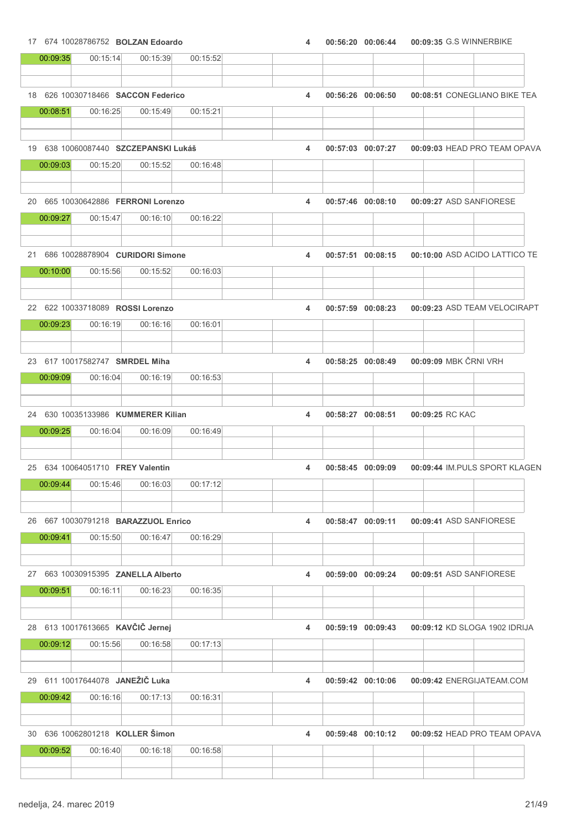### 17 674 10028786752 **BOLZAN Edoardo** 17 674 100:56:20 00:06:44 00:09:35 G.S WINNERBIKE 00:09:35 00:15:14 00:15:39 00:15:52  $\top$  $\top$ Τ

| 00:09:35 | 00:15:14                                     | 00:15:39                                       | 00:15:52 |   |                   |                   |                               |                               |
|----------|----------------------------------------------|------------------------------------------------|----------|---|-------------------|-------------------|-------------------------------|-------------------------------|
|          |                                              |                                                |          |   |                   |                   |                               |                               |
|          |                                              | 18 626 10030718466 SACCON Federico             |          | 4 |                   | 00:56:26 00:06:50 | 00:08:51 CONEGLIANO BIKE TEA  |                               |
| 00:08:51 | 00:16:25                                     | 00:15:49                                       | 00:15:21 |   |                   |                   |                               |                               |
|          |                                              |                                                |          |   |                   |                   |                               |                               |
|          |                                              | 19 638 10060087440 SZCZEPANSKI Lukáš           |          | 4 |                   | 00:57:03 00:07:27 |                               | 00:09:03 HEAD PRO TEAM OPAVA  |
| 00:09:03 | 00:15:20                                     | 00:15:52                                       | 00:16:48 |   |                   |                   |                               |                               |
|          |                                              |                                                |          |   |                   |                   |                               |                               |
|          |                                              | 20 665 10030642886 FERRONI Lorenzo             |          | 4 |                   | 00:57:46 00:08:10 | 00:09:27 ASD SANFIORESE       |                               |
| 00:09:27 | 00:15:47                                     | 00:16:10                                       | 00:16:22 |   |                   |                   |                               |                               |
|          |                                              |                                                |          |   |                   |                   |                               |                               |
|          |                                              | 21 686 10028878904 CURIDORI Simone             |          | 4 |                   | 00:57:51 00:08:15 | 00:10:00 ASD ACIDO LATTICO TE |                               |
| 00:10:00 | 00:15:56                                     | 00:15:52                                       | 00:16:03 |   |                   |                   |                               |                               |
|          |                                              |                                                |          |   |                   |                   |                               |                               |
|          |                                              | 22 622 10033718089 ROSSI Lorenzo               |          | 4 |                   | 00:57:59 00:08:23 | 00:09:23 ASD TEAM VELOCIRAPT  |                               |
| 00:09:23 | 00:16:19                                     | 00:16:16                                       | 00:16:01 |   |                   |                   |                               |                               |
|          |                                              |                                                |          |   |                   |                   |                               |                               |
|          | 23 617 10017582747 SMRDEL Miha               |                                                |          | 4 |                   | 00:58:25 00:08:49 | 00:09:09 MBK ČRNI VRH         |                               |
| 00:09:09 | 00:16:04                                     | 00:16:19                                       | 00:16:53 |   |                   |                   |                               |                               |
|          |                                              |                                                |          |   |                   |                   |                               |                               |
|          |                                              | 24 630 10035133986 KUMMERER Kilian             |          | 4 | 00:58:27 00:08:51 |                   | 00:09:25 RC KAC               |                               |
| 00:09:25 | 00:16:04                                     | 00:16:09                                       | 00:16:49 |   |                   |                   |                               |                               |
|          |                                              |                                                |          |   |                   |                   |                               |                               |
|          | 25 634 10064051710 FREY Valentin             |                                                |          | 4 |                   | 00:58:45 00:09:09 |                               | 00:09:44 IM.PULS SPORT KLAGEN |
| 00:09:44 | 00:15:46                                     | 00:16:03                                       | 00:17:12 |   |                   |                   |                               |                               |
|          |                                              |                                                |          |   |                   |                   |                               |                               |
|          |                                              | 26 667 10030791218 <b>BARAZZUOL Enrico</b>     |          | 4 |                   | 00:58:47 00:09:11 | 00:09:41 ASD SANFIORESE       |                               |
| 00:09:41 | 00:15:50                                     | 00:16:47                                       | 00:16:29 |   |                   |                   |                               |                               |
|          |                                              |                                                |          |   |                   |                   |                               |                               |
|          | 00:16:11                                     | 27 663 10030915395 ZANELLA Alberto<br>00:16:23 |          | 4 |                   | 00:59:00 00:09:24 | 00:09:51 ASD SANFIORESE       |                               |
| 00:09:51 |                                              |                                                | 00:16:35 |   |                   |                   |                               |                               |
|          |                                              |                                                |          |   |                   |                   |                               |                               |
| 00:09:12 | 28 613 10017613665 KAVČIČ Jernej<br>00:15:56 | 00:16:58                                       | 00:17:13 | 4 |                   | 00:59:19 00:09:43 | 00:09:12 KD SLOGA 1902 IDRIJA |                               |
|          |                                              |                                                |          |   |                   |                   |                               |                               |
|          | 29 611 10017644078 JANEŽIČ Luka              |                                                |          |   |                   |                   |                               |                               |
| 00:09:42 | 00:16:16                                     | 00:17:13                                       | 00:16:31 | 4 |                   | 00:59:42 00:10:06 | 00:09:42 ENERGIJATEAM.COM     |                               |
|          |                                              |                                                |          |   |                   |                   |                               |                               |
|          |                                              | 30 636 10062801218 KOLLER Šimon                |          | 4 |                   |                   |                               |                               |
| 00:09:52 | 00:16:40                                     | 00:16:18                                       | 00:16:58 |   |                   | 00:59:48 00:10:12 |                               | 00:09:52 HEAD PRO TEAM OPAVA  |
|          |                                              |                                                |          |   |                   |                   |                               |                               |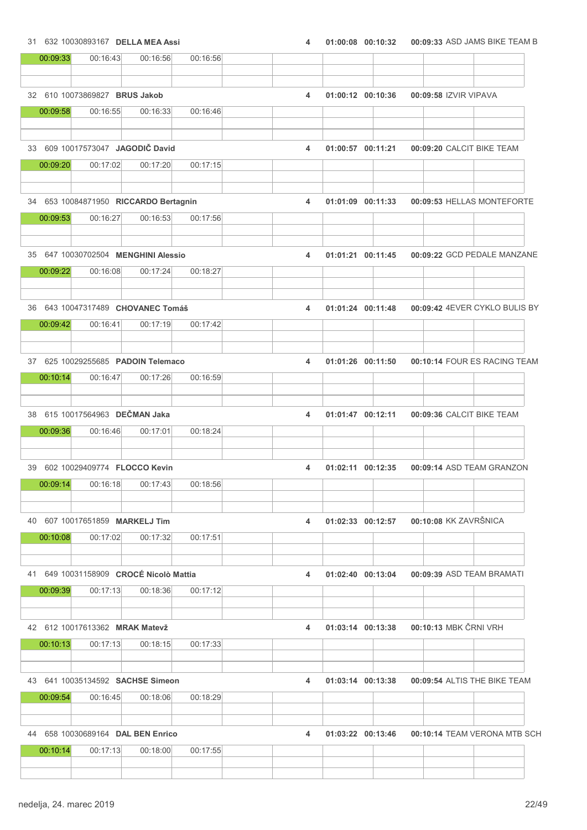31 632 10030893167 DELLA MEA Assi <br>4 01:00:08 00:10:32 00:09:33 ASD JAMS BIKE TEAM B

| 00:09:33 | 00:16:43                                   | 00:16:56 | 00:16:56 |   |                   |                       |                               |
|----------|--------------------------------------------|----------|----------|---|-------------------|-----------------------|-------------------------------|
|          | 32 610 10073869827 BRUS Jakob              |          |          | 4 | 01:00:12 00:10:36 | 00:09:58 IZVIR VIPAVA |                               |
| 00:09:58 | 00:16:55                                   | 00:16:33 | 00:16:46 |   |                   |                       |                               |
|          | 33 609 10017573047 JAGODIČ David           |          |          | 4 | 01:00:57 00:11:21 |                       | 00:09:20 CALCIT BIKE TEAM     |
| 00:09:20 | 00:17:02                                   | 00:17:20 | 00:17:15 |   |                   |                       |                               |
|          | 34 653 10084871950 RICCARDO Bertagnin      |          |          | 4 | 01:01:09 00:11:33 |                       | 00:09:53 HELLAS MONTEFORTE    |
| 00:09:53 | 00:16:27                                   | 00:16:53 | 00:17:56 |   |                   |                       |                               |
|          |                                            |          |          |   |                   |                       |                               |
|          | 35 647 10030702504 MENGHINI Alessio        |          |          | 4 | 01:01:21 00:11:45 |                       | 00:09:22 GCD PEDALE MANZANE   |
| 00:09:22 | 00:16:08                                   | 00:17:24 | 00:18:27 |   |                   |                       |                               |
|          | 36 643 10047317489 CHOVANEC Tomáš          |          |          | 4 | 01:01:24 00:11:48 |                       | 00:09:42 4EVER CYKLO BULIS BY |
| 00:09:42 | 00:16:41                                   | 00:17:19 | 00:17:42 |   |                   |                       |                               |
|          | 37 625 10029255685 PADOIN Telemaco         |          |          | 4 | 01:01:26 00:11:50 |                       | 00:10:14 FOUR ES RACING TEAM  |
| 00:10:14 | 00:16:47                                   | 00:17:26 | 00:16:59 |   |                   |                       |                               |
|          |                                            |          |          |   |                   |                       |                               |
|          | 38 615 10017564963 DEČMAN Jaka             |          |          | 4 | 01:01:47 00:12:11 |                       | 00:09:36 CALCIT BIKE TEAM     |
| 00:09:36 | 00:16:46                                   | 00:17:01 | 00:18:24 |   |                   |                       |                               |
|          | 39 602 10029409774 FLOCCO Kevin            |          |          | 4 | 01:02:11 00:12:35 |                       | 00:09:14 ASD TEAM GRANZON     |
| 00:09:14 | 00:16:18                                   | 00:17:43 | 00:18:56 |   |                   |                       |                               |
|          |                                            |          |          |   |                   |                       |                               |
| 00:10:08 | 40 607 10017651859 MARKELJ Tim<br>00:17:02 | 00:17:32 | 00:17:51 | 4 | 01:02:33 00:12:57 | 00:10:08 KK ZAVRŠNICA |                               |
|          |                                            |          |          |   |                   |                       |                               |
|          | 41 649 10031158909 CROCÉ Nicolò Mattia     |          |          | 4 | 01:02:40 00:13:04 |                       | 00:09:39 ASD TEAM BRAMATI     |
| 00:09:39 | 00:17:13                                   | 00:18:36 | 00:17:12 |   |                   |                       |                               |
|          | 42 612 10017613362 MRAK Matevž             |          |          | 4 | 01:03:14 00:13:38 | 00:10:13 MBK ČRNI VRH |                               |
| 00:10:13 | 00:17:13                                   | 00:18:15 | 00:17:33 |   |                   |                       |                               |
|          | 43 641 10035134592 SACHSE Simeon           |          |          | 4 | 01:03:14 00:13:38 |                       | 00:09:54 ALTIS THE BIKE TEAM  |
| 00:09:54 | 00:16:45                                   | 00:18:06 | 00:18:29 |   |                   |                       |                               |
|          |                                            |          |          |   |                   |                       |                               |
|          | 44 658 10030689164 DAL BEN Enrico          |          |          | 4 | 01:03:22 00:13:46 |                       | 00:10:14 TEAM VERONA MTB SCH  |
| 00:10:14 | 00:17:13                                   | 00:18:00 | 00:17:55 |   |                   |                       |                               |
|          |                                            |          |          |   |                   |                       |                               |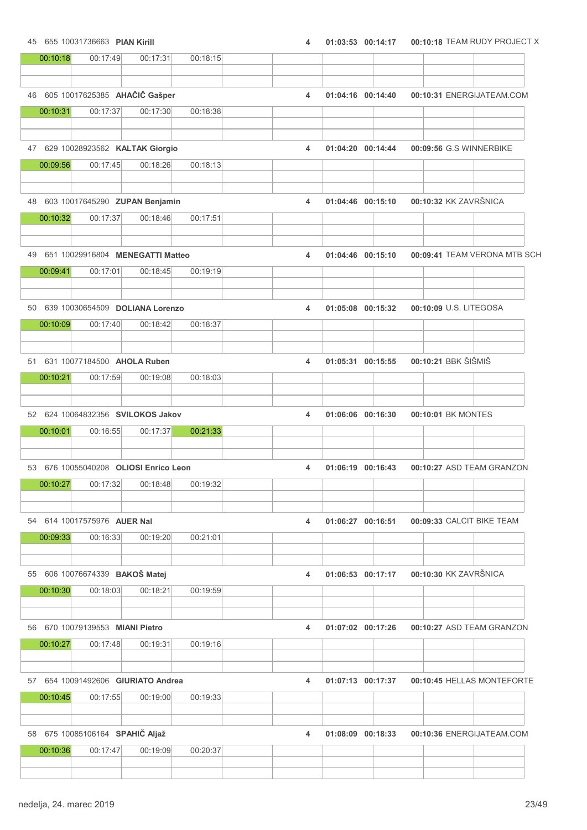45 655 10031736663 PIAN Kirill 4 01:03:53 00:14:17 00:10:18 TEAM RUDY PROJECT X

| 00:10:18 | 00:17:49                                    | 00:17:31 | 00:18:15 |   |                   |                     |                              |
|----------|---------------------------------------------|----------|----------|---|-------------------|---------------------|------------------------------|
|          |                                             |          |          |   |                   |                     |                              |
|          | 46 605 10017625385 AHAČIČ Gašper            |          |          | 4 | 01:04:16 00:14:40 |                     | 00:10:31 ENERGIJATEAM.COM    |
| 00:10:31 | 00:17:37                                    | 00:17:30 | 00:18:38 |   |                   |                     |                              |
|          | 47 629 10028923562 KALTAK Giorgio           |          |          | 4 | 01:04:20 00:14:44 |                     | 00:09:56 G.S WINNERBIKE      |
| 00:09:56 | 00:17:45                                    | 00:18:26 | 00:18:13 |   |                   |                     |                              |
|          |                                             |          |          |   |                   |                     |                              |
|          | 48 603 10017645290 ZUPAN Benjamin           |          |          | 4 | 01:04:46 00:15:10 |                     | 00:10:32 KK ZAVRŠNICA        |
| 00:10:32 | 00:17:37                                    | 00:18:46 | 00:17:51 |   |                   |                     |                              |
|          | 49 651 10029916804 MENEGATTI Matteo         |          |          | 4 | 01:04:46 00:15:10 |                     | 00:09:41 TEAM VERONA MTB SCH |
| 00:09:41 | 00:17:01                                    | 00:18:45 | 00:19:19 |   |                   |                     |                              |
|          | 50 639 10030654509 DOLIANA Lorenzo          |          |          | 4 | 01:05:08 00:15:32 |                     | 00:10:09 U.S. LITEGOSA       |
| 00:10:09 | 00:17:40                                    | 00:18:42 | 00:18:37 |   |                   |                     |                              |
|          | 51 631 10077184500 AHOLA Ruben              |          |          | 4 | 01:05:31 00:15:55 | 00:10:21 BBK ŠIŠMIŠ |                              |
|          |                                             |          |          |   |                   |                     |                              |
| 00:10:21 | 00:17:59                                    | 00:19:08 | 00:18:03 |   |                   |                     |                              |
|          | 52 624 10064832356 SVILOKOS Jakov           |          |          | 4 | 01:06:06 00:16:30 | 00:10:01 BK MONTES  |                              |
| 00:10:01 | 00:16:55                                    | 00:17:37 | 00:21:33 |   |                   |                     |                              |
|          | 53 676 10055040208 OLIOSI Enrico Leon       |          |          | 4 | 01:06:19 00:16:43 |                     | 00:10:27 ASD TEAM GRANZON    |
| 00:10:27 | 00:17:32                                    | 00:18:48 | 00:19:32 |   |                   |                     |                              |
|          | 54 614 10017575976 AUER Nal                 |          |          | 4 | 01:06:27 00:16:51 |                     | 00:09:33 CALCIT BIKE TEAM    |
| 00:09:33 | 00:16:33                                    | 00:19:20 | 00:21:01 |   |                   |                     |                              |
|          | 55 606 10076674339 BAKOŠ Matej              |          |          | 4 | 01:06:53 00:17:17 |                     | 00:10:30 KK ZAVRŠNICA        |
| 00:10:30 | 00:18:03                                    | 00:18:21 | 00:19:59 |   |                   |                     |                              |
|          |                                             |          |          |   |                   |                     |                              |
| 00:10:27 | 56 670 10079139553 MIANI Pietro<br>00:17:48 | 00:19:31 | 00:19:16 | 4 | 01:07:02 00:17:26 |                     | 00:10:27 ASD TEAM GRANZON    |
|          |                                             |          |          |   |                   |                     |                              |
|          | 57 654 10091492606 GIURIATO Andrea          |          |          | 4 | 01:07:13 00:17:37 |                     | 00:10:45 HELLAS MONTEFORTE   |
| 00:10:45 | 00:17:55                                    | 00:19:00 | 00:19:33 |   |                   |                     |                              |
|          | 58 675 10085106164 SPAHIČ Aljaž             |          |          | 4 | 01:08:09 00:18:33 |                     | 00:10:36 ENERGIJATEAM.COM    |
| 00:10:36 | 00:17:47                                    | 00:19:09 | 00:20:37 |   |                   |                     |                              |
|          |                                             |          |          |   |                   |                     |                              |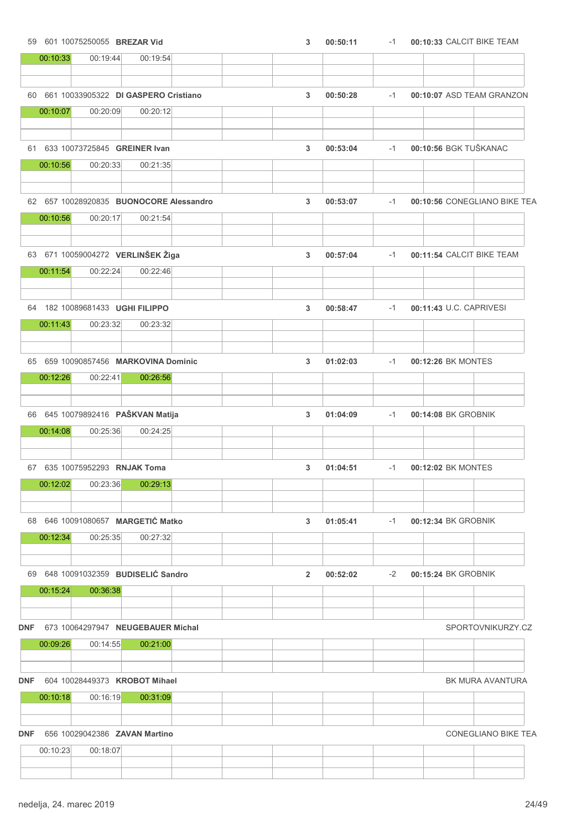|            |          | 59 601 10075250055 BREZAR Vid |                                         |  | 3              | 00:50:11 | $-1$ |                         | 00:10:33 CALCIT BIKE TEAM    |
|------------|----------|-------------------------------|-----------------------------------------|--|----------------|----------|------|-------------------------|------------------------------|
|            | 00:10:33 | 00:19:44                      | 00:19:54                                |  |                |          |      |                         |                              |
|            |          |                               |                                         |  |                |          |      |                         |                              |
|            |          |                               | 60 661 10033905322 DI GASPERO Cristiano |  | 3              | 00:50:28 | $-1$ |                         | 00:10:07 ASD TEAM GRANZON    |
|            | 00:10:07 | 00:20:09                      | 00:20:12                                |  |                |          |      |                         |                              |
|            |          |                               |                                         |  |                |          |      |                         |                              |
|            |          |                               | 61 633 10073725845 GREINER Ivan         |  | 3              | 00:53:04 | $-1$ | 00:10:56 BGK TUŠKANAC   |                              |
|            | 00:10:56 | 00:20:33                      | 00:21:35                                |  |                |          |      |                         |                              |
|            |          |                               |                                         |  |                |          |      |                         |                              |
|            |          |                               |                                         |  |                |          |      |                         |                              |
|            |          |                               | 62 657 10028920835 BUONOCORE Alessandro |  | 3              | 00:53:07 | $-1$ |                         | 00:10:56 CONEGLIANO BIKE TEA |
|            | 00:10:56 | 00:20:17                      | 00:21:54                                |  |                |          |      |                         |                              |
|            |          |                               |                                         |  |                |          |      |                         |                              |
|            |          |                               | 63 671 10059004272 VERLINŠEK Žiga       |  | 3              | 00:57:04 | $-1$ |                         | 00:11:54 CALCIT BIKE TEAM    |
|            | 00:11:54 | 00:22:24                      | 00:22:46                                |  |                |          |      |                         |                              |
|            |          |                               |                                         |  |                |          |      |                         |                              |
|            |          |                               | 64 182 10089681433 UGHI FILIPPO         |  | 3              | 00:58:47 | $-1$ | 00:11:43 U.C. CAPRIVESI |                              |
|            | 00:11:43 | 00:23:32                      | 00:23:32                                |  |                |          |      |                         |                              |
|            |          |                               |                                         |  |                |          |      |                         |                              |
|            |          |                               | 65 659 10090857456 MARKOVINA Dominic    |  | 3              | 01:02:03 | $-1$ | 00:12:26 BK MONTES      |                              |
|            | 00:12:26 | 00:22:41                      | 00:26:56                                |  |                |          |      |                         |                              |
|            |          |                               |                                         |  |                |          |      |                         |                              |
|            |          |                               |                                         |  |                |          |      |                         |                              |
|            |          |                               | 66 645 10079892416 PAŠKVAN Matija       |  | 3              | 01:04:09 | $-1$ | 00:14:08 BK GROBNIK     |                              |
|            | 00:14:08 | 00:25:36                      | 00:24:25                                |  |                |          |      |                         |                              |
|            |          |                               |                                         |  |                |          |      |                         |                              |
|            |          | 67 635 10075952293 RNJAK Toma |                                         |  | 3              | 01:04:51 | $-1$ | 00:12:02 BK MONTES      |                              |
|            | 00:12:02 | 00:23:36                      | 00:29:13                                |  |                |          |      |                         |                              |
|            |          |                               |                                         |  |                |          |      |                         |                              |
|            |          |                               | 68 646 10091080657 MARGETIĆ Matko       |  | 3              | 01:05:41 | $-1$ | 00:12:34 BK GROBNIK     |                              |
|            | 00:12:34 | 00:25:35                      | 00:27:32                                |  |                |          |      |                         |                              |
|            |          |                               |                                         |  |                |          |      |                         |                              |
|            |          |                               |                                         |  |                |          |      |                         |                              |
|            |          |                               | 69 648 10091032359 BUDISELIĆ Sandro     |  | $\overline{2}$ | 00:52:02 | $-2$ | 00:15:24 BK GROBNIK     |                              |
|            | 00:15:24 | 00:36:38                      |                                         |  |                |          |      |                         |                              |
|            |          |                               |                                         |  |                |          |      |                         |                              |
| <b>DNF</b> |          |                               | 673 10064297947 NEUGEBAUER Michal       |  |                |          |      |                         | SPORTOVNIKURZY.CZ            |
|            | 00:09:26 | 00:14:55                      | 00:21:00                                |  |                |          |      |                         |                              |
|            |          |                               |                                         |  |                |          |      |                         |                              |
| <b>DNF</b> |          |                               | 604 10028449373 KROBOT Mihael           |  |                |          |      |                         | BK MURA AVANTURA             |
|            | 00:10:18 | 00:16:19                      | 00:31:09                                |  |                |          |      |                         |                              |
|            |          |                               |                                         |  |                |          |      |                         |                              |
| <b>DNF</b> |          |                               | 656 10029042386 ZAVAN Martino           |  |                |          |      |                         | <b>CONEGLIANO BIKE TEA</b>   |
|            | 00:10:23 | 00:18:07                      |                                         |  |                |          |      |                         |                              |
|            |          |                               |                                         |  |                |          |      |                         |                              |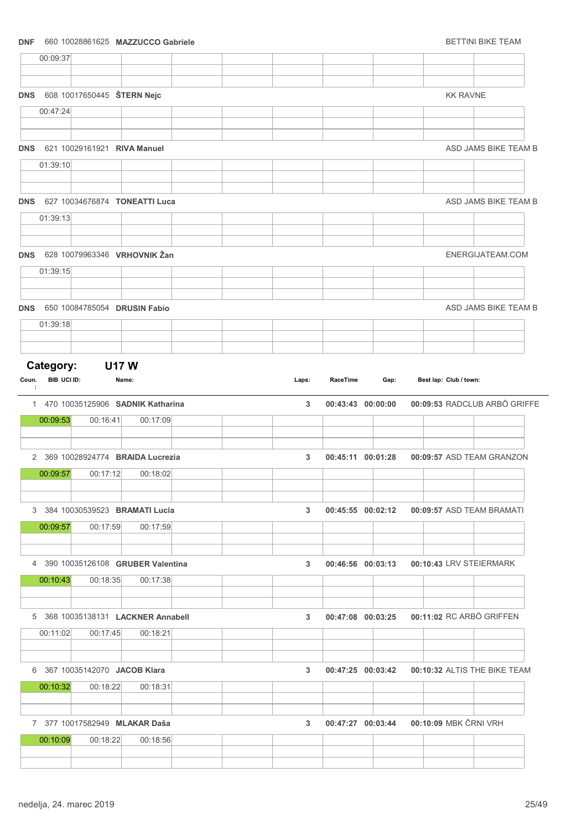### DNF 660 10028861625 MAZZUCCO Gabriele BETTINI BIKE TEAM

|            | 00:09:37                 |          |                                                |  |                |          |                   |                       |                        |                                             |
|------------|--------------------------|----------|------------------------------------------------|--|----------------|----------|-------------------|-----------------------|------------------------|---------------------------------------------|
| <b>DNS</b> |                          |          | 608 10017650445 ŠTERN Nejc                     |  |                |          |                   |                       | <b>KK RAVNE</b>        |                                             |
|            | 00:47:24                 |          |                                                |  |                |          |                   |                       |                        |                                             |
|            |                          |          | DNS 621 10029161921 RIVA Manuel                |  |                |          |                   |                       |                        | ASD JAMS BIKE TEAM B                        |
|            | 01:39:10                 |          |                                                |  |                |          |                   |                       |                        |                                             |
| <b>DNS</b> |                          |          | 627 10034676874 TONEATTI Luca                  |  |                |          |                   |                       |                        | ASD JAMS BIKE TEAM B                        |
|            | 01:39:13                 |          |                                                |  |                |          |                   |                       |                        |                                             |
|            |                          |          | DNS 628 10079963346 VRHOVNIK Žan               |  |                |          |                   |                       |                        | ENERGIJATEAM.COM                            |
|            | 01:39:15                 |          |                                                |  |                |          |                   |                       |                        |                                             |
| <b>DNS</b> |                          |          | 650 10084785054 DRUSIN Fabio                   |  |                |          |                   |                       |                        | ASD JAMS BIKE TEAM B                        |
|            | 01:39:18                 |          |                                                |  |                |          |                   |                       |                        |                                             |
| Coun.<br>÷ | Category:<br>BIB UCI ID: |          | <b>U17W</b><br>Name:                           |  | Laps:          | RaceTime | Gap:              |                       | Best lap: Club / town: |                                             |
|            | 00:09:53                 | 00:16:41 | 1 470 10035125906 SADNIK Katharina<br>00:17:09 |  | 3              |          | 00:43:43 00:00:00 |                       |                        | 00:09:53 RADCLUB ARBÖ GRIFFE                |
|            |                          |          | 2 369 10028924774 BRAIDA Lucrezia              |  | 3              |          | 00:45:11 00:01:28 |                       |                        | 00:09:57 ASD TEAM GRANZON                   |
|            | 00:09:57                 | 00:17:12 | 00:18:02                                       |  |                |          |                   |                       |                        |                                             |
|            |                          |          |                                                |  |                |          |                   |                       |                        |                                             |
|            | 00:09:57                 | 00:17:59 | 3 384 10030539523 BRAMATI Lucia<br>00:17:59    |  | $3^{\circ}$    |          |                   |                       |                        | 00:45:55 00:02:12 00:09:57 ASD TEAM BRAMATI |
|            |                          |          | 4 390 10035126108 GRUBER Valentina             |  | 3 <sup>1</sup> |          | 00:46:56 00:03:13 |                       |                        | 00:10:43 LRV STEIERMARK                     |
|            | 00:10:43                 | 00:18:35 | 00:17:38                                       |  |                |          |                   |                       |                        |                                             |
|            |                          |          | 5 368 10035138131 LACKNER Annabell             |  | 3              |          | 00:47:08 00:03:25 |                       |                        | 00:11:02 RC ARBÖ GRIFFEN                    |
|            | 00:11:02                 | 00:17:45 | 00:18:21                                       |  |                |          |                   |                       |                        |                                             |
|            | 00:10:32                 | 00:18:22 | 6 367 10035142070 JACOB Klara<br>00:18:31      |  | 3              |          | 00:47:25 00:03:42 |                       |                        | 00:10:32 ALTIS THE BIKE TEAM                |
|            |                          |          | 7 377 10017582949 MLAKAR Daša                  |  | 3              |          | 00:47:27 00:03:44 | 00:10:09 MBK ČRNI VRH |                        |                                             |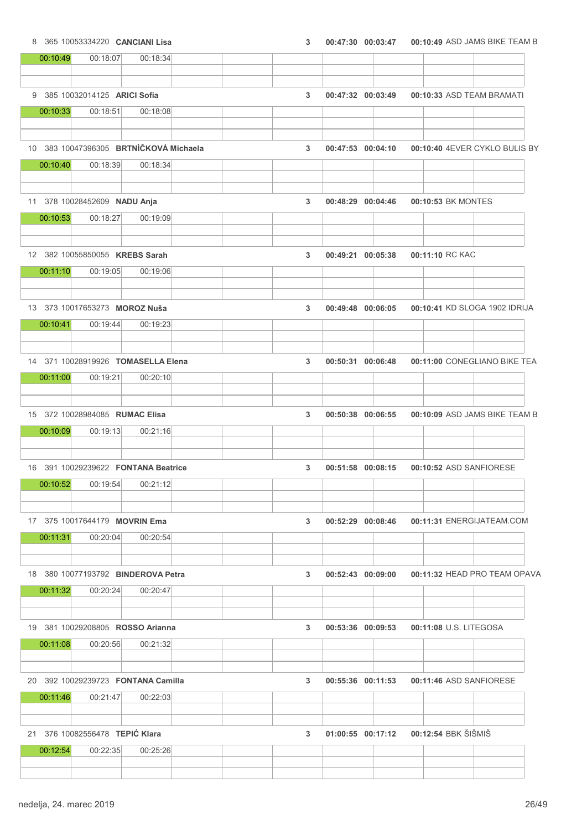8 365 10053334220 CANCIANI Lisa 3 00:47:30 00:47:30 00:03:47 00:10:49 ASD JAMS BIKE TEAM B 00:10:49 00:18:07 00:18:34 9 385 10032014125 ARICI Sofia 3 3 00:47:32 00:03:49 00:10:33 ASD TEAM BRAMATI 00:10:33 00:18:51 00:18:08 10 383 10047396305 BRTNÍČKOVÁ Michaela 3 00:47:53 00:10:40 00:04:10 4EVER CYKLO BULIS BY 00:10:40 00:18:39 00:18:34 11 378 10028452609 **NADU Anja** 3 00:48:29 00:48:29 00:04:46 00:10:53 BK MONTES 00:10:53 00:18:27 00:19:09 12 382 10055850055 KREBS Sarah 3 00:49:21 00:05:38 00:11:10 RC KAC 00:11:10 00:19:05 00:19:06 13 373 10017653273 MOROZ Nuša 3 00:49:48 00:10:41 00:06:05 KD SLOGA 1902 IDRIJA 00:10:41 00:19:44 00:19:23 14 371 10028919926 TOMASELLA Elena 3 00:50:31 00:11:00 00:06:48 CONEGLIANO BIKE TEA 00:11:00 00:19:21 00:20:10 15 372 10028984085 **RUMAC Elisa** 3 00:50:38 00:06:38 00:06:55 00:10:09 ASD JAMS BIKE TEAM B 00:10:09 00:19:13 00:21:16 16 391 10029239622 FONTANA Beatrice 3 00:51:58 00:10:52 00:08:15 ASD SANFIORESE 00:10:52 00:19:54 00:21:12 17 375 10017644179 MOVRIN Ema 3 00:52:29 00:52:29 00:08:46 00:11:31 ENERGIJATEAM.COM 00:11:31 00:20:04 00:20:54 18 380 10077193792 BINDEROVA Petra 3 00:52:43 00:11:32 00:09:00 HEAD PRO TEAM OPAVA 00:11:32 00:20:24 00:20:47 19 381 10029208805 ROSSO Arianna 3 00:53:36 00:11:08 00:09:53 U.S. LITEGOSA 00:11:08 00:20:56 00:21:32 20 392 10029239723 FONTANA Camilla 3 00:55:36 00:11:46 00:11:53 ASD SANFIORESE 00:11:46 00:21:47 00:22:03 21 376 10082556478 TEPIĆ Klara 3 01:00:55 00:12:54 00:17:12 BBK ŠIŠMIŠ 00:12:54 00:22:35 00:25:26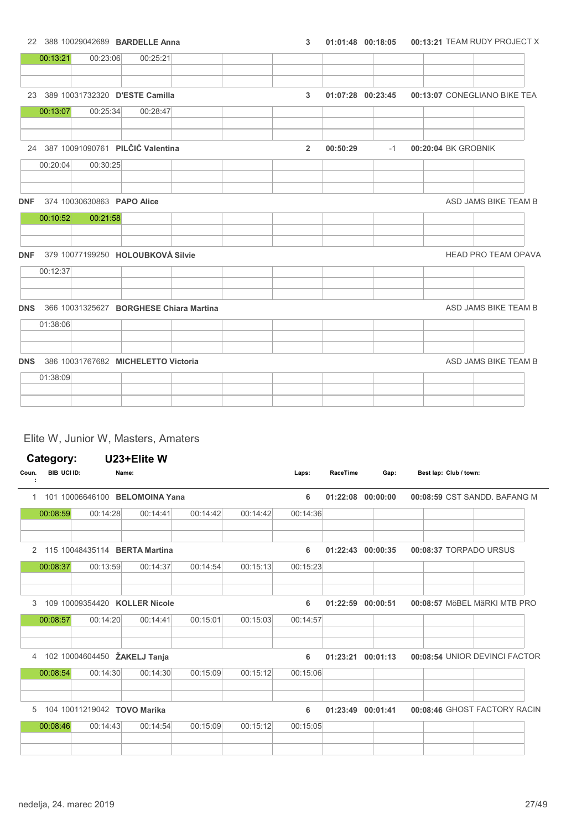|            |                            | 22 388 10029042689 BARDELLE Anna        | 3              | 01:01:48 00:18:05 |      |                     | 00:13:21 TEAM RUDY PROJECT X |
|------------|----------------------------|-----------------------------------------|----------------|-------------------|------|---------------------|------------------------------|
| 00:13:21   | 00:23:06                   | 00:25:21                                |                |                   |      |                     |                              |
|            |                            | 23 389 10031732320 D'ESTE Camilla       | $\mathbf{3}$   | 01:07:28 00:23:45 |      |                     | 00:13:07 CONEGLIANO BIKE TEA |
| 00:13:07   | 00:25:34                   | 00:28:47                                |                |                   |      |                     |                              |
|            |                            | 24 387 10091090761 PILČIĆ Valentina     | $\overline{2}$ | 00:50:29          | $-1$ | 00:20:04 BK GROBNIK |                              |
| 00:20:04   | 00:30:25                   |                                         |                |                   |      |                     |                              |
| <b>DNF</b> | 374 10030630863 PAPO Alice |                                         |                |                   |      |                     | ASD JAMS BIKE TEAM B         |
| 00:10:52   | 00:21:58                   |                                         |                |                   |      |                     |                              |
|            |                            | DNF 379 10077199250 HOLOUBKOVÁ Silvie   |                |                   |      |                     | <b>HEAD PRO TEAM OPAVA</b>   |
| 00:12:37   |                            |                                         |                |                   |      |                     |                              |
| <b>DNS</b> |                            | 366 10031325627 BORGHESE Chiara Martina |                |                   |      |                     | ASD JAMS BIKE TEAM B         |
| 01:38:06   |                            |                                         |                |                   |      |                     |                              |
|            |                            | DNS 386 10031767682 MICHELETTO Victoria |                |                   |      |                     | ASD JAMS BIKE TEAM B         |
|            |                            |                                         |                |                   |      |                     |                              |
| 01:38:09   |                            |                                         |                |                   |      |                     |                              |

## Elite W, Junior W, Masters, Amaters

|       | Category:   |                 | U23+Elite W                   |          |          |          |          |          |                        |                               |
|-------|-------------|-----------------|-------------------------------|----------|----------|----------|----------|----------|------------------------|-------------------------------|
| Coun. | BIB UCI ID: |                 | Name:                         |          |          | Laps:    | RaceTime | Gap:     | Best lap: Club / town: |                               |
| 1.    |             | 101 10006646100 | <b>BELOMOINA Yana</b>         |          |          | 6        | 01:22:08 | 00:00:00 |                        | 00:08:59 CST SANDD, BAFANG M  |
|       | 00:08:59    | 00:14:28        | 00:14:41                      | 00:14:42 | 00:14:42 | 00:14:36 |          |          |                        |                               |
| 2     |             |                 | 115 10048435114 BERTA Martina |          |          | 6        | 01:22:43 | 00:00:35 | 00:08:37 TORPADO URSUS |                               |
|       | 00:08:37    | 00:13:59        | 00:14:37                      | 00:14:54 | 00:15:13 | 00:15:23 |          |          |                        |                               |
| 3     |             | 109 10009354420 | <b>KOLLER Nicole</b>          |          |          | 6        | 01:22:59 | 00:00:51 |                        | 00:08:57 MöBEL MäRKI MTB PRO  |
|       | 00:08:57    | 00:14:20        | 00:14:41                      | 00:15:01 | 00:15:03 | 00:14:57 |          |          |                        |                               |
| 4     |             |                 | 102 10004604450 ŽAKELJ Tanja  |          |          | 6        | 01:23:21 | 00:01:13 |                        | 00:08:54 UNIOR DEVINCI FACTOR |
|       | 00:08:54    | 00:14:30        | 00:14:30                      | 00:15:09 | 00:15:12 | 00:15:06 |          |          |                        |                               |
| 5     |             |                 | 104 10011219042 TOVO Marika   |          |          | 6        | 01:23:49 | 00:01:41 |                        | 00:08:46 GHOST FACTORY RACIN  |
|       | 00:08:46    | 00:14:43        | 00:14:54                      | 00:15:09 | 00:15:12 | 00:15:05 |          |          |                        |                               |
|       |             |                 |                               |          |          |          |          |          |                        |                               |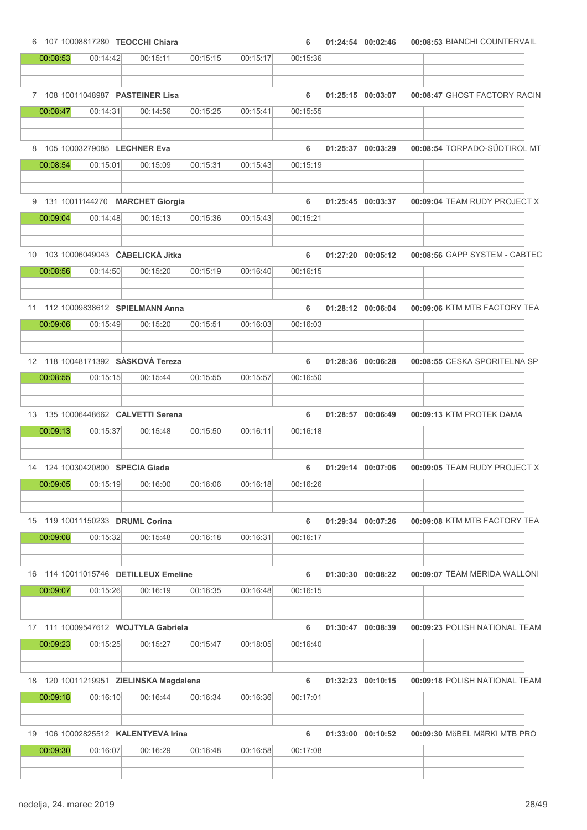6 107 10008817280 TEOCCHI Chiara 6 01:24:54 00:08:53 00:02:46 BIANCHI COUNTERVAIL 00:08:53 00:14:42 00:15:11 00:15:15 00:15:17 00:15:36 7 108 10011048987 PASTEINER Lisa 6 01:25:15 00:08:47 00:03:07 GHOST FACTORY RACIN 00:08:47 00:14:31 00:14:56 00:15:25 00:15:41 00:15:55 8 105 10003279085 LECHNER Eva 6 01:25:37 00:03:29 00:08:54 TORPADO-SÜDTIROL MT 00:08:54 00:15:01 00:15:09 00:15:31 00:15:43 00:15:19 9 131 10011144270 MARCHET Giorgia **6 01:25:45 00:03:37 00:09:04 TEAM RUDY PROJECT X** 00:09:04 00:14:48 00:15:13 00:15:36 00:15:43 00:15:21 10 103 10006049043 ČÁBELICKÁ Jitka 6 01:27:20 00:08:56 00:05:12 GAPP SYSTEM - CABTEC 00:08:56 00:14:50 00:15:20 00:15:19 00:16:40 00:16:15 11 112 10009838612 SPIELMANN Anna 6 01:28:12 00:09:06 00:06:04 KTM MTB FACTORY TEA 00:09:06 00:15:49 00:15:20 00:15:51 00:16:03 00:16:03 12 118 10048171392 SÁSKOVÁ Tereza 6 01:28:36 00:08:55 00:06:28 CESKA SPORITELNA SP 00:08:55 00:15:15 00:15:44 00:15:55 00:15:57 00:16:50 13 135 10006448662 CALVETTI Serena 6 01:28:57 00:06:49 00:09:13 KTM PROTEK DAMA 00:09:13 00:15:37 00:15:48 00:15:50 00:16:11 00:16:18 14 124 10030420800 SPECIA Giada 6 01:29:14 00:07:06 00:09:05 TEAM RUDY PROJECT X 00:09:05 00:15:19 00:16:00 00:16:06 00:16:18 00:16:26 15 119 10011150233 DRUML Corina 6 01:29:34 00:07:26 00:09:08 KTM MTB FACTORY TEA 00:09:08 00:15:32 00:15:48 00:16:18 00:16:31 00:16:17 16 114 10011015746 DETILLEUX Emeline 6 01:30:30 00:09:07 00:08:22 TEAM MERIDA WALLONI 00:09:07 00:15:26 00:16:19 00:16:35 00:16:48 00:16:15 17 111 10009547612 WOJTYLA Gabriela 6 01:30:47 00:08:39 00:09:23 POLISH NATIONAL TEAM 00:09:23 00:15:25 00:15:27 00:15:47 00:18:05 00:16:40 18 120 10011219951 ZIELINSKA Magdalena 6 01:32:23 00:09:18 00:10:15 POLISH NATIONAL TEAM 00:09:18 00:16:10 00:16:44 00:16:34 00:16:36 00:17:01 19 106 10002825512 KALENTYEVA Irina 6 01:33:00 00:09:30 00:10:52 MöBEL MäRKI MTB PRO 00:09:30 00:16:07 00:16:29 00:16:48 00:16:58 00:17:08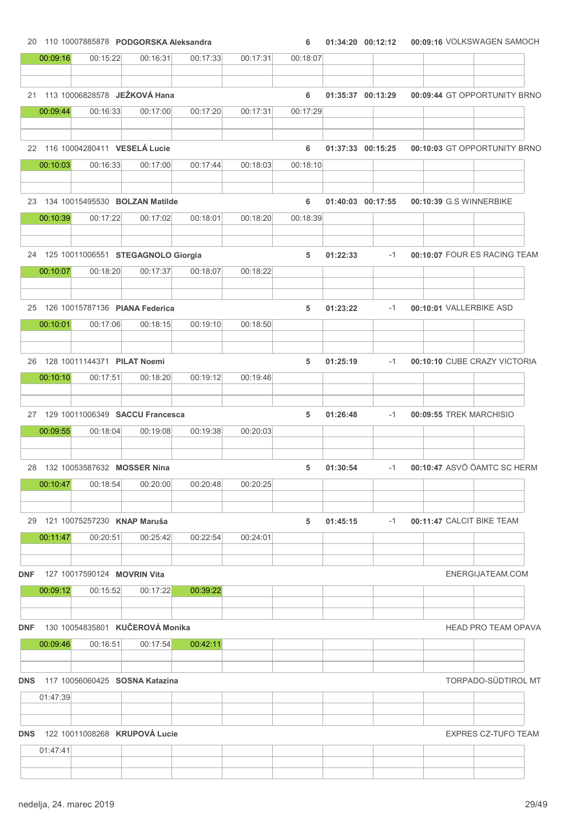|            | 00:09:16<br>21 113 10006828578 JEŽKOVÁ Hana | 00:15:22                                         | 00:16:31 | 00:17:33 | 00:17:31 | 00:18:07 |          |                   |                           |                              |
|------------|---------------------------------------------|--------------------------------------------------|----------|----------|----------|----------|----------|-------------------|---------------------------|------------------------------|
|            |                                             |                                                  |          |          |          |          |          |                   |                           |                              |
|            |                                             |                                                  |          |          |          |          |          |                   |                           |                              |
|            |                                             |                                                  |          |          |          | 6        |          | 01:35:37 00:13:29 |                           | 00:09:44 GT OPPORTUNITY BRNO |
|            | 00:09:44                                    | 00:16:33                                         | 00:17:00 | 00:17:20 | 00:17:31 | 00:17:29 |          |                   |                           |                              |
|            |                                             | 22 116 10004280411 VESELÁ Lucie                  |          |          |          | 6        |          | 01:37:33 00:15:25 |                           | 00:10:03 GT OPPORTUNITY BRNO |
|            | 00:10:03                                    | 00:16:33                                         | 00:17:00 | 00:17:44 | 00:18:03 | 00:18:10 |          |                   |                           |                              |
|            |                                             |                                                  |          |          |          |          |          |                   |                           |                              |
|            |                                             | 23 134 10015495530 BOLZAN Matilde                |          |          |          | 6        |          | 01:40:03 00:17:55 | 00:10:39 G.S WINNERBIKE   |                              |
|            | 00:10:39                                    | 00:17:22                                         | 00:17:02 | 00:18:01 | 00:18:20 | 00:18:39 |          |                   |                           |                              |
|            |                                             | 24 125 10011006551 STEGAGNOLO Giorgia            |          |          |          | 5        | 01:22:33 | $-1$              |                           | 00:10:07 FOUR ES RACING TEAM |
|            | 00:10:07                                    | 00:18:20                                         | 00:17:37 | 00:18:07 | 00:18:22 |          |          |                   |                           |                              |
|            |                                             | 25 126 10015787136 PIANA Federica                |          |          |          | 5        | 01:23:22 | -1                | 00:10:01 VALLERBIKE ASD   |                              |
|            | 00:10:01                                    | 00:17:06                                         | 00:18:15 | 00:19:10 | 00:18:50 |          |          |                   |                           |                              |
|            |                                             | 26 128 10011144371 PILAT Noemi                   |          |          |          | 5        | 01:25:19 | $-1$              |                           | 00:10:10 CUBE CRAZY VICTORIA |
|            | 00:10:10                                    | 00:17:51                                         | 00:18:20 | 00:19:12 | 00:19:46 |          |          |                   |                           |                              |
|            |                                             |                                                  |          |          |          |          |          |                   |                           |                              |
|            |                                             | 27 129 10011006349 SACCU Francesca               |          |          |          | 5        | 01:26:48 | $-1$              | 00:09:55 TREK MARCHISIO   |                              |
|            | 00:09:55                                    | 00:18:04                                         | 00:19:08 | 00:19:38 | 00:20:03 |          |          |                   |                           |                              |
|            |                                             | 28 132 10053587632 MOSSER Nina                   |          |          |          | 5        | 01:30:54 | $-1$              |                           | 00:10:47 ASVÖ ÖAMTC SC HERM  |
|            | 00:10:47                                    | 00:18:54                                         | 00:20:00 | 00:20:48 | 00:20:25 |          |          |                   |                           |                              |
|            |                                             |                                                  |          |          |          |          |          |                   |                           |                              |
|            |                                             | 29 121 10075257230 KNAP Maruša                   |          |          |          | 5        | 01:45:15 | $-1$              | 00:11:47 CALCIT BIKE TEAM |                              |
|            | 00:11:47                                    | 00:20:51                                         | 00:25:42 | 00:22:54 | 00:24:01 |          |          |                   |                           |                              |
| <b>DNF</b> |                                             | 127 10017590124 <b>MOVRIN Vita</b>               |          |          |          |          |          |                   |                           | ENERGIJATEAM.COM             |
|            | 00:09:12                                    | 00:15:52                                         | 00:17:22 | 00:39:22 |          |          |          |                   |                           |                              |
| <b>DNF</b> |                                             | 130 10054835801 KUČEROVÁ Monika                  |          |          |          |          |          |                   |                           | <b>HEAD PRO TEAM OPAVA</b>   |
|            | 00:09:46                                    | 00:16:51                                         | 00:17:54 | 00:42:11 |          |          |          |                   |                           |                              |
|            |                                             |                                                  |          |          |          |          |          |                   |                           |                              |
|            | 01:47:39                                    | <b>DNS</b> 117 10056060425 <b>SOSNA Katazina</b> |          |          |          |          |          |                   |                           | <b>TORPADO-SÜDTIROL MT</b>   |
|            |                                             |                                                  |          |          |          |          |          |                   |                           |                              |
| <b>DNS</b> |                                             | 122 10011008268 KRUPOVÁ Lucie                    |          |          |          |          |          |                   |                           | <b>EXPRES CZ-TUFO TEAM</b>   |
|            | 01:47:41                                    |                                                  |          |          |          |          |          |                   |                           |                              |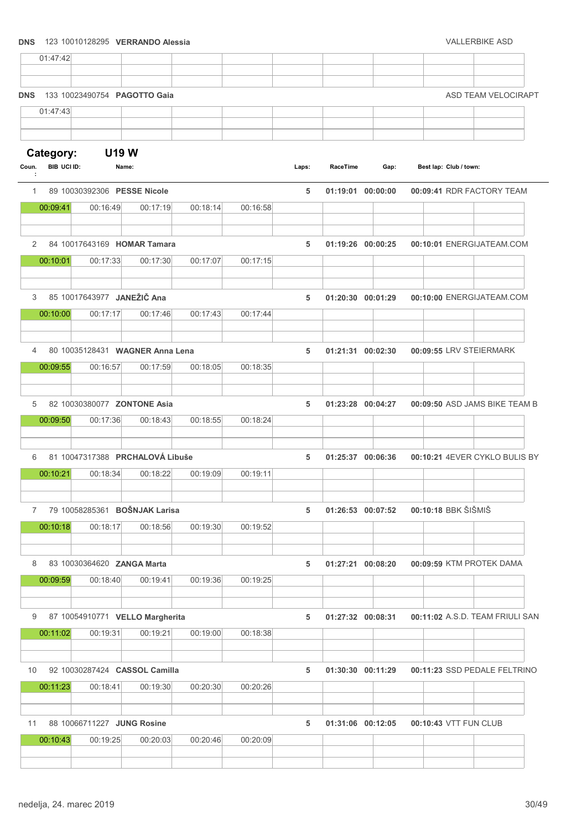# DNS 123 10010128295 VERRANDO Alessia VALLERBIKE ASD 01:47:42 **DNS** 133 10023490754 **PAGOTTO Gaia** ASD TEAM VELOCIRAPT 01:47:43 Category: U19 W Coun. BIB UCI ID: Name: Name: Name: Name: Coun. BIB UCI ID: Name: Club / town: : RaceTime 1 89 10030392306 PESSE Nicole 5 01:19:01 00:09:41 00:00:00 RDR FACTORY TEAM 00:09:41 00:16:49 00:17:19 00:18:14 00:16:58 2 84 10017643169 HOMAR Tamara 5 01:19:26 00:10:01 00:00:25 ENERGIJATEAM.COM 00:10:01 00:17:33 00:17:30 00:17:07 00:17:15 3 85 10017643977 JANEŽIČ Ana 5 01:20:30 00:10:00 00:01:29 ENERGIJATEAM.COM 00:10:00 00:17:17 00:17:46 00:17:43 00:17:44 4 80 10035128431 WAGNER Anna Lena 6 1 121:31 00:02:30 00:02:30 00:09:55 LRV STEIERMARK 00:09:55 00:16:57 00:17:59 00:18:05 00:18:35 5 82 10030380077 ZONTONE Asia 6 01:23:28 00:04:27 00:09:50 ASD JAMS BIKE TEAM B 00:09:50 00:17:36 00:18:43 00:18:55 00:18:24 6 81 10047317388 PRCHALOVÁ Libuše 5 01:25:37 00:10:21 00:06:36 4EVER CYKLO BULIS BY 00:10:21 00:18:34 00:18:22 00:19:09 00:19:11 7 79 10058285361 BOŠNJAK Larisa 6 1 126:53 00:07:52 00:10:18 BBK ŠIŠMIŠ 00:10:18 00:18:17 00:18:56 00:19:30 00:19:52 8 83 10030364620 ZANGA Marta 1 1 1 27:21 00:08:20 00:09:59 KTM PROTEK DAMA 00:09:59 00:18:40 00:19:41 00:19:36 00:19:25 9 87 10054910771 VELLO Margherita 6 1:27:32 00:127:32 00:08:31 00:11:02 A.S.D. TEAM FRIULI SAN 00:11:02 00:19:31 00:19:21 00:19:00 00:18:38 10 92 10030287424 CASSOL Camilla 5 01:30:30 00:11:23 00:11:29 SSD PEDALE FELTRINO 00:11:23 00:18:41 00:19:30 00:20:30 00:20:26 11 88 10066711227 JUNG Rosine 5 01:31:06 00:10:43 00:12:05 VTT FUN CLUB 00:10:43 00:19:25 00:20:03 00:20:46 00:20:09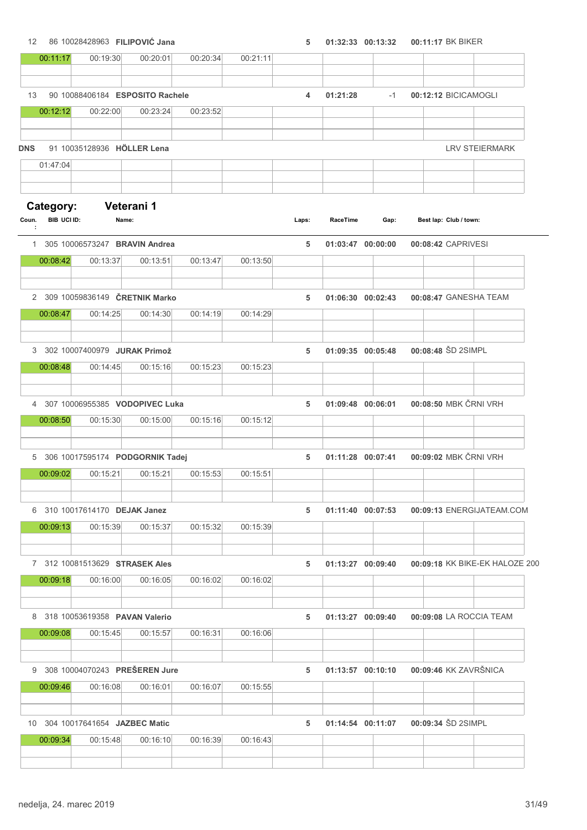12 86 10028428963 FILIPOVIĆ Jana 5 01:32:33 00:13:32 00:11:17 BK BIKER

|            | 00:11:17                 | 00:19:30                                    | 00:20:01   | 00:20:34 | 00:21:11 |       |          |                   |                        |                                |
|------------|--------------------------|---------------------------------------------|------------|----------|----------|-------|----------|-------------------|------------------------|--------------------------------|
|            |                          |                                             |            |          |          |       |          |                   |                        |                                |
| 13         |                          | 90 10088406184 ESPOSITO Rachele             |            |          |          | 4     | 01:21:28 | $-1$              | 00:12:12 BICICAMOGLI   |                                |
|            | 00:12:12                 | 00:22:00                                    | 00:23:24   | 00:23:52 |          |       |          |                   |                        |                                |
| <b>DNS</b> |                          | 91 10035128936 HÖLLER Lena                  |            |          |          |       |          |                   |                        | <b>LRV STEIERMARK</b>          |
|            | 01:47:04                 |                                             |            |          |          |       |          |                   |                        |                                |
|            |                          |                                             |            |          |          |       |          |                   |                        |                                |
| Coun.      | Category:<br>BIB UCI ID: | Name:                                       | Veterani 1 |          |          | Laps: | RaceTime | Gap:              | Best lap: Club / town: |                                |
| ÷          |                          |                                             |            |          |          |       |          |                   |                        |                                |
|            | 00:08:42                 | 1 305 10006573247 BRAVIN Andrea<br>00:13:37 | 00:13:51   | 00:13:47 | 00:13:50 | 5     |          | 01:03:47 00:00:00 | 00:08:42 CAPRIVESI     |                                |
|            |                          |                                             |            |          |          |       |          |                   |                        |                                |
|            |                          | 2 309 10059836149 ČRETNIK Marko             |            |          |          | 5     |          | 01:06:30 00:02:43 |                        | 00:08:47 GANESHA TEAM          |
|            | 00:08:47                 | 00:14:25                                    | 00:14:30   | 00:14:19 | 00:14:29 |       |          |                   |                        |                                |
|            |                          |                                             |            |          |          |       |          |                   |                        |                                |
| 3          |                          | 302 10007400979 JURAK Primož                |            |          |          | 5     |          | 01:09:35 00:05:48 | 00:08:48 ŠD 2SIMPL     |                                |
|            | 00:08:48                 | 00:14:45                                    | 00:15:16   | 00:15:23 | 00:15:23 |       |          |                   |                        |                                |
| 4          |                          | 307 10006955385 VODOPIVEC Luka              |            |          |          | 5     |          | 01:09:48 00:06:01 |                        | 00:08:50 MBK ČRNI VRH          |
|            | 00:08:50                 | 00:15:30                                    | 00:15:00   | 00:15:16 | 00:15:12 |       |          |                   |                        |                                |
|            |                          |                                             |            |          |          |       |          |                   |                        |                                |
| 5          |                          | 306 10017595174 PODGORNIK Tadej             |            |          |          | 5     |          | 01:11:28 00:07:41 |                        | 00:09:02 MBK ČRNI VRH          |
|            | 00:09:02                 | 00:15:21                                    | 00:15:21   | 00:15:53 | 00:15:51 |       |          |                   |                        |                                |
|            |                          | 6 310 10017614170 DEJAK Janez               |            |          |          | 5     |          | 01:11:40 00:07:53 |                        | 00:09:13 ENERGIJATEAM.COM      |
|            | 00:09:13                 | 00:15:39                                    | 00:15:37   | 00:15:32 | 00:15:39 |       |          |                   |                        |                                |
|            |                          |                                             |            |          |          |       |          |                   |                        |                                |
|            |                          | 7 312 10081513629 STRASEK Ales              |            |          |          | 5     |          | 01:13:27 00:09:40 |                        | 00:09:18 KK BIKE-EK HALOZE 200 |
|            | 00:09:18                 | 00:16:00                                    | 00:16:05   | 00:16:02 | 00:16:02 |       |          |                   |                        |                                |
|            |                          |                                             |            |          |          |       |          |                   |                        |                                |
|            |                          | 8 318 10053619358 PAVAN Valerio             |            |          |          | 5     |          | 01:13:27 00:09:40 |                        | 00:09:08 LA ROCCIA TEAM        |
|            | 00:09:08                 | 00:15:45                                    | 00:15:57   | 00:16:31 | 00:16:06 |       |          |                   |                        |                                |
|            |                          | 9 308 10004070243 PREŠEREN Jure             |            |          |          | 5     |          | 01:13:57 00:10:10 |                        | 00:09:46 KK ZAVRŠNICA          |
|            | 00:09:46                 | 00:16:08                                    | 00:16:01   | 00:16:07 | 00:15:55 |       |          |                   |                        |                                |
|            |                          |                                             |            |          |          |       |          |                   |                        |                                |
|            |                          | 10 304 10017641654 JAZBEC Matic             |            |          |          | 5     |          | 01:14:54 00:11:07 | 00:09:34 ŠD 2SIMPL     |                                |
|            | 00:09:34                 | 00:15:48                                    | 00:16:10   | 00:16:39 | 00:16:43 |       |          |                   |                        |                                |
|            |                          |                                             |            |          |          |       |          |                   |                        |                                |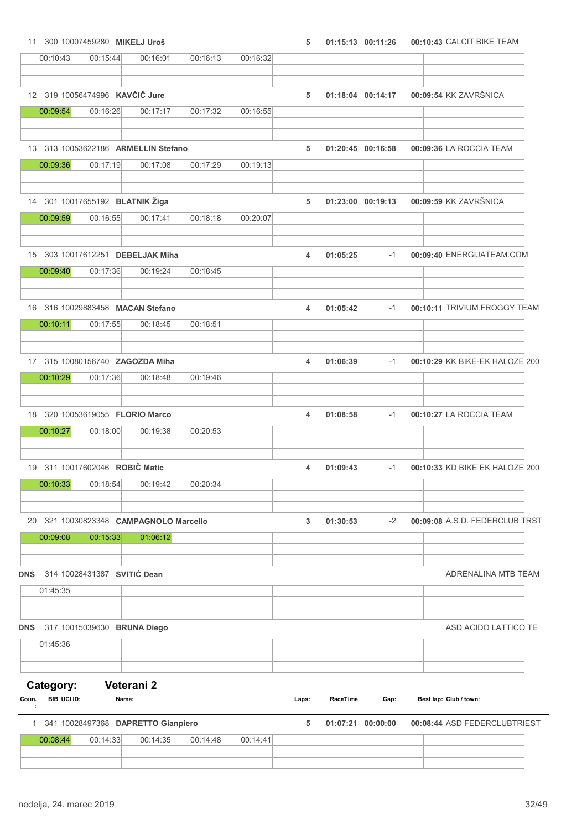11 300 10007459280 MIKELJ Uroš **5 01:15:13 00:11:26 00:10:43** CALCIT BIKE TEAM

|            | 00:10:43                 | 00:15:44                                    | 00:16:01   | 00:16:13 | 00:16:32 |       |                   |      |                           |                                |
|------------|--------------------------|---------------------------------------------|------------|----------|----------|-------|-------------------|------|---------------------------|--------------------------------|
|            |                          | 12 319 10056474996 KAVČIČ Jure              |            |          |          | 5     | 01:18:04 00:14:17 |      | 00:09:54 KK ZAVRŠNICA     |                                |
|            | 00:09:54                 | 00:16:26                                    | 00:17:17   | 00:17:32 | 00:16:55 |       |                   |      |                           |                                |
|            |                          | 13 313 10053622186 ARMELLIN Stefano         |            |          |          | 5     | 01:20:45 00:16:58 |      | 00:09:36 LA ROCCIA TEAM   |                                |
|            | 00:09:36                 | 00:17:19                                    | 00:17:08   | 00:17:29 | 00:19:13 |       |                   |      |                           |                                |
|            |                          | 14 301 10017655192 BLATNIK Žiga             |            |          |          | 5     | 01:23:00 00:19:13 |      | 00:09:59 KK ZAVRŠNICA     |                                |
|            | 00:09:59                 | 00:16:55                                    | 00:17:41   | 00:18:18 | 00:20:07 |       |                   |      |                           |                                |
|            |                          | 15 303 10017612251 DEBELJAK Miha            |            |          |          | 4     | 01:05:25          | $-1$ | 00:09:40 ENERGIJATEAM.COM |                                |
|            | 00:09:40                 | 00:17:36                                    | 00:19:24   | 00:18:45 |          |       |                   |      |                           |                                |
|            |                          | 16 316 10029883458 MACAN Stefano            |            |          |          |       | 01:05:42          | $-1$ |                           | 00:10:11 TRIVIUM FROGGY TEAM   |
|            | 00:10:11                 | 00:17:55                                    | 00:18:45   | 00:18:51 |          | 4     |                   |      |                           |                                |
|            |                          |                                             |            |          |          |       |                   |      |                           |                                |
|            | 00:10:29                 | 17 315 10080156740 ZAGOZDA Miha<br>00:17:36 | 00:18:48   | 00:19:46 |          | 4     | 01:06:39          | $-1$ |                           | 00:10:29 KK BIKE-EK HALOZE 200 |
|            |                          |                                             |            |          |          |       |                   |      |                           |                                |
|            |                          | 18 320 10053619055 FLORIO Marco             |            |          |          | 4     | 01:08:58          | $-1$ | 00:10:27 LA ROCCIA TEAM   |                                |
|            | 00:10:27                 | 00:18:00                                    | 00:19:38   | 00:20:53 |          |       |                   |      |                           |                                |
|            |                          | 19 311 10017602046 ROBIČ Matic              |            |          |          | 4     | 01:09:43          | $-1$ |                           | 00:10:33 KD BIKE EK HALOZE 200 |
|            | 00:10:33                 | 00:18:54                                    | 00:19:42   | 00:20:34 |          |       |                   |      |                           |                                |
| 20         |                          | 321 10030823348 CAMPAGNOLO Marcello         |            |          |          | 3     | 01:30:53          | $-2$ |                           | 00:09:08 A.S.D. FEDERCLUB TRST |
|            | 00:09:08                 | 00:15:33                                    | 01:06:12   |          |          |       |                   |      |                           |                                |
| <b>DNS</b> |                          | 314 10028431387 SVITIĆ Dean                 |            |          |          |       |                   |      |                           | ADRENALINA MTB TEAM            |
|            | 01:45:35                 |                                             |            |          |          |       |                   |      |                           |                                |
|            |                          |                                             |            |          |          |       |                   |      |                           |                                |
| DNS        | 01:45:36                 | 317 10015039630 BRUNA Diego                 |            |          |          |       |                   |      |                           | ASD ACIDO LATTICO TE           |
|            |                          |                                             |            |          |          |       |                   |      |                           |                                |
| Coun.<br>÷ | Category:<br>BIB UCI ID: | Name:                                       | Veterani 2 |          |          | Laps: | RaceTime          | Gap: | Best lap: Club / town:    |                                |
|            |                          | 1 341 10028497368 DAPRETTO Gianpiero        |            |          |          | 5     | 01:07:21 00:00:00 |      |                           | 00:08:44 ASD FEDERCLUBTRIEST   |
|            | 00:08:44                 | 00:14:33                                    | 00:14:35   | 00:14:48 | 00:14:41 |       |                   |      |                           |                                |
|            |                          |                                             |            |          |          |       |                   |      |                           |                                |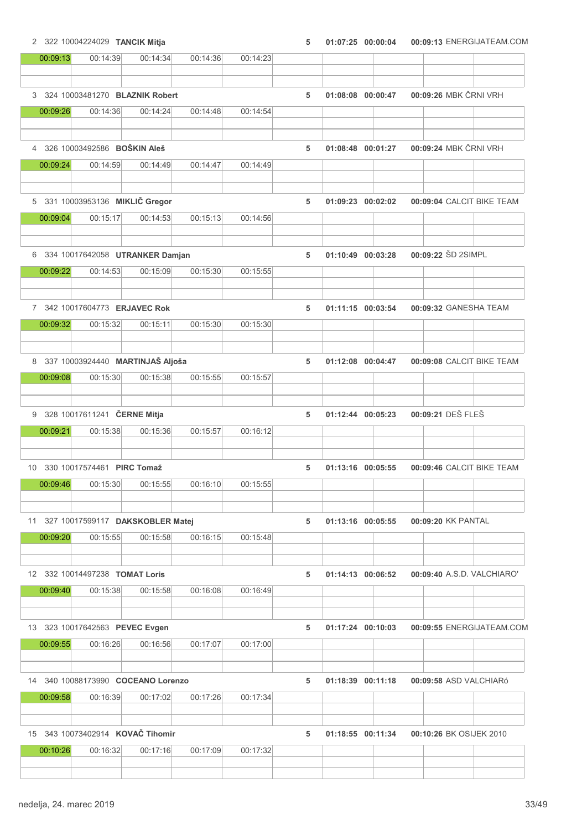2 322 10004224029 TANCIK Mitja 5 01:07:25 00:09:13 00:00:04 ENERGIJATEAM.COM

| 00:09:13 | 00:14:39                              | 00:14:34 | 00:14:36 | 00:14:23 |   |                   |                       |                            |
|----------|---------------------------------------|----------|----------|----------|---|-------------------|-----------------------|----------------------------|
|          |                                       |          |          |          |   |                   |                       |                            |
|          | 3 324 10003481270 BLAZNIK Robert      |          |          |          | 5 | 01:08:08 00:00:47 | 00:09:26 MBK ČRNI VRH |                            |
| 00:09:26 | 00:14:36                              | 00:14:24 | 00:14:48 | 00:14:54 |   |                   |                       |                            |
|          |                                       |          |          |          |   |                   |                       |                            |
|          | 4 326 10003492586 BOŠKIN Aleš         |          |          |          | 5 | 01:08:48 00:01:27 | 00:09:24 MBK ČRNI VRH |                            |
| 00:09:24 | 00:14:59                              | 00:14:49 | 00:14:47 | 00:14:49 |   |                   |                       |                            |
|          |                                       |          |          |          |   |                   |                       |                            |
|          | 5 331 10003953136 MIKLIČ Gregor       |          |          |          | 5 | 01:09:23 00:02:02 |                       | 00:09:04 CALCIT BIKE TEAM  |
| 00:09:04 | 00:15:17                              | 00:14:53 | 00:15:13 | 00:14:56 |   |                   |                       |                            |
|          |                                       |          |          |          |   |                   |                       |                            |
|          | 6 334 10017642058 UTRANKER Damjan     |          |          |          | 5 | 01:10:49 00:03:28 | 00:09:22 ŠD 2SIMPL    |                            |
| 00:09:22 | 00:14:53                              | 00:15:09 | 00:15:30 | 00:15:55 |   |                   |                       |                            |
|          |                                       |          |          |          |   |                   |                       |                            |
|          | 7 342 10017604773 ERJAVEC Rok         |          |          |          | 5 | 01:11:15 00:03:54 |                       | 00:09:32 GANESHA TEAM      |
| 00:09:32 | 00:15:32                              | 00:15:11 | 00:15:30 | 00:15:30 |   |                   |                       |                            |
|          |                                       |          |          |          |   |                   |                       |                            |
|          | 8 337 10003924440 MARTINJAŠ Aljoša    |          |          |          | 5 | 01:12:08 00:04:47 |                       | 00:09:08 CALCIT BIKE TEAM  |
| 00:09:08 | 00:15:30                              | 00:15:38 | 00:15:55 | 00:15:57 |   |                   |                       |                            |
|          |                                       |          |          |          |   |                   |                       |                            |
|          | 9 328 10017611241 ČERNE Mitja         |          |          |          | 5 | 01:12:44 00:05:23 | 00:09:21 DEŠ FLEŠ     |                            |
| 00:09:21 | 00:15:38                              | 00:15:36 | 00:15:57 | 00:16:12 |   |                   |                       |                            |
|          |                                       |          |          |          |   |                   |                       |                            |
|          | 10 330 10017574461 PIRC Tomaž         |          |          |          | 5 | 01:13:16 00:05:55 |                       | 00:09:46 CALCIT BIKE TEAM  |
| 00:09:46 | 00:15:30                              | 00:15:55 | 00:16:10 | 00:15:55 |   |                   |                       |                            |
|          |                                       |          |          |          |   |                   |                       |                            |
|          | 11 327 10017599117 DAKSKOBLER Matej   |          |          |          | 5 | 01:13:16 00:05:55 | 00:09:20 KK PANTAL    |                            |
| 00:09:20 | 00:15:55                              | 00:15:58 | 00:16:15 | 00:15:48 |   |                   |                       |                            |
|          |                                       |          |          |          |   |                   |                       |                            |
|          | 12 332 10014497238 <b>TOMAT Loris</b> |          |          |          | 5 | 01:14:13 00:06:52 |                       | 00:09:40 A.S.D. VALCHIARO' |
| 00:09:40 | 00:15:38                              | 00:15:58 | 00:16:08 | 00:16:49 |   |                   |                       |                            |
|          |                                       |          |          |          |   |                   |                       |                            |
|          | 13 323 10017642563 PEVEC Evgen        |          |          |          | 5 | 01:17:24 00:10:03 |                       | 00:09:55 ENERGIJATEAM.COM  |
| 00:09:55 | 00:16:26                              | 00:16:56 | 00:17:07 | 00:17:00 |   |                   |                       |                            |
|          |                                       |          |          |          |   |                   |                       |                            |
|          | 14 340 10088173990 COCEANO Lorenzo    |          |          |          | 5 | 01:18:39 00:11:18 |                       | 00:09:58 ASD VALCHIARÓ     |
| 00:09:58 | 00:16:39                              | 00:17:02 | 00:17:26 | 00:17:34 |   |                   |                       |                            |
|          |                                       |          |          |          |   |                   |                       |                            |
|          | 15 343 10073402914 KOVAČ Tihomir      |          |          |          | 5 | 01:18:55 00:11:34 |                       | 00:10:26 BK OSIJEK 2010    |
| 00:10:26 | 00:16:32                              | 00:17:16 | 00:17:09 | 00:17:32 |   |                   |                       |                            |
|          |                                       |          |          |          |   |                   |                       |                            |
|          |                                       |          |          |          |   |                   |                       |                            |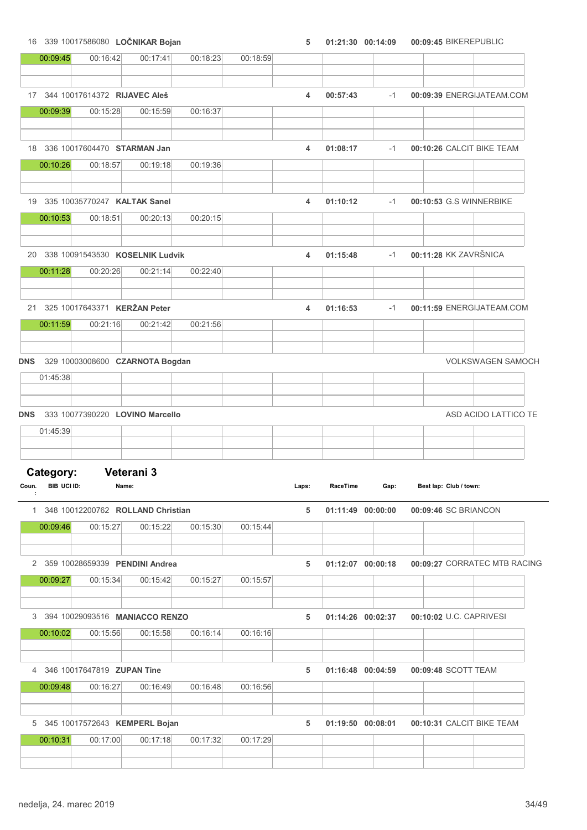16 339 10017586080 LOČNIKAR Bojan 5 01:21:30 00:09:45 00:14:09 BIKEREPUBLIC

|                      | 00:09:45                 | 00:16:42                            | 00:17:41   | 00:18:23 | 00:18:59 |       |                   |      |                       |                        |                              |
|----------------------|--------------------------|-------------------------------------|------------|----------|----------|-------|-------------------|------|-----------------------|------------------------|------------------------------|
|                      |                          | 17 344 10017614372 RIJAVEC Aleš     |            |          |          | 4     | 00:57:43          | $-1$ |                       |                        | 00:09:39 ENERGIJATEAM.COM    |
|                      | 00:09:39                 | 00:15:28                            | 00:15:59   | 00:16:37 |          |       |                   |      |                       |                        |                              |
|                      |                          |                                     |            |          |          |       |                   |      |                       |                        |                              |
|                      |                          | 18 336 10017604470 STARMAN Jan      |            |          |          | 4     | 01:08:17          | $-1$ |                       |                        | 00:10:26 CALCIT BIKE TEAM    |
|                      | 00:10:26                 | 00:18:57                            | 00:19:18   | 00:19:36 |          |       |                   |      |                       |                        |                              |
|                      |                          |                                     |            |          |          |       |                   |      |                       |                        |                              |
|                      |                          | 19 335 10035770247 KALTAK Sanel     |            |          |          | 4     | 01:10:12          | $-1$ |                       |                        | 00:10:53 G.S WINNERBIKE      |
|                      | 00:10:53                 | 00:18:51                            | 00:20:13   | 00:20:15 |          |       |                   |      |                       |                        |                              |
|                      |                          |                                     |            |          |          |       |                   |      |                       |                        |                              |
|                      |                          | 20 338 10091543530 KOSELNIK Ludvik  |            |          |          | 4     | 01:15:48          | $-1$ | 00:11:28 KK ZAVRŠNICA |                        |                              |
|                      | 00:11:28                 | 00:20:26                            | 00:21:14   | 00:22:40 |          |       |                   |      |                       |                        |                              |
|                      |                          |                                     |            |          |          |       |                   |      |                       |                        |                              |
|                      |                          | 21 325 10017643371 KERŽAN Peter     |            |          |          | 4     | 01:16:53          | $-1$ |                       |                        | 00:11:59 ENERGIJATEAM.COM    |
|                      | 00:11:59                 | 00:21:16                            | 00:21:42   | 00:21:56 |          |       |                   |      |                       |                        |                              |
|                      |                          |                                     |            |          |          |       |                   |      |                       |                        |                              |
| DNS                  |                          | 329 10003008600 CZARNOTA Bogdan     |            |          |          |       |                   |      |                       |                        | <b>VOLKSWAGEN SAMOCH</b>     |
|                      | 01:45:38                 |                                     |            |          |          |       |                   |      |                       |                        |                              |
|                      |                          |                                     |            |          |          |       |                   |      |                       |                        |                              |
|                      |                          |                                     |            |          |          |       |                   |      |                       |                        |                              |
| DNS                  |                          | 333 10077390220 LOVINO Marcello     |            |          |          |       |                   |      |                       |                        |                              |
|                      | 01:45:39                 |                                     |            |          |          |       |                   |      |                       |                        |                              |
|                      |                          |                                     |            |          |          |       |                   |      |                       |                        |                              |
|                      |                          |                                     |            |          |          |       |                   |      |                       |                        |                              |
|                      | Category:<br>BIB UCI ID: | Name:                               | Veterani 3 |          |          | Laps: | RaceTime          | Gap: |                       | Best lap: Club / town: | ASD ACIDO LATTICO TE         |
| $\ddot{\phantom{1}}$ |                          | 1 348 10012200762 ROLLAND Christian |            |          |          | 5     | 01:11:49 00:00:00 |      | 00:09:46 SC BRIANCON  |                        |                              |
|                      | 00:09:46                 | 00:15:27                            | 00:15:22   | 00:15:30 | 00:15:44 |       |                   |      |                       |                        |                              |
|                      |                          |                                     |            |          |          |       |                   |      |                       |                        |                              |
|                      | 00:09:27                 | 2 359 10028659339 PENDINI Andrea    |            |          |          | 5     | 01:12:07 00:00:18 |      |                       |                        |                              |
|                      |                          | 00:15:34                            | 00:15:42   | 00:15:27 | 00:15:57 |       |                   |      |                       |                        |                              |
|                      |                          |                                     |            |          |          |       |                   |      |                       |                        |                              |
|                      |                          | 3 394 10029093516 MANIACCO RENZO    |            |          |          | 5     | 01:14:26 00:02:37 |      |                       |                        | 00:10:02 U.C. CAPRIVESI      |
|                      | 00:10:02                 | 00:15:56                            | 00:15:58   | 00:16:14 | 00:16:16 |       |                   |      |                       |                        |                              |
|                      |                          | 4 346 10017647819 ZUPAN Tine        |            |          |          | 5     | 01:16:48 00:04:59 |      | 00:09:48 SCOTT TEAM   |                        |                              |
|                      | 00:09:48                 | 00:16:27                            | 00:16:49   | 00:16:48 | 00:16:56 |       |                   |      |                       |                        |                              |
| Coun.                |                          |                                     |            |          |          |       |                   |      |                       |                        | 00:09:27 CORRATEC MTB RACING |
|                      |                          | 5 345 10017572643 KEMPERL Bojan     |            |          |          | 5     | 01:19:50 00:08:01 |      |                       |                        | 00:10:31 CALCIT BIKE TEAM    |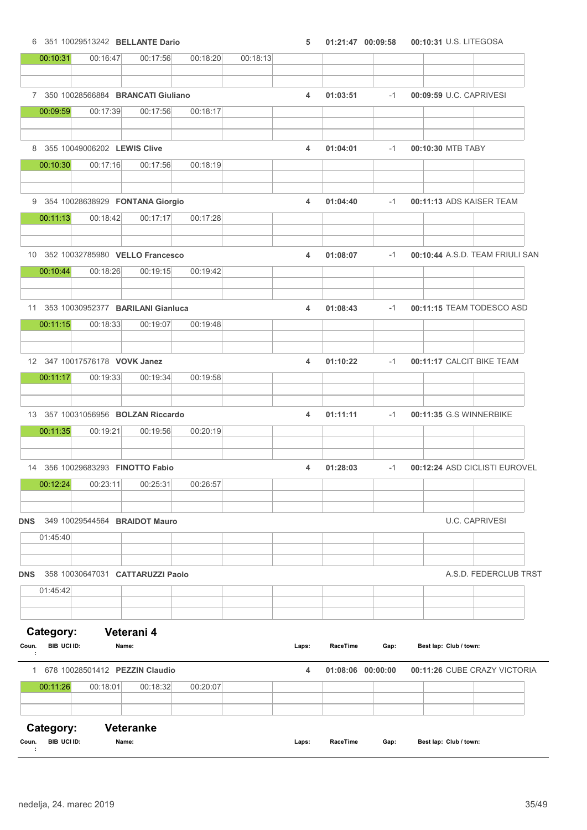6 351 10029513242 BELLANTE Dario 5 01:21:47 00:10:31 00:09:58 U.S. LITEGOSA

|            | 00:10:31           | 00:16:47                                  | 00:17:56         | 00:18:20 | 00:18:13 |       |                   |      |                           |                                 |
|------------|--------------------|-------------------------------------------|------------------|----------|----------|-------|-------------------|------|---------------------------|---------------------------------|
|            |                    | 7 350 10028566884 BRANCATI Giuliano       |                  |          |          | 4     | 01:03:51          | $-1$ | 00:09:59 U.C. CAPRIVESI   |                                 |
|            | 00:09:59           | 00:17:39                                  | 00:17:56         | 00:18:17 |          |       |                   |      |                           |                                 |
|            |                    |                                           |                  |          |          |       |                   |      |                           |                                 |
|            | 00:10:30           | 8 355 10049006202 LEWIS Clive<br>00:17:16 | 00:17:56         | 00:18:19 |          | 4     | 01:04:01          | $-1$ | 00:10:30 MTB TABY         |                                 |
|            |                    |                                           |                  |          |          |       |                   |      |                           |                                 |
|            |                    | 9 354 10028638929 FONTANA Giorgio         |                  |          |          | 4     | 01:04:40          | $-1$ | 00:11:13 ADS KAISER TEAM  |                                 |
|            | 00:11:13           | 00:18:42                                  | 00:17:17         | 00:17:28 |          |       |                   |      |                           |                                 |
|            |                    | 10 352 10032785980 VELLO Francesco        |                  |          |          | 4     | 01:08:07          | $-1$ |                           | 00:10:44 A.S.D. TEAM FRIULI SAN |
|            | 00:10:44           | 00:18:26                                  | 00:19:15         | 00:19:42 |          |       |                   |      |                           |                                 |
|            |                    |                                           |                  |          |          |       |                   |      |                           |                                 |
|            |                    | 11 353 10030952377 BARILANI Gianluca      |                  |          |          | 4     | 01:08:43          | $-1$ | 00:11:15 TEAM TODESCO ASD |                                 |
|            | 00:11:15           | 00:18:33                                  | 00:19:07         | 00:19:48 |          |       |                   |      |                           |                                 |
|            |                    |                                           |                  |          |          |       |                   |      |                           |                                 |
|            | 00:11:17           | 12 347 10017576178 VOVK Janez<br>00:19:33 | 00:19:34         | 00:19:58 |          | 4     | 01:10:22          | $-1$ | 00:11:17 CALCIT BIKE TEAM |                                 |
|            |                    |                                           |                  |          |          |       |                   |      |                           |                                 |
|            |                    | 13 357 10031056956 BOLZAN Riccardo        |                  |          |          | 4     | 01:11:11          | $-1$ | 00:11:35 G.S WINNERBIKE   |                                 |
|            | 00:11:35           | 00:19:21                                  | 00:19:56         | 00:20:19 |          |       |                   |      |                           |                                 |
|            |                    |                                           |                  |          |          |       |                   |      |                           |                                 |
|            |                    | 14 356 10029683293 FINOTTO Fabio          |                  |          |          | 4     | 01:28:03          | $-1$ |                           | 00:12:24 ASD CICLISTI EUROVEL   |
|            | 00:12:24           | 00:23:11                                  | 00:25:31         | 00:26:57 |          |       |                   |      |                           |                                 |
| DNS        |                    | 349 10029544564 BRAIDOT Mauro             |                  |          |          |       |                   |      |                           | <b>U.C. CAPRIVESI</b>           |
|            | 01:45:40           |                                           |                  |          |          |       |                   |      |                           |                                 |
|            |                    | 358 10030647031 CATTARUZZI Paolo          |                  |          |          |       |                   |      |                           | A.S.D. FEDERCLUB TRST           |
| DNS        | 01:45:42           |                                           |                  |          |          |       |                   |      |                           |                                 |
|            |                    |                                           |                  |          |          |       |                   |      |                           |                                 |
|            | Category:          |                                           | Veterani 4       |          |          |       |                   |      |                           |                                 |
| Coun.      | <b>BIB UCI ID:</b> | Name:                                     |                  |          |          | Laps: | RaceTime          | Gap: | Best lap: Club / town:    |                                 |
|            |                    | 1 678 10028501412 PEZZIN Claudio          |                  |          |          | 4     | 01:08:06 00:00:00 |      |                           | 00:11:26 CUBE CRAZY VICTORIA    |
|            | 00:11:26           | 00:18:01                                  | 00:18:32         | 00:20:07 |          |       |                   |      |                           |                                 |
|            |                    |                                           |                  |          |          |       |                   |      |                           |                                 |
|            | Category:          |                                           | <b>Veteranke</b> |          |          |       |                   |      |                           |                                 |
| Coun.<br>÷ | BIB UCI ID:        | Name:                                     |                  |          |          | Laps: | RaceTime          | Gap: | Best lap: Club / town:    |                                 |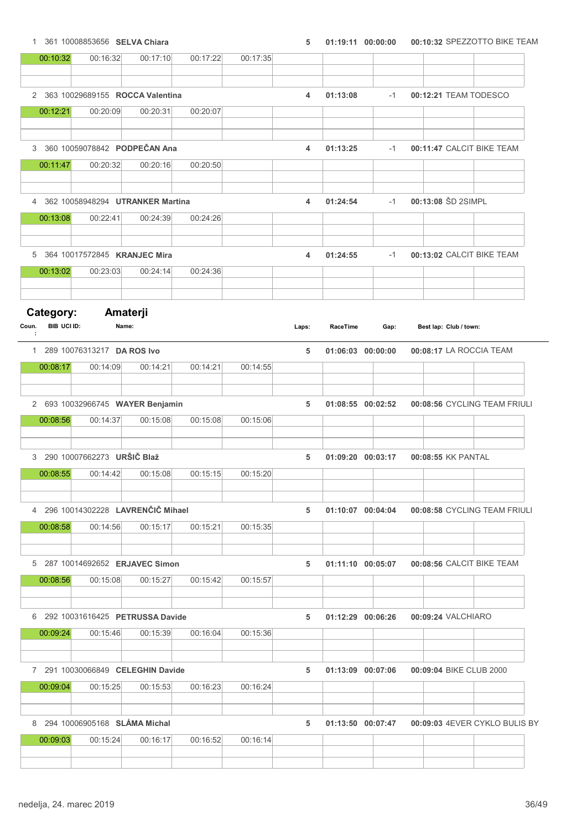| 1 361 10008853656 SELVA Chiara |  | 5  01:19:11  00:00:00  00:10:32  SPEZZOTTO BIKE TEAM |
|--------------------------------|--|------------------------------------------------------|
|                                |  |                                                      |

|                | 00:10:32                        | 00:16:32                                 | 00:17:10 | 00:17:22 | 00:17:35 |       |                   |      |                               |
|----------------|---------------------------------|------------------------------------------|----------|----------|----------|-------|-------------------|------|-------------------------------|
|                |                                 |                                          |          |          |          |       |                   |      |                               |
|                |                                 | 2 363 10029689155 ROCCA Valentina        |          |          |          | 4     | 01:13:08          | $-1$ | 00:12:21 TEAM TODESCO         |
|                | 00:12:21                        | 00:20:09                                 | 00:20:31 | 00:20:07 |          |       |                   |      |                               |
| 3              |                                 | 360 10059078842 PODPEČAN Ana             |          |          |          | 4     | 01:13:25          | $-1$ | 00:11:47 CALCIT BIKE TEAM     |
|                | 00:11:47                        | 00:20:32                                 | 00:20:16 | 00:20:50 |          |       |                   |      |                               |
|                |                                 |                                          |          |          |          |       |                   |      |                               |
| $\overline{4}$ |                                 | 362 10058948294 UTRANKER Martina         |          |          |          | 4     | 01:24:54          | $-1$ | 00:13:08 ŠD 2SIMPL            |
|                | 00:13:08                        | 00:22:41                                 | 00:24:39 | 00:24:26 |          |       |                   |      |                               |
|                |                                 |                                          |          |          |          |       |                   |      |                               |
| 5              |                                 | 364 10017572845 KRANJEC Mira             |          |          |          | 4     | 01:24:55          | $-1$ | 00:13:02 CALCIT BIKE TEAM     |
|                | 00:13:02                        | 00:23:03                                 | 00:24:14 | 00:24:36 |          |       |                   |      |                               |
|                |                                 |                                          |          |          |          |       |                   |      |                               |
| Coun.          | Category:<br><b>BIB UCI ID:</b> | Amaterji<br>Name:                        |          |          |          | Laps: | RaceTime          | Gap: | Best lap: Club / town:        |
| ÷              |                                 |                                          |          |          |          |       |                   |      |                               |
|                | 00:08:17                        | 1 289 10076313217 DA ROS Ivo<br>00:14:09 | 00:14:21 | 00:14:21 | 00:14:55 | 5     | 01:06:03 00:00:00 |      | 00:08:17 LA ROCCIA TEAM       |
|                |                                 |                                          |          |          |          |       |                   |      |                               |
|                |                                 | 2 693 10032966745 WAYER Benjamin         |          |          |          | 5     | 01:08:55 00:02:52 |      | 00:08:56 CYCLING TEAM FRIULI  |
|                | 00:08:56                        | 00:14:37                                 | 00:15:08 | 00:15:08 | 00:15:06 |       |                   |      |                               |
|                |                                 |                                          |          |          |          |       |                   |      |                               |
|                |                                 | 3 290 10007662273 URŠIČ Blaž             |          |          |          | 5     | 01:09:20 00:03:17 |      | 00:08:55 KK PANTAL            |
|                | 00:08:55                        | 00:14:42                                 | 00:15:08 | 00:15:15 | 00:15:20 |       |                   |      |                               |
|                |                                 |                                          |          |          |          |       |                   |      |                               |
|                |                                 | 4 296 10014302228 LAVRENČIČ Mihael       |          |          |          | 5     | 01:10:07 00:04:04 |      | 00:08:58 CYCLING TEAM FRIULI  |
|                | 00:08:58                        | 00:14:56                                 | 00:15:17 | 00:15:21 | 00:15:35 |       |                   |      |                               |
|                |                                 |                                          |          |          |          |       |                   |      |                               |
|                |                                 | 5 287 10014692652 ERJAVEC Simon          |          |          |          | 5     | 01:11:10 00:05:07 |      | 00:08:56 CALCIT BIKE TEAM     |
|                | 00:08:56                        | 00:15:08                                 | 00:15:27 | 00:15:42 | 00:15:57 |       |                   |      |                               |
|                |                                 |                                          |          |          |          |       |                   |      |                               |
|                |                                 | 6 292 10031616425 PETRUSSA Davide        |          |          |          | 5     | 01:12:29 00:06:26 |      | 00:09:24 VALCHIARO            |
|                | 00:09:24                        | 00:15:46                                 | 00:15:39 | 00:16:04 | 00:15:36 |       |                   |      |                               |
|                |                                 | 7 291 10030066849 CELEGHIN Davide        |          |          |          |       |                   |      |                               |
|                | 00:09:04                        | 00:15:25                                 | 00:15:53 | 00:16:23 | 00:16:24 | 5     | 01:13:09 00:07:06 |      | 00:09:04 BIKE CLUB 2000       |
|                |                                 |                                          |          |          |          |       |                   |      |                               |
|                |                                 | 8 294 10006905168 SLÁMA Michal           |          |          |          | 5     | 01:13:50 00:07:47 |      | 00:09:03 4EVER CYKLO BULIS BY |
|                | 00:09:03                        | 00:15:24                                 | 00:16:17 | 00:16:52 | 00:16:14 |       |                   |      |                               |
|                |                                 |                                          |          |          |          |       |                   |      |                               |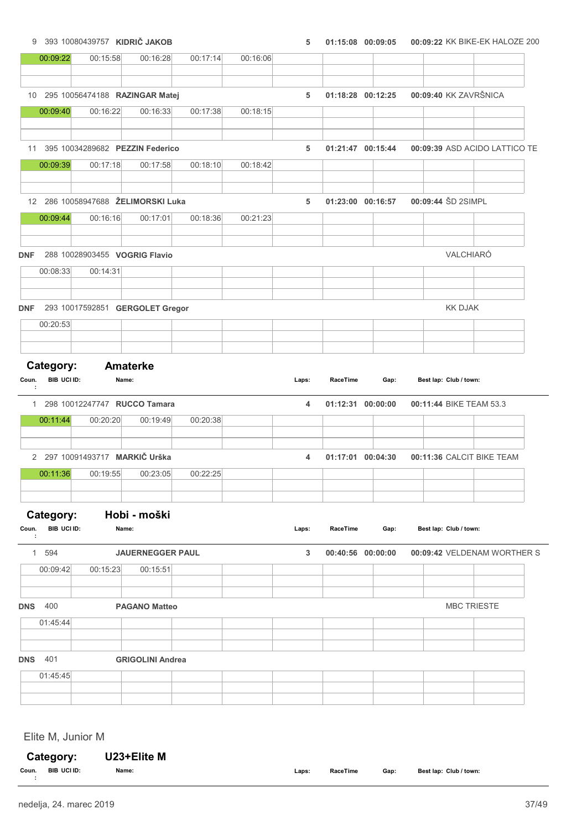# 9 393 10080439757 KIDRIČ JAKOB 19 393 10080439757 KIDRIČ JAKOB 5 01:15:08 00:09:05 00:09:05 00:09:22 KK BIKE-EK HALOZE 200 00:09:22 00:15:58 00:16:28 00:17:14 00:16:06 10 295 10056474188 RAZINGAR Matej 5 01:18:28 00:09:40 00:12:25 KK ZAVRŠNICA 00:09:40 00:16:22 00:16:33 00:17:38 00:18:15 11 395 10034289682 PEZZIN Federico 5 01:21:47 00:09:39 00:15:44 ASD ACIDO LATTICO TE 00:09:39 00:17:18 00:17:58 00:18:10 00:18:42 12 286 10058947688 ŽELIMORSKI Luka 5 01:23:00 00:16:57 00:09:44 ŠD 2SIMPL 00:09:44 00:16:16 00:17:01 00:18:36 00:21:23 DNF 288 10028903455 VOGRIG Flavio VALCHIARÓ 00:08:33 00:14:31 DNF 293 10017592851 GERGOLET Gregor KK DJAK 00:20:53 Category: Amaterke Coun. BIB UCI ID: Name: Name: Council Daps: RaceTime Gap: Best lap: Club / town: : RaceTime 1 298 10012247747 RUCCO Tamara 1 1 298 100101010111:44 BIKE TEAM 53.3 00:11:44 00:20:20 00:19:49 00:20:38 2 297 10091493717 MARKIČ Urška 4 01:17:01 00:11:36 00:04:30 CALCIT BIKE TEAM 00:11:36 00:19:55 00:23:05 00:22:25 Category: Hobi - moški Coun. BIB UCI ID: Name: Name: Council Description Cap: Best lap: Club / town: : RaceTime 1 594 JAUERNEGGER PAUL 3 00:40:56 00:09:42 00:00:00 VELDENAM WORTHER S 00:09:42 00:15:23 00:15:51 **DNS 400 PAGANO Matteo PAGANO Matteo PAGANO MBC TRIESTE** 01:45:44

DNS 401 GRIGOLINI Andrea

 $01.45.45$ 

Elite M, Junior M

|       | Category:<br>U23+Elite M |       |       |          |      |                        |
|-------|--------------------------|-------|-------|----------|------|------------------------|
| Coun. | BIB UCI ID:              | Name: | Laps: | RaceTime | Gap: | Best lap: Club / town: |
|       |                          |       |       |          |      |                        |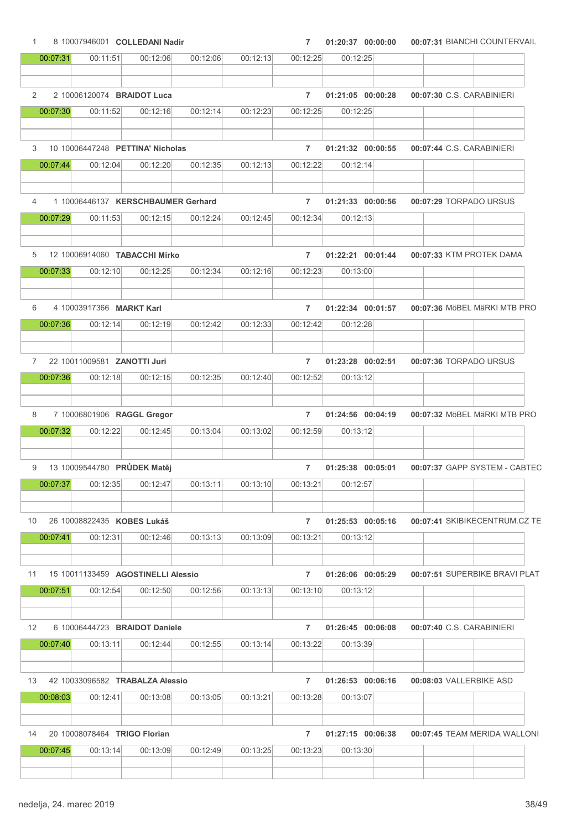| $\mathbf{1}$    |          |                             | 8 10007946001 COLLEDANI Nadir      |          |          | $\overline{7}$ |          | 01:20:37 00:00:00 | 00:07:31 BIANCHI COUNTERVAIL  |
|-----------------|----------|-----------------------------|------------------------------------|----------|----------|----------------|----------|-------------------|-------------------------------|
|                 | 00:07:31 | 00:11:51                    | 00:12:06                           | 00:12:06 | 00:12:13 | 00:12:25       | 00:12:25 |                   |                               |
| $\overline{2}$  |          |                             | 2 10006120074 BRAIDOT Luca         |          |          | $\overline{7}$ |          | 01:21:05 00:00:28 | 00:07:30 C.S. CARABINIERI     |
|                 | 00:07:30 | 00:11:52                    | 00:12:16                           | 00:12:14 | 00:12:23 | 00:12:25       | 00:12:25 |                   |                               |
|                 |          |                             |                                    |          |          |                |          |                   |                               |
| 3               |          |                             | 10 10006447248 PETTINA' Nicholas   |          |          | $\overline{7}$ |          | 01:21:32 00:00:55 | 00:07:44 C.S. CARABINIERI     |
|                 | 00:07:44 | 00:12:04                    | 00:12:20                           | 00:12:35 | 00:12:13 | 00:12:22       | 00:12:14 |                   |                               |
| 4               |          |                             | 1 10006446137 KERSCHBAUMER Gerhard |          |          | $\overline{7}$ |          | 01:21:33 00:00:56 | 00:07:29 TORPADO URSUS        |
|                 | 00:07:29 | 00:11:53                    | 00:12:15                           | 00:12:24 | 00:12:45 | 00:12:34       | 00:12:13 |                   |                               |
|                 |          |                             |                                    |          |          |                |          |                   |                               |
| 5               |          |                             | 12 10006914060 TABACCHI Mirko      |          |          | $\overline{7}$ |          | 01:22:21 00:01:44 | 00:07:33 KTM PROTEK DAMA      |
|                 | 00:07:33 | 00:12:10                    | 00:12:25                           | 00:12:34 | 00:12:16 | 00:12:23       | 00:13:00 |                   |                               |
|                 |          |                             |                                    |          |          |                |          |                   |                               |
| 6               |          | 4 10003917366 MARKT Karl    |                                    |          |          | $\overline{7}$ |          | 01:22:34 00:01:57 | 00:07:36 MöBEL MäRKI MTB PRO  |
|                 | 00:07:36 | 00:12:14                    | 00:12:19                           | 00:12:42 | 00:12:33 | 00:12:42       | 00:12:28 |                   |                               |
|                 |          |                             |                                    |          |          |                |          |                   |                               |
| $\overline{7}$  |          | 22 10011009581 ZANOTTI Juri |                                    |          |          | $\overline{7}$ |          | 01:23:28 00:02:51 | 00:07:36 TORPADO URSUS        |
|                 | 00:07:36 | 00:12:18                    | 00:12:15                           | 00:12:35 | 00:12:40 | 00:12:52       | 00:13:12 |                   |                               |
|                 |          |                             |                                    |          |          |                |          |                   |                               |
| 8               |          |                             | 7 10006801906 RAGGL Gregor         |          |          | $\overline{7}$ |          | 01:24:56 00:04:19 | 00:07:32 MöBEL MäRKI MTB PRO  |
|                 | 00:07:32 | 00:12:22                    | 00:12:45                           | 00:13:04 | 00:13:02 | 00:12:59       | 00:13:12 |                   |                               |
|                 |          |                             |                                    |          |          |                |          |                   |                               |
| 9               |          |                             | 13 10009544780 PRŮDEK Matěj        |          |          | $\overline{7}$ |          | 01:25:38 00:05:01 | 00:07:37 GAPP SYSTEM - CABTEC |
|                 | 00:07:37 | 00:12:35                    | 00:12:47                           | 00:13:11 | 00:13:10 | 00:13:21       | 00:12:57 |                   |                               |
|                 |          |                             |                                    |          |          |                |          |                   |                               |
| 10              |          |                             | 26 10008822435 KOBES Lukáš         |          |          | $\overline{7}$ |          | 01:25:53 00:05:16 | 00:07:41 SKIBIKECENTRUM.CZ TE |
|                 | 00.07:41 | 00:12:31                    | 00:12:46                           | 00:13:13 | 00:13:09 | 00:13:21       | 00:13:12 |                   |                               |
|                 |          |                             |                                    |          |          |                |          |                   |                               |
|                 |          |                             | 15 10011133459 AGOSTINELLI Alessio |          |          | $\overline{7}$ |          | 01:26:06 00:05:29 | 00:07:51 SUPERBIKE BRAVI PLAT |
| 11              | 00:07:51 | 00:12:54                    |                                    | 00:12:56 |          |                |          |                   |                               |
|                 |          |                             | 00:12:50                           |          | 00:13:13 | 00:13:10       | 00:13:12 |                   |                               |
|                 |          |                             |                                    |          |          |                |          |                   |                               |
| 12 <sup>2</sup> |          |                             | 6 10006444723 BRAIDOT Daniele      |          |          | $\overline{7}$ |          | 01:26:45 00:06:08 | 00:07:40 C.S. CARABINIERI     |
|                 | 00:07:40 | 00:13:11                    | 00:12:44                           | 00:12:55 | 00:13:14 | 00:13:22       | 00:13:39 |                   |                               |
|                 |          |                             |                                    |          |          |                |          |                   |                               |
| 13              |          |                             | 42 10033096582 TRABALZA Alessio    |          |          | $\overline{7}$ |          | 01:26:53 00:06:16 | 00:08:03 VALLERBIKE ASD       |
|                 | 00:08:03 | 00:12:41                    | 00:13:08                           | 00:13:05 | 00:13:21 | 00:13:28       | 00:13:07 |                   |                               |
|                 |          |                             |                                    |          |          |                |          |                   |                               |
| 14              |          |                             | 20 10008078464 TRIGO Florian       |          |          | $\overline{7}$ |          | 01:27:15 00:06:38 | 00:07:45 TEAM MERIDA WALLONI  |
|                 | 00:07:45 | 00:13:14                    | 00:13:09                           | 00:12:49 | 00:13:25 | 00:13:23       | 00:13:30 |                   |                               |
|                 |          |                             |                                    |          |          |                |          |                   |                               |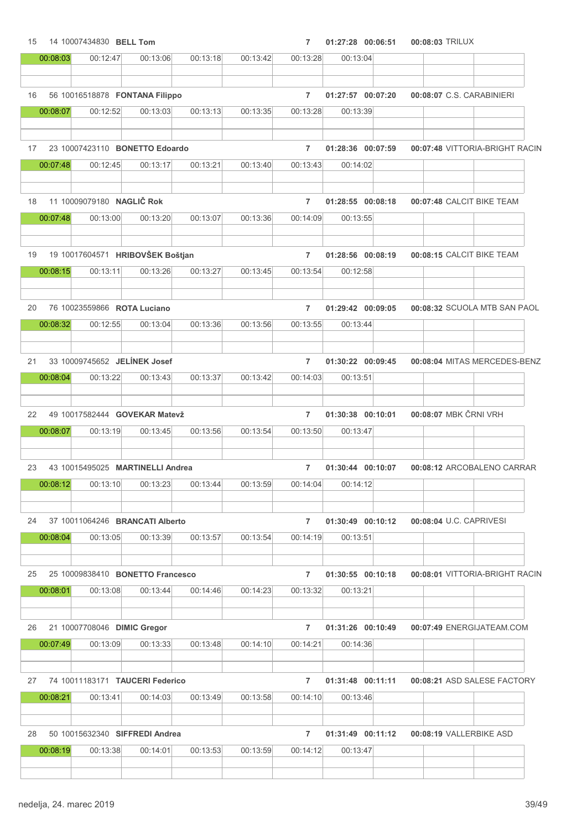| 15 |          | 14 10007434830 BELL Tom      |                                  |          |          | $\overline{7}$ | 01:27:28 00:06:51 | 00:08:03 TRILUX                |  |
|----|----------|------------------------------|----------------------------------|----------|----------|----------------|-------------------|--------------------------------|--|
|    | 00:08:03 | 00:12:47                     | 00:13:06                         | 00:13:18 | 00:13:42 | 00:13:28       | 00:13:04          |                                |  |
|    |          |                              |                                  |          |          |                |                   |                                |  |
| 16 |          |                              | 56 10016518878 FONTANA Filippo   |          |          | $\overline{7}$ | 01:27:57 00:07:20 | 00:08:07 C.S. CARABINIERI      |  |
|    | 00:08:07 | 00:12:52                     | 00:13:03                         | 00:13:13 | 00:13:35 | 00:13:28       | 00:13:39          |                                |  |
|    |          |                              |                                  |          |          |                |                   |                                |  |
| 17 |          |                              | 23 10007423110 BONETTO Edoardo   |          |          | $\overline{7}$ | 01:28:36 00:07:59 | 00:07:48 VITTORIA-BRIGHT RACIN |  |
|    | 00:07:48 | 00:12:45                     | 00:13:17                         | 00:13:21 | 00:13:40 | 00:13:43       | 00:14:02          |                                |  |
|    |          |                              |                                  |          |          |                |                   |                                |  |
| 18 |          | 11 10009079180 NAGLIČ Rok    |                                  |          |          | $\overline{7}$ | 01:28:55 00:08:18 | 00:07:48 CALCIT BIKE TEAM      |  |
|    | 00:07:48 | 00:13:00                     | 00:13:20                         | 00:13:07 | 00:13:36 | 00:14:09       | 00:13:55          |                                |  |
|    |          |                              |                                  |          |          |                |                   |                                |  |
| 19 |          |                              | 19 10017604571 HRIBOVŠEK Boštjan |          |          | $\overline{7}$ | 01:28:56 00:08:19 | 00:08:15 CALCIT BIKE TEAM      |  |
|    | 00:08:15 | 00:13:11                     | 00:13:26                         | 00:13:27 | 00:13:45 | 00:13:54       | 00:12:58          |                                |  |
| 20 |          | 76 10023559866 ROTA Luciano  |                                  |          |          | $\overline{7}$ | 01:29:42 00:09:05 | 00:08:32 SCUOLA MTB SAN PAOL   |  |
|    | 00:08:32 | 00:12:55                     | 00:13:04                         | 00:13:36 | 00:13:56 | 00:13:55       | 00:13:44          |                                |  |
|    |          |                              |                                  |          |          |                |                   |                                |  |
| 21 |          | 33 10009745652 JELÍNEK Josef |                                  |          |          | $\overline{7}$ | 01:30:22 00:09:45 | 00:08:04 MITAS MERCEDES-BENZ   |  |
|    | 00:08:04 | 00:13:22                     | 00:13:43                         | 00:13:37 | 00:13:42 | 00:14:03       | 00:13:51          |                                |  |
|    |          |                              |                                  |          |          |                |                   |                                |  |
| 22 |          |                              | 49 10017582444 GOVEKAR Matevž    |          |          | $\overline{7}$ | 01:30:38 00:10:01 | 00:08:07 MBK ČRNI VRH          |  |
|    | 00:08:07 | 00:13:19                     | 00:13:45                         | 00:13:56 | 00:13:54 | 00:13:50       | 00:13:47          |                                |  |
|    |          |                              |                                  |          |          |                |                   |                                |  |
| 23 |          |                              | 43 10015495025 MARTINELLI Andrea |          |          | $\overline{7}$ | 01:30:44 00:10:07 | 00:08:12 ARCOBALENO CARRAR     |  |
|    | 00:08:12 | 00:13:10                     | 00:13:23                         | 00:13:44 | 00:13:59 | 00:14:04       | 00:14:12          |                                |  |
|    |          |                              |                                  |          |          |                |                   |                                |  |
| 24 |          |                              | 37 10011064246 BRANCATI Alberto  |          |          | $\overline{7}$ | 01:30:49 00:10:12 | 00:08:04 U.C. CAPRIVESI        |  |
|    | 00:08:04 | 00:13:05                     | 00:13:39                         | 00:13:57 | 00:13:54 | 00:14:19       | 00:13:51          |                                |  |
|    |          |                              |                                  |          |          |                |                   |                                |  |
| 25 |          |                              | 25 10009838410 BONETTO Francesco |          |          | $\overline{7}$ | 01:30:55 00:10:18 | 00:08:01 VITTORIA-BRIGHT RACIN |  |
|    | 00:08:01 | 00:13:08                     | 00:13:44                         | 00:14:46 | 00:14:23 | 00:13:32       | 00:13:21          |                                |  |
|    |          |                              |                                  |          |          |                |                   |                                |  |
| 26 |          | 21 10007708046 DIMIC Gregor  |                                  |          |          | $\overline{7}$ | 01:31:26 00:10:49 | 00:07:49 ENERGIJATEAM.COM      |  |
|    | 00:07:49 | 00:13:09                     | 00:13:33                         | 00:13:48 | 00:14:10 | 00:14:21       | 00:14:36          |                                |  |
|    |          |                              |                                  |          |          |                |                   |                                |  |
| 27 |          |                              | 74 10011183171 TAUCERI Federico  |          |          | $\overline{7}$ | 01:31:48 00:11:11 | 00:08:21 ASD SALESE FACTORY    |  |
|    | 00:08:21 | 00:13:41                     | 00:14:03                         | 00:13:49 | 00:13:58 | 00:14:10       | 00:13:46          |                                |  |
|    |          |                              |                                  |          |          |                |                   |                                |  |
| 28 |          |                              | 50 10015632340 SIFFREDI Andrea   |          |          | $\overline{7}$ | 01:31:49 00:11:12 | 00:08:19 VALLERBIKE ASD        |  |
|    | 00:08:19 | 00:13:38                     | 00:14:01                         | 00:13:53 | 00:13:59 | 00:14:12       | 00:13:47          |                                |  |
|    |          |                              |                                  |          |          |                |                   |                                |  |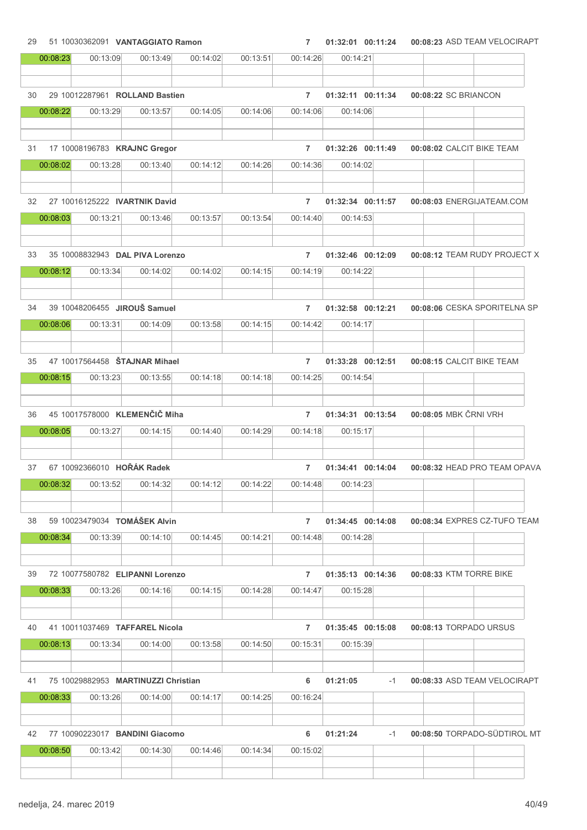| 29 |          | 51 10030362091 VANTAGGIATO Ramon    |          |          |          | $\overline{7}$ | 01:32:01 00:11:24 |      | 00:08:23 ASD TEAM VELOCIRAPT |  |
|----|----------|-------------------------------------|----------|----------|----------|----------------|-------------------|------|------------------------------|--|
|    | 00:08:23 | 00:13:09                            | 00:13:49 | 00:14:02 | 00:13:51 | 00:14:26       | 00:14:21          |      |                              |  |
|    |          |                                     |          |          |          |                |                   |      |                              |  |
| 30 |          | 29 10012287961 ROLLAND Bastien      |          |          |          | $\overline{7}$ | 01:32:11 00:11:34 |      | 00:08:22 SC BRIANCON         |  |
|    | 00:08:22 | 00:13:29                            | 00:13:57 | 00:14:05 | 00:14:06 | 00:14:06       | 00:14:06          |      |                              |  |
|    |          |                                     |          |          |          |                |                   |      |                              |  |
| 31 |          | 17 10008196783 KRAJNC Gregor        |          |          |          | $\overline{7}$ | 01:32:26 00:11:49 |      | 00:08:02 CALCIT BIKE TEAM    |  |
|    | 00:08:02 | 00:13:28                            | 00:13:40 | 00:14:12 | 00:14:26 | 00:14:36       | 00:14:02          |      |                              |  |
|    |          |                                     |          |          |          |                |                   |      |                              |  |
| 32 |          | 27 10016125222 IVARTNIK David       |          |          |          | $\overline{7}$ | 01:32:34 00:11:57 |      | 00:08:03 ENERGIJATEAM.COM    |  |
|    | 00:08:03 | 00:13:21                            | 00:13:46 | 00:13:57 | 00:13:54 | 00:14:40       | 00:14:53          |      |                              |  |
|    |          |                                     |          |          |          |                |                   |      |                              |  |
| 33 |          | 35 10008832943 DAL PIVA Lorenzo     |          |          |          | $\overline{7}$ | 01:32:46 00:12:09 |      | 00:08:12 TEAM RUDY PROJECT X |  |
|    | 00:08:12 | 00:13:34                            | 00:14:02 | 00:14:02 | 00:14:15 | 00:14:19       | 00:14:22          |      |                              |  |
|    |          |                                     |          |          |          |                |                   |      |                              |  |
|    |          |                                     |          |          |          |                |                   |      |                              |  |
| 34 |          | 39 10048206455 JIROUŠ Samuel        |          |          |          | $\overline{7}$ | 01:32:58 00:12:21 |      | 00:08:06 CESKA SPORITELNA SP |  |
|    | 00:08:06 | 00:13:31                            | 00:14:09 | 00:13:58 | 00:14:15 | 00:14:42       | 00:14:17          |      |                              |  |
|    |          |                                     |          |          |          |                |                   |      |                              |  |
| 35 |          | 47 10017564458 STAJNAR Mihael       |          |          |          | $\overline{7}$ | 01:33:28 00:12:51 |      | 00:08:15 CALCIT BIKE TEAM    |  |
|    | 00:08:15 | 00:13:23                            | 00:13:55 | 00:14:18 | 00:14:18 | 00:14:25       | 00:14:54          |      |                              |  |
|    |          |                                     |          |          |          |                |                   |      |                              |  |
| 36 |          | 45 10017578000 KLEMENČIČ Miha       |          |          |          | $\overline{7}$ | 01:34:31 00:13:54 |      | 00:08:05 MBK ČRNI VRH        |  |
|    | 00:08:05 | 00:13:27                            | 00:14:15 | 00:14:40 | 00:14:29 | 00:14:18       | 00:15:17          |      |                              |  |
|    |          |                                     |          |          |          |                |                   |      |                              |  |
| 37 |          | 67 10092366010 HOŘÁK Radek          |          |          |          | $\overline{7}$ | 01:34:41 00:14:04 |      | 00:08:32 HEAD PRO TEAM OPAVA |  |
|    | 00:08:32 | 00:13:52                            | 00:14:32 | 00:14:12 | 00:14:22 | 00:14:48       | 00:14:23          |      |                              |  |
|    |          |                                     |          |          |          |                |                   |      |                              |  |
| 38 |          | 59 10023479034 TOMÁŠEK Alvin        |          |          |          | $\overline{7}$ | 01:34:45 00:14:08 |      | 00:08:34 EXPRES CZ-TUFO TEAM |  |
|    | 00:08:34 | 00:13:39                            | 00:14:10 | 00:14:45 | 00:14:21 | 00:14:48       | 00:14:28          |      |                              |  |
|    |          |                                     |          |          |          |                |                   |      |                              |  |
|    |          | 72 10077580782 ELIPANNI Lorenzo     |          |          |          |                | 01:35:13 00:14:36 |      |                              |  |
| 39 | 00:08:33 |                                     |          |          |          | $\overline{7}$ |                   |      | 00:08:33 KTM TORRE BIKE      |  |
|    |          | 00:13:26                            | 00:14:16 | 00:14:15 | 00:14:28 | 00:14:47       | 00:15:28          |      |                              |  |
|    |          |                                     |          |          |          |                |                   |      |                              |  |
| 40 |          | 41 10011037469 TAFFAREL Nicola      |          |          |          | $\overline{7}$ | 01:35:45 00:15:08 |      | 00:08:13 TORPADO URSUS       |  |
|    | 00:08:13 | 00:13:34                            | 00:14:00 | 00:13:58 | 00:14:50 | 00:15:31       | 00:15:39          |      |                              |  |
|    |          |                                     |          |          |          |                |                   |      |                              |  |
| 41 |          | 75 10029882953 MARTINUZZI Christian |          |          |          | 6              | 01:21:05          | $-1$ | 00:08:33 ASD TEAM VELOCIRAPT |  |
|    | 00:08:33 | 00:13:26                            | 00:14:00 | 00:14:17 | 00:14:25 | 00:16:24       |                   |      |                              |  |
|    |          |                                     |          |          |          |                |                   |      |                              |  |
| 42 |          | 77 10090223017 BANDINI Giacomo      |          |          |          | 6              | 01:21:24          | $-1$ | 00:08:50 TORPADO-SÜDTIROL MT |  |
|    | 00:08:50 | 00:13:42                            | 00:14:30 | 00:14:46 | 00:14:34 | 00:15:02       |                   |      |                              |  |
|    |          |                                     |          |          |          |                |                   |      |                              |  |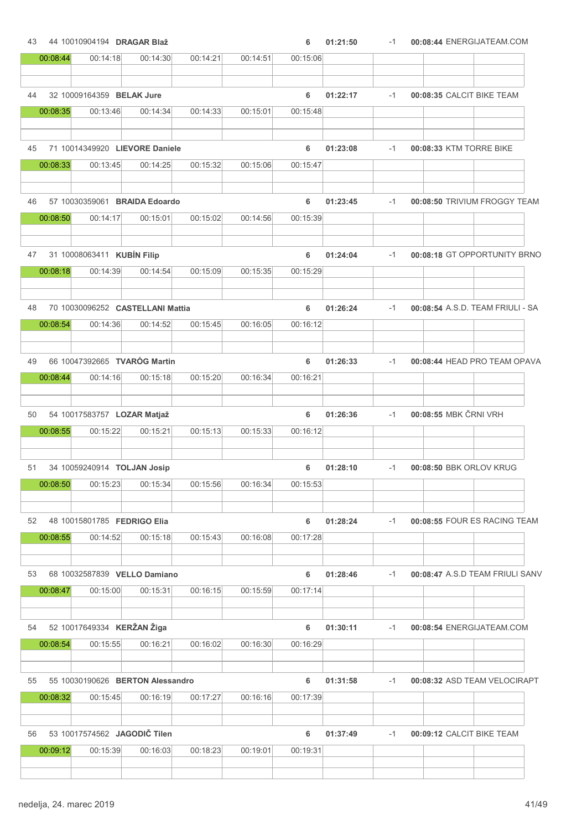| 43 |          | 44 10010904194 DRAGAR Blaž       |          |          |          | 6        | 01:21:50 | $-1$ | 00:08:44 ENERGIJATEAM.COM        |
|----|----------|----------------------------------|----------|----------|----------|----------|----------|------|----------------------------------|
|    | 00:08:44 | 00:14:18                         | 00:14:30 | 00:14:21 | 00:14:51 | 00:15:06 |          |      |                                  |
| 44 |          | 32 10009164359 BELAK Jure        |          |          |          | 6        | 01:22:17 | $-1$ | 00:08:35 CALCIT BIKE TEAM        |
|    | 00:08:35 | 00:13:46                         | 00:14:34 | 00:14:33 | 00:15:01 | 00:15:48 |          |      |                                  |
| 45 |          | 71 10014349920 LIEVORE Daniele   |          |          |          | 6        | 01:23:08 | $-1$ | 00:08:33 KTM TORRE BIKE          |
|    | 00:08:33 | 00:13:45                         | 00:14:25 | 00:15:32 | 00:15:06 | 00:15:47 |          |      |                                  |
| 46 |          | 57 10030359061 BRAIDA Edoardo    |          |          |          | 6        | 01:23:45 | $-1$ | 00:08:50 TRIVIUM FROGGY TEAM     |
|    | 00:08:50 | 00:14:17                         | 00:15:01 | 00:15:02 | 00:14:56 | 00:15:39 |          |      |                                  |
| 47 |          | 31 10008063411 KUBÍN Filip       |          |          |          | 6        | 01:24:04 | $-1$ | 00:08:18 GT OPPORTUNITY BRNO     |
|    | 00:08:18 | 00:14:39                         | 00:14:54 | 00:15:09 | 00:15:35 | 00:15:29 |          |      |                                  |
| 48 |          | 70 10030096252 CASTELLANI Mattia |          |          |          | 6        | 01:26:24 | $-1$ | 00:08:54 A.S.D. TEAM FRIULI - SA |
|    | 00:08:54 | 00:14:36                         | 00:14:52 | 00:15:45 | 00:16:05 | 00:16:12 |          |      |                                  |
| 49 |          | 66 10047392665 TVARÓG Martin     |          |          |          | 6        | 01:26:33 | $-1$ | 00:08:44 HEAD PRO TEAM OPAVA     |
|    | 00:08:44 | 00:14:16                         | 00:15:18 | 00:15:20 | 00:16:34 | 00:16:21 |          |      |                                  |
| 50 |          | 54 10017583757 LOZAR Matjaž      |          |          |          | 6        | 01:26:36 | $-1$ | 00:08:55 MBK ČRNI VRH            |
|    | 00:08:55 | 00:15:22                         | 00:15:21 | 00:15:13 | 00:15:33 | 00:16:12 |          |      |                                  |
| 51 |          | 34 10059240914 TOLJAN Josip      |          |          |          | 6        | 01:28:10 | $-1$ | 00:08:50 BBK ORLOV KRUG          |
|    | 00:08:50 | 00:15:23                         | 00:15:34 | 00:15:56 | 00:16:34 | 00:15:53 |          |      |                                  |
| 52 |          | 48 10015801785 FEDRIGO Elia      |          |          |          | 6        | 01:28:24 | $-1$ | 00:08:55 FOUR ES RACING TEAM     |
|    | 00:08:55 | 00:14:52                         | 00:15:18 | 00:15:43 | 00:16:08 | 00:17:28 |          |      |                                  |
| 53 |          | 68 10032587839 VELLO Damiano     |          |          |          | 6        | 01:28:46 | $-1$ | 00:08:47 A.S.D TEAM FRIULI SANV  |
|    | 00:08:47 | 00:15:00                         | 00:15:31 | 00:16:15 | 00:15:59 | 00:17:14 |          |      |                                  |
| 54 |          | 52 10017649334 KERŽAN Žiga       |          |          |          | 6        | 01:30:11 | $-1$ | 00:08:54 ENERGIJATEAM.COM        |
|    | 00:08:54 | 00:15:55                         | 00:16:21 | 00:16:02 | 00:16:30 | 00:16:29 |          |      |                                  |
| 55 |          | 55 10030190626 BERTON Alessandro |          |          |          | 6        | 01:31:58 | $-1$ | 00:08:32 ASD TEAM VELOCIRAPT     |
|    | 00:08:32 | 00:15:45                         | 00:16:19 | 00:17:27 | 00:16:16 | 00:17:39 |          |      |                                  |
|    |          |                                  |          |          |          |          |          |      |                                  |
| 56 |          | 53 10017574562 JAGODIČ Tilen     |          |          |          | 6        | 01:37:49 | $-1$ | 00:09:12 CALCIT BIKE TEAM        |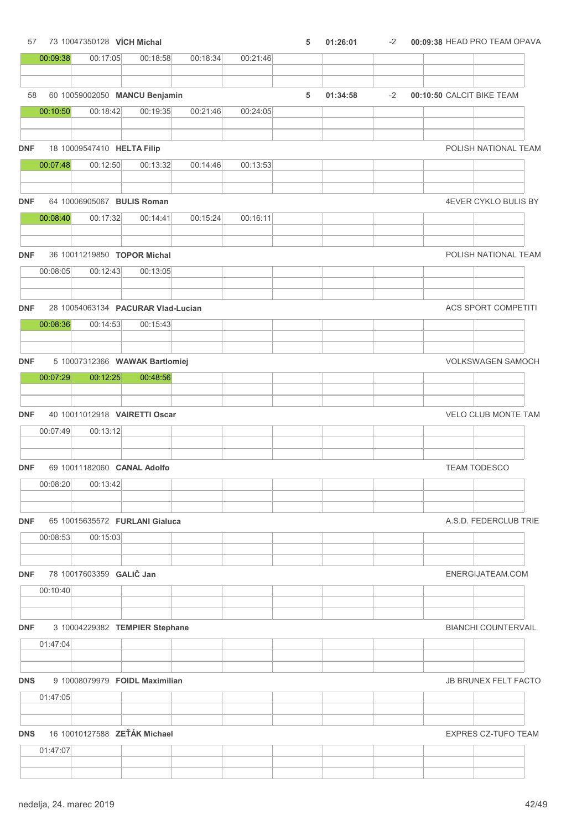# 00:09:38 00:17:05 00:18:58 00:18:34 00:21:46 58 60 10059002050 MANCU Benjamin 6 01:34:58 -2 00:10:50 CALCIT BIKE TEAM 00:10:50 00:18:42 00:19:35 00:21:46 00:24:05 DNF 18 10009547410 HELTA Filip POLISH NATIONAL TEAM 00:07:48 00:12:50 00:13:32 00:14:46 00:13:53 DNF 64 10006905067 BULIS Roman 4EVER CYKLO BULIS BY 00:08:40 00:17:32 00:14:41 00:15:24 00:16:11 DNF 36 10011219850 TOPOR Michal POLISH NATIONAL TEAM 00:08:05 00:12:43 00:13:05 DNF 28 10054063134 PACURAR Vlad-Lucian ACS SPORT COMPETITI 00:08:36 00:14:53 00:15:43 DNF 5 10007312366 WAWAK Bartlomiej VOLKSWAGEN SAMOCH 00:07:29 00:12:25 00:48:56 DNF 40 10011012918 VAIRETTI Oscar VELO CLUB MONTE TAM 00:07:49 00:13:12 DNF 69 10011182060 CANAL Adolfo TEAM TODESCO 00:08:20 00:13:42 **DNF** 65 10015635572 FURLANI Gialuca A.S.D. FEDERCLUB TRIE 00:08:53 00:15:03 DNF 78 10017603359 GALIČ Jan ENERGIJATEAM.COM 00:10:40 DNF 3 10004229382 TEMPIER Stephane BIANCHI COUNTERVAIL 01:47:04

57 73 10047350128 VÍCH Michal 5 01:26:01 5 01:26:01 -2 00:09:38 HEAD PRO TEAM OPAVA

### DNS 9 10008079979 FOIDL Maximilian JB BRUNEX FELT FACTO

| 01:47:05   |                              |  |  |  |                            |
|------------|------------------------------|--|--|--|----------------------------|
|            |                              |  |  |  |                            |
|            |                              |  |  |  |                            |
| <b>DNS</b> | 16 10010127588 ZEŤÁK Michael |  |  |  | <b>EXPRES CZ-TUFO TEAM</b> |
| 01:47:07   |                              |  |  |  |                            |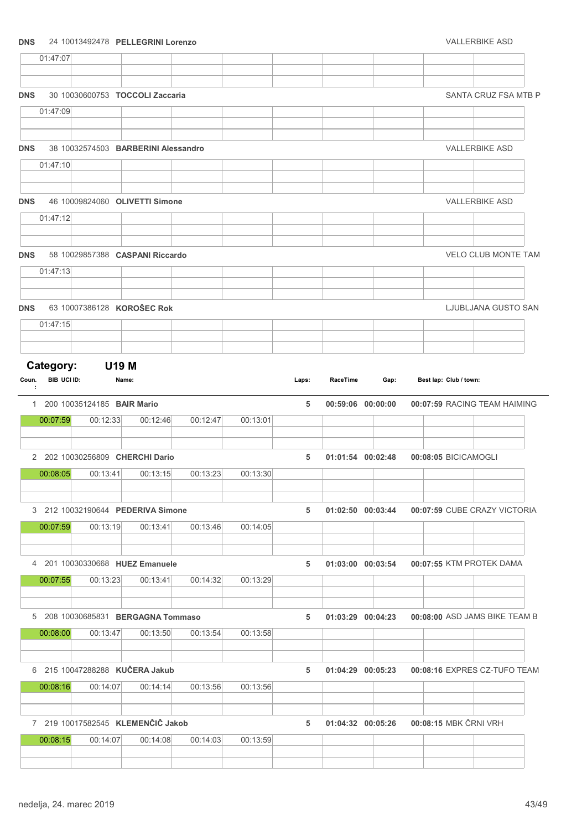### DNS 24 10013492478 PELLEGRINI Lorenzo VALLERBIKE ASD

|            | 01:47:07                        |                                          |                                               |          |          |       |                   |      |                        |                               |
|------------|---------------------------------|------------------------------------------|-----------------------------------------------|----------|----------|-------|-------------------|------|------------------------|-------------------------------|
| <b>DNS</b> |                                 |                                          | 30 10030600753 TOCCOLI Zaccaria               |          |          |       |                   |      |                        | SANTA CRUZ FSA MTB P          |
|            | 01:47:09                        |                                          |                                               |          |          |       |                   |      |                        |                               |
| <b>DNS</b> |                                 |                                          | 38 10032574503 BARBERINI Alessandro           |          |          |       |                   |      |                        | <b>VALLERBIKE ASD</b>         |
|            | 01:47:10                        |                                          |                                               |          |          |       |                   |      |                        |                               |
|            |                                 |                                          |                                               |          |          |       |                   |      |                        |                               |
| <b>DNS</b> |                                 |                                          | 46 10009824060 OLIVETTI Simone                |          |          |       |                   |      |                        | <b>VALLERBIKE ASD</b>         |
|            | 01:47:12                        |                                          |                                               |          |          |       |                   |      |                        |                               |
| <b>DNS</b> |                                 |                                          | 58 10029857388 CASPANI Riccardo               |          |          |       |                   |      |                        | <b>VELO CLUB MONTE TAM</b>    |
|            | 01:47:13                        |                                          |                                               |          |          |       |                   |      |                        |                               |
| <b>DNS</b> |                                 |                                          | 63 10007386128 KOROŠEC Rok                    |          |          |       |                   |      |                        | LJUBLJANA GUSTO SAN           |
|            | 01:47:15                        |                                          |                                               |          |          |       |                   |      |                        |                               |
|            |                                 |                                          |                                               |          |          |       |                   |      |                        |                               |
| Coun.<br>÷ | Category:<br><b>BIB UCI ID:</b> |                                          | <b>U19 M</b><br>Name:                         |          |          | Laps: | RaceTime          | Gap: | Best lap: Club / town: |                               |
|            | 00:07:59                        | 1 200 10035124185 BAIR Mario<br>00:12:33 | 00:12:46                                      | 00:12:47 | 00:13:01 | 5     | 00:59:06 00:00:00 |      |                        | 00:07:59 RACING TEAM HAIMING  |
|            |                                 |                                          |                                               |          |          |       |                   |      |                        |                               |
|            |                                 |                                          | 2 202 10030256809 CHERCHI Dario               |          |          | 5     | 01:01:54 00:02:48 |      | 00:08:05 BICICAMOGLI   |                               |
|            | 00:08:05                        | 00:13:41                                 | 00:13:15                                      | 00:13:23 | 00:13:30 |       |                   |      |                        |                               |
|            |                                 |                                          | 3 212 10032190644 PEDERIVA Simone             |          |          | 5     | 01:02:50 00:03:44 |      |                        | 00:07:59 CUBE CRAZY VICTORIA  |
|            | 00:07:59                        | 00:13:19                                 | 00:13:41                                      | 00:13:46 | 00:14:05 |       |                   |      |                        |                               |
|            |                                 |                                          |                                               |          |          |       |                   |      |                        |                               |
|            | 00:07:55                        | 00:13:23                                 | 4 201 10030330668 HUEZ Emanuele<br>00:13:41   | 00:14:32 | 00:13:29 | 5     | 01:03:00 00:03:54 |      |                        | 00:07:55 KTM PROTEK DAMA      |
|            |                                 |                                          |                                               |          |          |       |                   |      |                        |                               |
|            |                                 |                                          | 5 208 10030685831 BERGAGNA Tommaso            |          |          | 5     | 01:03:29 00:04:23 |      |                        | 00:08:00 ASD JAMS BIKE TEAM B |
|            | 00:08:00                        | 00:13:47                                 | 00:13:50                                      | 00:13:54 | 00:13:58 |       |                   |      |                        |                               |
|            |                                 |                                          | 6 215 10047288288 KUČERA Jakub                |          |          | 5     | 01:04:29 00:05:23 |      |                        | 00:08:16 EXPRES CZ-TUFO TEAM  |
|            | 00:08:16                        | 00:14:07                                 | 00:14:14                                      | 00:13:56 | 00:13:56 |       |                   |      |                        |                               |
|            |                                 |                                          |                                               |          |          |       |                   |      |                        |                               |
|            | 00:08:15                        | 00:14:07                                 | 7 219 10017582545 KLEMENČIČ Jakob<br>00:14:08 | 00:14:03 | 00:13:59 | 5     | 01:04:32 00:05:26 |      | 00:08:15 MBK ČRNI VRH  |                               |
|            |                                 |                                          |                                               |          |          |       |                   |      |                        |                               |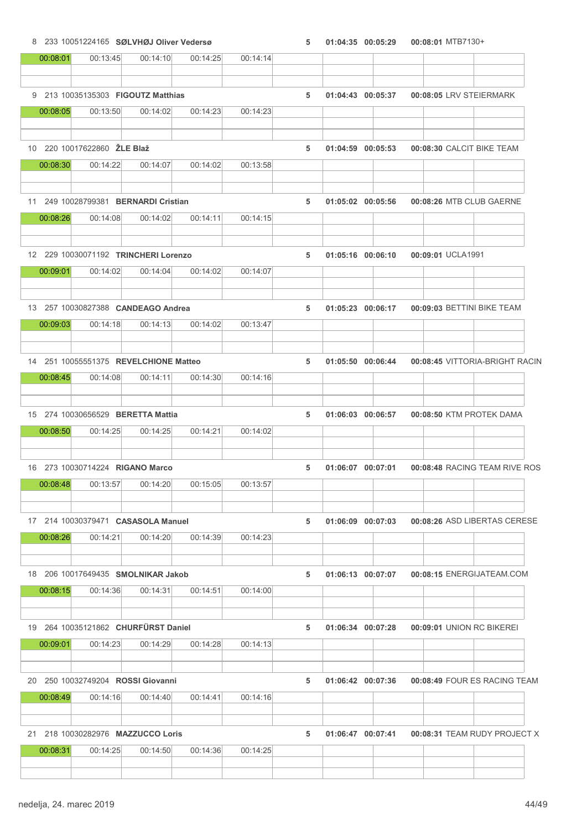# 8 233 10051224165 SØLVHØJ Oliver Vedersø 6 100 100 1004:35 00:05:29 00:08:01 MTB7130+ 00:08:01 00:13:45 00:14:10 00:14:25 00:14:14 9 213 10035135303 FIGOUTZ Matthias 5 01:04:43 00:08:05 00:05:37 LRV STEIERMARK 00:08:05 00:13:50 00:14:02 00:14:23 00:14:23 10 220 10017622860 ŽLE Blaž 5 01:04:59 00:08:30 00:05:53 CALCIT BIKE TEAM 00:08:30 00:14:22 00:14:07 00:14:02 00:13:58 11 249 10028799381 BERNARDI Cristian 5 01:05:02 00:08:26 00:05:56 MTB CLUB GAERNE 00:08:26 00:14:08 00:14:02 00:14:11 00:14:15 12 229 10030071192 TRINCHERI Lorenzo 5 01:05:16 00:09:01 00:06:10 UCLA1991 00:09:01 00:14:02 00:14:04 00:14:02 00:14:07 13 257 10030827388 CANDEAGO Andrea 5 01:05:23 00:06:17 00:09:03 BETTINI BIKE TEAM 00:09:03 00:14:18 00:14:13 00:14:02 00:13:47 14 251 10055551375 REVELCHIONE Matteo 5 01:05:50 00:08:45 00:06:44 VITTORIA-BRIGHT RACIN 00:08:45 00:14:08 00:14:11 00:14:30 00:14:16 15 274 10030656529 BERETTA Mattia 5 01:06:03 00:08:50 00:06:57 KTM PROTEK DAMA 00:08:50 00:14:25 00:14:25 00:14:21 00:14:02 16 273 10030714224 RIGANO Marco 5 01:06:07 00:08:48 00:07:01 RACING TEAM RIVE ROS

| 00:08:48 | 00:13:57 | 00:14:20                           | 00:15:05 | 00:13:57 |   |                       |  |                              |  |
|----------|----------|------------------------------------|----------|----------|---|-----------------------|--|------------------------------|--|
|          |          |                                    |          |          |   |                       |  |                              |  |
|          |          |                                    |          |          |   |                       |  |                              |  |
|          |          | 17 214 10030379471 CASASOLA Manuel |          |          | 5 | $01:06:09$ $00:07:03$ |  | 00:08:26 ASD LIBERTAS CERESE |  |
| 00:08:26 | 00:14:21 | 00:14:20                           | 00:14:39 | 00:14:23 |   |                       |  |                              |  |
|          |          |                                    |          |          |   |                       |  |                              |  |
|          |          |                                    |          |          |   |                       |  |                              |  |

18 206 10017649435 SMOLNIKAR Jakob 5 01:06:13 00:08:15 00:07:07 ENERGIJATEAM.COM 00:08:15 00:14:36 00:14:31 00:14:51 00:14:00

19 264 10035121862 CHURFÜRST Daniel 5 01:06:34 00:09:01 00:07:28 UNION RC BIKEREI

00:09:01 00:14:23 00:14:29 00:14:28 00:14:13 20 250 10032749204 ROSSI Giovanni 5 01:06:42 00:08:49 00:07:36 FOUR ES RACING TEAM 00:08:49 00:14:16 00:14:40 00:14:41 00:14:16

21 218 10030282976 MAZZUCCO Loris 6 01:06:47 00:07:41 00:08:31 TEAM RUDY PROJECT X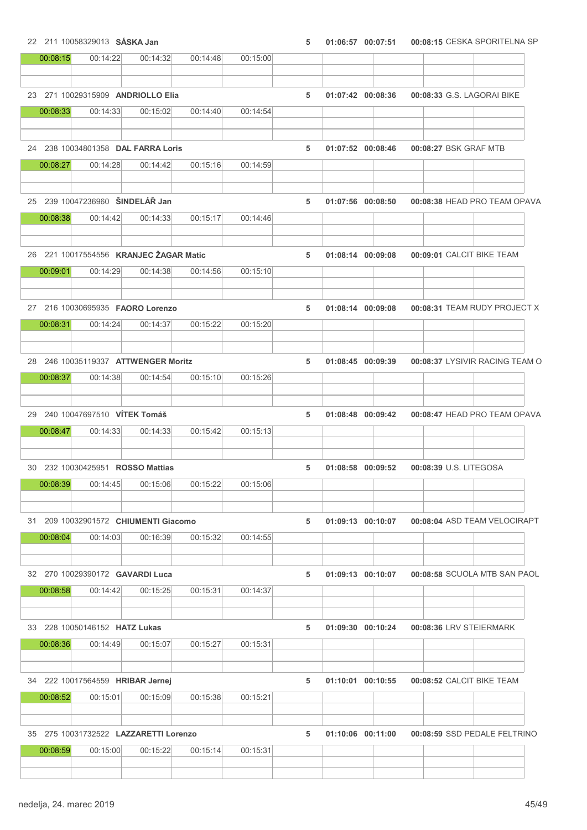22 211 10058329013 SÁSKA Jan 5 01:06:57 00:07:51 00:08:15 CESKA SPORITELNA SP

| 00:08:15 | 00:14:22                               | 00:14:32 | 00:14:48 | 00:15:00 |   |                       |                        |                                |
|----------|----------------------------------------|----------|----------|----------|---|-----------------------|------------------------|--------------------------------|
|          |                                        |          |          |          |   |                       |                        |                                |
|          | 23 271 10029315909 ANDRIOLLO Elia      |          |          |          | 5 | 01:07:42 00:08:36     |                        | 00:08:33 G.S. LAGORAI BIKE     |
| 00:08:33 | 00:14:33                               | 00:15:02 | 00:14:40 | 00:14:54 |   |                       |                        |                                |
|          |                                        |          |          |          |   |                       |                        |                                |
|          |                                        |          |          |          |   |                       |                        |                                |
|          | 24 238 10034801358 DAL FARRA Loris     |          |          |          | 5 | 01:07:52 00:08:46     |                        | 00:08:27 BSK GRAF MTB          |
| 00:08:27 | 00:14:28                               | 00:14:42 | 00:15:16 | 00:14:59 |   |                       |                        |                                |
|          |                                        |          |          |          |   |                       |                        |                                |
|          | 25 239 10047236960 ŠINDELÁŘ Jan        |          |          |          | 5 | 01:07:56 00:08:50     |                        | 00:08:38 HEAD PRO TEAM OPAVA   |
| 00:08:38 | 00:14:42                               | 00:14:33 | 00:15:17 | 00:14:46 |   |                       |                        |                                |
|          |                                        |          |          |          |   |                       |                        |                                |
|          |                                        |          |          |          |   |                       |                        |                                |
|          | 26 221 10017554556 KRANJEC ŽAGAR Matic |          |          |          | 5 | 01:08:14 00:09:08     |                        | 00:09:01 CALCIT BIKE TEAM      |
| 00:09:01 | 00:14:29                               | 00:14:38 | 00:14:56 | 00:15:10 |   |                       |                        |                                |
|          |                                        |          |          |          |   |                       |                        |                                |
|          | 27 216 10030695935 FAORO Lorenzo       |          |          |          | 5 | 01:08:14 00:09:08     |                        | 00:08:31 TEAM RUDY PROJECT X   |
| 00:08:31 | 00:14:24                               | 00:14:37 | 00:15:22 | 00:15:20 |   |                       |                        |                                |
|          |                                        |          |          |          |   |                       |                        |                                |
|          |                                        |          |          |          |   |                       |                        |                                |
|          | 28 246 10035119337 ATTWENGER Moritz    |          |          |          | 5 | $01:08:45$ $00:09:39$ |                        | 00:08:37 LYSIVIR RACING TEAM O |
| 00:08:37 | 00:14:38                               | 00:14:54 | 00:15:10 | 00:15:26 |   |                       |                        |                                |
|          |                                        |          |          |          |   |                       |                        |                                |
|          | 29 240 10047697510 VÍTEK Tomáš         |          |          |          | 5 | 01:08:48 00:09:42     |                        | 00:08:47 HEAD PRO TEAM OPAVA   |
| 00:08:47 | 00:14:33                               | 00:14:33 | 00:15:42 | 00:15:13 |   |                       |                        |                                |
|          |                                        |          |          |          |   |                       |                        |                                |
|          | 30 232 10030425951 ROSSO Mattias       |          |          |          | 5 | 01:08:58 00:09:52     | 00:08:39 U.S. LITEGOSA |                                |
| 00:08:39 | 00:14:45                               | 00:15:06 | 00:15:22 | 00:15:06 |   |                       |                        |                                |
|          |                                        |          |          |          |   |                       |                        |                                |
|          |                                        |          |          |          |   |                       |                        |                                |
|          | 31 209 10032901572 CHIUMENTI Giacomo   |          |          |          | 5 | 01:09:13 00:10:07     |                        | 00:08:04 ASD TEAM VELOCIRAPT   |
| 00:08:04 | 00:14:03                               | 00:16:39 | 00:15:32 | 00:14:55 |   |                       |                        |                                |
|          |                                        |          |          |          |   |                       |                        |                                |
|          | 32 270 10029390172 GAVARDI Luca        |          |          |          | 5 | 01:09:13 00:10:07     |                        | 00:08:58 SCUOLA MTB SAN PAOL   |
| 00:08:58 | 00:14:42                               | 00:15:25 | 00:15:31 | 00:14:37 |   |                       |                        |                                |
|          |                                        |          |          |          |   |                       |                        |                                |
|          |                                        |          |          |          |   |                       |                        |                                |
|          | 33 228 10050146152 <b>HATZ Lukas</b>   |          |          |          | 5 | 01:09:30 00:10:24     |                        | 00:08:36 LRV STEIERMARK        |
| 00:08:36 | 00:14:49                               | 00:15:07 | 00:15:27 | 00:15:31 |   |                       |                        |                                |
|          |                                        |          |          |          |   |                       |                        |                                |
|          | 34 222 10017564559 HRIBAR Jernej       |          |          |          | 5 | 01:10:01 00:10:55     |                        | 00:08:52 CALCIT BIKE TEAM      |
| 00:08:52 | 00:15:01                               | 00:15:09 | 00:15:38 | 00:15:21 |   |                       |                        |                                |
|          |                                        |          |          |          |   |                       |                        |                                |
|          |                                        |          |          |          |   |                       |                        |                                |
|          | 35 275 10031732522 LAZZARETTI Lorenzo  |          |          |          | 5 | 01:10:06 00:11:00     |                        | 00:08:59 SSD PEDALE FELTRINO   |
| 00:08:59 | 00:15:00                               | 00:15:22 | 00:15:14 | 00:15:31 |   |                       |                        |                                |
|          |                                        |          |          |          |   |                       |                        |                                |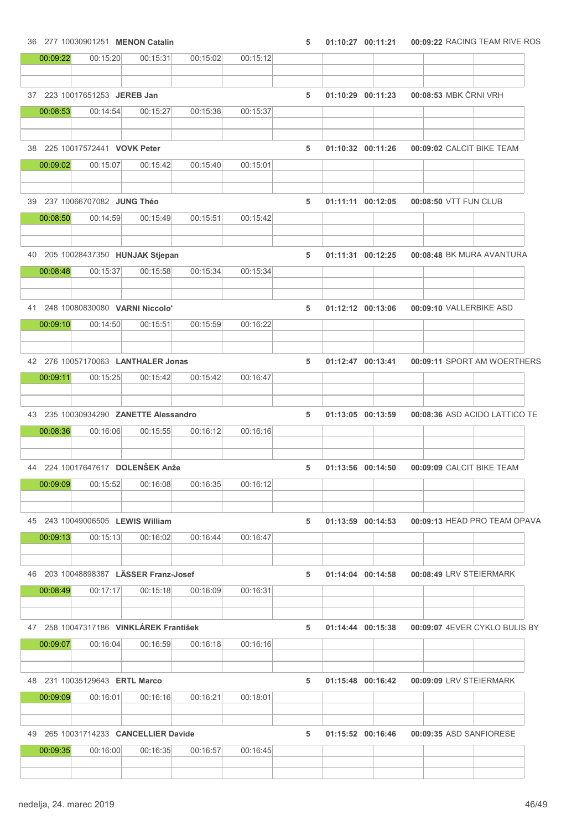# 00:09:22 00:15:20 00:15:31 00:15:02 00:15:12 37 223 10017651253 JEREB Jan 5 01:10:29 00:08:53 00:11:23 MBK ČRNI VRH 00:08:53 00:14:54 00:15:27 00:15:38 00:15:37 38 225 10017572441 VOVK Peter 6 01:00:00 1:10:32 00:11:26 00:09:02 CALCIT BIKE TEAM 00:09:02 00:15:07 00:15:42 00:15:40 00:15:01 39 237 10066707082 JUNG Théo 5 01:11:11 00:08:50 00:12:05 VTT FUN CLUB 00:08:50 00:14:59 00:15:49 00:15:51 00:15:42 40 205 10028437350 HUNJAK Stjepan 5 01:11:31 00:08:48 00:12:25 BK MURA AVANTURA 00:08:48 00:15:37 00:15:58 00:15:34 00:15:34 41 248 10080830080 VARNI Niccolo' 5 01:12:12 00:09:10 00:13:06 VALLERBIKE ASD 00:09:10 00:14:50 00:15:51 00:15:59 00:16:22 42 276 10057170063 LANTHALER Jonas 5 01:12:47 00:09:11 00:13:41 SPORT AM WOERTHERS 00:09:11 00:15:25 00:15:42 00:15:42 00:16:47 43 235 10030934290 ZANETTE Alessandro 5 01:13:05 00:08:36 00:13:59 ASD ACIDO LATTICO TE 00:08:36 00:16:06 00:15:55 00:16:12 00:16:16 44 224 10017647617 DOLENŠEK Anže 5 01:13:56 00:09:09 00:14:50 CALCIT BIKE TEAM 00:09:09 00:15:52 00:16:08 00:16:35 00:16:12 45 243 10049006505 LEWIS William 5 01:13:59 00:09:13 00:14:53 HEAD PRO TEAM OPAVA 00:09:13 00:15:13 00:16:02 00:16:44 00:16:47 46 203 10048898387 LÄSSER Franz-Josef 5 01:14:04 00:08:49 00:14:58 LRV STEIERMARK 00:08:49 00:17:17 00:15:18 00:16:09 00:16:31 47 258 10047317186 VINKLÁREK František 6 12 12 12 12 13 13 14:44 17 14:44 17 15:38 17 16:09:07 16:08 17 16:08 1 00:09:07 00:16:04 00:16:59 00:16:18 00:16:16 48 231 10035129643 ERTL Marco 5 01:15:48 00:09:09 00:16:42 LRV STEIERMARK

36 277 10030901251 MENON Catalin 36 01:10:27 00:11:21 00:09:22 RACING TEAM RIVE ROS

# 00:09:09 00:16:01 00:16:16 00:16:21 00:18:01 49 265 10031714233 CANCELLIER Davide 6 01:15:52 00:16:46 00:09:35 ASD SANFIORESE 00:09:35 00:16:00 00:16:35 00:16:57 00:16:45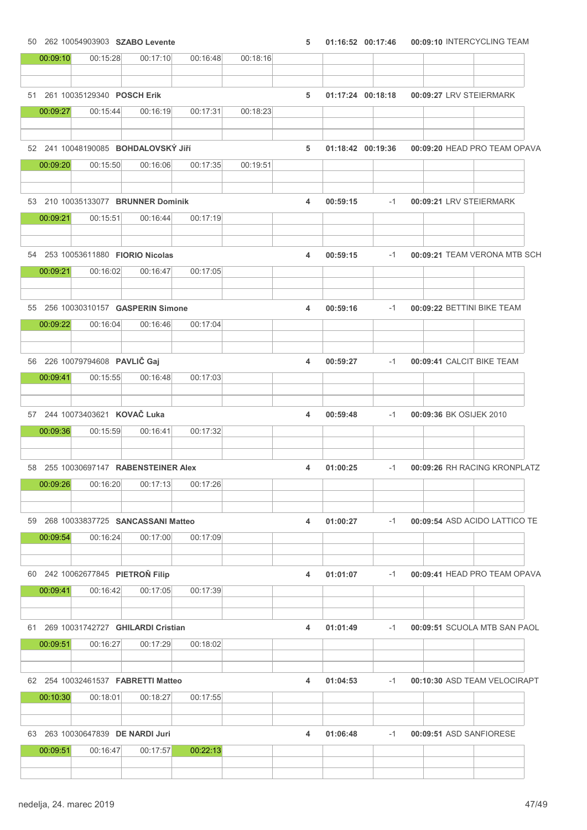50 262 10054903903 SZABO Levente 5 01:16:52 00:09:10 00:17:46 INTERCYCLING TEAM

| 00:09:10 | 00:15:28                                   | 00:17:10 | 00:16:48 | 00:18:16 |   |                   |      |  |                               |
|----------|--------------------------------------------|----------|----------|----------|---|-------------------|------|--|-------------------------------|
|          | 51 261 10035129340 POSCH Erik              |          |          |          | 5 | 01:17:24 00:18:18 |      |  | 00:09:27 LRV STEIERMARK       |
| 00:09:27 | 00:15:44                                   | 00:16:19 | 00:17:31 | 00:18:23 |   |                   |      |  |                               |
|          | 52 241 10048190085 <b>BOHDALOVSKÝ JIří</b> |          |          |          | 5 | 01:18:42 00:19:36 |      |  | 00:09:20 HEAD PRO TEAM OPAVA  |
| 00:09:20 | 00:15:50                                   | 00:16:06 | 00:17:35 | 00:19:51 |   |                   |      |  |                               |
|          | 53 210 10035133077 BRUNNER Dominik         |          |          |          | 4 | 00:59:15          | $-1$ |  | 00:09:21 LRV STEIERMARK       |
| 00:09:21 | 00:15:51                                   | 00:16:44 | 00:17:19 |          |   |                   |      |  |                               |
|          | 54 253 10053611880 FIORIO Nicolas          |          |          |          | 4 | 00:59:15          | $-1$ |  | 00:09:21 TEAM VERONA MTB SCH  |
| 00:09:21 | 00:16:02                                   | 00:16:47 | 00:17:05 |          |   |                   |      |  |                               |
|          | 55 256 10030310157 GASPERIN Simone         |          |          |          | 4 | 00:59:16          | $-1$ |  | 00:09:22 BETTINI BIKE TEAM    |
| 00:09:22 | 00:16:04                                   | 00:16:46 | 00:17:04 |          |   |                   |      |  |                               |
|          | 56 226 10079794608 PAVLIČ Gaj              |          |          |          | 4 | 00:59:27          | $-1$ |  | 00:09:41 CALCIT BIKE TEAM     |
| 00:09:41 | 00:15:55                                   | 00:16:48 | 00:17:03 |          |   |                   |      |  |                               |
|          | 57 244 10073403621 KOVAČ Luka              |          |          |          | 4 | 00:59:48          | -1   |  | 00:09:36 BK OSIJEK 2010       |
| 00:09:36 | 00:15:59                                   | 00:16:41 | 00:17:32 |          |   |                   |      |  |                               |
|          | 58 255 10030697147 RABENSTEINER Alex       |          |          |          | 4 | 01:00:25          | $-1$ |  | 00:09:26 RH RACING KRONPLATZ  |
| 00:09:26 | 00:16:20                                   | 00:17:13 | 00:17:26 |          |   |                   |      |  |                               |
|          | 59 268 10033837725 SANCASSANI Matteo       |          |          |          | 4 | 01:00:27          | $-1$ |  | 00:09:54 ASD ACIDO LATTICO TE |
| 00:09:54 | 00:16:24                                   | 00:17:00 | 00:17:09 |          |   |                   |      |  |                               |
|          | 60 242 10062677845 PIETROŇ Filip           |          |          |          | 4 | 01:01:07          | $-1$ |  | 00:09:41 HEAD PRO TEAM OPAVA  |
| 00:09:41 | 00:16:42                                   | 00:17:05 | 00:17:39 |          |   |                   |      |  |                               |
|          | 61 269 10031742727 GHILARDI Cristian       |          |          |          | 4 | 01:01:49          | $-1$ |  | 00:09:51 SCUOLA MTB SAN PAOL  |
| 00:09:51 | 00:16:27                                   | 00:17:29 | 00:18:02 |          |   |                   |      |  |                               |
|          | 62 254 10032461537 FABRETTI Matteo         |          |          |          | 4 | 01:04:53          | $-1$ |  | 00:10:30 ASD TEAM VELOCIRAPT  |
| 00:10:30 | 00:18:01                                   | 00:18:27 | 00:17:55 |          |   |                   |      |  |                               |
|          | 63 263 10030647839 DE NARDI Juri           |          |          |          | 4 | 01:06:48          | $-1$ |  | 00:09:51 ASD SANFIORESE       |
| 00:09:51 | 00:16:47                                   | 00:17:57 | 00:22:13 |          |   |                   |      |  |                               |
|          |                                            |          |          |          |   |                   |      |  |                               |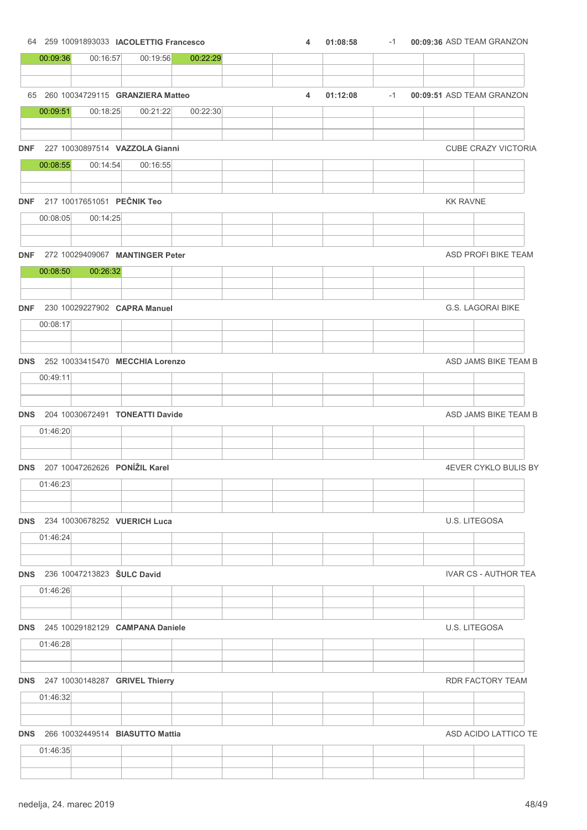|          |          | 64 259 10091893033 <b>IACOLETTIG Francesco</b>    |          | 4 | 01:08:58 | $-1$ | 00:09:36 ASD TEAM GRANZON |                             |
|----------|----------|---------------------------------------------------|----------|---|----------|------|---------------------------|-----------------------------|
| 00:09:36 | 00:16:57 | 00:19:56                                          | 00:22:29 |   |          |      |                           |                             |
|          |          |                                                   |          |   |          |      |                           |                             |
|          |          | 65 260 10034729115 GRANZIERA Matteo               |          | 4 | 01:12:08 | $-1$ | 00:09:51 ASD TEAM GRANZON |                             |
| 00:09:51 | 00:18:25 | 00:21:22                                          | 00:22:30 |   |          |      |                           |                             |
|          |          |                                                   |          |   |          |      |                           |                             |
|          |          | DNF 227 10030897514 VAZZOLA Gianni                |          |   |          |      |                           | CUBE CRAZY VICTORIA         |
| 00:08:55 | 00:14:54 | 00:16:55                                          |          |   |          |      |                           |                             |
|          |          |                                                   |          |   |          |      |                           |                             |
|          |          | DNF 217 10017651051 PEČNIK Teo                    |          |   |          |      | <b>KK RAVNE</b>           |                             |
| 00:08:05 | 00:14:25 |                                                   |          |   |          |      |                           |                             |
|          |          |                                                   |          |   |          |      |                           |                             |
|          |          | DNF 272 10029409067 MANTINGER Peter               |          |   |          |      |                           | ASD PROFI BIKE TEAM         |
| 00:08:50 | 00:26:32 |                                                   |          |   |          |      |                           |                             |
|          |          |                                                   |          |   |          |      |                           |                             |
|          |          | DNF 230 10029227902 CAPRA Manuel                  |          |   |          |      |                           | G.S. LAGORAI BIKE           |
| 00:08:17 |          |                                                   |          |   |          |      |                           |                             |
|          |          |                                                   |          |   |          |      |                           |                             |
|          |          | DNS 252 10033415470 MECCHIA Lorenzo               |          |   |          |      |                           | ASD JAMS BIKE TEAM B        |
| 00:49:11 |          |                                                   |          |   |          |      |                           |                             |
|          |          |                                                   |          |   |          |      |                           |                             |
|          |          | DNS 204 10030672491 TONEATTI Davide               |          |   |          |      |                           | ASD JAMS BIKE TEAM B        |
| 01:46:20 |          |                                                   |          |   |          |      |                           |                             |
|          |          |                                                   |          |   |          |      |                           |                             |
|          |          | DNS 207 10047262626 PONÍŽIL Karel                 |          |   |          |      |                           | 4EVER CYKLO BULIS BY        |
| 01:46:23 |          |                                                   |          |   |          |      |                           |                             |
|          |          |                                                   |          |   |          |      |                           |                             |
|          |          | DNS 234 10030678252 VUERICH Luca                  |          |   |          |      |                           | U.S. LITEGOSA               |
| 01:46:24 |          |                                                   |          |   |          |      |                           |                             |
|          |          |                                                   |          |   |          |      |                           |                             |
|          |          | <b>DNS</b> 236 10047213823 <b>SULC David</b>      |          |   |          |      |                           | <b>IVAR CS - AUTHOR TEA</b> |
| 01:46:26 |          |                                                   |          |   |          |      |                           |                             |
|          |          |                                                   |          |   |          |      |                           |                             |
|          |          | DNS 245 10029182129 CAMPANA Daniele               |          |   |          |      |                           | U.S. LITEGOSA               |
| 01:46:28 |          |                                                   |          |   |          |      |                           |                             |
|          |          |                                                   |          |   |          |      |                           |                             |
|          |          | DNS 247 10030148287 GRIVEL Thierry                |          |   |          |      |                           | RDR FACTORY TEAM            |
| 01:46:32 |          |                                                   |          |   |          |      |                           |                             |
|          |          |                                                   |          |   |          |      |                           |                             |
|          |          | <b>DNS</b> 266 10032449514 <b>BIASUTTO Mattia</b> |          |   |          |      |                           | ASD ACIDO LATTICO TE        |
| 01:46:35 |          |                                                   |          |   |          |      |                           |                             |
|          |          |                                                   |          |   |          |      |                           |                             |